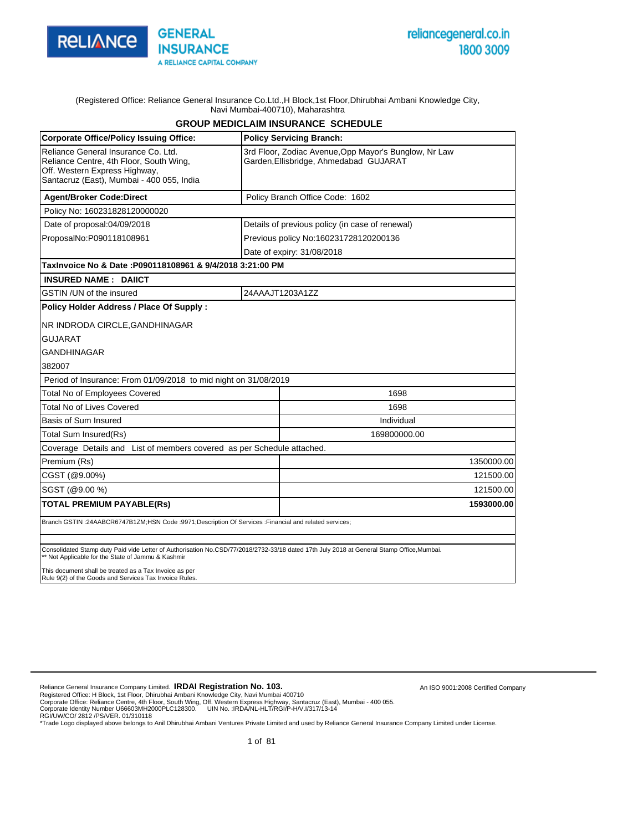

#### (Registered Office: Reliance General Insurance Co.Ltd.,H Block,1st Floor,Dhirubhai Ambani Knowledge City, Navi Mumbai-400710), Maharashtra

### **GROUP MEDICLAIM INSURANCE SCHEDULE**

| <b>Corporate Office/Policy Issuing Office:</b>                                                                                                               | <b>Policy Servicing Branch:</b>                                                                                                           |
|--------------------------------------------------------------------------------------------------------------------------------------------------------------|-------------------------------------------------------------------------------------------------------------------------------------------|
| Reliance General Insurance Co. Ltd.<br>Reliance Centre, 4th Floor, South Wing,<br>Off. Western Express Highway,<br>Santacruz (East), Mumbai - 400 055, India | 3rd Floor, Zodiac Avenue, Opp Mayor's Bunglow, Nr Law<br>Garden, Ellisbridge, Ahmedabad GUJARAT                                           |
| <b>Agent/Broker Code:Direct</b>                                                                                                                              | Policy Branch Office Code: 1602                                                                                                           |
| Policy No: 160231828120000020                                                                                                                                |                                                                                                                                           |
| Date of proposal:04/09/2018                                                                                                                                  | Details of previous policy (in case of renewal)                                                                                           |
| ProposalNo:P090118108961                                                                                                                                     | Previous policy No:160231728120200136                                                                                                     |
|                                                                                                                                                              | Date of expiry: 31/08/2018                                                                                                                |
| TaxInvoice No & Date :P090118108961 & 9/4/2018 3:21:00 PM                                                                                                    |                                                                                                                                           |
| <b>INSURED NAME: DAIICT</b>                                                                                                                                  |                                                                                                                                           |
| GSTIN /UN of the insured                                                                                                                                     | 24AAAJT1203A1ZZ                                                                                                                           |
| Policy Holder Address / Place Of Supply :                                                                                                                    |                                                                                                                                           |
| NR INDRODA CIRCLE, GANDHINAGAR                                                                                                                               |                                                                                                                                           |
| <b>GUJARAT</b>                                                                                                                                               |                                                                                                                                           |
| GANDHINAGAR                                                                                                                                                  |                                                                                                                                           |
| 382007                                                                                                                                                       |                                                                                                                                           |
| Period of Insurance: From 01/09/2018 to mid night on 31/08/2019                                                                                              |                                                                                                                                           |
| <b>Total No of Employees Covered</b>                                                                                                                         | 1698                                                                                                                                      |
| <b>Total No of Lives Covered</b>                                                                                                                             | 1698                                                                                                                                      |
| Basis of Sum Insured                                                                                                                                         | Individual                                                                                                                                |
| Total Sum Insured(Rs)                                                                                                                                        | 169800000.00                                                                                                                              |
| Coverage Details and List of members covered as per Schedule attached.                                                                                       |                                                                                                                                           |
| Premium (Rs)                                                                                                                                                 | 1350000.00                                                                                                                                |
| CGST (@9.00%)                                                                                                                                                | 121500.00                                                                                                                                 |
| SGST (@9.00 %)                                                                                                                                               | 121500.00                                                                                                                                 |
| <b>TOTAL PREMIUM PAYABLE(Rs)</b>                                                                                                                             | 1593000.00                                                                                                                                |
| Branch GSTIN :24AABCR6747B1ZM;HSN Code :9971;Description Of Services :Financial and related services;                                                        |                                                                                                                                           |
|                                                                                                                                                              |                                                                                                                                           |
| ** Not Applicable for the State of Jammu & Kashmir                                                                                                           | Consolidated Stamp duty Paid vide Letter of Authorisation No.CSD/77/2018/2732-33/18 dated 17th July 2018 at General Stamp Office, Mumbai. |
| This document shall be treated as a Tax Invoice as per<br>Rule 9(2) of the Goods and Services Tax Invoice Rules.                                             |                                                                                                                                           |

Reliance General Insurance Company Limited. **IRDAI Registration No. 103.** 

Registered Office: H Block, 1st Floor, Dhirubhai Ambani Knowledge City, Navi Mumbai 400710<br>Corporate Office: Reliance Centre, 4th Floor, South Wing, Off. Western Express Highway, Santacruz (East), Mumbai - 400 055.<br>Corpor

An ISO 9001:2008 Certified Company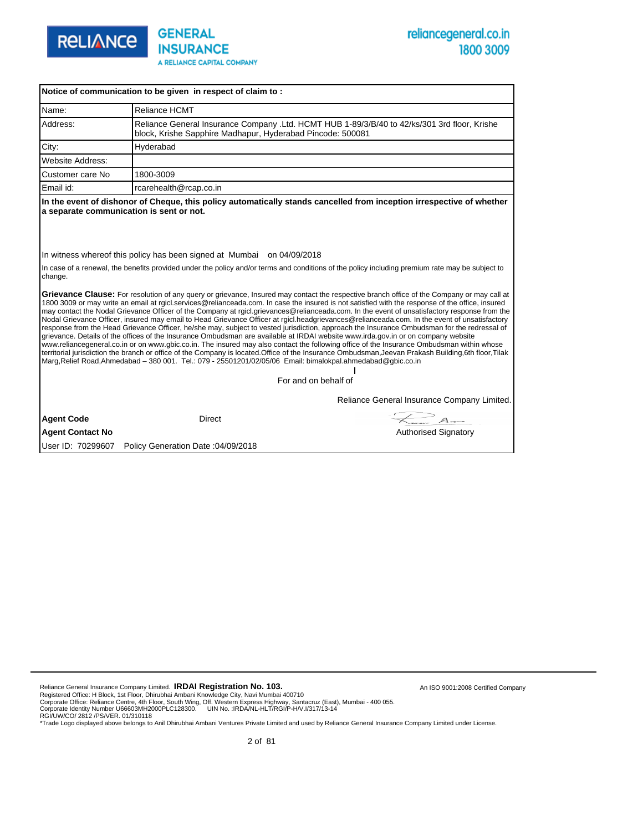

|                         | Notice of communication to be given in respect of claim to:                                                  |                                                                                                                                                                                                                                                                                                                                                                                                                                                                                                                                                                                                                                                                                                                                                                                                                                                                                                                                                                                                                                                                                                                                                                                         |
|-------------------------|--------------------------------------------------------------------------------------------------------------|-----------------------------------------------------------------------------------------------------------------------------------------------------------------------------------------------------------------------------------------------------------------------------------------------------------------------------------------------------------------------------------------------------------------------------------------------------------------------------------------------------------------------------------------------------------------------------------------------------------------------------------------------------------------------------------------------------------------------------------------------------------------------------------------------------------------------------------------------------------------------------------------------------------------------------------------------------------------------------------------------------------------------------------------------------------------------------------------------------------------------------------------------------------------------------------------|
| Name:                   | <b>Reliance HCMT</b>                                                                                         |                                                                                                                                                                                                                                                                                                                                                                                                                                                                                                                                                                                                                                                                                                                                                                                                                                                                                                                                                                                                                                                                                                                                                                                         |
| Address:                | block, Krishe Sapphire Madhapur, Hyderabad Pincode: 500081                                                   | Reliance General Insurance Company .Ltd. HCMT HUB 1-89/3/B/40 to 42/ks/301 3rd floor, Krishe                                                                                                                                                                                                                                                                                                                                                                                                                                                                                                                                                                                                                                                                                                                                                                                                                                                                                                                                                                                                                                                                                            |
| City:                   | Hyderabad                                                                                                    |                                                                                                                                                                                                                                                                                                                                                                                                                                                                                                                                                                                                                                                                                                                                                                                                                                                                                                                                                                                                                                                                                                                                                                                         |
| <b>Website Address:</b> |                                                                                                              |                                                                                                                                                                                                                                                                                                                                                                                                                                                                                                                                                                                                                                                                                                                                                                                                                                                                                                                                                                                                                                                                                                                                                                                         |
| Customer care No        | 1800-3009                                                                                                    |                                                                                                                                                                                                                                                                                                                                                                                                                                                                                                                                                                                                                                                                                                                                                                                                                                                                                                                                                                                                                                                                                                                                                                                         |
| Email id:               | rcarehealth@rcap.co.in                                                                                       |                                                                                                                                                                                                                                                                                                                                                                                                                                                                                                                                                                                                                                                                                                                                                                                                                                                                                                                                                                                                                                                                                                                                                                                         |
|                         | a separate communication is sent or not.                                                                     | In the event of dishonor of Cheque, this policy automatically stands cancelled from inception irrespective of whether                                                                                                                                                                                                                                                                                                                                                                                                                                                                                                                                                                                                                                                                                                                                                                                                                                                                                                                                                                                                                                                                   |
| change.                 | In witness whereof this policy has been signed at Mumbai on 04/09/2018                                       | In case of a renewal, the benefits provided under the policy and/or terms and conditions of the policy including premium rate may be subject to                                                                                                                                                                                                                                                                                                                                                                                                                                                                                                                                                                                                                                                                                                                                                                                                                                                                                                                                                                                                                                         |
|                         | Marg, Relief Road, Ahmedabad - 380 001. Tel.: 079 - 25501201/02/05/06 Email: bimalokpal.ahmedabad@gbic.co.in | Grievance Clause: For resolution of any query or grievance, Insured may contact the respective branch office of the Company or may call at<br>1800 3009 or may write an email at rgicl.services@relianceada.com. In case the insured is not satisfied with the response of the office, insured<br>may contact the Nodal Grievance Officer of the Company at rgicl.grievances@relianceada.com. In the event of unsatisfactory response from the<br>Nodal Grievance Officer, insured may email to Head Grievance Officer at rgicl.headgrievances@relianceada.com. In the event of unsatisfactory<br>response from the Head Grievance Officer, he/she may, subject to vested jurisdiction, approach the Insurance Ombudsman for the redressal of<br>grievance. Details of the offices of the Insurance Ombudsman are available at IRDAI website www.irda.gov.in or on company website<br>www.reliancegeneral.co.in or on www.gbic.co.in. The insured may also contact the following office of the Insurance Ombudsman within whose<br>territorial jurisdiction the branch or office of the Company is located.Office of the Insurance Ombudsman, Jeevan Prakash Building, 6th floor, Tilak |
|                         |                                                                                                              | For and on behalf of                                                                                                                                                                                                                                                                                                                                                                                                                                                                                                                                                                                                                                                                                                                                                                                                                                                                                                                                                                                                                                                                                                                                                                    |
|                         |                                                                                                              | Reliance General Insurance Company Limited.                                                                                                                                                                                                                                                                                                                                                                                                                                                                                                                                                                                                                                                                                                                                                                                                                                                                                                                                                                                                                                                                                                                                             |
| <b>Agent Code</b>       | <b>Direct</b>                                                                                                | $\overline{\phantom{a}}$ $\phantom{a}$ $\phantom{a}$ $\phantom{a}$ $\phantom{a}$ $\phantom{a}$ $\phantom{a}$ $\phantom{a}$ $\phantom{a}$ $\phantom{a}$ $\phantom{a}$ $\phantom{a}$ $\phantom{a}$ $\phantom{a}$ $\phantom{a}$ $\phantom{a}$ $\phantom{a}$ $\phantom{a}$ $\phantom{a}$ $\phantom{a}$ $\phantom{a}$ $\phantom{a}$ $\phantom{a}$ $\phantom{a}$ $\$                                                                                                                                                                                                                                                                                                                                                                                                                                                                                                                                                                                                                                                                                                                                                                                                                          |
| <b>Agent Contact No</b> |                                                                                                              | <b>Authorised Signatory</b>                                                                                                                                                                                                                                                                                                                                                                                                                                                                                                                                                                                                                                                                                                                                                                                                                                                                                                                                                                                                                                                                                                                                                             |
| User ID: 70299607       | Policy Generation Date: 04/09/2018                                                                           |                                                                                                                                                                                                                                                                                                                                                                                                                                                                                                                                                                                                                                                                                                                                                                                                                                                                                                                                                                                                                                                                                                                                                                                         |

Reliance General Insurance Company Limited. **IRDAI Registration No. 103.** 

Registered Office: H Block, 1st Floor, Dhirubhai Ambani Knowledge City, Navi Mumbai 400710<br>Corporate Office: Reliance Centre, 4th Floor, South Wing, Off. Western Express Highway, Santacruz (East), Mumbai - 400 055.<br>Corpor

An ISO 9001:2008 Certified Company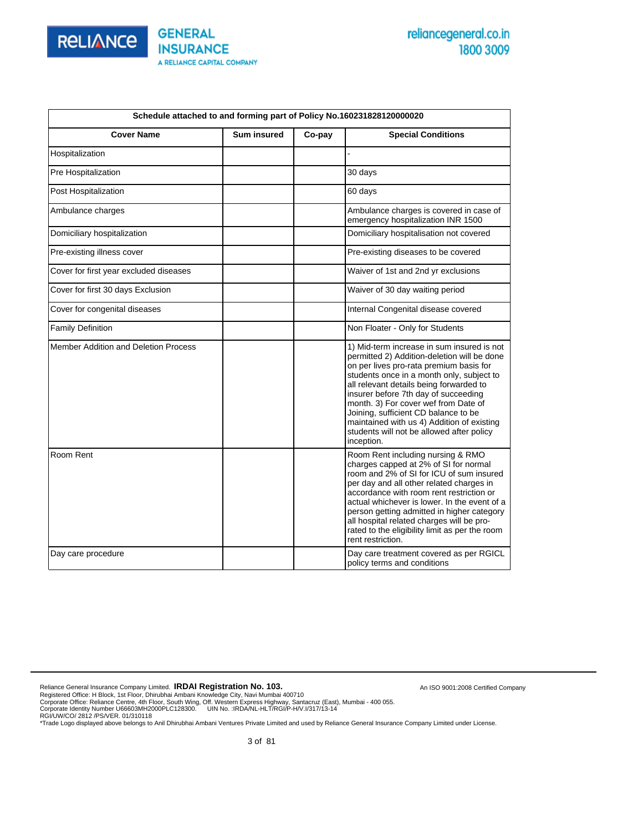

An ISO 9001:2008 Certified Company

|                                             | Schedule attached to and forming part of Policy No.160231828120000020 |        |                                                                                                                                                                                                                                                                                                                                                                                                                                                               |  |  |  |  |  |  |  |  |
|---------------------------------------------|-----------------------------------------------------------------------|--------|---------------------------------------------------------------------------------------------------------------------------------------------------------------------------------------------------------------------------------------------------------------------------------------------------------------------------------------------------------------------------------------------------------------------------------------------------------------|--|--|--|--|--|--|--|--|
| <b>Cover Name</b>                           | <b>Sum insured</b>                                                    | Co-pay | <b>Special Conditions</b>                                                                                                                                                                                                                                                                                                                                                                                                                                     |  |  |  |  |  |  |  |  |
| Hospitalization                             |                                                                       |        |                                                                                                                                                                                                                                                                                                                                                                                                                                                               |  |  |  |  |  |  |  |  |
| Pre Hospitalization                         |                                                                       |        | 30 days                                                                                                                                                                                                                                                                                                                                                                                                                                                       |  |  |  |  |  |  |  |  |
| Post Hospitalization                        |                                                                       |        | 60 days                                                                                                                                                                                                                                                                                                                                                                                                                                                       |  |  |  |  |  |  |  |  |
| Ambulance charges                           |                                                                       |        | Ambulance charges is covered in case of<br>emergency hospitalization INR 1500                                                                                                                                                                                                                                                                                                                                                                                 |  |  |  |  |  |  |  |  |
| Domiciliary hospitalization                 |                                                                       |        | Domiciliary hospitalisation not covered                                                                                                                                                                                                                                                                                                                                                                                                                       |  |  |  |  |  |  |  |  |
| Pre-existing illness cover                  |                                                                       |        | Pre-existing diseases to be covered                                                                                                                                                                                                                                                                                                                                                                                                                           |  |  |  |  |  |  |  |  |
| Cover for first year excluded diseases      |                                                                       |        | Waiver of 1st and 2nd yr exclusions                                                                                                                                                                                                                                                                                                                                                                                                                           |  |  |  |  |  |  |  |  |
| Cover for first 30 days Exclusion           |                                                                       |        | Waiver of 30 day waiting period                                                                                                                                                                                                                                                                                                                                                                                                                               |  |  |  |  |  |  |  |  |
| Cover for congenital diseases               |                                                                       |        | Internal Congenital disease covered                                                                                                                                                                                                                                                                                                                                                                                                                           |  |  |  |  |  |  |  |  |
| <b>Family Definition</b>                    |                                                                       |        | Non Floater - Only for Students                                                                                                                                                                                                                                                                                                                                                                                                                               |  |  |  |  |  |  |  |  |
| <b>Member Addition and Deletion Process</b> |                                                                       |        | 1) Mid-term increase in sum insured is not<br>permitted 2) Addition-deletion will be done<br>on per lives pro-rata premium basis for<br>students once in a month only, subject to<br>all relevant details being forwarded to<br>insurer before 7th day of succeeding<br>month. 3) For cover wef from Date of<br>Joining, sufficient CD balance to be<br>maintained with us 4) Addition of existing<br>students will not be allowed after policy<br>inception. |  |  |  |  |  |  |  |  |
| Room Rent                                   |                                                                       |        | Room Rent including nursing & RMO<br>charges capped at 2% of SI for normal<br>room and 2% of SI for ICU of sum insured<br>per day and all other related charges in<br>accordance with room rent restriction or<br>actual whichever is lower. In the event of a<br>person getting admitted in higher category<br>all hospital related charges will be pro-<br>rated to the eligibility limit as per the room<br>rent restriction.                              |  |  |  |  |  |  |  |  |
| Day care procedure                          |                                                                       |        | Day care treatment covered as per RGICL<br>policy terms and conditions                                                                                                                                                                                                                                                                                                                                                                                        |  |  |  |  |  |  |  |  |

Reliance General Insurance Company Limited. **IRDAI Registration No. 103.**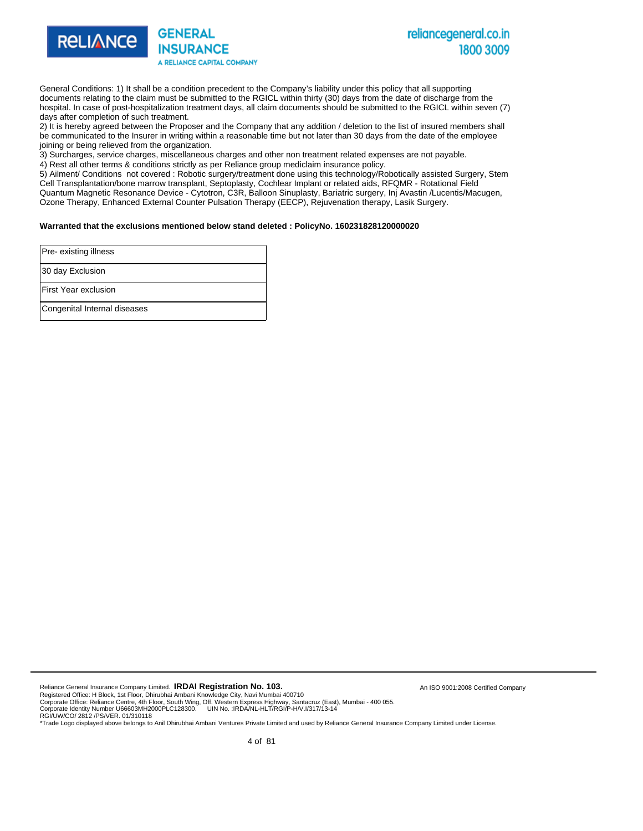

General Conditions: 1) It shall be a condition precedent to the Company's liability under this policy that all supporting documents relating to the claim must be submitted to the RGICL within thirty (30) days from the date of discharge from the hospital. In case of post-hospitalization treatment days, all claim documents should be submitted to the RGICL within seven (7) days after completion of such treatment.

2) It is hereby agreed between the Proposer and the Company that any addition / deletion to the list of insured members shall be communicated to the Insurer in writing within a reasonable time but not later than 30 days from the date of the employee joining or being relieved from the organization.

3) Surcharges, service charges, miscellaneous charges and other non treatment related expenses are not payable.

4) Rest all other terms & conditions strictly as per Reliance group mediclaim insurance policy.

5) Ailment/ Conditions not covered : Robotic surgery/treatment done using this technology/Robotically assisted Surgery, Stem Cell Transplantation/bone marrow transplant, Septoplasty, Cochlear Implant or related aids, RFQMR - Rotational Field Quantum Magnetic Resonance Device - Cytotron, C3R, Balloon Sinuplasty, Bariatric surgery, Inj Avastin /Lucentis/Macugen, Ozone Therapy, Enhanced External Counter Pulsation Therapy (EECP), Rejuvenation therapy, Lasik Surgery.

#### **Warranted that the exclusions mentioned below stand deleted : PolicyNo. 160231828120000020**

| Pre-existing illness         |
|------------------------------|
| 30 day Exclusion             |
| <b>First Year exclusion</b>  |
| Congenital Internal diseases |

Reliance General Insurance Company Limited. **IRDAI Registration No. 103.** 

Registered Office: H Block, 1st Floor, Dhirubhai Ambani Knowledge City, Navi Mumbai 400710<br>Corporate Office: Reliance Centre, 4th Floor, South Wing, Off. Western Express Highway, Santacruz (East), Mumbai - 400 055.<br>Corpora

RGI/UW/CO/ 2812 /PS/VER. 01/310118 \*Trade Logo displayed above belongs to Anil Dhirubhai Ambani Ventures Private Limited and used by Reliance General Insurance Company Limited under License.

An ISO 9001:2008 Certified Company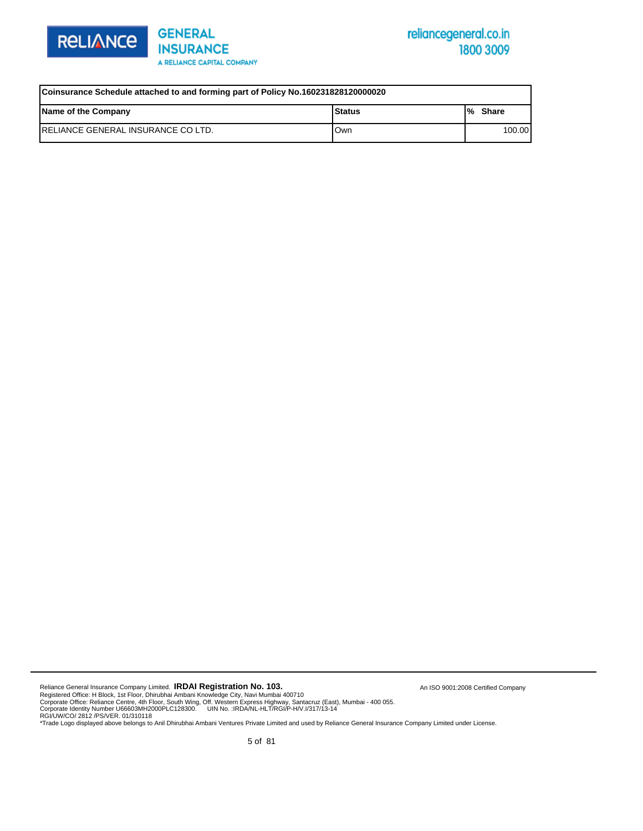



| Coinsurance Schedule attached to and forming part of Policy No.160231828120000020 |      |        |  |  |  |  |  |  |  |
|-----------------------------------------------------------------------------------|------|--------|--|--|--|--|--|--|--|
| Name of the Company<br>l Status<br>l% Share                                       |      |        |  |  |  |  |  |  |  |
| IRELIANCE GENERAL INSURANCE CO LTD.                                               | lOwn | 100.00 |  |  |  |  |  |  |  |

Reliance General Insurance Company Limited. **IRDAI Registration No. 103.** 

Registered Office: H Block, 1st Floor, Dhirubhai Ambani Knowledge City, Navi Mumbai 400710<br>Corporate Office: Reliance Centre, 4th Floor, South Wing, Off. Western Express Highway, Santacruz (East), Mumbai - 400 055.<br>Corpor

An ISO 9001:2008 Certified Company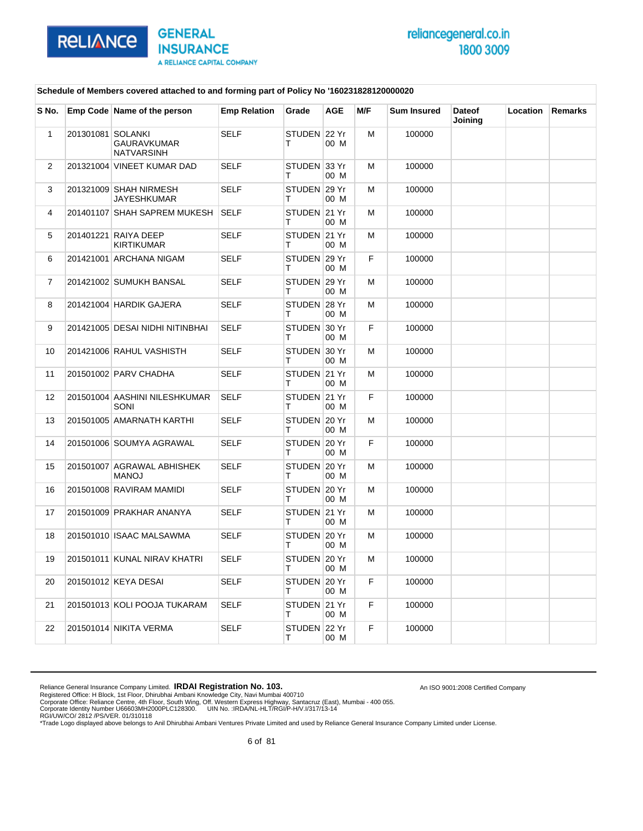

An ISO 9001:2008 Certified Company

#### **Schedule of Members covered attached to and forming part of Policy No '160231828120000020**

| S No.          |                   | Emp Code Name of the person                | <b>Emp Relation</b> | Grade              | <b>AGE</b> | M/F | <b>Sum Insured</b> | <b>Dateof</b><br>Joining | Location | <b>Remarks</b> |
|----------------|-------------------|--------------------------------------------|---------------------|--------------------|------------|-----|--------------------|--------------------------|----------|----------------|
| $\mathbf{1}$   | 201301081 SOLANKI | <b>GAURAVKUMAR</b><br><b>NATVARSINH</b>    | <b>SELF</b>         | STUDEN 22 Yr<br>T. | 00 M       | М   | 100000             |                          |          |                |
| $\overline{2}$ |                   | 201321004 VINEET KUMAR DAD                 | <b>SELF</b>         | STUDEN 33 Yr<br>т  | 00 M       | м   | 100000             |                          |          |                |
| 3              |                   | 201321009 SHAH NIRMESH<br>JAYESHKUMAR      | <b>SELF</b>         | STUDEN 29 Yr<br>т  | 00 M       | М   | 100000             |                          |          |                |
| 4              |                   | 201401107 SHAH SAPREM MUKESH               | <b>SELF</b>         | STUDEN 21 Yr<br>т  | 00 M       | М   | 100000             |                          |          |                |
| 5              |                   | 201401221 RAIYA DEEP<br><b>KIRTIKUMAR</b>  | <b>SELF</b>         | STUDEN 21 Yr<br>т  | 00 M       | М   | 100000             |                          |          |                |
| 6              |                   | 201421001 ARCHANA NIGAM                    | <b>SELF</b>         | STUDEN 29 Yr<br>т  | 00 M       | F.  | 100000             |                          |          |                |
| $\overline{7}$ |                   | 201421002 SUMUKH BANSAL                    | <b>SELF</b>         | STUDEN 29 Yr<br>т  | 00 M       | м   | 100000             |                          |          |                |
| 8              |                   | 201421004 HARDIK GAJERA                    | <b>SELF</b>         | STUDEN 28 Yr<br>т  | 00 M       | М   | 100000             |                          |          |                |
| 9              |                   | 201421005 DESAI NIDHI NITINBHAI            | <b>SELF</b>         | STUDEN 30 Yr<br>т  | 00 M       | F.  | 100000             |                          |          |                |
| 10             |                   | 201421006 RAHUL VASHISTH                   | <b>SELF</b>         | STUDEN 30 Yr<br>т  | 00 M       | М   | 100000             |                          |          |                |
| 11             |                   | 201501002 PARV CHADHA                      | <b>SELF</b>         | STUDEN 21 Yr<br>т  | 00 M       | М   | 100000             |                          |          |                |
| 12             |                   | 201501004 AASHINI NILESHKUMAR<br>SONI      | <b>SELF</b>         | STUDEN 21 Yr<br>т  | 00 M       | F.  | 100000             |                          |          |                |
| 13             |                   | 201501005 AMARNATH KARTHI                  | SELF                | STUDEN 20 Yr<br>т  | 00 M       | м   | 100000             |                          |          |                |
| 14             |                   | 201501006 SOUMYA AGRAWAL                   | <b>SELF</b>         | STUDEN 20 Yr<br>т  | 00 M       | F.  | 100000             |                          |          |                |
| 15             |                   | 201501007 AGRAWAL ABHISHEK<br><b>LOVAM</b> | <b>SELF</b>         | STUDEN 20 Yr<br>т  | 00 M       | м   | 100000             |                          |          |                |
| 16             |                   | 201501008 RAVIRAM MAMIDI                   | <b>SELF</b>         | STUDEN 20 Yr<br>т  | 00 M       | м   | 100000             |                          |          |                |
| 17             |                   | 201501009 PRAKHAR ANANYA                   | <b>SELF</b>         | STUDEN 21 Yr<br>т  | 00 M       | M   | 100000             |                          |          |                |
| 18             |                   | 201501010 ISAAC MALSAWMA                   | <b>SELF</b>         | STUDEN 20 Yr<br>т  | 00 M       | м   | 100000             |                          |          |                |
| 19             |                   | 201501011 KUNAL NIRAV KHATRI               | <b>SELF</b>         | STUDEN 20 Yr<br>т  | 00 M       | M   | 100000             |                          |          |                |
| 20             |                   | 201501012 KEYA DESAI                       | <b>SELF</b>         | STUDEN 20 Yr<br>т  | 00 M       | F.  | 100000             |                          |          |                |
| 21             |                   | 201501013 KOLI POOJA TUKARAM               | <b>SELF</b>         | STUDEN 21 Yr<br>т  | 00 M       | F.  | 100000             |                          |          |                |
| 22             |                   | 201501014 NIKITA VERMA                     | <b>SELF</b>         | STUDEN 22 Yr<br>т  | 00 M       | F.  | 100000             |                          |          |                |

Reliance General Insurance Company Limited. **IRDAI Registration No. 103.**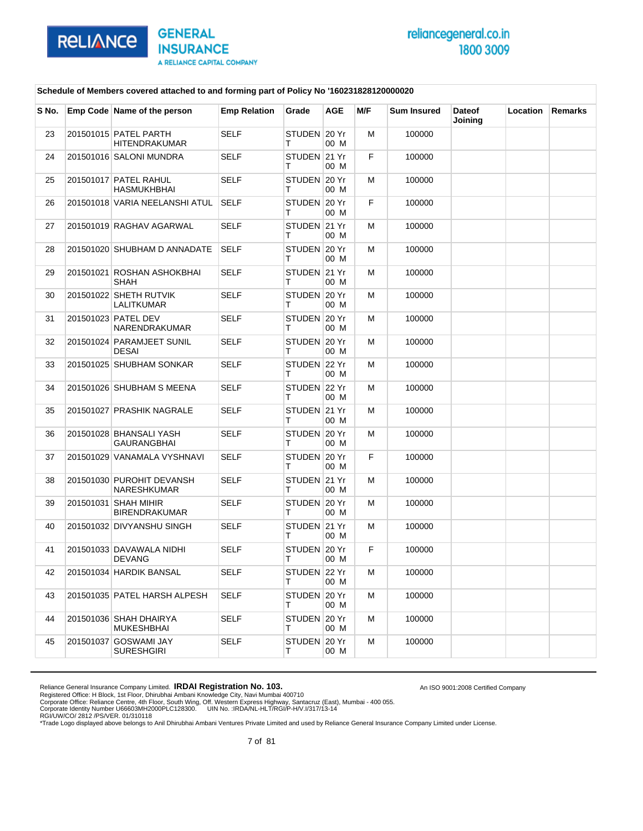

An ISO 9001:2008 Certified Company

### **Schedule of Members covered attached to and forming part of Policy No '160231828120000020**

| S No. | Emp Code Name of the person                   | <b>Emp Relation</b> | Grade             | <b>AGE</b> | M/F | <b>Sum Insured</b> | <b>Dateof</b><br>Joining | Location | Remarks |
|-------|-----------------------------------------------|---------------------|-------------------|------------|-----|--------------------|--------------------------|----------|---------|
| 23    | 201501015 PATEL PARTH<br><b>HITENDRAKUMAR</b> | <b>SELF</b>         | STUDEN 20 Yr<br>т | 00 M       | М   | 100000             |                          |          |         |
| 24    | 201501016 SALONI MUNDRA                       | <b>SELF</b>         | STUDEN 21 Yr<br>т | 00 M       | F.  | 100000             |                          |          |         |
| 25    | 201501017 PATEL RAHUL<br><b>HASMUKHBHAI</b>   | <b>SELF</b>         | STUDEN 20 Yr<br>т | 00 M       | м   | 100000             |                          |          |         |
| 26    | 201501018 VARIA NEELANSHI ATUL                | <b>SELF</b>         | STUDEN 20 Yr<br>т | 00 M       | F.  | 100000             |                          |          |         |
| 27    | 201501019 RAGHAV AGARWAL                      | <b>SELF</b>         | STUDEN 21 Yr<br>т | 00 M       | м   | 100000             |                          |          |         |
| 28    | 201501020 SHUBHAM D ANNADATE                  | <b>SELF</b>         | STUDEN 20 Yr<br>т | 00 M       | м   | 100000             |                          |          |         |
| 29    | 201501021 ROSHAN ASHOKBHAI<br>SHAH            | <b>SELF</b>         | STUDEN 21 Yr<br>т | 00 M       | М   | 100000             |                          |          |         |
| 30    | 201501022 SHETH RUTVIK<br>LALITKUMAR          | <b>SELF</b>         | STUDEN 20 Yr<br>т | 00 M       | м   | 100000             |                          |          |         |
| 31    | 201501023 PATEL DEV<br>NARENDRAKUMAR          | <b>SELF</b>         | STUDEN 20 Yr<br>т | 00 M       | м   | 100000             |                          |          |         |
| 32    | 201501024 PARAMJEET SUNIL<br>DESAI            | <b>SELF</b>         | STUDEN 20 Yr<br>Τ | 00 M       | М   | 100000             |                          |          |         |
| 33    | 201501025 SHUBHAM SONKAR                      | SELF                | STUDEN 22 Yr<br>т | 00 M       | м   | 100000             |                          |          |         |
| 34    | 201501026 SHUBHAM S MEENA                     | <b>SELF</b>         | STUDEN 22 Yr<br>т | 00 M       | м   | 100000             |                          |          |         |
| 35    | 201501027 PRASHIK NAGRALE                     | <b>SELF</b>         | STUDEN 21 Yr<br>т | 00 M       | М   | 100000             |                          |          |         |
| 36    | 201501028 BHANSALI YASH<br>GAURANGBHAI        | <b>SELF</b>         | STUDEN 20 Yr<br>т | 00 M       | м   | 100000             |                          |          |         |
| 37    | 201501029 VANAMALA VYSHNAVI                   | <b>SELF</b>         | STUDEN 20 Yr<br>т | 00 M       | F.  | 100000             |                          |          |         |
| 38    | 201501030 PUROHIT DEVANSH<br>NARESHKUMAR      | <b>SELF</b>         | STUDEN 21 Yr<br>т | 00 M       | М   | 100000             |                          |          |         |
| 39    | 201501031 SHAH MIHIR<br><b>BIRENDRAKUMAR</b>  | <b>SELF</b>         | STUDEN 20 Yr<br>т | 00 M       | м   | 100000             |                          |          |         |
| 40    | 201501032 DIVYANSHU SINGH                     | <b>SELF</b>         | STUDEN 21 Yr<br>т | 00 M       | м   | 100000             |                          |          |         |
| 41    | 201501033 DAVAWALA NIDHI<br>DEVANG            | <b>SELF</b>         | STUDEN 20 Yr<br>т | 00 M       | F.  | 100000             |                          |          |         |
| 42    | 201501034 HARDIK BANSAL                       | SELF                | STUDEN 22 Yr<br>т | 00 M       | м   | 100000             |                          |          |         |
| 43    | 201501035 PATEL HARSH ALPESH                  | <b>SELF</b>         | STUDEN 20 Yr<br>Τ | 00 M       | м   | 100000             |                          |          |         |
| 44    | 201501036 SHAH DHAIRYA<br><b>MUKESHBHAI</b>   | <b>SELF</b>         | STUDEN 20 Yr<br>т | 00 M       | м   | 100000             |                          |          |         |
| 45    | 201501037 GOSWAMI JAY<br><b>SURESHGIRI</b>    | SELF                | STUDEN 20 Yr<br>т | 00 M       | м   | 100000             |                          |          |         |

Reliance General Insurance Company Limited. **IRDAI Registration No. 103.**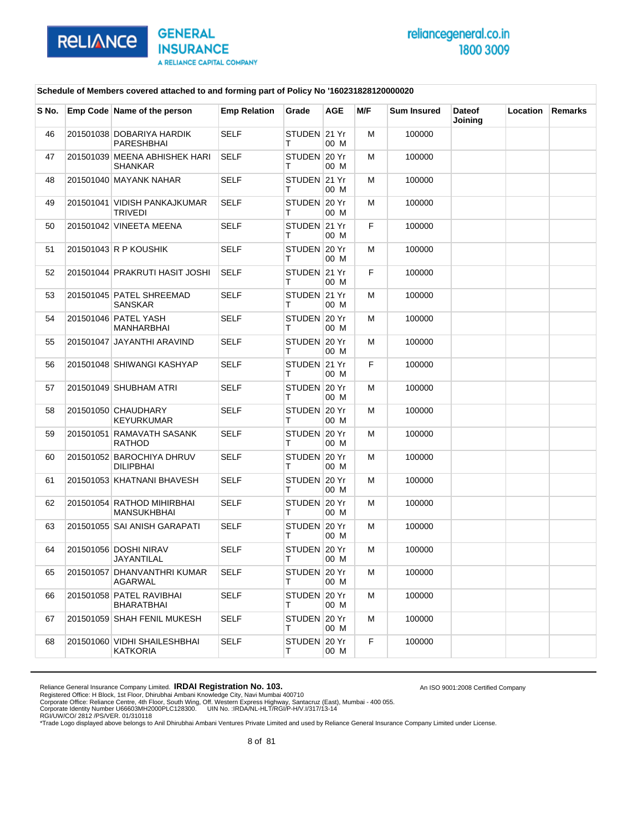

An ISO 9001:2008 Certified Company

### **Schedule of Members covered attached to and forming part of Policy No '160231828120000020**

| S No. | Emp Code Name of the person                     | <b>Emp Relation</b> | Grade              | <b>AGE</b>    | M/F | <b>Sum Insured</b> | <b>Dateof</b><br>Joining | Location | <b>Remarks</b> |
|-------|-------------------------------------------------|---------------------|--------------------|---------------|-----|--------------------|--------------------------|----------|----------------|
| 46    | 201501038 DOBARIYA HARDIK<br>PARESHBHAI         | <b>SELF</b>         | STUDEN 21 Yr<br>т  | 00 M          | м   | 100000             |                          |          |                |
| 47    | 201501039 MEENA ABHISHEK HARI<br><b>SHANKAR</b> | <b>SELF</b>         | STUDEN 20 Yr<br>т  | 00 M          | м   | 100000             |                          |          |                |
| 48    | 201501040 MAYANK NAHAR                          | <b>SELF</b>         | STUDEN 21 Yr<br>т  | 00 M          | м   | 100000             |                          |          |                |
| 49    | 201501041 VIDISH PANKAJKUMAR<br><b>TRIVEDI</b>  | <b>SELF</b>         | STUDEN 20 Yr<br>т  | 00 M          | м   | 100000             |                          |          |                |
| 50    | 201501042 VINEETA MEENA                         | <b>SELF</b>         | STUDEN 21 Yr<br>т  | 00 M          | F   | 100000             |                          |          |                |
| 51    | 201501043 R P KOUSHIK                           | <b>SELF</b>         | STUDEN 20 Yr<br>т  | 00 M          | м   | 100000             |                          |          |                |
| 52    | 201501044 PRAKRUTI HASIT JOSHI                  | <b>SELF</b>         | STUDEN 21 Yr<br>т  | 00 M          | F.  | 100000             |                          |          |                |
| 53    | 201501045 PATEL SHREEMAD<br>SANSKAR             | <b>SELF</b>         | STUDEN 21 Yr<br>т  | 00 M          | М   | 100000             |                          |          |                |
| 54    | 201501046 PATEL YASH<br>MANHARBHAI              | <b>SELF</b>         | STUDEN 20 Yr<br>т  | 00 M          | м   | 100000             |                          |          |                |
| 55    | 201501047 JAYANTHI ARAVIND                      | <b>SELF</b>         | STUDEN 20 Yr<br>т  | 00 M          | м   | 100000             |                          |          |                |
| 56    | 201501048 SHIWANGI KASHYAP                      | <b>SELF</b>         | STUDEN 21 Yr<br>т  | 00 M          | F   | 100000             |                          |          |                |
| 57    | 201501049 SHUBHAM ATRI                          | <b>SELF</b>         | STUDEN 20 Yr<br>т  | 00 M          | м   | 100000             |                          |          |                |
| 58    | 201501050 CHAUDHARY<br>KEYURKUMAR               | <b>SELF</b>         | STUDEN 20 Yr<br>т  | 00 M          | м   | 100000             |                          |          |                |
| 59    | 201501051 RAMAVATH SASANK<br>RATHOD             | <b>SELF</b>         | STUDEN 20 Yr<br>т  | 00 M          | М   | 100000             |                          |          |                |
| 60    | 201501052 BAROCHIYA DHRUV<br><b>DILIPBHAI</b>   | <b>SELF</b>         | STUDEN 20 Yr<br>т  | 00 M          | м   | 100000             |                          |          |                |
| 61    | 201501053 KHATNANI BHAVESH                      | <b>SELF</b>         | STUDEN 20 Yr<br>т  | 00 M          | м   | 100000             |                          |          |                |
| 62    | 201501054 RATHOD MIHIRBHAI<br>MANSUKHBHAI       | <b>SELF</b>         | STUDEN 20 Yr<br>т  | 00 M          | М   | 100000             |                          |          |                |
| 63    | 201501055 SAI ANISH GARAPATI                    | <b>SELF</b>         | STUDEN 20 Yr<br>т  | 00 M          | м   | 100000             |                          |          |                |
| 64    | 201501056 DOSHI NIRAV<br>JAYANTILAL             | <b>SELF</b>         | STUDEN<br>т        | 20 Yr<br>00 M | м   | 100000             |                          |          |                |
| 65    | 201501057 DHANVANTHRI KUMAR<br>AGARWAL          | <b>SELF</b>         | STUDEN 20 Yr<br>Τ  | 00 M          | M   | 100000             |                          |          |                |
| 66    | 201501058 PATEL RAVIBHAI<br>BHARATBHAI          | SELF                | STUDEN 20 Yr<br>T. | 00 M          | м   | 100000             |                          |          |                |
| 67    | 201501059 SHAH FENIL MUKESH                     | SELF                | STUDEN 20 Yr<br>т  | 00 M          | м   | 100000             |                          |          |                |
| 68    | 201501060 VIDHI SHAILESHBHAI<br><b>KATKORIA</b> | <b>SELF</b>         | STUDEN 20 Yr<br>T. | 00 M          | F.  | 100000             |                          |          |                |

Reliance General Insurance Company Limited. **IRDAI Registration No. 103.**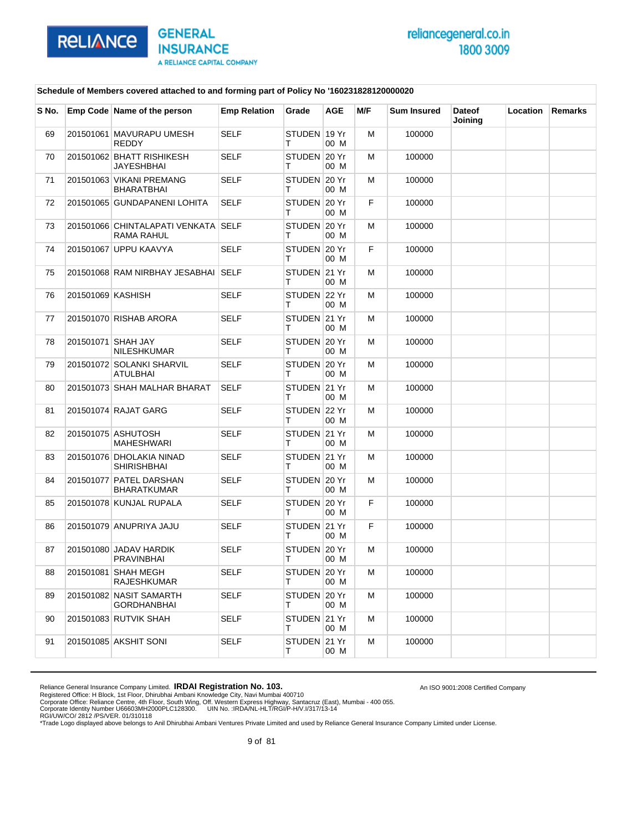

An ISO 9001:2008 Certified Company

#### **Schedule of Members covered attached to and forming part of Policy No '160231828120000020**

| S No. |                   | Emp Code Name of the person                       | <b>Emp Relation</b> | Grade             | <b>AGE</b> | M/F | <b>Sum Insured</b> | <b>Dateof</b><br>Joining | Location | <b>Remarks</b> |
|-------|-------------------|---------------------------------------------------|---------------------|-------------------|------------|-----|--------------------|--------------------------|----------|----------------|
| 69    |                   | 201501061 MAVURAPU UMESH<br><b>REDDY</b>          | <b>SELF</b>         | STUDEN 19 Yr<br>Τ | 00 M       | M   | 100000             |                          |          |                |
| 70    |                   | 201501062 BHATT RISHIKESH<br>JAYESHBHAI           | <b>SELF</b>         | STUDEN 20 Yr<br>т | 00 M       | м   | 100000             |                          |          |                |
| 71    |                   | 201501063 VIKANI PREMANG<br>BHARATBHAI            | <b>SELF</b>         | STUDEN 20 Yr<br>т | 00 M       | м   | 100000             |                          |          |                |
| 72    |                   | 201501065 GUNDAPANENI LOHITA                      | <b>SELF</b>         | STUDEN 20 Yr<br>т | 00 M       | F.  | 100000             |                          |          |                |
| 73    |                   | 201501066 CHINTALAPATI VENKATA SELF<br>RAMA RAHUL |                     | STUDEN 20 Yr<br>т | 00 M       | м   | 100000             |                          |          |                |
| 74    |                   | 201501067 UPPU KAAVYA                             | <b>SELF</b>         | STUDEN 20 Yr<br>т | 00 M       | F.  | 100000             |                          |          |                |
| 75    |                   | 201501068 RAM NIRBHAY JESABHAI SELF               |                     | STUDEN 21 Yr<br>т | 00 M       | м   | 100000             |                          |          |                |
| 76    | 201501069 KASHISH |                                                   | <b>SELF</b>         | STUDEN 22 Yr<br>т | 00 M       | м   | 100000             |                          |          |                |
| 77    |                   | 201501070 RISHAB ARORA                            | <b>SELF</b>         | STUDEN 21 Yr<br>т | 00 M       | м   | 100000             |                          |          |                |
| 78    |                   | 201501071 SHAH JAY<br><b>NILESHKUMAR</b>          | <b>SELF</b>         | STUDEN 20 Yr<br>т | 00 M       | м   | 100000             |                          |          |                |
| 79    |                   | 201501072 SOLANKI SHARVIL<br>ATULBHAI             | SELF                | STUDEN 20 Yr<br>т | 00 M       | м   | 100000             |                          |          |                |
| 80    |                   | 201501073 SHAH MALHAR BHARAT                      | <b>SELF</b>         | STUDEN 21 Yr<br>т | 00 M       | м   | 100000             |                          |          |                |
| 81    |                   | 201501074 RAJAT GARG                              | <b>SELF</b>         | STUDEN 22 Yr<br>т | 00 M       | м   | 100000             |                          |          |                |
| 82    |                   | 201501075 ASHUTOSH<br><b>MAHESHWARI</b>           | <b>SELF</b>         | STUDEN 21 Yr<br>т | 00 M       | м   | 100000             |                          |          |                |
| 83    |                   | 201501076 DHOLAKIA NINAD<br><b>SHIRISHBHAI</b>    | <b>SELF</b>         | STUDEN 21 Yr<br>т | 00 M       | м   | 100000             |                          |          |                |
| 84    |                   | 201501077 PATEL DARSHAN<br><b>BHARATKUMAR</b>     | <b>SELF</b>         | STUDEN 20 Yr<br>Τ | 00 M       | м   | 100000             |                          |          |                |
| 85    |                   | 201501078 KUNJAL RUPALA                           | SELF                | STUDEN 20 Yr<br>т | 00 M       | F.  | 100000             |                          |          |                |
| 86    |                   | 201501079 ANUPRIYA JAJU                           | <b>SELF</b>         | STUDEN 21 Yr<br>т | 00 M       | F.  | 100000             |                          |          |                |
| 87    |                   | 201501080 JADAV HARDIK<br><b>PRAVINBHAI</b>       | <b>SELF</b>         | STUDEN 20 Yr<br>т | 00 M       | м   | 100000             |                          |          |                |
| 88    |                   | 201501081 SHAH MEGH<br><b>RAJESHKUMAR</b>         | SELF                | STUDEN 20 Yr<br>т | 00 M       | м   | 100000             |                          |          |                |
| 89    |                   | 201501082 NASIT SAMARTH<br><b>GORDHANBHAI</b>     | <b>SELF</b>         | STUDEN 20 Yr<br>т | 00 M       | м   | 100000             |                          |          |                |
| 90    |                   | 201501083 RUTVIK SHAH                             | <b>SELF</b>         | STUDEN 21 Yr<br>Τ | 00 M       | м   | 100000             |                          |          |                |
| 91    |                   | 201501085 AKSHIT SONI                             | SELF                | STUDEN 21 Yr<br>Τ | 00 M       | м   | 100000             |                          |          |                |

Reliance General Insurance Company Limited. **IRDAI Registration No. 103.**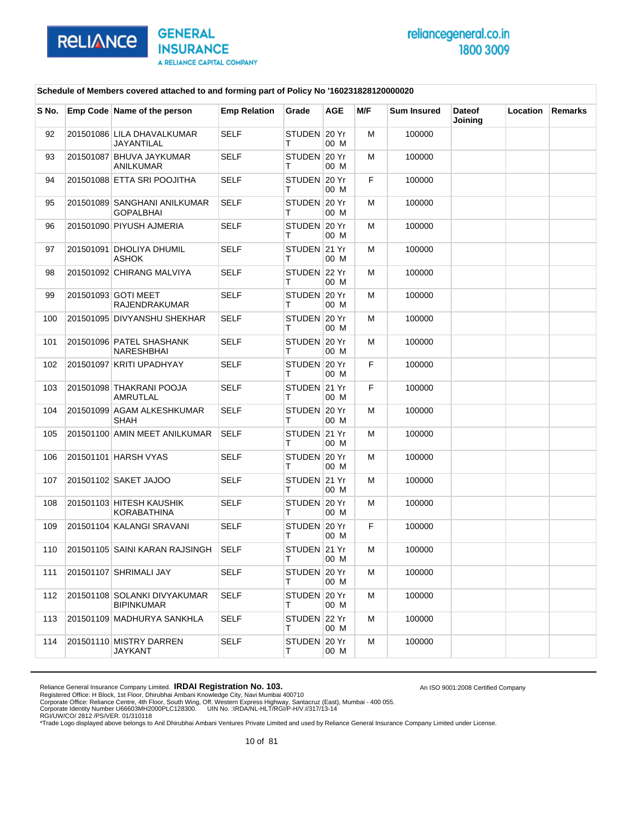

An ISO 9001:2008 Certified Company

### **Schedule of Members covered attached to and forming part of Policy No '160231828120000020**

| S No. | Emp Code Name of the person                  | <b>Emp Relation</b> | Grade             | AGE  | M/F | <b>Sum Insured</b> | <b>Dateof</b><br>Joining | Location | Remarks |
|-------|----------------------------------------------|---------------------|-------------------|------|-----|--------------------|--------------------------|----------|---------|
| 92    | 201501086 LILA DHAVALKUMAR<br>JAYANTILAL     | <b>SELF</b>         | STUDEN 20 Yr<br>т | 00 M | М   | 100000             |                          |          |         |
| 93    | 201501087 BHUVA JAYKUMAR<br><b>ANILKUMAR</b> | <b>SELF</b>         | STUDEN 20 Yr<br>т | 00 M | м   | 100000             |                          |          |         |
| 94    | 201501088 ETTA SRI POOJITHA                  | <b>SELF</b>         | STUDEN 20 Yr<br>т | 00 M | F.  | 100000             |                          |          |         |
| 95    | 201501089 SANGHANI ANILKUMAR<br>GOPALBHAI    | <b>SELF</b>         | STUDEN 20 Yr<br>т | 00 M | М   | 100000             |                          |          |         |
| 96    | 201501090 PIYUSH AJMERIA                     | <b>SELF</b>         | STUDEN 20 Yr<br>т | 00 M | м   | 100000             |                          |          |         |
| 97    | 201501091 DHOLIYA DHUMIL<br>ASHOK            | <b>SELF</b>         | STUDEN 21 Yr<br>т | 00 M | м   | 100000             |                          |          |         |
| 98    | 201501092 CHIRANG MALVIYA                    | <b>SELF</b>         | STUDEN 22 Yr<br>т | 00 M | М   | 100000             |                          |          |         |
| 99    | 201501093 GOTI MEET<br><b>RAJENDRAKUMAR</b>  | <b>SELF</b>         | STUDEN 20 Yr<br>т | 00 M | м   | 100000             |                          |          |         |
| 100   | 201501095 DIVYANSHU SHEKHAR                  | <b>SELF</b>         | STUDEN 20 Yr<br>т | 00 M | м   | 100000             |                          |          |         |
| 101   | 201501096 PATEL SHASHANK<br>NARESHBHAI       | <b>SELF</b>         | STUDEN 20 Yr<br>Τ | 00 M | М   | 100000             |                          |          |         |
| 102   | 201501097 KRITI UPADHYAY                     | <b>SELF</b>         | STUDEN 20 Yr<br>т | 00 M | F.  | 100000             |                          |          |         |
| 103   | 201501098 THAKRANI POOJA<br>AMRUTLAL         | <b>SELF</b>         | STUDEN 21 Yr<br>т | 00 M | F   | 100000             |                          |          |         |
| 104   | 201501099 AGAM ALKESHKUMAR<br>SHAH           | <b>SELF</b>         | STUDEN 20 Yr<br>т | 00 M | М   | 100000             |                          |          |         |
| 105   | 201501100 AMIN MEET ANILKUMAR                | <b>SELF</b>         | STUDEN 21 Yr<br>т | 00 M | м   | 100000             |                          |          |         |
| 106   | 201501101 HARSH VYAS                         | SELF                | STUDEN 20 Yr<br>т | 00 M | м   | 100000             |                          |          |         |
| 107   | 201501102 SAKET JAJOO                        | <b>SELF</b>         | STUDEN 21 Yr<br>т | 00 M | М   | 100000             |                          |          |         |
| 108   | 201501103 HITESH KAUSHIK<br>KORABATHINA      | <b>SELF</b>         | STUDEN 20 Yr<br>т | 00 M | м   | 100000             |                          |          |         |
| 109   | 201501104 KALANGI SRAVANI                    | <b>SELF</b>         | STUDEN 20 Yr<br>т | 00 M | F   | 100000             |                          |          |         |
| 110   | 201501105 SAINI KARAN RAJSINGH               | <b>SELF</b>         | STUDEN 21 Yr<br>т | 00 M | М   | 100000             |                          |          |         |
| 111   | 201501107 SHRIMALI JAY                       | SELF                | STUDEN 20 Yr<br>т | 00 M | м   | 100000             |                          |          |         |
| 112   | 201501108 SOLANKI DIVYAKUMAR<br>BIPINKUMAR   | <b>SELF</b>         | STUDEN 20 Yr<br>Τ | 00 M | м   | 100000             |                          |          |         |
| 113   | 201501109 MADHURYA SANKHLA                   | SELF                | STUDEN 22 Yr<br>т | 00 M | м   | 100000             |                          |          |         |
| 114   | 201501110 MISTRY DARREN<br>JAYKANT           | <b>SELF</b>         | STUDEN 20 Yr<br>т | 00 M | м   | 100000             |                          |          |         |

Reliance General Insurance Company Limited. **IRDAI Registration No. 103.**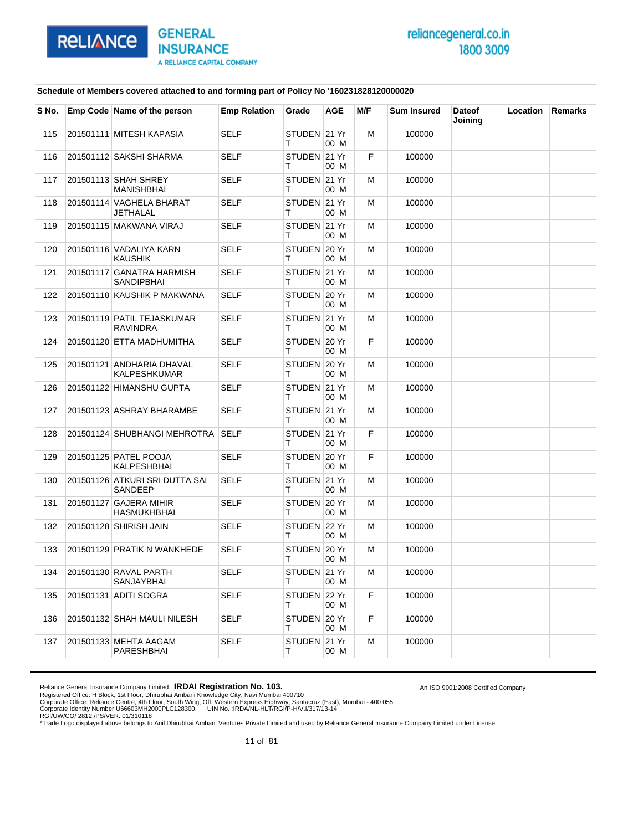

An ISO 9001:2008 Certified Company

### **Schedule of Members covered attached to and forming part of Policy No '160231828120000020**

| S No. | Emp Code Name of the person                   | <b>Emp Relation</b> | Grade             | AGE  | M/F | <b>Sum Insured</b> | <b>Dateof</b><br>Joining | Location | Remarks |
|-------|-----------------------------------------------|---------------------|-------------------|------|-----|--------------------|--------------------------|----------|---------|
| 115   | 201501111 MITESH KAPASIA                      | <b>SELF</b>         | STUDEN 21 Yr<br>т | 00 M | М   | 100000             |                          |          |         |
| 116   | 201501112 SAKSHI SHARMA                       | <b>SELF</b>         | STUDEN 21 Yr<br>т | 00 M | F   | 100000             |                          |          |         |
| 117   | 201501113 SHAH SHREY<br><b>MANISHBHAI</b>     | SELF                | STUDEN 21 Yr<br>т | 00 M | м   | 100000             |                          |          |         |
| 118   | 201501114 VAGHELA BHARAT<br>JETHALAL          | <b>SELF</b>         | STUDEN 21 Yr<br>т | 00 M | М   | 100000             |                          |          |         |
| 119   | 201501115 MAKWANA VIRAJ                       | <b>SELF</b>         | STUDEN 21 Yr<br>т | 00 M | м   | 100000             |                          |          |         |
| 120   | 201501116 VADALIYA KARN<br>KAUSHIK            | <b>SELF</b>         | STUDEN 20 Yr<br>т | 00 M | м   | 100000             |                          |          |         |
| 121   | 201501117 GANATRA HARMISH<br>SANDIPBHAI       | <b>SELF</b>         | STUDEN 21 Yr<br>т | 00 M | М   | 100000             |                          |          |         |
| 122   | 201501118 KAUSHIK P MAKWANA                   | SELF                | STUDEN 20 Yr<br>т | 00 M | м   | 100000             |                          |          |         |
| 123   | 201501119 PATIL TEJASKUMAR<br><b>RAVINDRA</b> | <b>SELF</b>         | STUDEN 21 Yr<br>т | 00 M | м   | 100000             |                          |          |         |
| 124   | 201501120 ETTA MADHUMITHA                     | <b>SELF</b>         | STUDEN 20 Yr<br>Τ | 00 M | F.  | 100000             |                          |          |         |
| 125   | 201501121 ANDHARIA DHAVAL<br>KALPESHKUMAR     | <b>SELF</b>         | STUDEN 20 Yr<br>т | 00 M | м   | 100000             |                          |          |         |
| 126   | 201501122 HIMANSHU GUPTA                      | <b>SELF</b>         | STUDEN 21 Yr<br>т | 00 M | м   | 100000             |                          |          |         |
| 127   | 201501123 ASHRAY BHARAMBE                     | <b>SELF</b>         | STUDEN 21 Yr<br>т | 00 M | М   | 100000             |                          |          |         |
| 128   | 201501124 SHUBHANGI MEHROTRA SELF             |                     | STUDEN 21 Yr<br>т | 00 M | F.  | 100000             |                          |          |         |
| 129   | 201501125 PATEL POOJA<br>KALPESHBHAI          | <b>SELF</b>         | STUDEN 20 Yr<br>т | 00 M | F.  | 100000             |                          |          |         |
| 130   | 201501126 ATKURI SRI DUTTA SAI<br>SANDEEP     | <b>SELF</b>         | STUDEN 21 Yr<br>т | 00 M | М   | 100000             |                          |          |         |
| 131   | 201501127 GAJERA MIHIR<br>HASMUKHBHAI         | <b>SELF</b>         | STUDEN 20 Yr<br>т | 00 M | м   | 100000             |                          |          |         |
| 132   | 201501128 SHIRISH JAIN                        | <b>SELF</b>         | STUDEN 22 Yr<br>т | 00 M | м   | 100000             |                          |          |         |
| 133   | 201501129 PRATIK N WANKHEDE                   | <b>SELF</b>         | STUDEN 20 Yr<br>т | 00 M | М   | 100000             |                          |          |         |
| 134   | 201501130 RAVAL PARTH<br>SANJAYBHAI           | SELF                | STUDEN 21 Yr<br>т | 00 M | м   | 100000             |                          |          |         |
| 135   | 201501131 ADITI SOGRA                         | <b>SELF</b>         | STUDEN 22 Yr<br>Τ | 00 M | F   | 100000             |                          |          |         |
| 136   | 201501132 SHAH MAULI NILESH                   | <b>SELF</b>         | STUDEN 20 Yr<br>Τ | 00 M | F.  | 100000             |                          |          |         |
| 137   | 201501133 MEHTA AAGAM<br>PARESHBHAI           | <b>SELF</b>         | STUDEN 21 Yr<br>т | 00 M | м   | 100000             |                          |          |         |

Reliance General Insurance Company Limited. **IRDAI Registration No. 103.**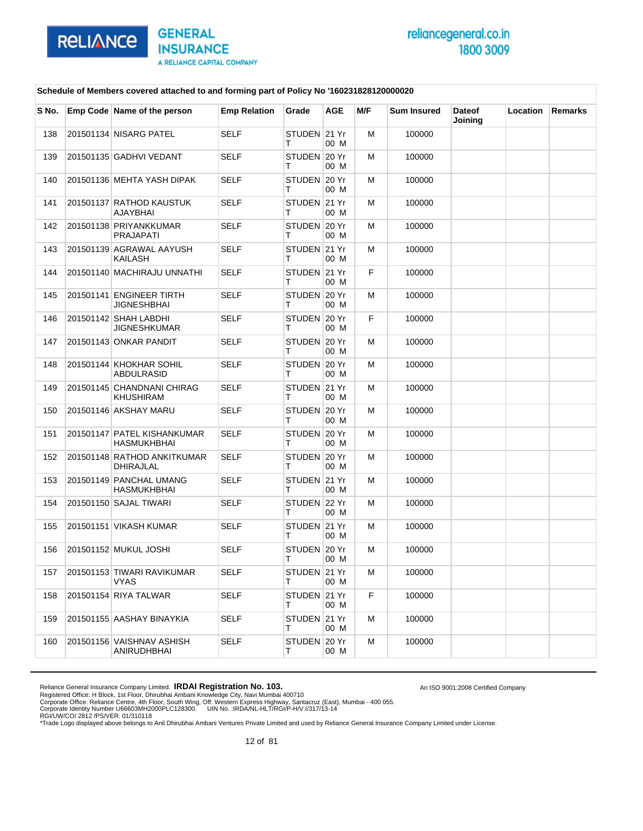

An ISO 9001:2008 Certified Company

### **Schedule of Members covered attached to and forming part of Policy No '160231828120000020**

| S No. | Emp Code Name of the person                    | <b>Emp Relation</b> | Grade              | <b>AGE</b> | M/F | <b>Sum Insured</b> | <b>Dateof</b><br>Joining | Location | Remarks |
|-------|------------------------------------------------|---------------------|--------------------|------------|-----|--------------------|--------------------------|----------|---------|
| 138   | 201501134 NISARG PATEL                         | <b>SELF</b>         | STUDEN 21 Yr<br>т  | 00 M       | M   | 100000             |                          |          |         |
| 139   | 201501135 GADHVI VEDANT                        | <b>SELF</b>         | STUDEN 20 Yr<br>т  | 00 M       | м   | 100000             |                          |          |         |
| 140   | 201501136 MEHTA YASH DIPAK                     | <b>SELF</b>         | STUDEN 20 Yr<br>т  | 00 M       | м   | 100000             |                          |          |         |
| 141   | 201501137 RATHOD KAUSTUK<br>AJAYBHAI           | <b>SELF</b>         | STUDEN 21 Yr<br>т  | 00 M       | M   | 100000             |                          |          |         |
| 142   | 201501138 PRIYANKKUMAR<br><b>PRAJAPATI</b>     | <b>SELF</b>         | STUDEN 20 Yr<br>т  | 00 M       | м   | 100000             |                          |          |         |
| 143   | 201501139 AGRAWAL AAYUSH<br>KAILASH            | <b>SELF</b>         | STUDEN 21 Yr<br>т  | 00 M       | м   | 100000             |                          |          |         |
| 144   | 201501140 MACHIRAJU UNNATHI                    | <b>SELF</b>         | STUDEN 21 Yr<br>т  | 00 M       | F.  | 100000             |                          |          |         |
| 145   | 201501141 ENGINEER TIRTH<br><b>JIGNESHBHAI</b> | <b>SELF</b>         | STUDEN 20 Yr<br>т  | 00 M       | м   | 100000             |                          |          |         |
| 146   | 201501142 SHAH LABDHI<br>JIGNESHKUMAR          | <b>SELF</b>         | STUDEN 20 Yr<br>т  | 00 M       | F   | 100000             |                          |          |         |
| 147   | 201501143 ONKAR PANDIT                         | <b>SELF</b>         | STUDEN 20 Yr<br>T. | 00 M       | M   | 100000             |                          |          |         |
| 148   | 201501144 KHOKHAR SOHIL<br>ABDULRASID          | <b>SELF</b>         | STUDEN 20 Yr<br>т  | 00 M       | м   | 100000             |                          |          |         |
| 149   | 201501145 CHANDNANI CHIRAG<br>KHUSHIRAM        | <b>SELF</b>         | STUDEN 21 Yr<br>т  | 00 M       | м   | 100000             |                          |          |         |
| 150   | 201501146 AKSHAY MARU                          | <b>SELF</b>         | STUDEN 20 Yr<br>т  | 00 M       | M   | 100000             |                          |          |         |
| 151   | 201501147 PATEL KISHANKUMAR<br>HASMUKHBHAI     | <b>SELF</b>         | STUDEN 20 Yr<br>т  | 00 M       | м   | 100000             |                          |          |         |
| 152   | 201501148 RATHOD ANKITKUMAR<br>DHIRAJLAL       | <b>SELF</b>         | STUDEN 20 Yr<br>т  | 00 M       | м   | 100000             |                          |          |         |
| 153   | 201501149 PANCHAL UMANG<br>HASMUKHBHAI         | <b>SELF</b>         | STUDEN 21 Yr<br>T. | 00 M       | M   | 100000             |                          |          |         |
| 154   | 201501150 SAJAL TIWARI                         | <b>SELF</b>         | STUDEN 22 Yr<br>т  | 00 M       | м   | 100000             |                          |          |         |
| 155   | 201501151 VIKASH KUMAR                         | <b>SELF</b>         | STUDEN 21 Yr<br>т  | 00 M       | м   | 100000             |                          |          |         |
| 156   | 201501152 MUKUL JOSHI                          | <b>SELF</b>         | STUDEN 20 Yr<br>т  | 00 M       | M   | 100000             |                          |          |         |
| 157   | 201501153 TIWARI RAVIKUMAR<br><b>VYAS</b>      | SELF                | STUDEN 21 Yr<br>т  | 00 M       | M   | 100000             |                          |          |         |
| 158   | 201501154 RIYA TALWAR                          | SELF                | STUDEN 21 Yr<br>T. | 00 M       | F   | 100000             |                          |          |         |
| 159   | 201501155 AASHAY BINAYKIA                      | <b>SELF</b>         | STUDEN 21 Yr<br>T. | 00 M       | м   | 100000             |                          |          |         |
| 160   | 201501156 VAISHNAV ASHISH<br>ANIRUDHBHAI       | SELF                | STUDEN 20 Yr<br>т  | 00 M       | м   | 100000             |                          |          |         |

Reliance General Insurance Company Limited. **IRDAI Registration No. 103.**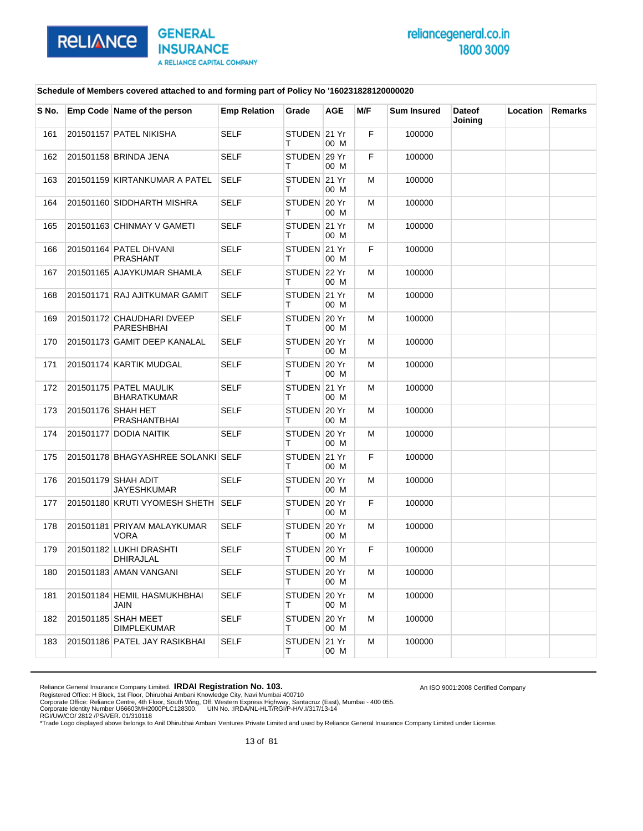

An ISO 9001:2008 Certified Company

#### **Schedule of Members covered attached to and forming part of Policy No '160231828120000020**

| S No. | Emp Code Name of the person             | <b>Emp Relation</b> | Grade             | <b>AGE</b> | M/F | <b>Sum Insured</b> | <b>Dateof</b><br>Joining | Location | Remarks |
|-------|-----------------------------------------|---------------------|-------------------|------------|-----|--------------------|--------------------------|----------|---------|
| 161   | 201501157 PATEL NIKISHA                 | <b>SELF</b>         | STUDEN 21 Yr<br>т | 00 M       | F   | 100000             |                          |          |         |
| 162   | 201501158 BRINDA JENA                   | <b>SELF</b>         | STUDEN 29 Yr<br>т | 00 M       | F   | 100000             |                          |          |         |
| 163   | 201501159 KIRTANKUMAR A PATEL           | <b>SELF</b>         | STUDEN 21 Yr<br>т | 00 M       | м   | 100000             |                          |          |         |
| 164   | 201501160 SIDDHARTH MISHRA              | <b>SELF</b>         | STUDEN 20 Yr<br>т | 00 M       | м   | 100000             |                          |          |         |
| 165   | 201501163 CHINMAY V GAMETI              | <b>SELF</b>         | STUDEN 21 Yr<br>т | 00 M       | м   | 100000             |                          |          |         |
| 166   | 201501164 PATEL DHVANI<br>PRASHANT      | <b>SELF</b>         | STUDEN 21 Yr<br>т | 00 M       | F   | 100000             |                          |          |         |
| 167   | 201501165 AJAYKUMAR SHAMLA              | <b>SELF</b>         | STUDEN 22 Yr<br>т | 00 M       | м   | 100000             |                          |          |         |
| 168   | 201501171 RAJ AJITKUMAR GAMIT           | <b>SELF</b>         | STUDEN 21 Yr<br>т | 00 M       | м   | 100000             |                          |          |         |
| 169   | 201501172 CHAUDHARI DVEEP<br>PARESHBHAI | <b>SELF</b>         | STUDEN 20 Yr<br>т | 00 M       | м   | 100000             |                          |          |         |
| 170   | 201501173 GAMIT DEEP KANALAL            | <b>SELF</b>         | STUDEN 20 Yr<br>т | 00 M       | м   | 100000             |                          |          |         |
| 171   | 201501174 KARTIK MUDGAL                 | <b>SELF</b>         | STUDEN 20 Yr<br>т | 00 M       | м   | 100000             |                          |          |         |
| 172   | 201501175 PATEL MAULIK<br>BHARATKUMAR   | <b>SELF</b>         | STUDEN 21 Yr<br>т | 00 M       | м   | 100000             |                          |          |         |
| 173   | 201501176 SHAH HET<br>PRASHANTBHAI      | <b>SELF</b>         | STUDEN 20 Yr<br>т | 00 M       | м   | 100000             |                          |          |         |
| 174   | 201501177 DODIA NAITIK                  | <b>SELF</b>         | STUDEN 20 Yr<br>т | 00 M       | м   | 100000             |                          |          |         |
| 175   | 201501178 BHAGYASHREE SOLANKI SELF      |                     | STUDEN 21 Yr<br>т | 00 M       | F   | 100000             |                          |          |         |
| 176   | 201501179 SHAH ADIT<br>JAYESHKUMAR      | <b>SELF</b>         | STUDEN 20 Yr<br>т | 00 M       | м   | 100000             |                          |          |         |
| 177   | 201501180 KRUTI VYOMESH SHETH SELF      |                     | STUDEN 20 Yr<br>т | 00 M       | F   | 100000             |                          |          |         |
| 178   | 201501181 PRIYAM MALAYKUMAR<br>VORA     | SELF                | STUDEN 20 Yr<br>т | 00 M       | м   | 100000             |                          |          |         |
| 179   | 201501182 LUKHI DRASHTI<br>DHIRAJLAL    | <b>SELF</b>         | STUDEN 20 Yr<br>т | 00 M       | F   | 100000             |                          |          |         |
| 180   | 201501183 AMAN VANGANI                  | SELF                | STUDEN 20 Yr<br>т | 00 M       | м   | 100000             |                          |          |         |
| 181   | 201501184 HEMIL HASMUKHBHAI<br>JAIN     | <b>SELF</b>         | STUDEN 20 Yr<br>т | 00 M       | М   | 100000             |                          |          |         |
| 182   | 201501185 SHAH MEET<br>DIMPLEKUMAR      | <b>SELF</b>         | STUDEN 20 Yr<br>Τ | 00 M       | м   | 100000             |                          |          |         |
| 183   | 201501186 PATEL JAY RASIKBHAI           | SELF                | STUDEN 21 Yr<br>Τ | 00 M       | м   | 100000             |                          |          |         |

Reliance General Insurance Company Limited. **IRDAI Registration No. 103.**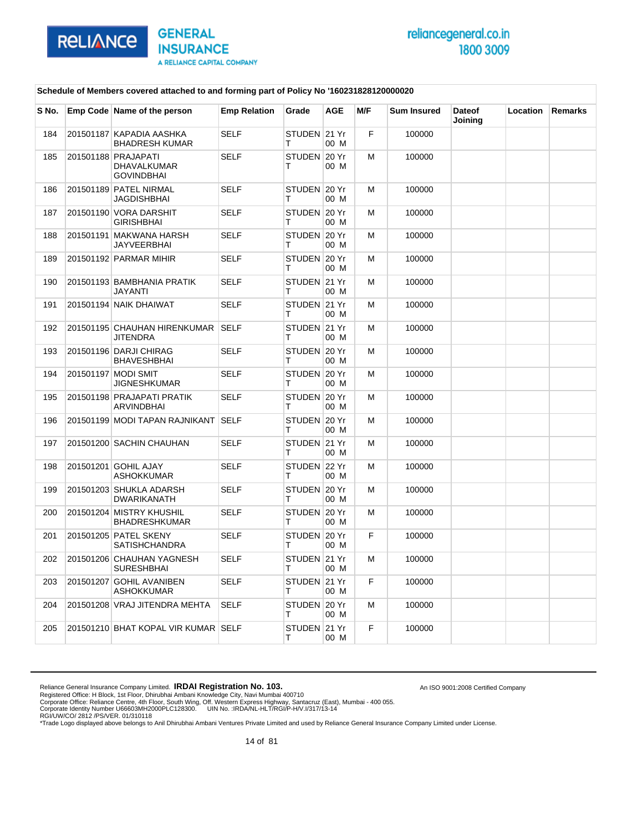

An ISO 9001:2008 Certified Company

#### **Schedule of Members covered attached to and forming part of Policy No '160231828120000020**

| S No. | Emp Code Name of the person                                    | <b>Emp Relation</b> | Grade              | <b>AGE</b> | M/F | <b>Sum Insured</b> | <b>Dateof</b><br>Joining | Location | <b>Remarks</b> |
|-------|----------------------------------------------------------------|---------------------|--------------------|------------|-----|--------------------|--------------------------|----------|----------------|
| 184   | 201501187 KAPADIA AASHKA<br><b>BHADRESH KUMAR</b>              | SELF                | STUDEN 21 Yr<br>Τ  | 00 M       | F   | 100000             |                          |          |                |
| 185   | 201501188 PRAJAPATI<br><b>DHAVALKUMAR</b><br><b>GOVINDBHAI</b> | <b>SELF</b>         | STUDEN 20 Yr<br>т  | 00 M       | M   | 100000             |                          |          |                |
| 186   | 201501189 PATEL NIRMAL<br>JAGDISHBHAI                          | <b>SELF</b>         | STUDEN 20 Yr<br>т  | 00 M       | М   | 100000             |                          |          |                |
| 187   | 201501190 VORA DARSHIT<br><b>GIRISHBHAI</b>                    | SELF                | STUDEN 20 Yr<br>т  | 00 M       | м   | 100000             |                          |          |                |
| 188   | 201501191 MAKWANA HARSH<br>JAYVEERBHAI                         | SELF                | STUDEN 20 Yr<br>т  | 00 M       | м   | 100000             |                          |          |                |
| 189   | 201501192 PARMAR MIHIR                                         | <b>SELF</b>         | STUDEN 20 Yr<br>т  | 00 M       | М   | 100000             |                          |          |                |
| 190   | 201501193 BAMBHANIA PRATIK<br>JAYANTI                          | SELF                | STUDEN 21 Yr<br>т  | 00 M       | м   | 100000             |                          |          |                |
| 191   | 201501194 NAIK DHAIWAT                                         | <b>SELF</b>         | STUDEN 21 Yr<br>т  | 00 M       | м   | 100000             |                          |          |                |
| 192   | 201501195 CHAUHAN HIRENKUMAR<br><b>JITENDRA</b>                | <b>SELF</b>         | STUDEN 21 Yr<br>т  | 00 M       | м   | 100000             |                          |          |                |
| 193   | 201501196 DARJI CHIRAG<br><b>BHAVESHBHAI</b>                   | SELF                | STUDEN 20 Yr<br>т  | 00 M       | м   | 100000             |                          |          |                |
| 194   | 201501197 MODI SMIT<br><b>JIGNESHKUMAR</b>                     | <b>SELF</b>         | STUDEN 20 Yr<br>т  | 00 M       | м   | 100000             |                          |          |                |
| 195   | 201501198 PRAJAPATI PRATIK<br>ARVINDBHAI                       | <b>SELF</b>         | STUDEN 20 Yr<br>т  | 00 M       | М   | 100000             |                          |          |                |
| 196   | 201501199 MODI TAPAN RAJNIKANT SELF                            |                     | STUDEN 20 Yr<br>т  | 00 M       | м   | 100000             |                          |          |                |
| 197   | 201501200 SACHIN CHAUHAN                                       | SELF                | STUDEN 21 Yr<br>т  | 00 M       | м   | 100000             |                          |          |                |
| 198   | 201501201 GOHIL AJAY<br><b>ASHOKKUMAR</b>                      | <b>SELF</b>         | STUDEN 22 Yr<br>т  | 00 M       | м   | 100000             |                          |          |                |
| 199   | 201501203 SHUKLA ADARSH<br>DWARIKANATH                         | SELF                | STUDEN 20 Yr<br>т  | 00 M       | м   | 100000             |                          |          |                |
| 200   | 201501204 MISTRY KHUSHIL<br><b>BHADRESHKUMAR</b>               | SELF                | STUDEN 20 Yr<br>т  | 00 M       | м   | 100000             |                          |          |                |
| 201   | 201501205 PATEL SKENY<br><b>SATISHCHANDRA</b>                  | <b>SELF</b>         | STUDEN 20 Yr<br>т  | 00 M       | F   | 100000             |                          |          |                |
| 202   | 201501206 CHAUHAN YAGNESH<br><b>SURESHBHAI</b>                 | SELF                | STUDEN 21 Yr<br>T. | 00 M       | м   | 100000             |                          |          |                |
| 203   | 201501207 GOHIL AVANIBEN<br><b>ASHOKKUMAR</b>                  | SELF                | STUDEN 21 Yr<br>T. | 00 M       | F   | 100000             |                          |          |                |
| 204   | 201501208 VRAJ JITENDRA MEHTA                                  | <b>SELF</b>         | STUDEN 20 Yr<br>T. | 00 M       | м   | 100000             |                          |          |                |
| 205   | 201501210 BHAT KOPAL VIR KUMAR SELF                            |                     | STUDEN 21 Yr<br>т  | 00 M       | F   | 100000             |                          |          |                |

Reliance General Insurance Company Limited. **IRDAI Registration No. 103.**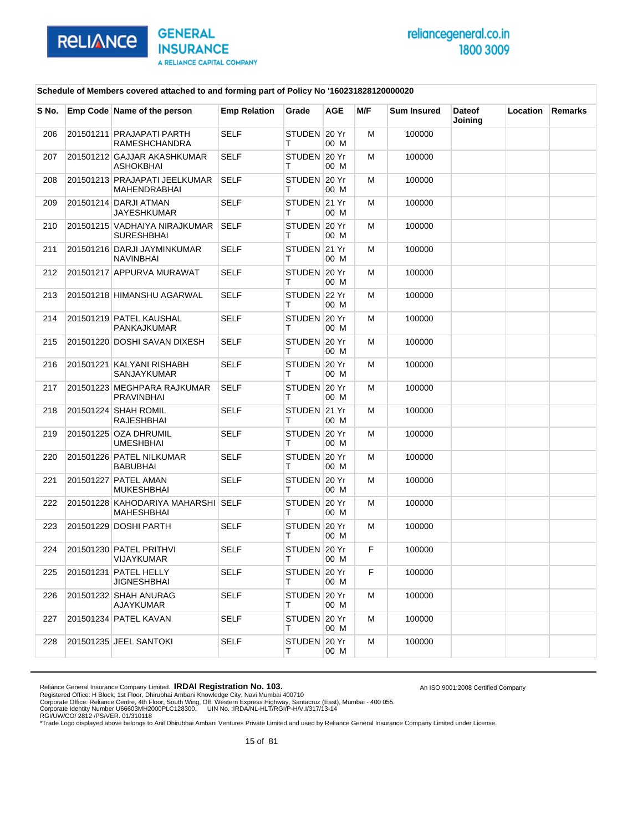

An ISO 9001:2008 Certified Company

#### **Schedule of Members covered attached to and forming part of Policy No '160231828120000020**

| S No. | Emp Code Name of the person                        | <b>Emp Relation</b> | Grade             | <b>AGE</b> | M/F | <b>Sum Insured</b> | <b>Dateof</b><br>Joining | Location | <b>Remarks</b> |
|-------|----------------------------------------------------|---------------------|-------------------|------------|-----|--------------------|--------------------------|----------|----------------|
| 206   | 201501211 PRAJAPATI PARTH<br><b>RAMESHCHANDRA</b>  | <b>SELF</b>         | STUDEN 20 Yr<br>т | 00 M       | M   | 100000             |                          |          |                |
| 207   | 201501212 GAJJAR AKASHKUMAR<br>ASHOKBHAI           | <b>SELF</b>         | STUDEN 20 Yr<br>т | 00 M       | M   | 100000             |                          |          |                |
| 208   | 201501213 PRAJAPATI JEELKUMAR<br>MAHENDRABHAI      | <b>SELF</b>         | STUDEN 20 Yr<br>т | 00 M       | М   | 100000             |                          |          |                |
| 209   | 201501214 DARJI ATMAN<br>JAYESHKUMAR               | <b>SELF</b>         | STUDEN 21 Yr<br>т | 00 M       | м   | 100000             |                          |          |                |
| 210   | 201501215 VADHAIYA NIRAJKUMAR<br><b>SURESHBHAI</b> | <b>SELF</b>         | STUDEN 20 Yr<br>т | 00 M       | м   | 100000             |                          |          |                |
| 211   | 201501216 DARJI JAYMINKUMAR<br>NAVINBHAI           | SELF                | STUDEN 21 Yr<br>т | 00 M       | M   | 100000             |                          |          |                |
| 212   | 201501217 APPURVA MURAWAT                          | <b>SELF</b>         | STUDEN 20 Yr<br>т | 00 M       | М   | 100000             |                          |          |                |
| 213   | 201501218 HIMANSHU AGARWAL                         | <b>SELF</b>         | STUDEN 22 Yr<br>т | 00 M       | M   | 100000             |                          |          |                |
| 214   | 201501219 PATEL KAUSHAL<br>PANKAJKUMAR             | <b>SELF</b>         | STUDEN 20 Yr<br>т | 00 M       | M   | 100000             |                          |          |                |
| 215   | 201501220 DOSHI SAVAN DIXESH                       | <b>SELF</b>         | STUDEN 20 Yr<br>т | 00 M       | М   | 100000             |                          |          |                |
| 216   | 201501221 KALYANI RISHABH<br>SANJAYKUMAR           | <b>SELF</b>         | STUDEN 20 Yr<br>т | 00 M       | M   | 100000             |                          |          |                |
| 217   | 201501223 MEGHPARA RAJKUMAR<br>PRAVINBHAI          | <b>SELF</b>         | STUDEN 20 Yr<br>т | 00 M       | м   | 100000             |                          |          |                |
| 218   | 201501224 SHAH ROMIL<br>RAJESHBHAI                 | <b>SELF</b>         | STUDEN 21 Yr<br>т | 00 M       | м   | 100000             |                          |          |                |
| 219   | 201501225 OZA DHRUMIL<br>UMESHBHAI                 | <b>SELF</b>         | STUDEN 20 Yr<br>т | 00 M       | м   | 100000             |                          |          |                |
| 220   | 201501226 PATEL NILKUMAR<br>BABUBHAI               | <b>SELF</b>         | STUDEN 20 Yr<br>т | 00 M       | M   | 100000             |                          |          |                |
| 221   | 201501227 PATEL AMAN<br><b>MUKESHBHAI</b>          | <b>SELF</b>         | STUDEN 20 Yr<br>т | 00 M       | М   | 100000             |                          |          |                |
| 222   | 201501228 KAHODARIYA MAHARSHI SELF<br>MAHESHBHAI   |                     | STUDEN 20 Yr<br>т | 00 M       | м   | 100000             |                          |          |                |
| 223   | 201501229 DOSHI PARTH                              | <b>SELF</b>         | STUDEN 20 Yr<br>т | 00 M       | м   | 100000             |                          |          |                |
| 224   | 201501230 PATEL PRITHVI<br>VIJAYKUMAR              | <b>SELF</b>         | STUDEN 20 Yr<br>т | 00 M       | F   | 100000             |                          |          |                |
| 225   | 201501231 PATEL HELLY<br>JIGNESHBHAI               | SELF                | STUDEN 20 Yr<br>Τ | 00 M       | F   | 100000             |                          |          |                |
| 226   | 201501232 SHAH ANURAG<br>AJAYKUMAR                 | <b>SELF</b>         | STUDEN 20 Yr<br>т | 00 M       | м   | 100000             |                          |          |                |
| 227   | 201501234 PATEL KAVAN                              | <b>SELF</b>         | STUDEN 20 Yr<br>т | 00 M       | м   | 100000             |                          |          |                |
| 228   | 201501235 JEEL SANTOKI                             | <b>SELF</b>         | STUDEN 20 Yr<br>Τ | 00 M       | м   | 100000             |                          |          |                |

Reliance General Insurance Company Limited. **IRDAI Registration No. 103.**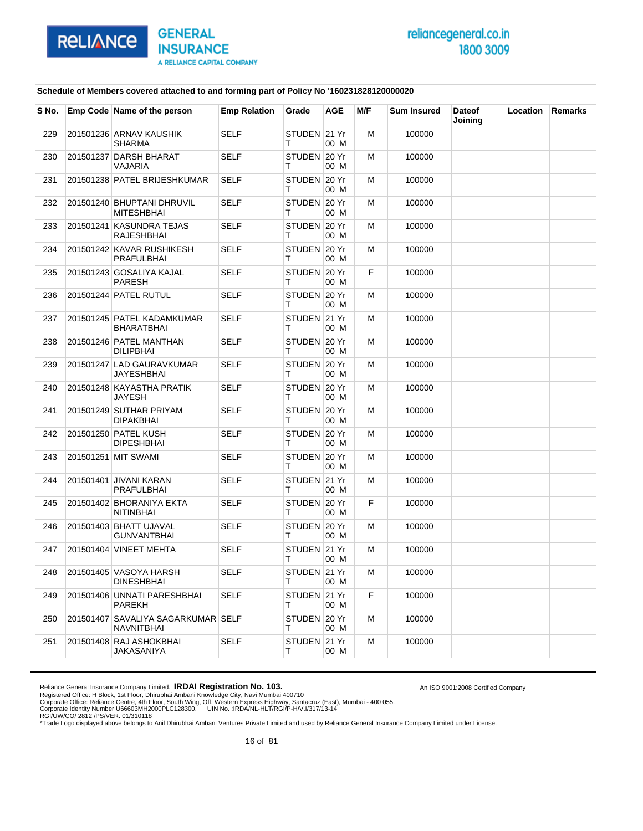

An ISO 9001:2008 Certified Company

#### **Schedule of Members covered attached to and forming part of Policy No '160231828120000020**

| S No. | Emp Code Name of the person                      | <b>Emp Relation</b> | Grade              | <b>AGE</b> | M/F | <b>Sum Insured</b> | <b>Dateof</b><br>Joining | Location | <b>Remarks</b> |
|-------|--------------------------------------------------|---------------------|--------------------|------------|-----|--------------------|--------------------------|----------|----------------|
| 229   | 201501236 ARNAV KAUSHIK<br>SHARMA                | <b>SELF</b>         | STUDEN 21 Yr<br>т  | 00 M       | м   | 100000             |                          |          |                |
| 230   | 201501237 DARSH BHARAT<br>VAJARIA                | <b>SELF</b>         | STUDEN 20 Yr<br>т  | 00 M       | м   | 100000             |                          |          |                |
| 231   | 201501238 PATEL BRIJESHKUMAR                     | SELF                | STUDEN 20 Yr<br>т  | 00 M       | м   | 100000             |                          |          |                |
| 232   | 201501240 BHUPTANI DHRUVIL<br><b>MITESHBHAI</b>  | <b>SELF</b>         | STUDEN 20 Yr<br>т  | 00 M       | м   | 100000             |                          |          |                |
| 233   | 201501241 KASUNDRA TEJAS<br>RAJESHBHAI           | <b>SELF</b>         | STUDEN 20 Yr<br>т  | 00 M       | м   | 100000             |                          |          |                |
| 234   | 201501242 KAVAR RUSHIKESH<br>PRAFULBHAI          | <b>SELF</b>         | STUDEN 20 Yr<br>т  | 00 M       | м   | 100000             |                          |          |                |
| 235   | 201501243 GOSALIYA KAJAL<br>PARESH               | <b>SELF</b>         | STUDEN 20 Yr<br>т  | 00 M       | F   | 100000             |                          |          |                |
| 236   | 201501244 PATEL RUTUL                            | <b>SELF</b>         | STUDEN 20 Yr<br>т  | 00 M       | м   | 100000             |                          |          |                |
| 237   | 201501245 PATEL KADAMKUMAR<br>BHARATBHAI         | SELF                | STUDEN 21 Yr<br>т  | 00 M       | м   | 100000             |                          |          |                |
| 238   | 201501246 PATEL MANTHAN<br><b>DILIPBHAI</b>      | <b>SELF</b>         | STUDEN 20 Yr<br>т  | 00 M       | м   | 100000             |                          |          |                |
| 239   | 201501247 LAD GAURAVKUMAR<br><b>JAYESHBHAI</b>   | <b>SELF</b>         | STUDEN 20 Yr<br>т  | 00 M       | м   | 100000             |                          |          |                |
| 240   | 201501248 KAYASTHA PRATIK<br>JAYESH              | SELF                | STUDEN 20 Yr<br>т  | 00 M       | м   | 100000             |                          |          |                |
| 241   | 201501249 SUTHAR PRIYAM<br>DIPAKBHAI             | <b>SELF</b>         | STUDEN 20 Yr<br>т  | 00 M       | м   | 100000             |                          |          |                |
| 242   | 201501250 PATEL KUSH<br><b>DIPESHBHAI</b>        | <b>SELF</b>         | STUDEN 20 Yr<br>т  | 00 M       | м   | 100000             |                          |          |                |
| 243   | 201501251 MIT SWAMI                              | SELF                | STUDEN 20 Yr<br>т  | 00 M       | м   | 100000             |                          |          |                |
| 244   | 201501401 JIVANI KARAN<br>PRAFULBHAI             | <b>SELF</b>         | STUDEN 21 Yr<br>т  | 00 M       | м   | 100000             |                          |          |                |
| 245   | 201501402 BHORANIYA EKTA<br><b>NITINBHAI</b>     | SELF                | STUDEN 20 Yr<br>Т  | 00 M       | F.  | 100000             |                          |          |                |
| 246   | 201501403 BHATT UJAVAL<br>GUNVANTBHAI            | SELF                | STUDEN 20 Yr<br>т  | 00 M       | м   | 100000             |                          |          |                |
| 247   | 201501404 VINEET MEHTA                           | <b>SELF</b>         | STUDEN 21 Yr<br>т  | 00 M       | м   | 100000             |                          |          |                |
| 248   | 201501405 VASOYA HARSH<br><b>DINESHBHAI</b>      | <b>SELF</b>         | STUDEN 21 Yr<br>т  | 00 M       | M   | 100000             |                          |          |                |
| 249   | 201501406 UNNATI PARESHBHAI<br>PAREKH            | SELF                | STUDEN 21 Yr<br>T. | 00 M       | F.  | 100000             |                          |          |                |
| 250   | 201501407 SAVALIYA SAGARKUMAR SELF<br>NAVNITBHAI |                     | STUDEN 20 Yr<br>T. | 00 M       | м   | 100000             |                          |          |                |
| 251   | 201501408 RAJ ASHOKBHAI<br>JAKASANIYA            | <b>SELF</b>         | STUDEN 21 Yr<br>т  | 00 M       | м   | 100000             |                          |          |                |

Reliance General Insurance Company Limited. **IRDAI Registration No. 103.**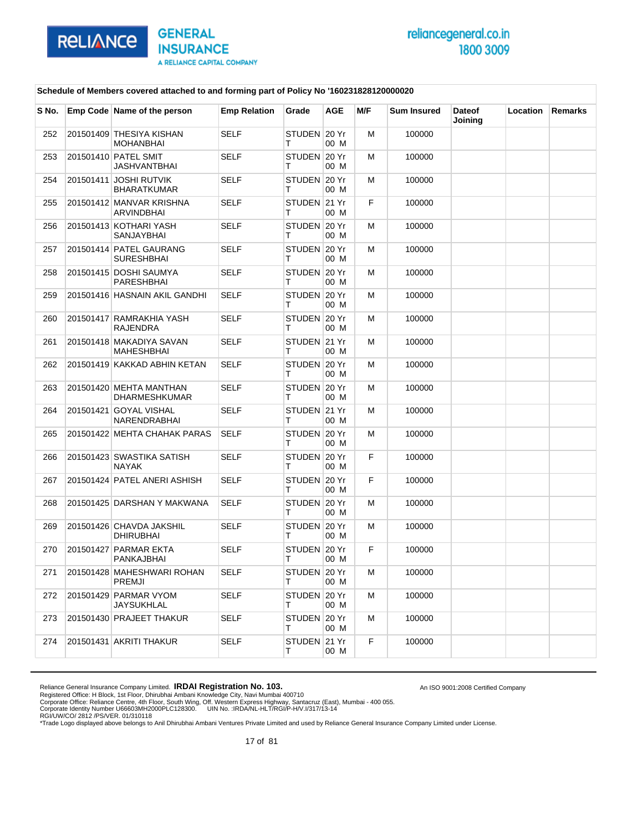

An ISO 9001:2008 Certified Company

### **Schedule of Members covered attached to and forming part of Policy No '160231828120000020**

| S No. | Emp Code Name of the person                   | <b>Emp Relation</b> | Grade               | <b>AGE</b> | M/F | <b>Sum Insured</b> | <b>Dateof</b><br>Joining | Location | Remarks |
|-------|-----------------------------------------------|---------------------|---------------------|------------|-----|--------------------|--------------------------|----------|---------|
| 252   | 201501409 THESIYA KISHAN<br><b>MOHANBHAI</b>  | <b>SELF</b>         | STUDEN 20 Yr<br>т   | 00 M       | M   | 100000             |                          |          |         |
| 253   | 201501410 PATEL SMIT<br>JASHVANTBHAI          | <b>SELF</b>         | STUDEN 20 Yr<br>т   | 00 M       | M   | 100000             |                          |          |         |
| 254   | 201501411 JOSHI RUTVIK<br><b>BHARATKUMAR</b>  | <b>SELF</b>         | STUDEN 20 Yr<br>т   | 00 M       | M   | 100000             |                          |          |         |
| 255   | 201501412 MANVAR KRISHNA<br>ARVINDBHAI        | <b>SELF</b>         | STUDEN 21 Yr<br>т   | 00 M       | F   | 100000             |                          |          |         |
| 256   | 201501413 KOTHARI YASH<br>SANJAYBHAI          | SELF                | STUDEN 20 Yr<br>т   | 00 M       | м   | 100000             |                          |          |         |
| 257   | 201501414 PATEL GAURANG<br>SURESHBHAI         | <b>SELF</b>         | STUDEN 20 Yr<br>т   | 00 M       | M   | 100000             |                          |          |         |
| 258   | 201501415 DOSHI SAUMYA<br>PARESHBHAI          | <b>SELF</b>         | STUDEN 20 Yr<br>т   | 00 M       | M   | 100000             |                          |          |         |
| 259   | 201501416 HASNAIN AKIL GANDHI                 | SELF                | STUDEN 20 Yr<br>т   | 00 M       | м   | 100000             |                          |          |         |
| 260   | 201501417 RAMRAKHIA YASH<br>RAJENDRA          | <b>SELF</b>         | STUDEN 20 Yr<br>т   | 00 M       | M   | 100000             |                          |          |         |
| 261   | 201501418 MAKADIYA SAVAN<br><b>MAHESHBHAI</b> | <b>SELF</b>         | STUDEN 21 Yr<br>т   | 00 M       | M   | 100000             |                          |          |         |
| 262   | 201501419 KAKKAD ABHIN KETAN                  | <b>SELF</b>         | STUDEN 20 Yr<br>т   | 00 M       | M   | 100000             |                          |          |         |
| 263   | 201501420 MEHTA MANTHAN<br>DHARMESHKUMAR      | <b>SELF</b>         | STUDEN 20 Yr<br>т   | 00 M       | M   | 100000             |                          |          |         |
| 264   | 201501421 GOYAL VISHAL<br><b>NARENDRABHAI</b> | <b>SELF</b>         | STUDEN 21 Yr<br>т   | 00 M       | M   | 100000             |                          |          |         |
| 265   | 201501422 MEHTA CHAHAK PARAS                  | SELF                | STUDEN 20 Yr<br>т   | 00 M       | м   | 100000             |                          |          |         |
| 266   | 201501423 SWASTIKA SATISH<br><b>NAYAK</b>     | <b>SELF</b>         | STUDEN 20 Yr<br>т   | 00 M       | F.  | 100000             |                          |          |         |
| 267   | 201501424 PATEL ANERI ASHISH                  | <b>SELF</b>         | STUDEN 20 Yr<br>т   | 00 M       | F   | 100000             |                          |          |         |
| 268   | 201501425 DARSHAN Y MAKWANA                   | SELF                | STUDEN 20 Yr<br>т   | 00 M       | м   | 100000             |                          |          |         |
| 269   | 201501426 CHAVDA JAKSHIL<br>DHIRUBHAI         | <b>SELF</b>         | STUDEN 20 Yr<br>т   | 00 M       | M   | 100000             |                          |          |         |
| 270   | 201501427 PARMAR EKTA<br>PANKAJBHAI           | <b>SELF</b>         | STUDEN 20 Yr<br>Т   | 00 M       | F   | 100000             |                          |          |         |
| 271   | 201501428 MAHESHWARI ROHAN<br>PREMJI          | SELF                | STUDEN   20 Yr<br>т | 00 M       | M   | 100000             |                          |          |         |
| 272   | 201501429 PARMAR VYOM<br><b>JAYSUKHLAL</b>    | <b>SELF</b>         | STUDEN 20 Yr<br>T.  | 00 M       | м   | 100000             |                          |          |         |
| 273   | 201501430 PRAJEET THAKUR                      | <b>SELF</b>         | STUDEN 20 Yr<br>T.  | 00 M       | м   | 100000             |                          |          |         |
| 274   | 201501431 AKRITI THAKUR                       | SELF                | STUDEN 21 Yr<br>т   | 00 M       | F.  | 100000             |                          |          |         |

Reliance General Insurance Company Limited. **IRDAI Registration No. 103.**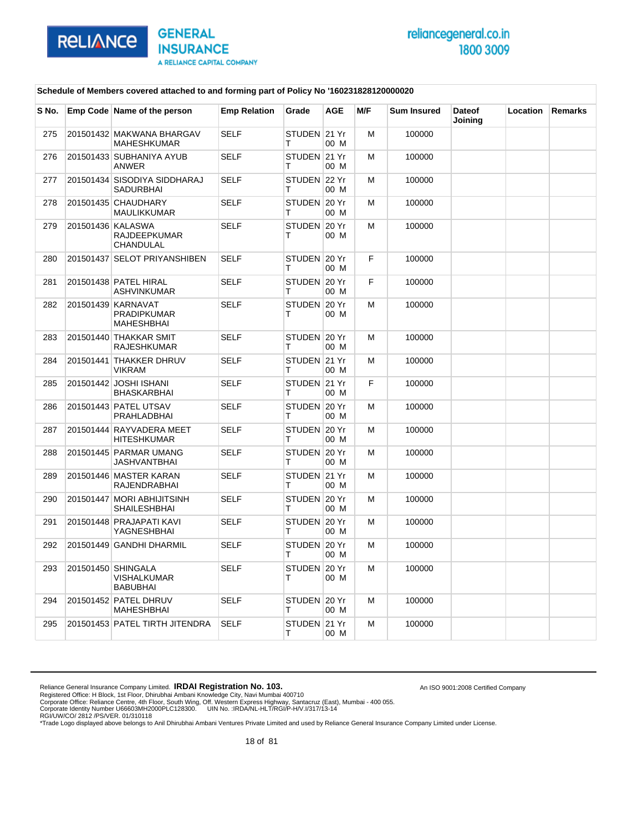

An ISO 9001:2008 Certified Company

#### **Schedule of Members covered attached to and forming part of Policy No '160231828120000020**

| S No. | Emp Code Name of the person                                 | <b>Emp Relation</b> | Grade             | <b>AGE</b> | M/F | <b>Sum Insured</b> | <b>Dateof</b><br>Joining | <b>Location</b> | <b>Remarks</b> |
|-------|-------------------------------------------------------------|---------------------|-------------------|------------|-----|--------------------|--------------------------|-----------------|----------------|
| 275   | 201501432 MAKWANA BHARGAV<br><b>MAHESHKUMAR</b>             | <b>SELF</b>         | STUDEN 21 Yr<br>т | 00 M       | M   | 100000             |                          |                 |                |
| 276   | 201501433 SUBHANIYA AYUB<br><b>ANWER</b>                    | <b>SELF</b>         | STUDEN 21 Yr<br>т | 00 M       | м   | 100000             |                          |                 |                |
| 277   | 201501434 SISODIYA SIDDHARAJ<br><b>SADURBHAI</b>            | <b>SELF</b>         | STUDEN 22 Yr<br>т | 00 M       | м   | 100000             |                          |                 |                |
| 278   | 201501435 CHAUDHARY<br>MAULIKKUMAR                          | <b>SELF</b>         | STUDEN 20 Yr<br>т | 00 M       | М   | 100000             |                          |                 |                |
| 279   | 201501436 KALASWA<br>RAJDEEPKUMAR<br>CHANDULAL              | <b>SELF</b>         | STUDEN 20 Yr<br>т | 00 M       | M   | 100000             |                          |                 |                |
| 280   | 201501437 SELOT PRIYANSHIBEN                                | <b>SELF</b>         | STUDEN 20 Yr<br>т | 00 M       | F   | 100000             |                          |                 |                |
| 281   | 201501438 PATEL HIRAL<br>ASHVINKUMAR                        | <b>SELF</b>         | STUDEN 20 Yr<br>т | 00 M       | F   | 100000             |                          |                 |                |
| 282   | 201501439 KARNAVAT<br><b>PRADIPKUMAR</b><br>MAHESHBHAI      | <b>SELF</b>         | STUDEN 20 Yr<br>т | 00 M       | M   | 100000             |                          |                 |                |
| 283   | 201501440 THAKKAR SMIT<br><b>RAJESHKUMAR</b>                | <b>SELF</b>         | STUDEN 20 Yr<br>т | 00 M       | м   | 100000             |                          |                 |                |
| 284   | 201501441 THAKKER DHRUV<br><b>VIKRAM</b>                    | <b>SELF</b>         | STUDEN 21 Yr<br>т | 00 M       | м   | 100000             |                          |                 |                |
| 285   | 201501442 JOSHI ISHANI<br>BHASKARBHAI                       | <b>SELF</b>         | STUDEN 21 Yr<br>т | 00 M       | F   | 100000             |                          |                 |                |
| 286   | 201501443 PATEL UTSAV<br>PRAHLADBHAI                        | <b>SELF</b>         | STUDEN 20 Yr<br>т | 00 M       | M   | 100000             |                          |                 |                |
| 287   | 201501444 RAYVADERA MEET<br>HITESHKUMAR                     | <b>SELF</b>         | STUDEN 20 Yr<br>т | 00 M       | M   | 100000             |                          |                 |                |
| 288   | 201501445 PARMAR UMANG<br>JASHVANTBHAI                      | <b>SELF</b>         | STUDEN 20 Yr<br>т | 00 M       | м   | 100000             |                          |                 |                |
| 289   | 201501446 MASTER KARAN<br>RAJENDRABHAI                      | <b>SELF</b>         | STUDEN 21 Yr<br>т | 00 M       | м   | 100000             |                          |                 |                |
| 290   | 201501447 MORI ABHIJITSINH<br>SHAILESHBHAI                  | <b>SELF</b>         | STUDEN 20 Yr<br>т | 00 M       | M   | 100000             |                          |                 |                |
| 291   | 201501448 PRAJAPATI KAVI<br>YAGNESHBHAI                     | <b>SELF</b>         | STUDEN 20 Yr<br>т | 00 M       | M   | 100000             |                          |                 |                |
| 292   | 201501449 GANDHI DHARMIL                                    | <b>SELF</b>         | STUDEN 20 Yr<br>т | 00 M       | м   | 100000             |                          |                 |                |
| 293   | 201501450 SHINGALA<br><b>VISHALKUMAR</b><br><b>BABUBHAI</b> | <b>SELF</b>         | STUDEN 20 Yr<br>т | 00 M       | м   | 100000             |                          |                 |                |
| 294   | 201501452 PATEL DHRUV<br>MAHESHBHAI                         | <b>SELF</b>         | STUDEN 20 Yr<br>т | 00 M       | м   | 100000             |                          |                 |                |
| 295   | 201501453 PATEL TIRTH JITENDRA                              | <b>SELF</b>         | STUDEN 21 Yr<br>т | 00 M       | M   | 100000             |                          |                 |                |

Reliance General Insurance Company Limited. **IRDAI Registration No. 103.**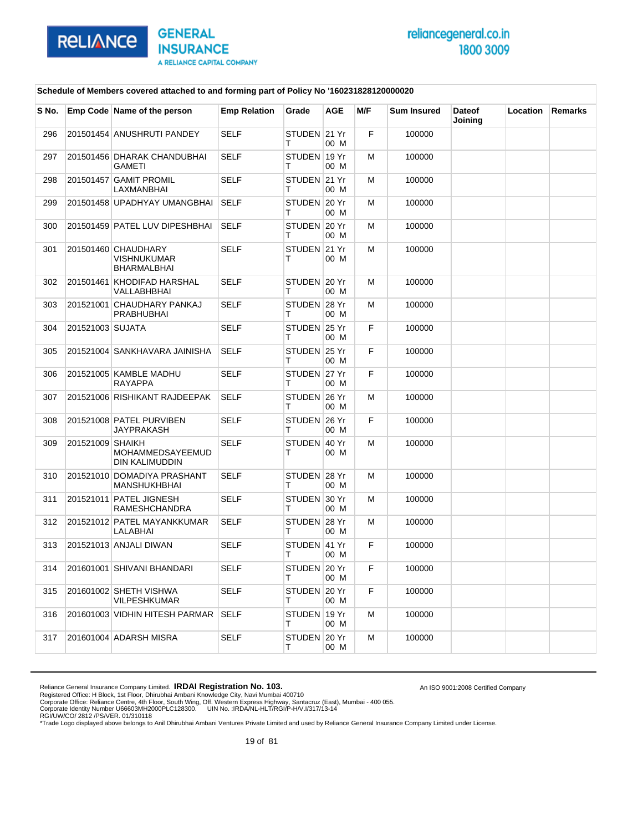

An ISO 9001:2008 Certified Company

#### **Schedule of Members covered attached to and forming part of Policy No '160231828120000020**

| S No. |                  | Emp Code Name of the person                              | <b>Emp Relation</b> | Grade              | <b>AGE</b> | M/F | <b>Sum Insured</b> | <b>Dateof</b><br>Joining | Location | Remarks |
|-------|------------------|----------------------------------------------------------|---------------------|--------------------|------------|-----|--------------------|--------------------------|----------|---------|
| 296   |                  | 201501454 ANUSHRUTI PANDEY                               | <b>SELF</b>         | STUDEN 21 Yr<br>т  | 00 M       | F   | 100000             |                          |          |         |
| 297   |                  | 201501456 DHARAK CHANDUBHAI<br><b>GAMETI</b>             | <b>SELF</b>         | STUDEN 19 Yr<br>т  | 00 M       | м   | 100000             |                          |          |         |
| 298   |                  | 201501457 GAMIT PROMIL<br>LAXMANBHAI                     | SELF                | STUDEN 21 Yr<br>т  | 00 M       | M   | 100000             |                          |          |         |
| 299   |                  | 201501458 UPADHYAY UMANGBHAI                             | <b>SELF</b>         | STUDEN 20 Yr<br>т  | 00 M       | м   | 100000             |                          |          |         |
| 300   |                  | 201501459 PATEL LUV DIPESHBHAI                           | <b>SELF</b>         | STUDEN 20 Yr<br>т  | 00 M       | M   | 100000             |                          |          |         |
| 301   |                  | 201501460 CHAUDHARY<br><b>VISHNUKUMAR</b><br>BHARMALBHAI | SELF                | STUDEN 21 Yr<br>т  | 00 M       | M   | 100000             |                          |          |         |
| 302   |                  | 201501461 KHODIFAD HARSHAL<br>VALLABHBHAI                | <b>SELF</b>         | STUDEN 20 Yr<br>т  | 00 M       | M   | 100000             |                          |          |         |
| 303   |                  | 201521001 CHAUDHARY PANKAJ<br><b>PRABHUBHAI</b>          | <b>SELF</b>         | STUDEN 28 Yr<br>т  | 00 M       | м   | 100000             |                          |          |         |
| 304   | 201521003 SUJATA |                                                          | <b>SELF</b>         | STUDEN 25 Yr<br>т  | 00 M       | F   | 100000             |                          |          |         |
| 305   |                  | 201521004 SANKHAVARA JAINISHA                            | <b>SELF</b>         | STUDEN 25 Yr<br>т  | 00 M       | F   | 100000             |                          |          |         |
| 306   |                  | 201521005 KAMBLE MADHU<br><b>RAYAPPA</b>                 | <b>SELF</b>         | STUDEN 27 Yr<br>т  | 00 M       | F   | 100000             |                          |          |         |
| 307   |                  | 201521006 RISHIKANT RAJDEEPAK                            | <b>SELF</b>         | STUDEN 26 Yr<br>т  | 00 M       | м   | 100000             |                          |          |         |
| 308   |                  | 201521008 PATEL PURVIBEN<br><b>JAYPRAKASH</b>            | <b>SELF</b>         | STUDEN 26 Yr<br>т  | 00 M       | F   | 100000             |                          |          |         |
| 309   | 201521009 SHAIKH | MOHAMMEDSAYEEMUD<br>DIN KALIMUDDIN                       | <b>SELF</b>         | STUDEN 40 Yr<br>т  | 00 M       | м   | 100000             |                          |          |         |
| 310   |                  | 201521010 DOMADIYA PRASHANT<br>MANSHUKHBHAI              | SELF                | STUDEN 28 Yr<br>т  | 00 M       | M   | 100000             |                          |          |         |
| 311   |                  | 201521011 PATEL JIGNESH<br>RAMESHCHANDRA                 | <b>SELF</b>         | STUDEN 30 Yr<br>т  | 00 M       | M   | 100000             |                          |          |         |
| 312   |                  | 201521012 PATEL MAYANKKUMAR<br>LALABHAI                  | <b>SELF</b>         | STUDEN 28 Yr<br>т  | 00 M       | м   | 100000             |                          |          |         |
| 313   |                  | 201521013 ANJALI DIWAN                                   | SELF                | STUDEN 41 Yr<br>т  | 00 M       | F   | 100000             |                          |          |         |
|       |                  | 314 201601001 SHIVANI BHANDARI                           | <b>SELF</b>         | STUDEN 20 Yr<br>т  | 00 M       | F.  | 100000             |                          |          |         |
| 315   |                  | 201601002 SHETH VISHWA<br>VILPESHKUMAR                   | SELF                | STUDEN 20 Yr<br>T. | 00 M       | F.  | 100000             |                          |          |         |
| 316   |                  | 201601003 VIDHIN HITESH PARMAR                           | SELF                | STUDEN 19 Yr<br>Τ  | 00 M       | м   | 100000             |                          |          |         |
| 317   |                  | 201601004 ADARSH MISRA                                   | <b>SELF</b>         | STUDEN 20 Yr<br>T. | 00 M       | м   | 100000             |                          |          |         |

Reliance General Insurance Company Limited. **IRDAI Registration No. 103.**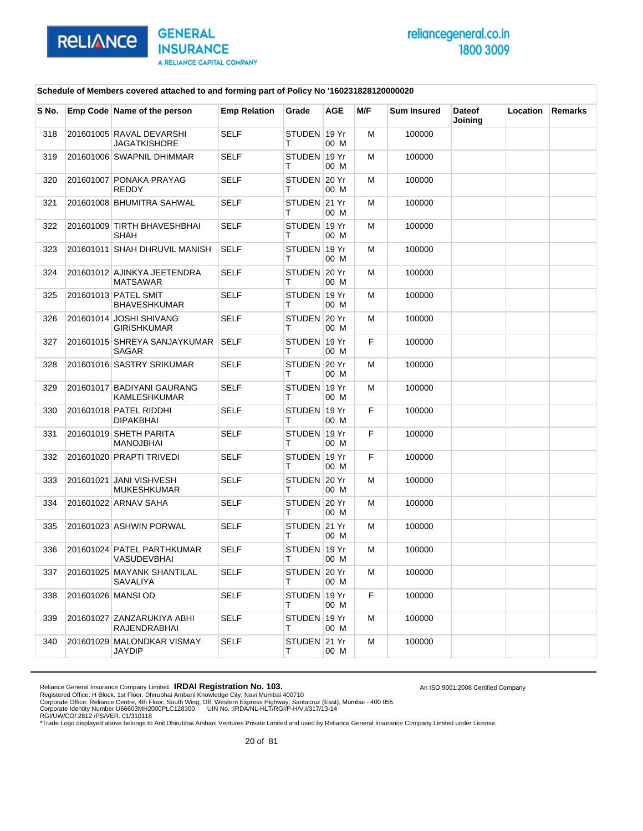

An ISO 9001:2008 Certified Company

#### **Schedule of Members covered attached to and forming part of Policy No '160231828120000020**

| S No. | Emp Code Name of the person                     | <b>Emp Relation</b> | Grade               | <b>AGE</b> | M/F | <b>Sum Insured</b> | <b>Dateof</b><br>Joining | Location | Remarks |
|-------|-------------------------------------------------|---------------------|---------------------|------------|-----|--------------------|--------------------------|----------|---------|
| 318   | 201601005 RAVAL DEVARSHI<br><b>JAGATKISHORE</b> | <b>SELF</b>         | STUDEN 19 Yr<br>т   | 00 M       | M   | 100000             |                          |          |         |
| 319   | 201601006 SWAPNIL DHIMMAR                       | <b>SELF</b>         | STUDEN 19 Yr<br>т   | 00 M       | M   | 100000             |                          |          |         |
| 320   | 201601007 PONAKA PRAYAG<br><b>REDDY</b>         | <b>SELF</b>         | STUDEN 20 Yr<br>т   | 00 M       | M   | 100000             |                          |          |         |
| 321   | 201601008 BHUMITRA SAHWAL                       | <b>SELF</b>         | STUDEN 21 Yr<br>т   | 00 M       | M   | 100000             |                          |          |         |
| 322   | 201601009 TIRTH BHAVESHBHAI<br>SHAH             | <b>SELF</b>         | STUDEN 19 Yr<br>т   | 00 M       | м   | 100000             |                          |          |         |
| 323   | 201601011 SHAH DHRUVIL MANISH                   | <b>SELF</b>         | STUDEN 19 Yr<br>т   | 00 M       | M   | 100000             |                          |          |         |
| 324   | 201601012 AJINKYA JEETENDRA<br><b>MATSAWAR</b>  | <b>SELF</b>         | STUDEN 20 Yr<br>т   | 00 M       | M   | 100000             |                          |          |         |
| 325   | 201601013 PATEL SMIT<br><b>BHAVESHKUMAR</b>     | <b>SELF</b>         | STUDEN 19 Yr<br>т   | 00 M       | м   | 100000             |                          |          |         |
| 326   | 201601014 JOSHI SHIVANG<br>GIRISHKUMAR          | <b>SELF</b>         | STUDEN 20 Yr<br>т   | 00 M       | M   | 100000             |                          |          |         |
| 327   | 201601015 SHREYA SANJAYKUMAR<br>SAGAR           | <b>SELF</b>         | STUDEN 19 Yr<br>т   | 00 M       | F   | 100000             |                          |          |         |
| 328   | 201601016 SASTRY SRIKUMAR                       | <b>SELF</b>         | STUDEN 20 Yr<br>т   | 00 M       | M   | 100000             |                          |          |         |
| 329   | 201601017 BADIYANI GAURANG<br>KAMLESHKUMAR      | <b>SELF</b>         | STUDEN 19 Yr<br>т   | 00 M       | M   | 100000             |                          |          |         |
| 330   | 201601018 PATEL RIDDHI<br><b>DIPAKBHAI</b>      | <b>SELF</b>         | STUDEN 19 Yr<br>т   | 00 M       | F   | 100000             |                          |          |         |
| 331   | 201601019 SHETH PARITA<br><b>MANOJBHAI</b>      | SELF                | STUDEN 19 Yr<br>т   | 00 M       | F   | 100000             |                          |          |         |
| 332   | 201601020 PRAPTI TRIVEDI                        | <b>SELF</b>         | STUDEN 19 Yr<br>т   | 00 M       | F.  | 100000             |                          |          |         |
| 333   | 201601021 JANI VISHVESH<br><b>MUKESHKUMAR</b>   | <b>SELF</b>         | STUDEN 20 Yr<br>т   | 00 M       | M   | 100000             |                          |          |         |
| 334   | 201601022 ARNAV SAHA                            | SELF                | STUDEN 20 Yr<br>т   | 00 M       | м   | 100000             |                          |          |         |
| 335   | 201601023 ASHWIN PORWAL                         | <b>SELF</b>         | STUDEN 21 Yr<br>т   | 00 M       | M   | 100000             |                          |          |         |
| 336   | 201601024 PATEL PARTHKUMAR<br>VASUDEVBHAI       | <b>SELF</b>         | STUDEN 19 Yr<br>Т   | 00 M       | M   | 100000             |                          |          |         |
| 337   | 201601025 MAYANK SHANTILAL<br>SAVALIYA          | SELF                | STUDEN   20 Yr<br>т | 00 M       | м   | 100000             |                          |          |         |
| 338   | 201601026 MANSI OD                              | <b>SELF</b>         | STUDEN 19 Yr<br>т   | 00 M       | F.  | 100000             |                          |          |         |
| 339   | 201601027 ZANZARUKIYA ABHI<br>RAJENDRABHAI      | <b>SELF</b>         | STUDEN 19 Yr<br>т   | 00 M       | м   | 100000             |                          |          |         |
| 340   | 201601029 MALONDKAR VISMAY<br>JAYDIP            | SELF                | STUDEN 21 Yr<br>т   | 00 M       | M   | 100000             |                          |          |         |

Reliance General Insurance Company Limited. **IRDAI Registration No. 103.**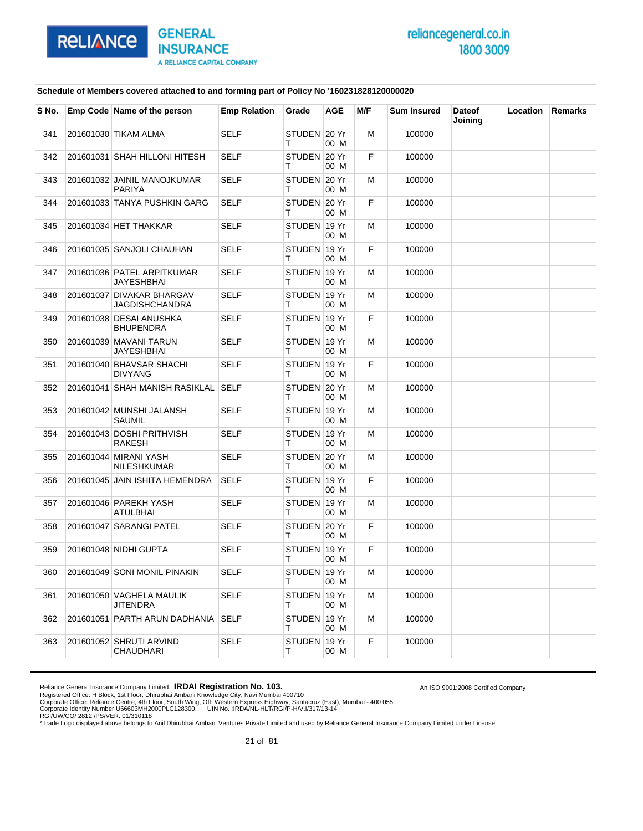

An ISO 9001:2008 Certified Company

#### **Schedule of Members covered attached to and forming part of Policy No '160231828120000020**

| S No. | Emp Code Name of the person                 | <b>Emp Relation</b> | Grade             | <b>AGE</b> | M/F | <b>Sum Insured</b> | <b>Dateof</b><br>Joining | Location | Remarks |
|-------|---------------------------------------------|---------------------|-------------------|------------|-----|--------------------|--------------------------|----------|---------|
| 341   | 201601030 TIKAM ALMA                        | <b>SELF</b>         | STUDEN 20 Yr<br>т | 00 M       | м   | 100000             |                          |          |         |
| 342   | 201601031 SHAH HILLONI HITESH               | <b>SELF</b>         | STUDEN 20 Yr<br>т | 00 M       | F   | 100000             |                          |          |         |
| 343   | 201601032 JAINIL MANOJKUMAR<br>PARIYA       | SELF                | STUDEN 20 Yr<br>т | 00 M       | M   | 100000             |                          |          |         |
| 344   | 201601033 TANYA PUSHKIN GARG                | <b>SELF</b>         | STUDEN 20 Yr<br>т | 00 M       | F   | 100000             |                          |          |         |
| 345   | 201601034 HET THAKKAR                       | <b>SELF</b>         | STUDEN 19 Yr<br>т | 00 M       | м   | 100000             |                          |          |         |
| 346   | 201601035 SANJOLI CHAUHAN                   | <b>SELF</b>         | STUDEN 19 Yr<br>т | 00 M       | F   | 100000             |                          |          |         |
| 347   | 201601036 PATEL ARPITKUMAR<br>JAYESHBHAI    | <b>SELF</b>         | STUDEN 19 Yr<br>т | 00 M       | м   | 100000             |                          |          |         |
| 348   | 201601037 DIVAKAR BHARGAV<br>JAGDISHCHANDRA | <b>SELF</b>         | STUDEN 19 Yr<br>т | 00 M       | м   | 100000             |                          |          |         |
| 349   | 201601038 DESAI ANUSHKA<br><b>BHUPENDRA</b> | SELF                | STUDEN 19 Yr<br>т | 00 M       | F   | 100000             |                          |          |         |
| 350   | 201601039 MAVANI TARUN<br>JAYESHBHAI        | <b>SELF</b>         | STUDEN 19 Yr<br>т | 00 M       | м   | 100000             |                          |          |         |
| 351   | 201601040 BHAVSAR SHACHI<br><b>DIVYANG</b>  | <b>SELF</b>         | STUDEN 19 Yr<br>т | 00 M       | F   | 100000             |                          |          |         |
| 352   | 201601041 SHAH MANISH RASIKLAL SELF         |                     | STUDEN 20 Yr<br>т | 00 M       | м   | 100000             |                          |          |         |
| 353   | 201601042 MUNSHI JALANSH<br>SAUMIL          | <b>SELF</b>         | STUDEN 19 Yr<br>т | 00 M       | м   | 100000             |                          |          |         |
| 354   | 201601043 DOSHI PRITHVISH<br>RAKESH         | <b>SELF</b>         | STUDEN 19 Yr<br>т | 00 M       | м   | 100000             |                          |          |         |
| 355   | 201601044 MIRANI YASH<br>NILESHKUMAR        | <b>SELF</b>         | STUDEN 20 Yr<br>т | 00 M       | M   | 100000             |                          |          |         |
| 356   | 201601045 JAIN ISHITA HEMENDRA              | <b>SELF</b>         | STUDEN 19 Yr<br>т | 00 M       | F   | 100000             |                          |          |         |
| 357   | 201601046 PAREKH YASH<br>ATULBHAI           | <b>SELF</b>         | STUDEN 19 Yr<br>т | 00 M       | м   | 100000             |                          |          |         |
| 358   | 201601047 SARANGI PATEL                     | SELF                | STUDEN 20 Yr<br>т | 00 M       | F   | 100000             |                          |          |         |
| 359   | 201601048 NIDHI GUPTA                       | <b>SELF</b>         | STUDEN 19 Yr<br>т | 00 M       | F   | 100000             |                          |          |         |
| 360   | 201601049 SONI MONIL PINAKIN                | SELF                | STUDEN 19 Yr<br>т | 00 M       | M   | 100000             |                          |          |         |
| 361   | 201601050 VAGHELA MAULIK<br>JITENDRA        | <b>SELF</b>         | STUDEN 19 Yr<br>т | 00 M       | м   | 100000             |                          |          |         |
| 362   | 201601051 PARTH ARUN DADHANIA               | <b>SELF</b>         | STUDEN 19 Yr<br>Τ | 00 M       | м   | 100000             |                          |          |         |
| 363   | 201601052 SHRUTI ARVIND<br>CHAUDHARI        | SELF                | STUDEN 19 Yr<br>Τ | 00 M       | F.  | 100000             |                          |          |         |

Reliance General Insurance Company Limited. **IRDAI Registration No. 103.**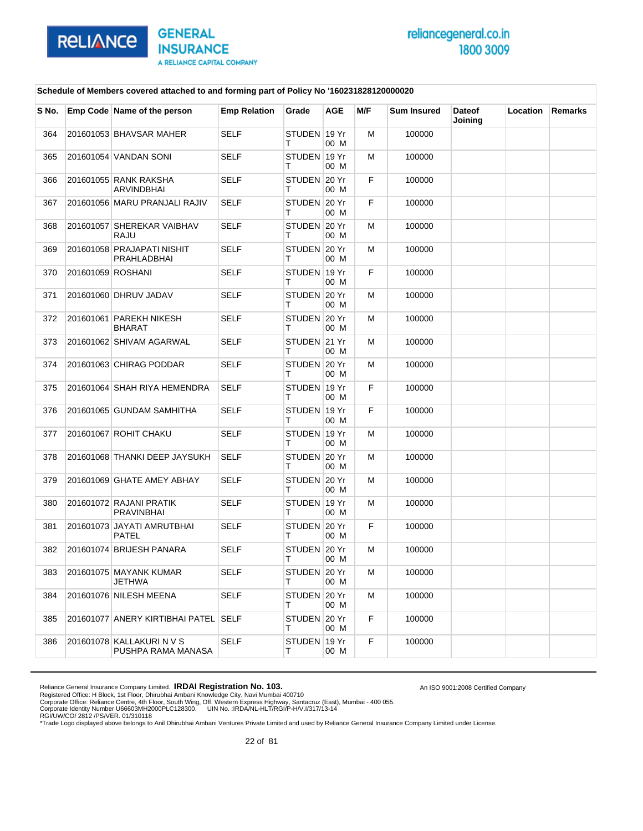

An ISO 9001:2008 Certified Company

### **Schedule of Members covered attached to and forming part of Policy No '160231828120000020**

| S No. |                   | Emp Code Name of the person                     | <b>Emp Relation</b> | Grade              | <b>AGE</b>    | M/F | <b>Sum Insured</b> | <b>Dateof</b><br>Joining | Location | <b>Remarks</b> |
|-------|-------------------|-------------------------------------------------|---------------------|--------------------|---------------|-----|--------------------|--------------------------|----------|----------------|
| 364   |                   | 201601053 BHAVSAR MAHER                         | <b>SELF</b>         | STUDEN 19 Yr<br>т  | 00 M          | м   | 100000             |                          |          |                |
| 365   |                   | 201601054 VANDAN SONI                           | <b>SELF</b>         | STUDEN 19 Yr<br>т  | 00 M          | м   | 100000             |                          |          |                |
| 366   |                   | 201601055 RANK RAKSHA<br><b>ARVINDBHAI</b>      | <b>SELF</b>         | STUDEN 20 Yr<br>т  | 00 M          | F.  | 100000             |                          |          |                |
| 367   |                   | 201601056 MARU PRANJALI RAJIV                   | <b>SELF</b>         | STUDEN 20 Yr<br>т  | 00 M          | F.  | 100000             |                          |          |                |
| 368   |                   | 201601057 SHEREKAR VAIBHAV<br>RAJU              | <b>SELF</b>         | STUDEN 20 Yr<br>т  | 00 M          | м   | 100000             |                          |          |                |
| 369   |                   | 201601058 PRAJAPATI NISHIT<br>PRAHLADBHAI       | <b>SELF</b>         | STUDEN 20 Yr<br>т  | 00 M          | м   | 100000             |                          |          |                |
| 370   | 201601059 ROSHANI |                                                 | <b>SELF</b>         | STUDEN 19 Yr<br>т  | 00 M          | F.  | 100000             |                          |          |                |
| 371   |                   | 201601060 DHRUV JADAV                           | <b>SELF</b>         | STUDEN 20 Yr       | 00 M          | м   | 100000             |                          |          |                |
| 372   |                   | 201601061 PAREKH NIKESH<br>BHARAT               | <b>SELF</b>         | STUDEN 20 Yr<br>т  | 00 M          | м   | 100000             |                          |          |                |
| 373   |                   | 201601062 SHIVAM AGARWAL                        | <b>SELF</b>         | STUDEN 21 Yr<br>т  | 00 M          | м   | 100000             |                          |          |                |
| 374   |                   | 201601063 CHIRAG PODDAR                         | <b>SELF</b>         | STUDEN 20 Yr<br>т  | 00 M          | м   | 100000             |                          |          |                |
| 375   |                   | 201601064 SHAH RIYA HEMENDRA                    | <b>SELF</b>         | STUDEN 19 Yr<br>т  | 00 M          | F.  | 100000             |                          |          |                |
| 376   |                   | 201601065 GUNDAM SAMHITHA                       | <b>SELF</b>         | STUDEN 19 Yr<br>т  | 00 M          | F.  | 100000             |                          |          |                |
| 377   |                   | 201601067 ROHIT CHAKU                           | <b>SELF</b>         | STUDEN 19 Yr<br>т  | 00 M          | м   | 100000             |                          |          |                |
| 378   |                   | 201601068 THANKI DEEP JAYSUKH                   | <b>SELF</b>         | STUDEN 20 Yr<br>т  | 00 M          | м   | 100000             |                          |          |                |
| 379   |                   | 201601069 GHATE AMEY ABHAY                      | <b>SELF</b>         | STUDEN 20 Yr<br>т  | 00 M          | м   | 100000             |                          |          |                |
| 380   |                   | 201601072 RAJANI PRATIK<br>PRAVINBHAI           | <b>SELF</b>         | STUDEN 19 Yr<br>т  | 00 M          | м   | 100000             |                          |          |                |
| 381   |                   | 201601073 JAYATI AMRUTBHAI<br><b>PATEL</b>      | <b>SELF</b>         | STUDEN 20 Yr<br>т  | 00 M          | F.  | 100000             |                          |          |                |
| 382   |                   | 201601074 BRIJESH PANARA                        | <b>SELF</b>         | <b>STUDEN</b><br>т | 20 Yr<br>00 M | м   | 100000             |                          |          |                |
| 383   |                   | 201601075 MAYANK KUMAR<br>JETHWA                | <b>SELF</b>         | STUDEN 20 Yr<br>т  | 00 M          | M   | 100000             |                          |          |                |
| 384   |                   | 201601076 NILESH MEENA                          | SELF                | STUDEN 20 Yr<br>т  | 00 M          | м   | 100000             |                          |          |                |
| 385   |                   | 201601077 ANERY KIRTIBHAI PATEL SELF            |                     | STUDEN 20 Yr<br>т  | 00 M          | F.  | 100000             |                          |          |                |
| 386   |                   | 201601078 KALLAKURI N V S<br>PUSHPA RAMA MANASA | <b>SELF</b>         | STUDEN 19 Yr<br>т  | 00 M          | F.  | 100000             |                          |          |                |

Reliance General Insurance Company Limited. **IRDAI Registration No. 103.**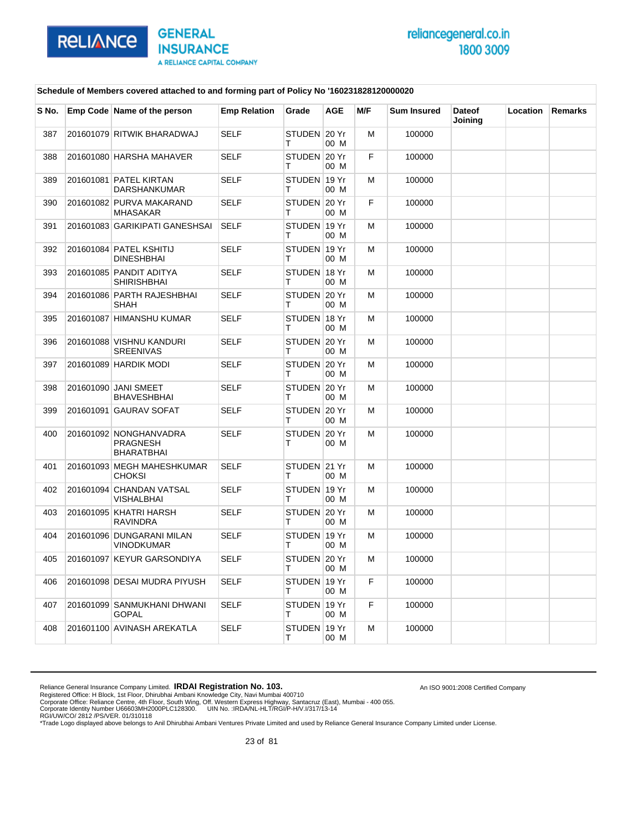

An ISO 9001:2008 Certified Company

### **Schedule of Members covered attached to and forming part of Policy No '160231828120000020**

| S No. | Emp Code Name of the person                             | <b>Emp Relation</b> | Grade             | <b>AGE</b> | M/F | <b>Sum Insured</b> | <b>Dateof</b><br>Joining | Location | <b>Remarks</b> |
|-------|---------------------------------------------------------|---------------------|-------------------|------------|-----|--------------------|--------------------------|----------|----------------|
| 387   | 201601079 RITWIK BHARADWAJ                              | <b>SELF</b>         | STUDEN 20 Yr<br>т | 00 M       | M   | 100000             |                          |          |                |
| 388   | 201601080 HARSHA MAHAVER                                | <b>SELF</b>         | STUDEN 20 Yr<br>т | 00 M       | F   | 100000             |                          |          |                |
| 389   | 201601081 PATEL KIRTAN<br><b>DARSHANKUMAR</b>           | <b>SELF</b>         | STUDEN 19 Yr<br>т | 00 M       | м   | 100000             |                          |          |                |
| 390   | 201601082 PURVA MAKARAND<br><b>MHASAKAR</b>             | <b>SELF</b>         | STUDEN 20 Yr<br>т | 00 M       | F   | 100000             |                          |          |                |
| 391   | 201601083 GARIKIPATI GANESHSAI                          | <b>SELF</b>         | STUDEN 19 Yr<br>т | 00 M       | M   | 100000             |                          |          |                |
| 392   | 201601084 PATEL KSHITIJ<br><b>DINESHBHAI</b>            | <b>SELF</b>         | STUDEN 19 Yr<br>т | 00 M       | М   | 100000             |                          |          |                |
| 393   | 201601085 PANDIT ADITYA<br><b>SHIRISHBHAI</b>           | <b>SELF</b>         | STUDEN 18 Yr<br>т | 00 M       | M   | 100000             |                          |          |                |
| 394   | 201601086 PARTH RAJESHBHAI<br>SHAH                      | <b>SELF</b>         | STUDEN 20 Yr<br>т | 00 M       | м   | 100000             |                          |          |                |
| 395   | 201601087 HIMANSHU KUMAR                                | <b>SELF</b>         | STUDEN 18 Yr<br>т | 00 M       | M   | 100000             |                          |          |                |
| 396   | 201601088 VISHNU KANDURI<br><b>SREENIVAS</b>            | <b>SELF</b>         | STUDEN 20 Yr<br>т | 00 M       | M   | 100000             |                          |          |                |
| 397   | 201601089 HARDIK MODI                                   | <b>SELF</b>         | STUDEN 20 Yr<br>т | 00 M       | м   | 100000             |                          |          |                |
| 398   | 201601090 JANI SMEET<br><b>BHAVESHBHAI</b>              | <b>SELF</b>         | STUDEN 20 Yr<br>т | 00 M       | M   | 100000             |                          |          |                |
| 399   | 201601091 GAURAV SOFAT                                  | <b>SELF</b>         | STUDEN 20 Yr<br>т | 00 M       | M   | 100000             |                          |          |                |
| 400   | 201601092 NONGHANVADRA<br><b>PRAGNESH</b><br>BHARATBHAI | <b>SELF</b>         | STUDEN 20 Yr<br>т | 00 M       | M   | 100000             |                          |          |                |
| 401   | 201601093 MEGH MAHESHKUMAR<br><b>CHOKSI</b>             | <b>SELF</b>         | STUDEN 21 Yr<br>т | 00 M       | M   | 100000             |                          |          |                |
| 402   | 201601094 CHANDAN VATSAL<br>VISHALBHAI                  | <b>SELF</b>         | STUDEN 19 Yr<br>т | 00 M       | M   | 100000             |                          |          |                |
| 403   | 201601095 KHATRI HARSH<br><b>RAVINDRA</b>               | <b>SELF</b>         | STUDEN 20 Yr<br>т | 00 M       | м   | 100000             |                          |          |                |
| 404   | 201601096 DUNGARANI MILAN<br>VINODKUMAR                 | <b>SELF</b>         | STUDEN 19 Yr<br>т | 00 M       | м   | 100000             |                          |          |                |
| 405   | 201601097 KEYUR GARSONDIYA                              | <b>SELF</b>         | STUDEN 20 Yr<br>т | 00 M       | м   | 100000             |                          |          |                |
| 406   | 201601098 DESAI MUDRA PIYUSH                            | <b>SELF</b>         | STUDEN 19 Yr<br>т | 00 M       | F   | 100000             |                          |          |                |
| 407   | 201601099 SANMUKHANI DHWANI<br><b>GOPAL</b>             | <b>SELF</b>         | STUDEN 19 Yr<br>т | 00 M       | F   | 100000             |                          |          |                |
| 408   | 201601100 AVINASH AREKATLA                              | <b>SELF</b>         | STUDEN 19 Yr<br>т | 00 M       | M   | 100000             |                          |          |                |

Reliance General Insurance Company Limited. **IRDAI Registration No. 103.**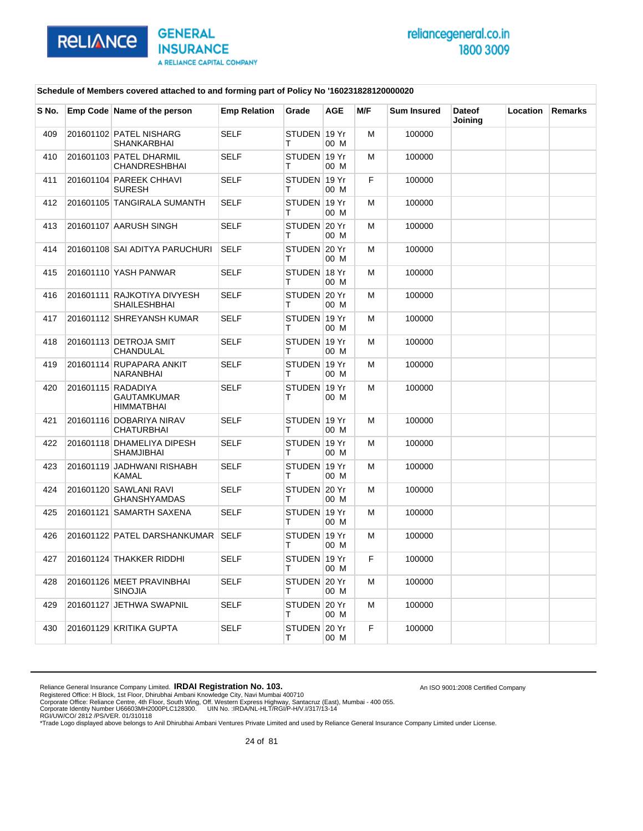

An ISO 9001:2008 Certified Company

#### **Schedule of Members covered attached to and forming part of Policy No '160231828120000020**

| S No. | Emp Code Name of the person                            | <b>Emp Relation</b> | Grade             | <b>AGE</b> | M/F | <b>Sum Insured</b> | <b>Dateof</b><br>Joining | <b>Location</b> | <b>Remarks</b> |
|-------|--------------------------------------------------------|---------------------|-------------------|------------|-----|--------------------|--------------------------|-----------------|----------------|
| 409   | 201601102 PATEL NISHARG<br>SHANKARBHAI                 | <b>SELF</b>         | STUDEN 19 Yr<br>т | 00 M       | M   | 100000             |                          |                 |                |
| 410   | 201601103 PATEL DHARMIL<br><b>CHANDRESHBHAI</b>        | SELF                | STUDEN 19 Yr<br>т | 00 M       | м   | 100000             |                          |                 |                |
| 411   | 201601104 PAREEK CHHAVI<br><b>SURESH</b>               | <b>SELF</b>         | STUDEN 19 Yr<br>т | 00 M       | F   | 100000             |                          |                 |                |
| 412   | 201601105 TANGIRALA SUMANTH                            | <b>SELF</b>         | STUDEN 19 Yr<br>т | 00 M       | M   | 100000             |                          |                 |                |
| 413   | 201601107 AARUSH SINGH                                 | <b>SELF</b>         | STUDEN 20 Yr<br>т | 00 M       | м   | 100000             |                          |                 |                |
| 414   | 201601108 SAI ADITYA PARUCHURI                         | <b>SELF</b>         | STUDEN 20 Yr<br>т | 00 M       | М   | 100000             |                          |                 |                |
| 415   | 201601110 YASH PANWAR                                  | <b>SELF</b>         | STUDEN 18 Yr<br>т | 00 M       | M   | 100000             |                          |                 |                |
| 416   | 201601111 RAJKOTIYA DIVYESH<br>SHAILESHBHAI            | <b>SELF</b>         | STUDEN 20 Yr<br>т | 00 M       | м   | 100000             |                          |                 |                |
| 417   | 201601112 SHREYANSH KUMAR                              | <b>SELF</b>         | STUDEN 19 Yr<br>т | 00 M       | м   | 100000             |                          |                 |                |
| 418   | 201601113 DETROJA SMIT<br>CHANDULAL                    | <b>SELF</b>         | STUDEN 19 Yr<br>т | 00 M       | M   | 100000             |                          |                 |                |
| 419   | 201601114 RUPAPARA ANKIT<br>NARANBHAI                  | <b>SELF</b>         | STUDEN 19 Yr<br>т | 00 M       | M   | 100000             |                          |                 |                |
| 420   | 201601115 RADADIYA<br><b>GAUTAMKUMAR</b><br>HIMMATBHAI | <b>SELF</b>         | STUDEN 19 Yr<br>т | 00 M       | м   | 100000             |                          |                 |                |
| 421   | 201601116 DOBARIYA NIRAV<br><b>CHATURBHAI</b>          | <b>SELF</b>         | STUDEN 19 Yr<br>т | 00 M       | м   | 100000             |                          |                 |                |
| 422   | 201601118 DHAMELIYA DIPESH<br><b>SHAMJIBHAI</b>        | <b>SELF</b>         | STUDEN 19 Yr<br>т | 00 M       | M   | 100000             |                          |                 |                |
| 423   | 201601119 JADHWANI RISHABH<br><b>KAMAL</b>             | <b>SELF</b>         | STUDEN 19 Yr<br>т | 00 M       | м   | 100000             |                          |                 |                |
| 424   | 201601120 SAWLANI RAVI<br><b>GHANSHYAMDAS</b>          | <b>SELF</b>         | STUDEN 20 Yr<br>т | 00 M       | М   | 100000             |                          |                 |                |
| 425   | 201601121 SAMARTH SAXENA                               | <b>SELF</b>         | STUDEN 19 Yr<br>т | 00 M       | M   | 100000             |                          |                 |                |
| 426   | 201601122 PATEL DARSHANKUMAR                           | <b>SELF</b>         | STUDEN 19 Yr<br>т | 00 M       | M   | 100000             |                          |                 |                |
| 427   | 201601124 THAKKER RIDDHI                               | <b>SELF</b>         | STUDEN 19 Yr<br>т | 00 M       | F.  | 100000             |                          |                 |                |
| 428   | 201601126 MEET PRAVINBHAI<br>SINOJIA                   | <b>SELF</b>         | STUDEN 20 Yr<br>т | 00 M       | м   | 100000             |                          |                 |                |
| 429   | 201601127 JETHWA SWAPNIL                               | <b>SELF</b>         | STUDEN 20 Yr<br>т | 00 M       | м   | 100000             |                          |                 |                |
| 430   | 201601129 KRITIKA GUPTA                                | <b>SELF</b>         | STUDEN 20 Yr<br>т | 00 M       | F   | 100000             |                          |                 |                |

Reliance General Insurance Company Limited. **IRDAI Registration No. 103.**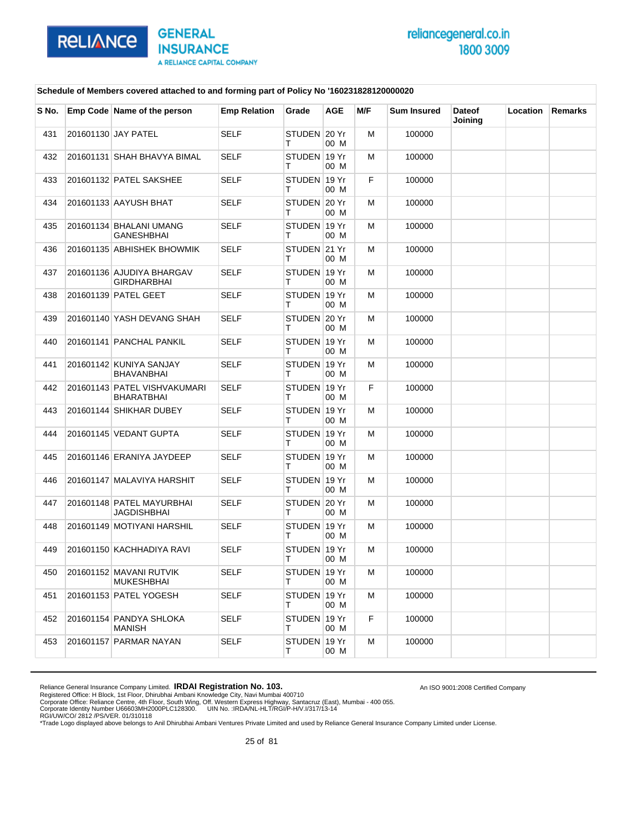

An ISO 9001:2008 Certified Company

#### **Schedule of Members covered attached to and forming part of Policy No '160231828120000020**

| S No. | Emp Code Name of the person                       | <b>Emp Relation</b> | Grade              | AGE  | M/F | <b>Sum Insured</b> | <b>Dateof</b><br>Joining | Location | <b>Remarks</b> |
|-------|---------------------------------------------------|---------------------|--------------------|------|-----|--------------------|--------------------------|----------|----------------|
| 431   | 201601130 JAY PATEL                               | <b>SELF</b>         | STUDEN 20 Yr<br>т  | 00 M | м   | 100000             |                          |          |                |
| 432   | 201601131 SHAH BHAVYA BIMAL                       | SELF                | STUDEN 19 Yr<br>т  | 00 M | м   | 100000             |                          |          |                |
| 433   | 201601132 PATEL SAKSHEE                           | <b>SELF</b>         | STUDEN 19 Yr<br>т  | 00 M | F.  | 100000             |                          |          |                |
| 434   | 201601133 AAYUSH BHAT                             | <b>SELF</b>         | STUDEN 20 Yr<br>T. | 00 M | м   | 100000             |                          |          |                |
| 435   | 201601134 BHALANI UMANG<br>GANESHBHAI             | <b>SELF</b>         | STUDEN 19 Yr<br>т  | 00 M | м   | 100000             |                          |          |                |
| 436   | 201601135 ABHISHEK BHOWMIK                        | <b>SELF</b>         | STUDEN 21 Yr<br>т  | 00 M | м   | 100000             |                          |          |                |
| 437   | 201601136 AJUDIYA BHARGAV<br>GIRDHARBHAI          | <b>SELF</b>         | STUDEN 19 Yr<br>т  | 00 M | м   | 100000             |                          |          |                |
| 438   | 201601139 PATEL GEET                              | <b>SELF</b>         | STUDEN 19 Yr<br>т  | 00 M | м   | 100000             |                          |          |                |
| 439   | 201601140 YASH DEVANG SHAH                        | SELF                | STUDEN 20 Yr<br>т  | 00 M | м   | 100000             |                          |          |                |
| 440   | 201601141 PANCHAL PANKIL                          | <b>SELF</b>         | STUDEN 19 Yr<br>T. | 00 M | м   | 100000             |                          |          |                |
| 441   | 201601142 KUNIYA SANJAY<br>BHAVANBHAI             | <b>SELF</b>         | STUDEN 19 Yr<br>т  | 00 M | м   | 100000             |                          |          |                |
| 442   | 201601143 PATEL VISHVAKUMARI<br><b>BHARATBHAI</b> | <b>SELF</b>         | STUDEN 19 Yr<br>т  | 00 M | F.  | 100000             |                          |          |                |
| 443   | 201601144 SHIKHAR DUBEY                           | <b>SELF</b>         | STUDEN 19 Yr<br>т  | 00 M | м   | 100000             |                          |          |                |
| 444   | 201601145 VEDANT GUPTA                            | <b>SELF</b>         | STUDEN 19 Yr<br>т  | 00 M | м   | 100000             |                          |          |                |
| 445   | 201601146 ERANIYA JAYDEEP                         | SELF                | STUDEN 19 Yr<br>т  | 00 M | м   | 100000             |                          |          |                |
| 446   | 201601147 MALAVIYA HARSHIT                        | <b>SELF</b>         | STUDEN 19 Yr<br>т  | 00 M | м   | 100000             |                          |          |                |
| 447   | 201601148 PATEL MAYURBHAI<br>JAGDISHBHAI          | <b>SELF</b>         | STUDEN 20 Yr<br>т  | 00 M | м   | 100000             |                          |          |                |
| 448   | 201601149 MOTIYANI HARSHIL                        | <b>SELF</b>         | STUDEN 19 Yr<br>т  | 00 M | М   | 100000             |                          |          |                |
| 449   | 201601150 KACHHADIYA RAVI                         | <b>SELF</b>         | STUDEN 19 Yr<br>т  | 00 M | м   | 100000             |                          |          |                |
| 450   | 201601152 MAVANI RUTVIK<br><b>MUKESHBHAI</b>      | SELF                | STUDEN 19 Yr<br>Τ  | 00 M | м   | 100000             |                          |          |                |
| 451   | 201601153 PATEL YOGESH                            | <b>SELF</b>         | STUDEN 19 Yr<br>т  | 00 M | м   | 100000             |                          |          |                |
| 452   | 201601154 PANDYA SHLOKA<br><b>MANISH</b>          | <b>SELF</b>         | STUDEN 19 Yr<br>T. | 00 M | F   | 100000             |                          |          |                |
| 453   | 201601157 PARMAR NAYAN                            | SELF                | STUDEN 19 Yr<br>T. | 00 M | м   | 100000             |                          |          |                |

Reliance General Insurance Company Limited. **IRDAI Registration No. 103.**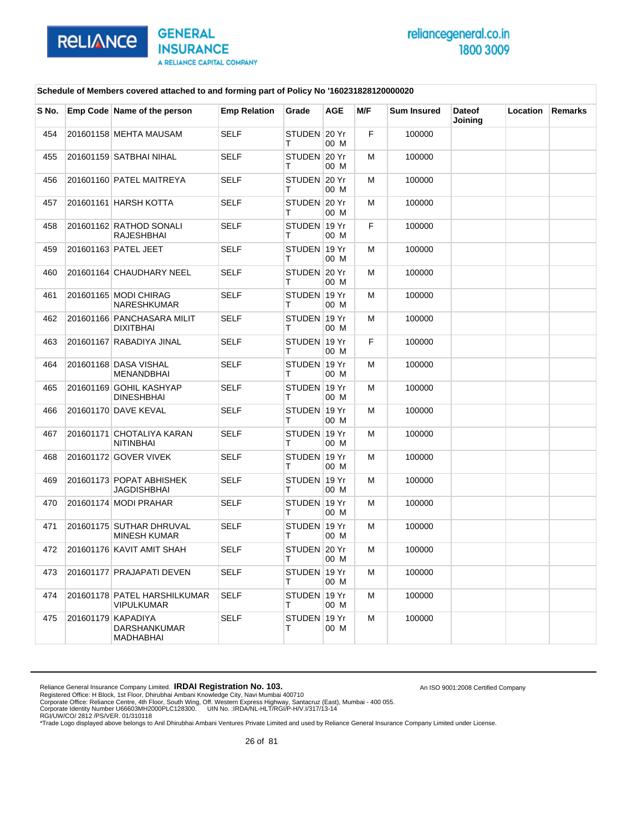

An ISO 9001:2008 Certified Company

#### **Schedule of Members covered attached to and forming part of Policy No '160231828120000020**

| S No. | Emp Code Name of the person                            | <b>Emp Relation</b> | Grade             | <b>AGE</b> | M/F | <b>Sum Insured</b> | <b>Dateof</b><br>Joining | Location | <b>Remarks</b> |
|-------|--------------------------------------------------------|---------------------|-------------------|------------|-----|--------------------|--------------------------|----------|----------------|
| 454   | 201601158 MEHTA MAUSAM                                 | <b>SELF</b>         | STUDEN 20 Yr<br>т | 00 M       | F   | 100000             |                          |          |                |
| 455   | 201601159 SATBHAI NIHAL                                | <b>SELF</b>         | STUDEN 20 Yr<br>т | 00 M       | M   | 100000             |                          |          |                |
| 456   | 201601160 PATEL MAITREYA                               | <b>SELF</b>         | STUDEN 20 Yr<br>т | 00 M       | м   | 100000             |                          |          |                |
| 457   | 201601161 HARSH KOTTA                                  | <b>SELF</b>         | STUDEN 20 Yr<br>т | 00 M       | M   | 100000             |                          |          |                |
| 458   | 201601162 RATHOD SONALI<br>RAJESHBHAI                  | <b>SELF</b>         | STUDEN 19 Yr<br>т | 00 M       | F   | 100000             |                          |          |                |
| 459   | 201601163 PATEL JEET                                   | <b>SELF</b>         | STUDEN 19 Yr<br>т | 00 M       | M   | 100000             |                          |          |                |
| 460   | 201601164 CHAUDHARY NEEL                               | <b>SELF</b>         | STUDEN 20 Yr<br>т | 00 M       | м   | 100000             |                          |          |                |
| 461   | 201601165 MODI CHIRAG<br><b>NARESHKUMAR</b>            | <b>SELF</b>         | STUDEN 19 Yr<br>т | 00 M       | м   | 100000             |                          |          |                |
| 462   | 201601166 PANCHASARA MILIT<br><b>DIXITBHAI</b>         | <b>SELF</b>         | STUDEN 19 Yr<br>т | 00 M       | M   | 100000             |                          |          |                |
| 463   | 201601167 RABADIYA JINAL                               | <b>SELF</b>         | STUDEN 19 Yr<br>т | 00 M       | F   | 100000             |                          |          |                |
| 464   | 201601168 DASA VISHAL<br><b>MENANDBHAI</b>             | <b>SELF</b>         | STUDEN 19 Yr<br>т | 00 M       | м   | 100000             |                          |          |                |
| 465   | 201601169 GOHIL KASHYAP<br><b>DINESHBHAI</b>           | <b>SELF</b>         | STUDEN 19 Yr<br>т | 00 M       | M   | 100000             |                          |          |                |
| 466   | 201601170 DAVE KEVAL                                   | <b>SELF</b>         | STUDEN 19 Yr<br>т | 00 M       | м   | 100000             |                          |          |                |
| 467   | 201601171 CHOTALIYA KARAN<br><b>NITINBHAI</b>          | <b>SELF</b>         | STUDEN 19 Yr<br>т | 00 M       | M   | 100000             |                          |          |                |
| 468   | 201601172 GOVER VIVEK                                  | <b>SELF</b>         | STUDEN 19 Yr<br>т | 00 M       | м   | 100000             |                          |          |                |
| 469   | 201601173 POPAT ABHISHEK<br><b>JAGDISHBHAI</b>         | <b>SELF</b>         | STUDEN 19 Yr<br>т | 00 M       | м   | 100000             |                          |          |                |
| 470   | 201601174 MODI PRAHAR                                  | <b>SELF</b>         | STUDEN 19 Yr<br>т | 00 M       | M   | 100000             |                          |          |                |
| 471   | 201601175 SUTHAR DHRUVAL<br><b>MINESH KUMAR</b>        | <b>SELF</b>         | STUDEN 19 Yr<br>т | 00 M       | M   | 100000             |                          |          |                |
| 472   | 201601176 KAVIT AMIT SHAH                              | <b>SELF</b>         | STUDEN 20 Yr<br>т | 00 M       | M   | 100000             |                          |          |                |
| 473   | 201601177 PRAJAPATI DEVEN                              | <b>SELF</b>         | STUDEN 19 Yr<br>т | 00 M       | м   | 100000             |                          |          |                |
| 474   | 201601178 PATEL HARSHILKUMAR<br><b>VIPULKUMAR</b>      | <b>SELF</b>         | STUDEN 19 Yr<br>т | 00 M       | м   | 100000             |                          |          |                |
| 475   | 201601179 KAPADIYA<br><b>DARSHANKUMAR</b><br>MADHABHAI | <b>SELF</b>         | STUDEN 19 Yr<br>T | 00 M       | M   | 100000             |                          |          |                |

Reliance General Insurance Company Limited. **IRDAI Registration No. 103.**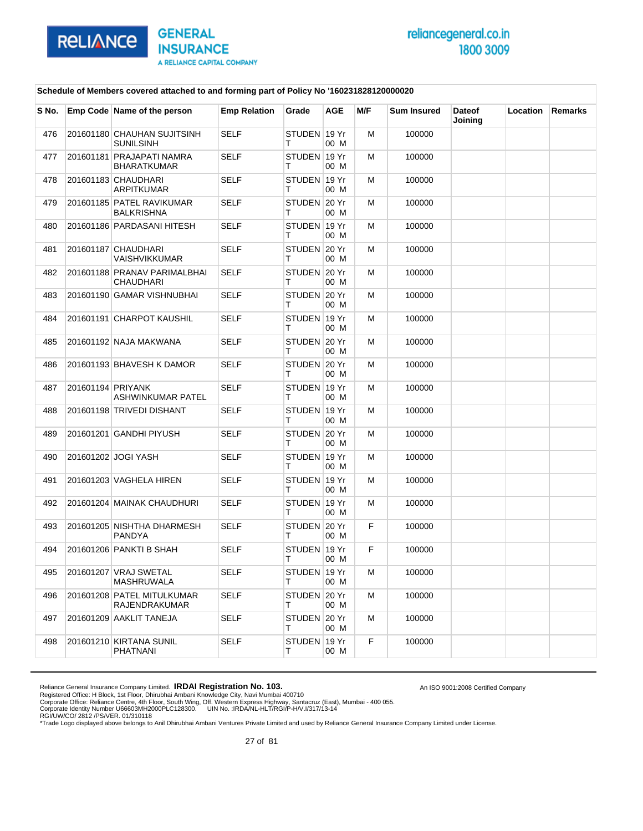

An ISO 9001:2008 Certified Company

#### **Schedule of Members covered attached to and forming part of Policy No '160231828120000020**

| S No. |                   | Emp Code Name of the person                     | <b>Emp Relation</b> | Grade             | <b>AGE</b> | M/F | <b>Sum Insured</b> | <b>Dateof</b><br>Joining | Location | Remarks |
|-------|-------------------|-------------------------------------------------|---------------------|-------------------|------------|-----|--------------------|--------------------------|----------|---------|
| 476   |                   | 201601180 CHAUHAN SUJITSINH<br><b>SUNILSINH</b> | <b>SELF</b>         | STUDEN 19 Yr<br>т | 00 M       | м   | 100000             |                          |          |         |
| 477   |                   | 201601181 PRAJAPATI NAMRA<br><b>BHARATKUMAR</b> | <b>SELF</b>         | STUDEN 19 Yr<br>т | 00 M       | м   | 100000             |                          |          |         |
| 478   |                   | 201601183 CHAUDHARI<br>ARPITKUMAR               | <b>SELF</b>         | STUDEN 19 Yr<br>т | 00 M       | м   | 100000             |                          |          |         |
| 479   |                   | 201601185 PATEL RAVIKUMAR<br><b>BALKRISHNA</b>  | <b>SELF</b>         | STUDEN 20 Yr<br>т | 00 M       | м   | 100000             |                          |          |         |
| 480   |                   | 201601186 PARDASANI HITESH                      | <b>SELF</b>         | STUDEN 19 Yr<br>т | 00 M       | м   | 100000             |                          |          |         |
| 481   |                   | 201601187 CHAUDHARI<br>VAISHVIKKUMAR            | <b>SELF</b>         | STUDEN 20 Yr<br>т | 00 M       | м   | 100000             |                          |          |         |
| 482   |                   | 201601188 PRANAV PARIMALBHAI<br>CHAUDHARI       | <b>SELF</b>         | STUDEN 20 Yr<br>т | 00 M       | м   | 100000             |                          |          |         |
| 483   |                   | 201601190 GAMAR VISHNUBHAI                      | <b>SELF</b>         | STUDEN 20 Yr<br>т | 00 M       | м   | 100000             |                          |          |         |
| 484   |                   | 201601191 CHARPOT KAUSHIL                       | <b>SELF</b>         | STUDEN 19 Yr<br>т | 00 M       | м   | 100000             |                          |          |         |
| 485   |                   | 201601192 NAJA MAKWANA                          | <b>SELF</b>         | STUDEN 20 Yr<br>т | 00 M       | м   | 100000             |                          |          |         |
| 486   |                   | 201601193 BHAVESH K DAMOR                       | <b>SELF</b>         | STUDEN 20 Yr<br>т | 00 M       | м   | 100000             |                          |          |         |
| 487   | 201601194 PRIYANK | ASHWINKUMAR PATEL                               | <b>SELF</b>         | STUDEN 19 Yr<br>т | 00 M       | м   | 100000             |                          |          |         |
| 488   |                   | 201601198 TRIVEDI DISHANT                       | <b>SELF</b>         | STUDEN 19 Yr<br>т | 00 M       | м   | 100000             |                          |          |         |
| 489   |                   | 201601201 GANDHI PIYUSH                         | <b>SELF</b>         | STUDEN 20 Yr<br>т | 00 M       | м   | 100000             |                          |          |         |
| 490   |                   | 201601202 JOGI YASH                             | SELF                | STUDEN 19 Yr<br>т | 00 M       | м   | 100000             |                          |          |         |
| 491   |                   | 201601203 VAGHELA HIREN                         | <b>SELF</b>         | STUDEN 19 Yr<br>т | 00 M       | м   | 100000             |                          |          |         |
| 492   |                   | 201601204 MAINAK CHAUDHURI                      | <b>SELF</b>         | STUDEN 19 Yr<br>т | 00 M       | м   | 100000             |                          |          |         |
| 493   |                   | 201601205 NISHTHA DHARMESH<br>PANDYA            | <b>SELF</b>         | STUDEN 20 Yr<br>т | 00 M       | F   | 100000             |                          |          |         |
| 494   |                   | 201601206 PANKTI B SHAH                         | <b>SELF</b>         | STUDEN 19 Yr<br>т | 00 M       | F   | 100000             |                          |          |         |
| 495   |                   | 201601207 VRAJ SWETAL<br>MASHRUWALA             | SELF                | STUDEN 19 Yr<br>Τ | 00 M       | м   | 100000             |                          |          |         |
| 496   |                   | 201601208 PATEL MITULKUMAR<br>RAJENDRAKUMAR     | <b>SELF</b>         | STUDEN 20 Yr<br>т | 00 M       | м   | 100000             |                          |          |         |
| 497   |                   | 201601209 AAKLIT TANEJA                         | <b>SELF</b>         | STUDEN 20 Yr<br>т | 00 M       | м   | 100000             |                          |          |         |
| 498   |                   | 201601210 KIRTANA SUNIL<br>PHATNANI             | <b>SELF</b>         | STUDEN 19 Yr<br>т | 00 M       | F   | 100000             |                          |          |         |

Reliance General Insurance Company Limited. **IRDAI Registration No. 103.**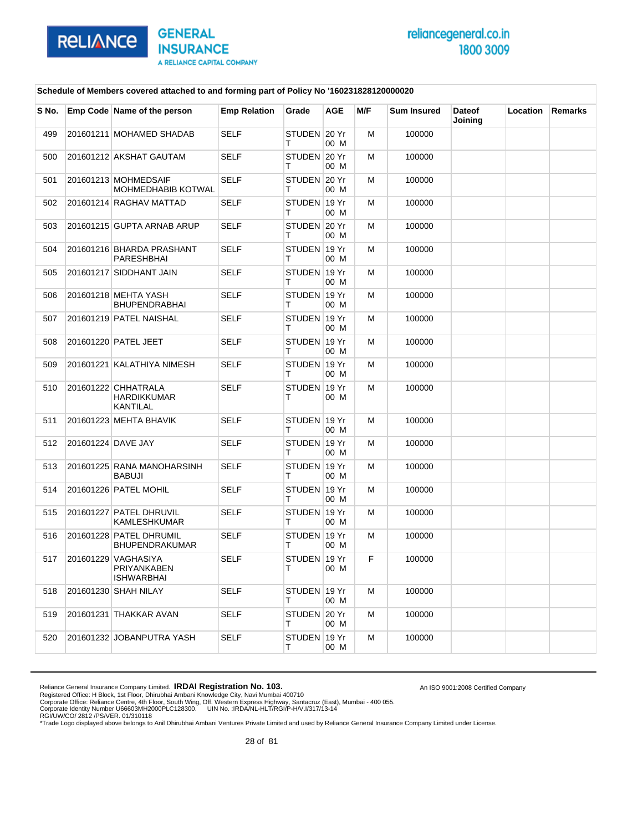

An ISO 9001:2008 Certified Company

#### **Schedule of Members covered attached to and forming part of Policy No '160231828120000020**

| S No. |                    | Emp Code Name of the person                             | <b>Emp Relation</b> | Grade              | AGE  | M/F | <b>Sum Insured</b> | <b>Dateof</b><br>Joining | Location | Remarks |
|-------|--------------------|---------------------------------------------------------|---------------------|--------------------|------|-----|--------------------|--------------------------|----------|---------|
| 499   |                    | 201601211 MOHAMED SHADAB                                | <b>SELF</b>         | STUDEN 20 Yr<br>т  | 00 M | м   | 100000             |                          |          |         |
| 500   |                    | 201601212 AKSHAT GAUTAM                                 | <b>SELF</b>         | STUDEN 20 Yr<br>т  | 00 M | М   | 100000             |                          |          |         |
| 501   |                    | 201601213 MOHMEDSAIF<br>MOHMEDHABIB KOTWAL              | <b>SELF</b>         | STUDEN 20 Yr<br>т  | 00 M | м   | 100000             |                          |          |         |
| 502   |                    | 201601214 RAGHAV MATTAD                                 | <b>SELF</b>         | STUDEN 19 Yr<br>т  | 00 M | М   | 100000             |                          |          |         |
| 503   |                    | 201601215 GUPTA ARNAB ARUP                              | <b>SELF</b>         | STUDEN 20 Yr<br>т  | 00 M | м   | 100000             |                          |          |         |
| 504   |                    | 201601216 BHARDA PRASHANT<br>PARESHBHAI                 | <b>SELF</b>         | STUDEN 19 Yr<br>т  | 00 M | м   | 100000             |                          |          |         |
| 505   |                    | 201601217 SIDDHANT JAIN                                 | <b>SELF</b>         | STUDEN 19 Yr<br>т  | 00 M | м   | 100000             |                          |          |         |
| 506   |                    | 201601218 MEHTA YASH<br><b>BHUPENDRABHAI</b>            | <b>SELF</b>         | STUDEN 19 Yr<br>т  | 00 M | м   | 100000             |                          |          |         |
| 507   |                    | 201601219 PATEL NAISHAL                                 | <b>SELF</b>         | STUDEN 19 Yr<br>т  | 00 M | м   | 100000             |                          |          |         |
| 508   |                    | 201601220 PATEL JEET                                    | <b>SELF</b>         | STUDEN 19 Yr<br>Τ  | 00 M | М   | 100000             |                          |          |         |
| 509   |                    | 201601221 KALATHIYA NIMESH                              | SELF                | STUDEN 19 Yr<br>т  | 00 M | м   | 100000             |                          |          |         |
| 510   |                    | 201601222 CHHATRALA<br>HARDIKKUMAR<br><b>KANTILAL</b>   | <b>SELF</b>         | STUDEN 19 Yr<br>т  | 00 M | м   | 100000             |                          |          |         |
| 511   |                    | 201601223 MEHTA BHAVIK                                  | <b>SELF</b>         | STUDEN 19 Yr<br>т  | 00 M | M   | 100000             |                          |          |         |
| 512   | 201601224 DAVE JAY |                                                         | <b>SELF</b>         | STUDEN 19 Yr<br>т  | 00 M | м   | 100000             |                          |          |         |
| 513   |                    | 201601225 RANA MANOHARSINH<br>BABUJI                    | <b>SELF</b>         | STUDEN 19 Yr<br>т  | 00 M | м   | 100000             |                          |          |         |
| 514   |                    | 201601226 PATEL MOHIL                                   | <b>SELF</b>         | STUDEN 19 Yr<br>т  | 00 M | м   | 100000             |                          |          |         |
| 515   |                    | 201601227 PATEL DHRUVIL<br>KAMLESHKUMAR                 | <b>SELF</b>         | STUDEN 19 Yr<br>т  | 00 M | м   | 100000             |                          |          |         |
| 516   |                    | 201601228 PATEL DHRUMIL<br>BHUPENDRAKUMAR               | <b>SELF</b>         | STUDEN 19 Yr<br>т  | 00 M | м   | 100000             |                          |          |         |
| 517   |                    | 201601229 VAGHASIYA<br>PRIYANKABEN<br><b>ISHWARBHAI</b> | <b>SELF</b>         | STUDEN 19 Yr<br>T. | 00 M | F   | 100000             |                          |          |         |
| 518   |                    | 201601230 SHAH NILAY                                    | SELF                | STUDEN 19 Yr<br>T. | 00 M | м   | 100000             |                          |          |         |
| 519   |                    | 201601231 THAKKAR AVAN                                  | <b>SELF</b>         | STUDEN 20 Yr<br>T. | 00 M | м   | 100000             |                          |          |         |
| 520   |                    | 201601232 JOBANPUTRA YASH                               | <b>SELF</b>         | STUDEN 19 Yr<br>T. | 00 M | м   | 100000             |                          |          |         |

Reliance General Insurance Company Limited. **IRDAI Registration No. 103.**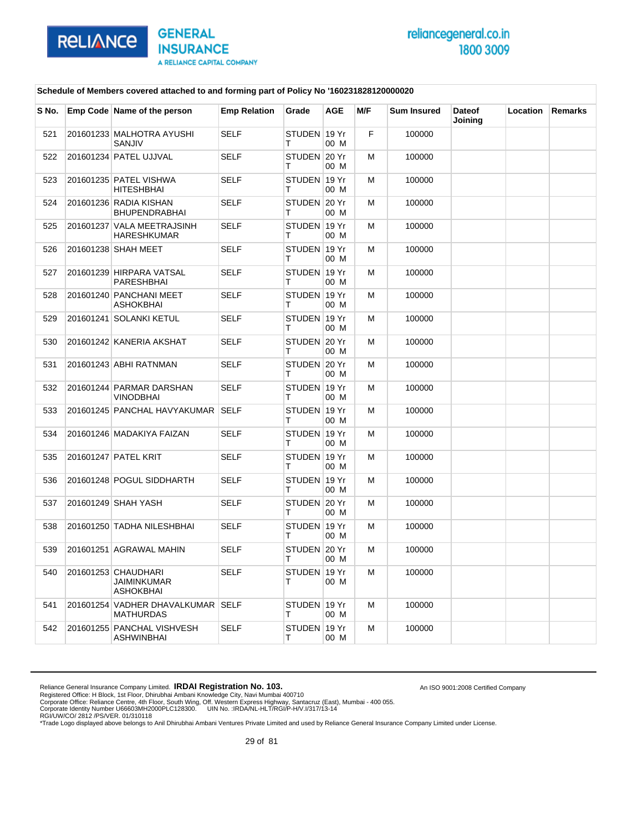

An ISO 9001:2008 Certified Company

### **Schedule of Members covered attached to and forming part of Policy No '160231828120000020**

| S No. | Emp Code Name of the person                                   | <b>Emp Relation</b> | Grade             | <b>AGE</b> | M/F | <b>Sum Insured</b> | <b>Dateof</b><br>Joining | <b>Location</b> | <b>Remarks</b> |
|-------|---------------------------------------------------------------|---------------------|-------------------|------------|-----|--------------------|--------------------------|-----------------|----------------|
| 521   | 201601233 MALHOTRA AYUSHI<br>SANJIV                           | <b>SELF</b>         | STUDEN 19 Yr<br>т | 00 M       | F   | 100000             |                          |                 |                |
| 522   | 201601234 PATEL UJJVAL                                        | <b>SELF</b>         | STUDEN 20 Yr<br>т | 00 M       | м   | 100000             |                          |                 |                |
| 523   | 201601235 PATEL VISHWA<br><b>HITESHBHAI</b>                   | <b>SELF</b>         | STUDEN 19 Yr<br>т | 00 M       | M   | 100000             |                          |                 |                |
| 524   | 201601236 RADIA KISHAN<br><b>BHUPENDRABHAI</b>                | <b>SELF</b>         | STUDEN 20 Yr<br>т | 00 M       | M   | 100000             |                          |                 |                |
| 525   | 201601237 VALA MEETRAJSINH<br><b>HARESHKUMAR</b>              | <b>SELF</b>         | STUDEN 19 Yr<br>т | 00 M       | м   | 100000             |                          |                 |                |
| 526   | 201601238 SHAH MEET                                           | <b>SELF</b>         | STUDEN 19 Yr<br>Τ | 00 M       | M   | 100000             |                          |                 |                |
| 527   | 201601239 HIRPARA VATSAL<br><b>PARESHBHAI</b>                 | <b>SELF</b>         | STUDEN 19 Yr<br>т | 00 M       | M   | 100000             |                          |                 |                |
| 528   | 201601240 PANCHANI MEET<br>ASHOKBHAI                          | <b>SELF</b>         | STUDEN 19 Yr<br>т | 00 M       | м   | 100000             |                          |                 |                |
| 529   | 201601241 SOLANKI KETUL                                       | <b>SELF</b>         | STUDEN 19 Yr<br>т | 00 M       | M   | 100000             |                          |                 |                |
| 530   | 201601242 KANERIA AKSHAT                                      | <b>SELF</b>         | STUDEN 20 Yr<br>т | 00 M       | M   | 100000             |                          |                 |                |
| 531   | 201601243 ABHI RATNMAN                                        | <b>SELF</b>         | STUDEN 20 Yr<br>т | 00 M       | M   | 100000             |                          |                 |                |
| 532   | 201601244 PARMAR DARSHAN<br>VINODBHAI                         | <b>SELF</b>         | STUDEN 19 Yr<br>т | 00 M       | м   | 100000             |                          |                 |                |
| 533   | 201601245 PANCHAL HAVYAKUMAR SELF                             |                     | STUDEN 19 Yr<br>т | 00 M       | M   | 100000             |                          |                 |                |
| 534   | 201601246 MADAKIYA FAIZAN                                     | <b>SELF</b>         | STUDEN 19 Yr<br>т | 00 M       | M   | 100000             |                          |                 |                |
| 535   | 201601247 PATEL KRIT                                          | <b>SELF</b>         | STUDEN 19 Yr<br>т | 00 M       | м   | 100000             |                          |                 |                |
| 536   | 201601248 POGUL SIDDHARTH                                     | <b>SELF</b>         | STUDEN 19 Yr<br>Т | 00 M       | M   | 100000             |                          |                 |                |
| 537   | 201601249 SHAH YASH                                           | <b>SELF</b>         | STUDEN 20 Yr<br>т | 00 M       | M   | 100000             |                          |                 |                |
| 538   | 201601250 TADHA NILESHBHAI                                    | <b>SELF</b>         | STUDEN 19 Yr<br>т | 00 M       | м   | 100000             |                          |                 |                |
| 539   | 201601251 AGRAWAL MAHIN                                       | <b>SELF</b>         | STUDEN 20 Yr<br>т | 00 M       | M   | 100000             |                          |                 |                |
| 540   | 201601253 CHAUDHARI<br><b>JAIMINKUMAR</b><br><b>ASHOKBHAI</b> | <b>SELF</b>         | STUDEN 19 Yr<br>т | 00 M       | M   | 100000             |                          |                 |                |
| 541   | 201601254 VADHER DHAVALKUMAR SELF<br><b>MATHURDAS</b>         |                     | STUDEN 19 Yr<br>Τ | 00 M       | M   | 100000             |                          |                 |                |
| 542   | 201601255 PANCHAL VISHVESH<br>ASHWINBHAI                      | <b>SELF</b>         | STUDEN 19 Yr<br>т | 00 M       | M   | 100000             |                          |                 |                |

Reliance General Insurance Company Limited. **IRDAI Registration No. 103.**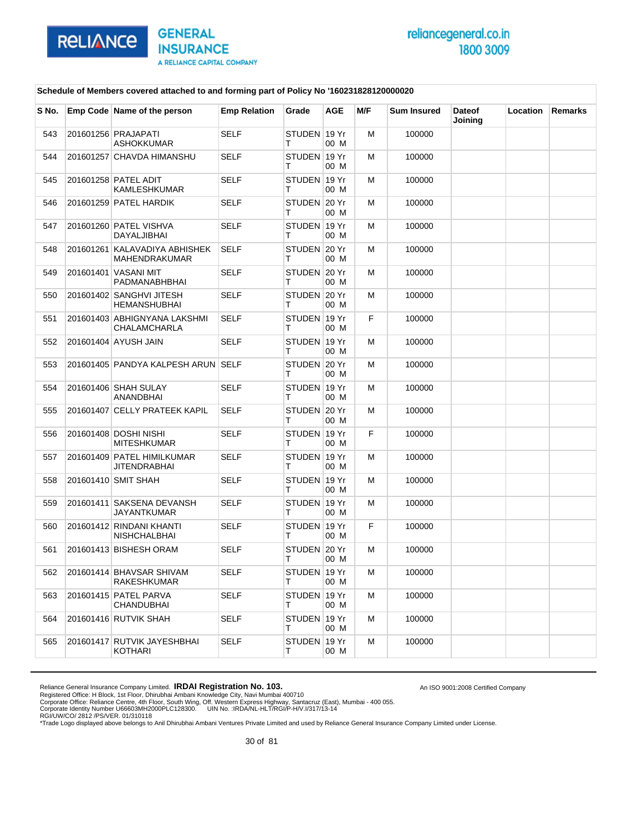

An ISO 9001:2008 Certified Company

### **Schedule of Members covered attached to and forming part of Policy No '160231828120000020**

| S No. | Emp Code Name of the person                     | <b>Emp Relation</b> | Grade              | AGE  | M/F | <b>Sum Insured</b> | <b>Dateof</b><br>Joining | Location | Remarks |
|-------|-------------------------------------------------|---------------------|--------------------|------|-----|--------------------|--------------------------|----------|---------|
| 543   | 201601256 PRAJAPATI<br><b>ASHOKKUMAR</b>        | <b>SELF</b>         | STUDEN 19 Yr<br>т  | 00 M | M   | 100000             |                          |          |         |
| 544   | 201601257 CHAVDA HIMANSHU                       | <b>SELF</b>         | STUDEN 19 Yr<br>т  | 00 M | м   | 100000             |                          |          |         |
| 545   | 201601258 PATEL ADIT<br>KAMLESHKUMAR            | <b>SELF</b>         | STUDEN 19 Yr<br>т  | 00 M | м   | 100000             |                          |          |         |
| 546   | 201601259 PATEL HARDIK                          | <b>SELF</b>         | STUDEN 20 Yr<br>т  | 00 M | M   | 100000             |                          |          |         |
| 547   | 201601260 PATEL VISHVA<br>DAYALJIBHAI           | <b>SELF</b>         | STUDEN 19 Yr<br>т  | 00 M | м   | 100000             |                          |          |         |
| 548   | 201601261 KALAVADIYA ABHISHEK<br>MAHENDRAKUMAR  | <b>SELF</b>         | STUDEN 20 Yr<br>т  | 00 M | M   | 100000             |                          |          |         |
| 549   | 201601401 VASANI MIT<br>PADMANABHBHAI           | <b>SELF</b>         | STUDEN 20 Yr<br>т  | 00 M | M   | 100000             |                          |          |         |
| 550   | 201601402 SANGHVI JITESH<br>HEMANSHUBHAI        | <b>SELF</b>         | STUDEN 20 Yr<br>т  | 00 M | м   | 100000             |                          |          |         |
| 551   | 201601403 ABHIGNYANA LAKSHMI<br>CHALAMCHARLA    | <b>SELF</b>         | STUDEN 19 Yr<br>т  | 00 M | F   | 100000             |                          |          |         |
| 552   | 201601404 AYUSH JAIN                            | <b>SELF</b>         | STUDEN 19 Yr<br>т  | 00 M | M   | 100000             |                          |          |         |
| 553   | 201601405 PANDYA KALPESH ARUN SELF              |                     | STUDEN 20 Yr<br>т  | 00 M | м   | 100000             |                          |          |         |
| 554   | 201601406 SHAH SULAY<br>ANANDBHAI               | <b>SELF</b>         | STUDEN 19 Yr<br>т  | 00 M | м   | 100000             |                          |          |         |
| 555   | 201601407 CELLY PRATEEK KAPIL                   | <b>SELF</b>         | STUDEN 20 Yr<br>т  | 00 M | M   | 100000             |                          |          |         |
| 556   | 201601408 DOSHI NISHI<br><b>MITESHKUMAR</b>     | <b>SELF</b>         | STUDEN 19 Yr<br>т  | 00 M | F   | 100000             |                          |          |         |
| 557   | 201601409 PATEL HIMILKUMAR<br>JITENDRABHAI      | <b>SELF</b>         | STUDEN 19 Yr<br>т  | 00 M | м   | 100000             |                          |          |         |
| 558   | 201601410 SMIT SHAH                             | <b>SELF</b>         | STUDEN 19 Yr<br>т  | 00 M | M   | 100000             |                          |          |         |
| 559   | 201601411 SAKSENA DEVANSH<br>JAYANTKUMAR        | <b>SELF</b>         | STUDEN 19 Yr<br>т  | 00 M | м   | 100000             |                          |          |         |
| 560   | 201601412 RINDANI KHANTI<br><b>NISHCHALBHAI</b> | <b>SELF</b>         | STUDEN 19 Yr<br>т  | 00 M | F   | 100000             |                          |          |         |
| 561   | 201601413 BISHESH ORAM                          | <b>SELF</b>         | STUDEN 20 Yr<br>т  | 00 M | M   | 100000             |                          |          |         |
| 562   | 201601414 BHAVSAR SHIVAM<br>RAKESHKUMAR         | SELF                | STUDEN ∣19 Yr<br>т | 00 M | M   | 100000             |                          |          |         |
| 563   | 201601415 PATEL PARVA<br><b>CHANDUBHAI</b>      | <b>SELF</b>         | STUDEN 19 Yr<br>T. | 00 M | м   | 100000             |                          |          |         |
| 564   | 201601416 RUTVIK SHAH                           | <b>SELF</b>         | STUDEN 19 Yr<br>T. | 00 M | м   | 100000             |                          |          |         |
| 565   | 201601417 RUTVIK JAYESHBHAI<br>KOTHARI          | <b>SELF</b>         | STUDEN 19 Yr<br>т  | 00 M | м   | 100000             |                          |          |         |

Reliance General Insurance Company Limited. **IRDAI Registration No. 103.**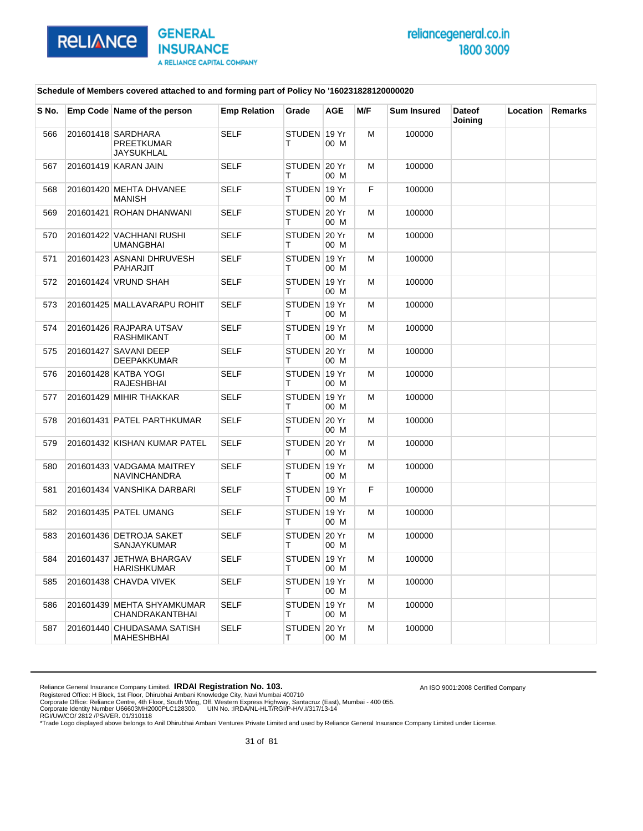

#### **Schedule of Members covered attached to and forming part of Policy No '160231828120000020**

| S No. | Emp Code Name of the person                           | <b>Emp Relation</b> | Grade              | <b>AGE</b> | M/F | <b>Sum Insured</b> | <b>Dateof</b><br>Joining | Location | <b>Remarks</b> |
|-------|-------------------------------------------------------|---------------------|--------------------|------------|-----|--------------------|--------------------------|----------|----------------|
| 566   | 201601418 SARDHARA<br><b>PREETKUMAR</b><br>JAYSUKHLAL | <b>SELF</b>         | STUDEN 19 Yr<br>т  | 00 M       | M   | 100000             |                          |          |                |
| 567   | 201601419 KARAN JAIN                                  | <b>SELF</b>         | STUDEN 20 Yr<br>т  | 00 M       | M   | 100000             |                          |          |                |
| 568   | 201601420 MEHTA DHVANEE<br><b>MANISH</b>              | <b>SELF</b>         | STUDEN 19 Yr<br>т  | 00 M       | F   | 100000             |                          |          |                |
| 569   | 201601421 ROHAN DHANWANI                              | SELF                | STUDEN 20 Yr<br>т  | 00 M       | м   | 100000             |                          |          |                |
| 570   | 201601422 VACHHANI RUSHI<br>UMANGBHAI                 | <b>SELF</b>         | STUDEN 20 Yr<br>т  | 00 M       | M   | 100000             |                          |          |                |
| 571   | 201601423 ASNANI DHRUVESH<br>PAHARJIT                 | <b>SELF</b>         | STUDEN 19 Yr<br>т  | 00 M       | M   | 100000             |                          |          |                |
| 572   | 201601424 VRUND SHAH                                  | SELF                | STUDEN 19 Yr<br>т  | 00 M       | м   | 100000             |                          |          |                |
| 573   | 201601425 MALLAVARAPU ROHIT                           | <b>SELF</b>         | STUDEN 19 Yr<br>т  | 00 M       | M   | 100000             |                          |          |                |
| 574   | 201601426 RAJPARA UTSAV<br>RASHMIKANT                 | <b>SELF</b>         | STUDEN 19 Yr<br>т  | 00 M       | M   | 100000             |                          |          |                |
| 575   | 201601427 SAVANI DEEP<br><b>DEEPAKKUMAR</b>           | SELF                | STUDEN 20 Yr<br>т  | 00 M       | м   | 100000             |                          |          |                |
| 576   | 201601428 KATBA YOGI<br><b>RAJESHBHAI</b>             | <b>SELF</b>         | STUDEN 19 Yr<br>т  | 00 M       | м   | 100000             |                          |          |                |
| 577   | 201601429 MIHIR THAKKAR                               | <b>SELF</b>         | STUDEN 19 Yr<br>т  | 00 M       | M   | 100000             |                          |          |                |
| 578   | 201601431 PATEL PARTHKUMAR                            | SELF                | STUDEN 20 Yr<br>т  | 00 M       | м   | 100000             |                          |          |                |
| 579   | 201601432 KISHAN KUMAR PATEL                          | <b>SELF</b>         | STUDEN 20 Yr<br>т  | 00 M       | M   | 100000             |                          |          |                |
| 580   | 201601433 VADGAMA MAITREY<br><b>NAVINCHANDRA</b>      | <b>SELF</b>         | STUDEN 19 Yr<br>т  | 00 M       | м   | 100000             |                          |          |                |
| 581   | 201601434 VANSHIKA DARBARI                            | SELF                | STUDEN 19 Yr<br>т  | 00 M       | F   | 100000             |                          |          |                |
| 582   | 201601435 PATEL UMANG                                 | <b>SELF</b>         | STUDEN 19 Yr<br>т  | 00 M       | м   | 100000             |                          |          |                |
| 583   | 201601436 DETROJA SAKET<br><b>SANJAYKUMAR</b>         | <b>SELF</b>         | STUDEN 20 Yr<br>т  | 00 M       | м   | 100000             |                          |          |                |
| 584   | 201601437 JETHWA BHARGAV<br><b>HARISHKUMAR</b>        | <b>SELF</b>         | STUDEN 19 Yr<br>T. | 00 M       | м   | 100000             |                          |          |                |
| 585   | 201601438 CHAVDA VIVEK                                | SELF                | STUDEN 19 Yr<br>T. | 00 M       | м   | 100000             |                          |          |                |
| 586   | 201601439 MEHTA SHYAMKUMAR<br>CHANDRAKANTBHAI         | <b>SELF</b>         | STUDEN 19 Yr<br>T. | 00 M       | м   | 100000             |                          |          |                |
| 587   | 201601440 CHUDASAMA SATISH<br>MAHESHBHAI              | SELF                | STUDEN 20 Yr<br>т  | 00 M       | M   | 100000             |                          |          |                |

Reliance General Insurance Company Limited. **IRDAI Registration No. 103.** 

Registered Office: H Block, 1st Floor, Dhirubhai Ambani Knowledge City, Navi Mumbai 400710<br>Corporate Office: Reliance Centre, 4th Floor, South Wing, Off. Western Express Highway, Santacruz (East), Mumbai - 400 055.<br>Corpor

An ISO 9001:2008 Certified Company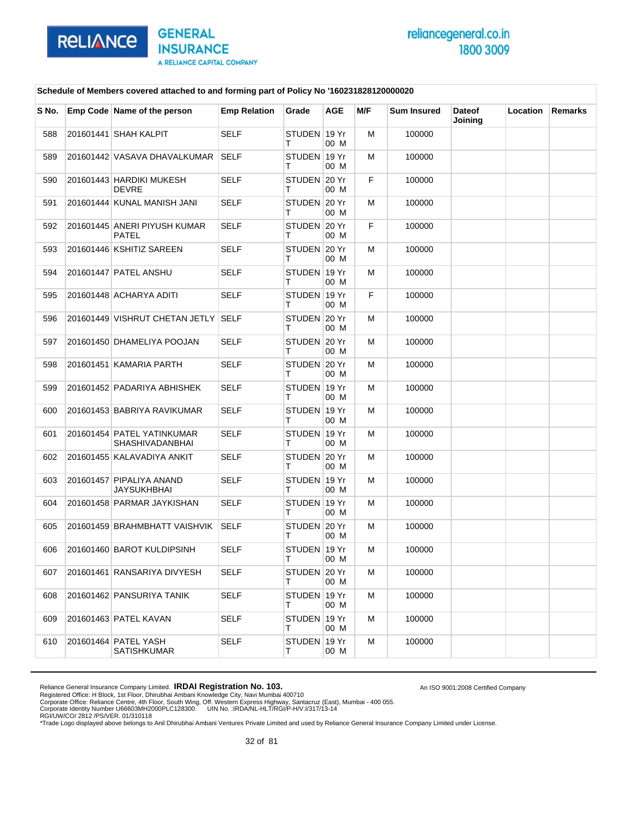

An ISO 9001:2008 Certified Company

### **Schedule of Members covered attached to and forming part of Policy No '160231828120000020**

| S No. | Emp Code Name of the person                   | <b>Emp Relation</b> | Grade              | <b>AGE</b> | M/F | <b>Sum Insured</b> | <b>Dateof</b><br>Joining | Location | <b>Remarks</b> |
|-------|-----------------------------------------------|---------------------|--------------------|------------|-----|--------------------|--------------------------|----------|----------------|
| 588   | 201601441 SHAH KALPIT                         | <b>SELF</b>         | STUDEN 19 Yr<br>т  | 00 M       | м   | 100000             |                          |          |                |
| 589   | 201601442 VASAVA DHAVALKUMAR                  | <b>SELF</b>         | STUDEN 19 Yr<br>т  | 00 M       | м   | 100000             |                          |          |                |
| 590   | 201601443 HARDIKI MUKESH<br>DEVRE             | <b>SELF</b>         | STUDEN 20 Yr<br>т  | 00 M       | F.  | 100000             |                          |          |                |
| 591   | 201601444 KUNAL MANISH JANI                   | <b>SELF</b>         | STUDEN 20 Yr<br>т  | 00 M       | м   | 100000             |                          |          |                |
| 592   | 201601445 ANERI PIYUSH KUMAR<br>PATEL         | <b>SELF</b>         | STUDEN 20 Yr<br>т  | 00 M       | F.  | 100000             |                          |          |                |
| 593   | 201601446 KSHITIZ SAREEN                      | <b>SELF</b>         | STUDEN 20 Yr<br>т  | 00 M       | м   | 100000             |                          |          |                |
| 594   | 201601447 PATEL ANSHU                         | <b>SELF</b>         | STUDEN 19 Yr<br>т  | 00 M       | м   | 100000             |                          |          |                |
| 595   | 201601448 ACHARYA ADITI                       | <b>SELF</b>         | STUDEN 19 Yr<br>т  | 00 M       | F.  | 100000             |                          |          |                |
| 596   | 201601449 VISHRUT CHETAN JETLY SELF           |                     | STUDEN 20 Yr<br>т  | 00 M       | м   | 100000             |                          |          |                |
| 597   | 201601450 DHAMELIYA POOJAN                    | <b>SELF</b>         | STUDEN 20 Yr<br>т  | 00 M       | м   | 100000             |                          |          |                |
| 598   | 201601451 KAMARIA PARTH                       | <b>SELF</b>         | STUDEN 20 Yr<br>т  | 00 M       | м   | 100000             |                          |          |                |
| 599   | 201601452 PADARIYA ABHISHEK                   | SELF                | STUDEN 19 Yr<br>т  | 00 M       | м   | 100000             |                          |          |                |
| 600   | 201601453 BABRIYA RAVIKUMAR                   | <b>SELF</b>         | STUDEN 19 Yr<br>т  | 00 M       | м   | 100000             |                          |          |                |
| 601   | 201601454 PATEL YATINKUMAR<br>SHASHIVADANBHAI | <b>SELF</b>         | STUDEN 19 Yr<br>т  | 00 M       | M   | 100000             |                          |          |                |
| 602   | 201601455 KALAVADIYA ANKIT                    | SELF                | STUDEN 20 Yr<br>т  | 00 M       | м   | 100000             |                          |          |                |
| 603   | 201601457 PIPALIYA ANAND<br>JAYSUKHBHAI       | <b>SELF</b>         | STUDEN 19 Yr<br>т  | 00 M       | м   | 100000             |                          |          |                |
| 604   | 201601458 PARMAR JAYKISHAN                    | SELF                | STUDEN 19 Yr<br>т  | 00 M       | M   | 100000             |                          |          |                |
| 605   | 201601459 BRAHMBHATT VAISHVIK                 | SELF                | STUDEN 20 Yr<br>т  | 00 M       | м   | 100000             |                          |          |                |
| 606   | 201601460 BAROT KULDIPSINH                    | <b>SELF</b>         | STUDEN 19 Yr<br>т  | 00 M       | м   | 100000             |                          |          |                |
| 607   | 201601461 RANSARIYA DIVYESH                   | <b>SELF</b>         | STUDEN 20 Yr<br>т  | 00 M       | M   | 100000             |                          |          |                |
| 608   | 201601462 PANSURIYA TANIK                     | SELF                | STUDEN 19 Yr<br>т  | 00 M       | м   | 100000             |                          |          |                |
| 609   | 201601463 PATEL KAVAN                         | <b>SELF</b>         | STUDEN 19 Yr<br>T. | 00 M       | м   | 100000             |                          |          |                |
| 610   | 201601464 PATEL YASH<br>SATISHKUMAR           | <b>SELF</b>         | STUDEN 19 Yr<br>т  | 00 M       | м   | 100000             |                          |          |                |

Reliance General Insurance Company Limited. **IRDAI Registration No. 103.**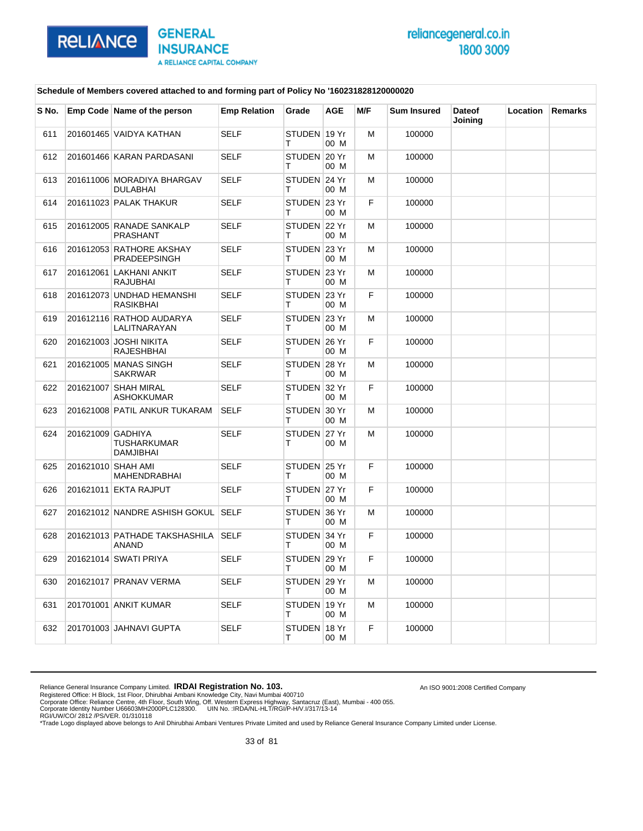

An ISO 9001:2008 Certified Company

### **Schedule of Members covered attached to and forming part of Policy No '160231828120000020**

| S No. |                    | Emp Code Name of the person                   | <b>Emp Relation</b> | Grade             | <b>AGE</b> | M/F | <b>Sum Insured</b> | <b>Dateof</b><br>Joining | Location | <b>Remarks</b> |
|-------|--------------------|-----------------------------------------------|---------------------|-------------------|------------|-----|--------------------|--------------------------|----------|----------------|
| 611   |                    | 201601465 VAIDYA KATHAN                       | <b>SELF</b>         | STUDEN 19 Yr<br>т | 00 M       | M   | 100000             |                          |          |                |
| 612   |                    | 201601466 KARAN PARDASANI                     | <b>SELF</b>         | STUDEN 20 Yr<br>т | 00 M       | м   | 100000             |                          |          |                |
| 613   |                    | 201611006 MORADIYA BHARGAV<br><b>DULABHAI</b> | <b>SELF</b>         | STUDEN 24 Yr<br>т | 00 M       | м   | 100000             |                          |          |                |
| 614   |                    | 201611023 PALAK THAKUR                        | <b>SELF</b>         | STUDEN 23 Yr<br>т | 00 M       | F   | 100000             |                          |          |                |
| 615   |                    | 201612005 RANADE SANKALP<br>PRASHANT          | <b>SELF</b>         | STUDEN 22 Yr<br>т | 00 M       | M   | 100000             |                          |          |                |
| 616   |                    | 201612053 RATHORE AKSHAY<br>PRADEEPSINGH      | <b>SELF</b>         | STUDEN 23 Yr<br>т | 00 M       | М   | 100000             |                          |          |                |
| 617   |                    | 201612061 LAKHANI ANKIT<br><b>RAJUBHAI</b>    | <b>SELF</b>         | STUDEN 23 Yr<br>т | 00 M       | М   | 100000             |                          |          |                |
| 618   |                    | 201612073 UNDHAD HEMANSHI<br>RASIKBHAI        | <b>SELF</b>         | STUDEN 23 Yr<br>T | 00 M       | F   | 100000             |                          |          |                |
| 619   |                    | 201612116 RATHOD AUDARYA<br>LALITNARAYAN      | <b>SELF</b>         | STUDEN 23 Yr<br>т | 00 M       | M   | 100000             |                          |          |                |
| 620   |                    | 201621003 JOSHI NIKITA<br>RAJESHBHAI          | <b>SELF</b>         | STUDEN 26 Yr<br>т | 00 M       | F   | 100000             |                          |          |                |
| 621   |                    | 201621005 MANAS SINGH<br><b>SAKRWAR</b>       | <b>SELF</b>         | STUDEN 28 Yr<br>т | 00 M       | м   | 100000             |                          |          |                |
| 622   |                    | 201621007 SHAH MIRAL<br>ASHOKKUMAR            | <b>SELF</b>         | STUDEN 32 Yr<br>т | 00 M       | F   | 100000             |                          |          |                |
| 623   |                    | 201621008 PATIL ANKUR TUKARAM                 | <b>SELF</b>         | STUDEN 30 Yr<br>т | 00 M       | M   | 100000             |                          |          |                |
| 624   | 201621009 GADHIYA  | TUSHARKUMAR<br><b>DAMJIBHAI</b>               | <b>SELF</b>         | STUDEN 27 Yr<br>т | 00 M       | М   | 100000             |                          |          |                |
| 625   | 201621010 SHAH AMI | <b>MAHENDRABHAI</b>                           | <b>SELF</b>         | STUDEN 25 Yr<br>т | 00 M       | F   | 100000             |                          |          |                |
| 626   |                    | 201621011 EKTA RAJPUT                         | <b>SELF</b>         | STUDEN 27 Yr<br>т | 00 M       | F   | 100000             |                          |          |                |
| 627   |                    | 201621012 NANDRE ASHISH GOKUL SELF            |                     | STUDEN 36 Yr<br>т | 00 M       | м   | 100000             |                          |          |                |
| 628   |                    | 201621013 PATHADE TAKSHASHILA<br><b>ANAND</b> | <b>SELF</b>         | STUDEN 34 Yr<br>т | 00 M       | F   | 100000             |                          |          |                |
| 629   |                    | 201621014 SWATI PRIYA                         | <b>SELF</b>         | STUDEN 29 Yr<br>т | 00 M       | F.  | 100000             |                          |          |                |
| 630   |                    | 201621017 PRANAV VERMA                        | <b>SELF</b>         | STUDEN 29 Yr<br>т | 00 M       | м   | 100000             |                          |          |                |
| 631   |                    | 201701001 ANKIT KUMAR                         | <b>SELF</b>         | STUDEN 19 Yr<br>т | 00 M       | M   | 100000             |                          |          |                |
| 632   |                    | 201701003 JAHNAVI GUPTA                       | <b>SELF</b>         | STUDEN 18 Yr<br>т | 00 M       | F   | 100000             |                          |          |                |

Reliance General Insurance Company Limited. **IRDAI Registration No. 103.**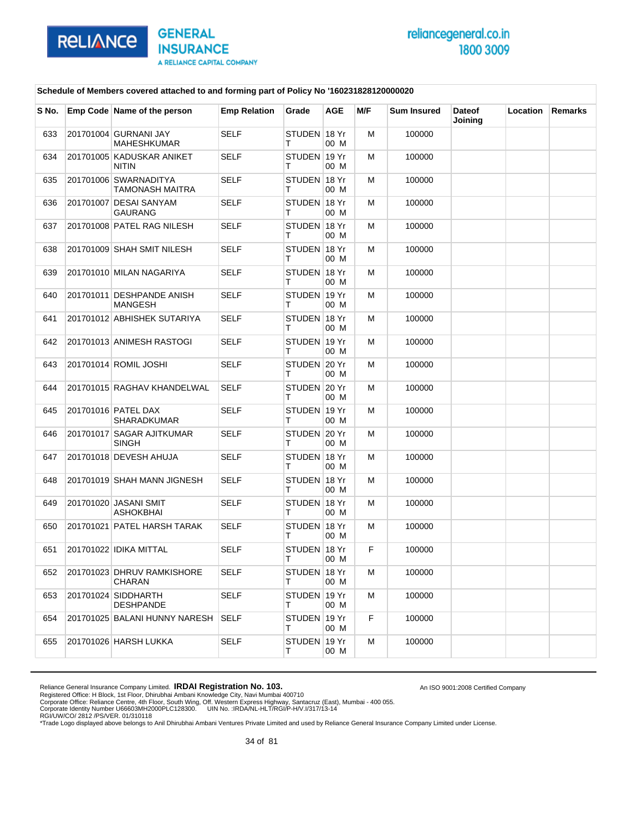

An ISO 9001:2008 Certified Company

### **Schedule of Members covered attached to and forming part of Policy No '160231828120000020**

| S No. | Emp Code Name of the person                 | <b>Emp Relation</b> | Grade              | <b>AGE</b> | M/F | <b>Sum Insured</b> | <b>Dateof</b><br>Joining | Location | Remarks |
|-------|---------------------------------------------|---------------------|--------------------|------------|-----|--------------------|--------------------------|----------|---------|
| 633   | 201701004 GURNANI JAY<br><b>MAHESHKUMAR</b> | <b>SELF</b>         | STUDEN 18 Yr<br>т  | 00 M       | M   | 100000             |                          |          |         |
| 634   | 201701005 KADUSKAR ANIKET<br><b>NITIN</b>   | <b>SELF</b>         | STUDEN 19 Yr<br>т  | 00 M       | м   | 100000             |                          |          |         |
| 635   | 201701006 SWARNADITYA<br>TAMONASH MAITRA    | <b>SELF</b>         | STUDEN 18 Yr<br>т  | 00 M       | м   | 100000             |                          |          |         |
| 636   | 201701007 DESAI SANYAM<br>GAURANG           | <b>SELF</b>         | STUDEN 18 Yr<br>т  | 00 M       | M   | 100000             |                          |          |         |
| 637   | 201701008 PATEL RAG NILESH                  | <b>SELF</b>         | STUDEN 18 Yr<br>т  | 00 M       | м   | 100000             |                          |          |         |
| 638   | 201701009 SHAH SMIT NILESH                  | <b>SELF</b>         | STUDEN 18 Yr<br>т  | 00 M       | м   | 100000             |                          |          |         |
| 639   | 201701010 MILAN NAGARIYA                    | <b>SELF</b>         | STUDEN 18 Yr<br>т  | 00 M       | M   | 100000             |                          |          |         |
| 640   | 201701011 DESHPANDE ANISH<br><b>MANGESH</b> | <b>SELF</b>         | STUDEN 19 Yr<br>т  | 00 M       | м   | 100000             |                          |          |         |
| 641   | 201701012 ABHISHEK SUTARIYA                 | <b>SELF</b>         | STUDEN 18 Yr<br>т  | 00 M       | м   | 100000             |                          |          |         |
| 642   | 201701013 ANIMESH RASTOGI                   | <b>SELF</b>         | STUDEN 19 Yr<br>T. | 00 M       | M   | 100000             |                          |          |         |
| 643   | 201701014 ROMIL JOSHI                       | SELF                | STUDEN 20 Yr<br>т  | 00 M       | м   | 100000             |                          |          |         |
| 644   | 201701015 RAGHAV KHANDELWAL                 | <b>SELF</b>         | STUDEN 20 Yr<br>т  | 00 M       | м   | 100000             |                          |          |         |
| 645   | 201701016 PATEL DAX<br>SHARADKUMAR          | <b>SELF</b>         | STUDEN 19 Yr<br>т  | 00 M       | M   | 100000             |                          |          |         |
| 646   | 201701017 SAGAR AJITKUMAR<br><b>SINGH</b>   | <b>SELF</b>         | STUDEN 20 Yr<br>т  | 00 M       | м   | 100000             |                          |          |         |
| 647   | 201701018 DEVESH AHUJA                      | <b>SELF</b>         | STUDEN 18 Yr<br>т  | 00 M       | м   | 100000             |                          |          |         |
| 648   | 201701019 SHAH MANN JIGNESH                 | <b>SELF</b>         | STUDEN 18 Yr<br>T. | 00 M       | M   | 100000             |                          |          |         |
| 649   | 201701020 JASANI SMIT<br><b>ASHOKBHAI</b>   | <b>SELF</b>         | STUDEN 18 Yr<br>т  | 00 M       | м   | 100000             |                          |          |         |
| 650   | 201701021 PATEL HARSH TARAK                 | <b>SELF</b>         | STUDEN 18 Yr<br>т  | 00 M       | м   | 100000             |                          |          |         |
| 651   | 201701022 IDIKA MITTAL                      | <b>SELF</b>         | STUDEN 18 Yr<br>т  | 00 M       | F.  | 100000             |                          |          |         |
| 652   | 201701023 DHRUV RAMKISHORE<br><b>CHARAN</b> | SELF                | STUDEN ∣18 Yr<br>т | 00 M       | M   | 100000             |                          |          |         |
| 653   | 201701024 SIDDHARTH<br><b>DESHPANDE</b>     | SELF                | STUDEN 19 Yr<br>T. | 00 M       | м   | 100000             |                          |          |         |
| 654   | 201701025 BALANI HUNNY NARESH               | <b>SELF</b>         | STUDEN 19 Yr<br>T. | 00 M       | F.  | 100000             |                          |          |         |
| 655   | 201701026 HARSH LUKKA                       | <b>SELF</b>         | STUDEN 19 Yr<br>т  | 00 M       | м   | 100000             |                          |          |         |

Reliance General Insurance Company Limited. **IRDAI Registration No. 103.**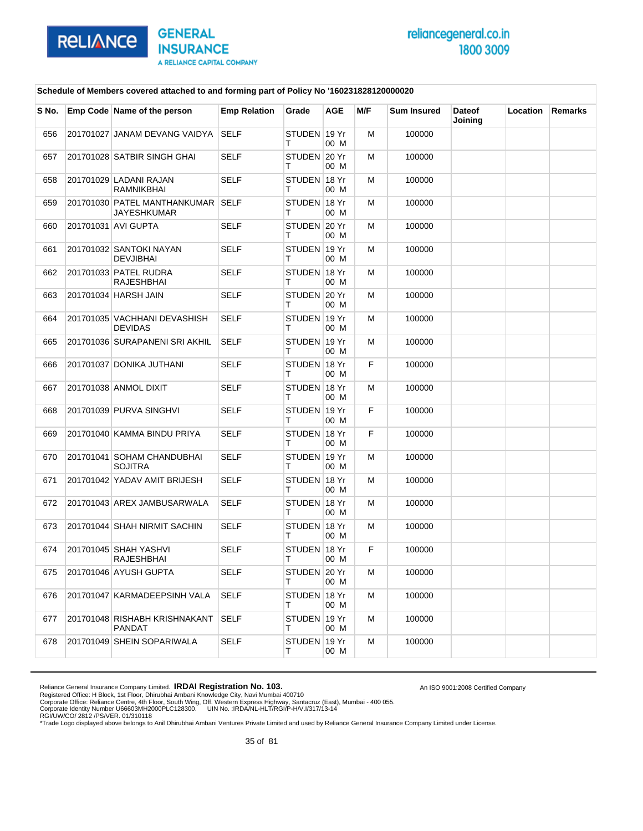

An ISO 9001:2008 Certified Company

### **Schedule of Members covered attached to and forming part of Policy No '160231828120000020**

| S No. | Emp Code Name of the person                      | <b>Emp Relation</b> | Grade             | <b>AGE</b>    | M/F | <b>Sum Insured</b> | <b>Dateof</b><br>Joining | Location | <b>Remarks</b> |
|-------|--------------------------------------------------|---------------------|-------------------|---------------|-----|--------------------|--------------------------|----------|----------------|
| 656   | 201701027 JANAM DEVANG VAIDYA                    | <b>SELF</b>         | STUDEN 19 Yr<br>т | 00 M          | м   | 100000             |                          |          |                |
| 657   | 201701028 SATBIR SINGH GHAI                      | <b>SELF</b>         | STUDEN 20 Yr<br>т | 00 M          | м   | 100000             |                          |          |                |
| 658   | 201701029 LADANI RAJAN<br>RAMNIKBHAI             | <b>SELF</b>         | STUDEN 18 Yr<br>т | 00 M          | м   | 100000             |                          |          |                |
| 659   | 201701030 PATEL MANTHANKUMAR SELF<br>JAYESHKUMAR |                     | STUDEN 18 Yr<br>т | 00 M          | м   | 100000             |                          |          |                |
| 660   | 201701031 AVI GUPTA                              | <b>SELF</b>         | STUDEN 20 Yr<br>т | 00 M          | м   | 100000             |                          |          |                |
| 661   | 201701032 SANTOKI NAYAN<br><b>DEVJIBHAI</b>      | <b>SELF</b>         | STUDEN 19 Yr<br>т | 00 M          | м   | 100000             |                          |          |                |
| 662   | 201701033 PATEL RUDRA<br>RAJESHBHAI              | <b>SELF</b>         | STUDEN 18 Yr<br>т | 00 M          | м   | 100000             |                          |          |                |
| 663   | 201701034 HARSH JAIN                             | <b>SELF</b>         | STUDEN 20 Yr<br>т | 00 M          | м   | 100000             |                          |          |                |
| 664   | 201701035 VACHHANI DEVASHISH<br><b>DEVIDAS</b>   | <b>SELF</b>         | STUDEN 19 Yr<br>т | 00 M          | м   | 100000             |                          |          |                |
| 665   | 201701036 SURAPANENI SRI AKHIL                   | <b>SELF</b>         | STUDEN 19 Yr<br>т | 00 M          | м   | 100000             |                          |          |                |
| 666   | 201701037 DONIKA JUTHANI                         | <b>SELF</b>         | STUDEN 18 Yr<br>т | 00 M          | F.  | 100000             |                          |          |                |
| 667   | 201701038 ANMOL DIXIT                            | <b>SELF</b>         | STUDEN 18 Yr<br>т | 00 M          | м   | 100000             |                          |          |                |
| 668   | 201701039 PURVA SINGHVI                          | <b>SELF</b>         | STUDEN 19 Yr<br>т | 00 M          | F.  | 100000             |                          |          |                |
| 669   | 201701040 KAMMA BINDU PRIYA                      | <b>SELF</b>         | STUDEN 18 Yr<br>т | 00 M          | F.  | 100000             |                          |          |                |
| 670   | 201701041 SOHAM CHANDUBHAI<br><b>SOJITRA</b>     | <b>SELF</b>         | STUDEN 19 Yr<br>т | 00 M          | м   | 100000             |                          |          |                |
| 671   | 201701042 YADAV AMIT BRIJESH                     | <b>SELF</b>         | STUDEN 18 Yr<br>т | 00 M          | м   | 100000             |                          |          |                |
| 672   | 201701043 AREX JAMBUSARWALA                      | <b>SELF</b>         | STUDEN 18 Yr<br>т | 00 M          | м   | 100000             |                          |          |                |
| 673   | 201701044 SHAH NIRMIT SACHIN                     | <b>SELF</b>         | STUDEN 18 Yr<br>т | 00 M          | м   | 100000             |                          |          |                |
| 674   | 201701045 SHAH YASHVI<br>RAJESHBHAI              | <b>SELF</b>         | STUDEN<br>т       | 18 Yr<br>00 M | F.  | 100000             |                          |          |                |
| 675   | 201701046 AYUSH GUPTA                            | <b>SELF</b>         | STUDEN 20 Yr<br>т | 00 M          | M   | 100000             |                          |          |                |
| 676   | 201701047 KARMADEEPSINH VALA                     | <b>SELF</b>         | STUDEN 18 Yr<br>т | 00 M          | м   | 100000             |                          |          |                |
| 677   | 201701048 RISHABH KRISHNAKANT<br>PANDAT          | <b>SELF</b>         | STUDEN 19 Yr<br>т | 00 M          | м   | 100000             |                          |          |                |
| 678   | 201701049 SHEIN SOPARIWALA                       | <b>SELF</b>         | STUDEN 19 Yr<br>т | 00 M          | м   | 100000             |                          |          |                |

Reliance General Insurance Company Limited. **IRDAI Registration No. 103.**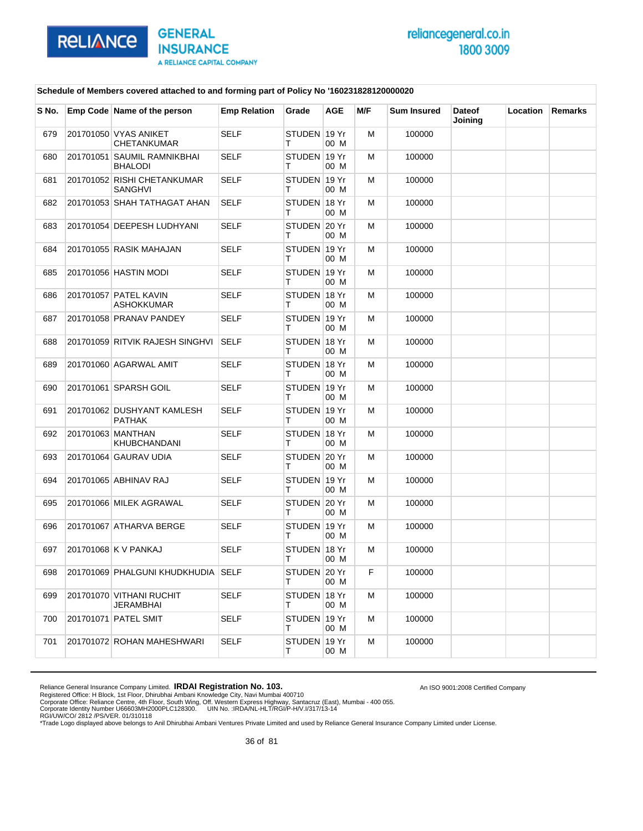

An ISO 9001:2008 Certified Company

### **Schedule of Members covered attached to and forming part of Policy No '160231828120000020**

| S No. | Emp Code Name of the person                   | <b>Emp Relation</b> | Grade             | AGE  | M/F | <b>Sum Insured</b> | <b>Dateof</b><br>Joining | Location | Remarks |
|-------|-----------------------------------------------|---------------------|-------------------|------|-----|--------------------|--------------------------|----------|---------|
| 679   | 201701050 VYAS ANIKET<br>CHETANKUMAR          | <b>SELF</b>         | STUDEN 19 Yr<br>т | 00 M | М   | 100000             |                          |          |         |
| 680   | 201701051 SAUMIL RAMNIKBHAI<br><b>BHALODI</b> | SELF                | STUDEN 19 Yr<br>т | 00 M | м   | 100000             |                          |          |         |
| 681   | 201701052 RISHI CHETANKUMAR<br>SANGHVI        | <b>SELF</b>         | STUDEN 19 Yr<br>т | 00 M | м   | 100000             |                          |          |         |
| 682   | 201701053 SHAH TATHAGAT AHAN                  | <b>SELF</b>         | STUDEN 18 Yr<br>т | 00 M | М   | 100000             |                          |          |         |
| 683   | 201701054 DEEPESH LUDHYANI                    | <b>SELF</b>         | STUDEN 20 Yr<br>т | 00 M | м   | 100000             |                          |          |         |
| 684   | 201701055 RASIK MAHAJAN                       | <b>SELF</b>         | STUDEN 19 Yr<br>т | 00 M | м   | 100000             |                          |          |         |
| 685   | 201701056 HASTIN MODI                         | <b>SELF</b>         | STUDEN 19 Yr<br>т | 00 M | М   | 100000             |                          |          |         |
| 686   | 201701057 PATEL KAVIN<br>ASHOKKUMAR           | <b>SELF</b>         | STUDEN 18 Yr<br>т | 00 M | м   | 100000             |                          |          |         |
| 687   | 201701058 PRANAV PANDEY                       | <b>SELF</b>         | STUDEN 19 Yr<br>т | 00 M | м   | 100000             |                          |          |         |
| 688   | 201701059 RITVIK RAJESH SINGHVI               | SELF                | STUDEN 18 Yr<br>Τ | 00 M | М   | 100000             |                          |          |         |
| 689   | 201701060 AGARWAL AMIT                        | SELF                | STUDEN 18 Yr<br>т | 00 M | м   | 100000             |                          |          |         |
| 690   | 201701061 SPARSH GOIL                         | <b>SELF</b>         | STUDEN 19 Yr<br>т | 00 M | м   | 100000             |                          |          |         |
| 691   | 201701062 DUSHYANT KAMLESH<br>PATHAK          | <b>SELF</b>         | STUDEN 19 Yr<br>т | 00 M | М   | 100000             |                          |          |         |
| 692   | 201701063 MANTHAN<br>KHUBCHANDANI             | <b>SELF</b>         | STUDEN 18 Yr<br>т | 00 M | м   | 100000             |                          |          |         |
| 693   | 201701064 GAURAV UDIA                         | SELF                | STUDEN 20 Yr<br>т | 00 M | м   | 100000             |                          |          |         |
| 694   | 201701065 ABHINAV RAJ                         | <b>SELF</b>         | STUDEN 19 Yr<br>т | 00 M | М   | 100000             |                          |          |         |
| 695   | 201701066 MILEK AGRAWAL                       | <b>SELF</b>         | STUDEN 20 Yr<br>т | 00 M | м   | 100000             |                          |          |         |
| 696   | 201701067 ATHARVA BERGE                       | <b>SELF</b>         | STUDEN 19 Yr<br>т | 00 M | м   | 100000             |                          |          |         |
| 697   | 201701068 K V PANKAJ                          | <b>SELF</b>         | STUDEN 18 Yr<br>Τ | 00 M | М   | 100000             |                          |          |         |
| 698   | 201701069 PHALGUNI KHUDKHUDIA SELF            |                     | STUDEN 20 Yr<br>т | 00 M | F   | 100000             |                          |          |         |
| 699   | 201701070 VITHANI RUCHIT<br>JERAMBHAI         | SELF                | STUDEN 18 Yr<br>Τ | 00 M | м   | 100000             |                          |          |         |
| 700   | 201701071 PATEL SMIT                          | <b>SELF</b>         | STUDEN 19 Yr<br>Τ | 00 M | м   | 100000             |                          |          |         |
| 701   | 201701072 ROHAN MAHESHWARI                    | <b>SELF</b>         | STUDEN 19 Yr<br>т | 00 M | м   | 100000             |                          |          |         |

Reliance General Insurance Company Limited. **IRDAI Registration No. 103.**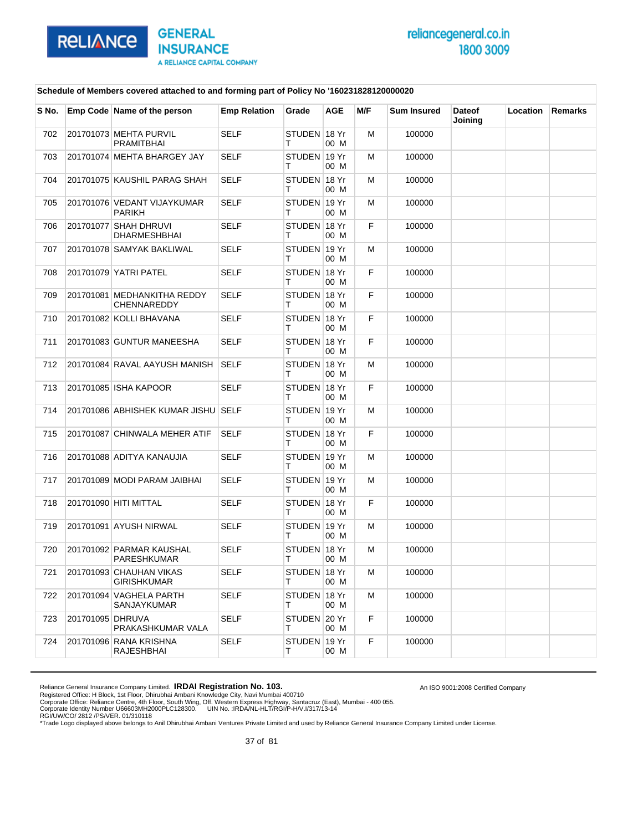

An ISO 9001:2008 Certified Company

### **Schedule of Members covered attached to and forming part of Policy No '160231828120000020**

| S No. |                  | Emp Code Name of the person                       | <b>Emp Relation</b> | Grade              | AGE  | M/F | <b>Sum Insured</b> | <b>Dateof</b><br>Joining | Location | Remarks |
|-------|------------------|---------------------------------------------------|---------------------|--------------------|------|-----|--------------------|--------------------------|----------|---------|
| 702   |                  | 201701073 MEHTA PURVIL<br>PRAMITBHAI              | <b>SELF</b>         | STUDEN 18 Yr<br>т  | 00 M | M   | 100000             |                          |          |         |
| 703   |                  | 201701074 MEHTA BHARGEY JAY                       | SELF                | STUDEN 19 Yr<br>т  | 00 M | м   | 100000             |                          |          |         |
| 704   |                  | 201701075 KAUSHIL PARAG SHAH                      | <b>SELF</b>         | STUDEN 18 Yr<br>т  | 00 M | м   | 100000             |                          |          |         |
| 705   |                  | 201701076 VEDANT VIJAYKUMAR<br><b>PARIKH</b>      | <b>SELF</b>         | STUDEN 19 Yr<br>т  | 00 M | M   | 100000             |                          |          |         |
| 706   |                  | 201701077 SHAH DHRUVI<br><b>DHARMESHBHAI</b>      | <b>SELF</b>         | STUDEN 18 Yr<br>т  | 00 M | F   | 100000             |                          |          |         |
| 707   |                  | 201701078 SAMYAK BAKLIWAL                         | <b>SELF</b>         | STUDEN 19 Yr<br>т  | 00 M | м   | 100000             |                          |          |         |
| 708   |                  | 201701079 YATRI PATEL                             | <b>SELF</b>         | STUDEN 18 Yr<br>т  | 00 M | F.  | 100000             |                          |          |         |
| 709   |                  | 201701081 MEDHANKITHA REDDY<br><b>CHENNAREDDY</b> | <b>SELF</b>         | STUDEN 18 Yr<br>т  | 00 M | F   | 100000             |                          |          |         |
| 710   |                  | 201701082 KOLLI BHAVANA                           | <b>SELF</b>         | STUDEN 18 Yr<br>т  | 00 M | F   | 100000             |                          |          |         |
| 711   |                  | 201701083 GUNTUR MANEESHA                         | <b>SELF</b>         | STUDEN 18 Yr<br>T. | 00 M | F.  | 100000             |                          |          |         |
| 712   |                  | 201701084 RAVAL AAYUSH MANISH                     | SELF                | STUDEN 18 Yr<br>т  | 00 M | м   | 100000             |                          |          |         |
| 713   |                  | 201701085 ISHA KAPOOR                             | <b>SELF</b>         | STUDEN 18 Yr<br>т  | 00 M | F   | 100000             |                          |          |         |
| 714   |                  | 201701086 ABHISHEK KUMAR JISHU SELF               |                     | STUDEN 19 Yr<br>т  | 00 M | M   | 100000             |                          |          |         |
| 715   |                  | 201701087 CHINWALA MEHER ATIF                     | <b>SELF</b>         | STUDEN 18 Yr<br>т  | 00 M | F   | 100000             |                          |          |         |
| 716   |                  | 201701088 ADITYA KANAUJIA                         | <b>SELF</b>         | STUDEN 19 Yr<br>т  | 00 M | м   | 100000             |                          |          |         |
| 717   |                  | 201701089 MODI PARAM JAIBHAI                      | <b>SELF</b>         | STUDEN 19 Yr<br>T. | 00 M | M   | 100000             |                          |          |         |
| 718   |                  | 201701090 HITI MITTAL                             | <b>SELF</b>         | STUDEN 18 Yr<br>т  | 00 M | F   | 100000             |                          |          |         |
| 719   |                  | 201701091 AYUSH NIRWAL                            | <b>SELF</b>         | STUDEN 19 Yr<br>т  | 00 M | м   | 100000             |                          |          |         |
| 720   |                  | 201701092 PARMAR KAUSHAL<br>PARESHKUMAR           | <b>SELF</b>         | STUDEN 18 Yr<br>т  | 00 M | M   | 100000             |                          |          |         |
| 721   |                  | 201701093 CHAUHAN VIKAS<br><b>GIRISHKUMAR</b>     | SELF                | STUDEN ∣18 Yr<br>т | 00 M | M   | 100000             |                          |          |         |
| 722   |                  | 201701094 VAGHELA PARTH<br>SANJAYKUMAR            | <b>SELF</b>         | STUDEN 18 Yr<br>T. | 00 M | м   | 100000             |                          |          |         |
| 723   | 201701095 DHRUVA | PRAKASHKUMAR VALA                                 | <b>SELF</b>         | STUDEN 20 Yr<br>T. | 00 M | F   | 100000             |                          |          |         |
| 724   |                  | 201701096 RANA KRISHNA<br><b>RAJESHBHAI</b>       | SELF                | STUDEN 19 Yr<br>т  | 00 M | F   | 100000             |                          |          |         |

Reliance General Insurance Company Limited. **IRDAI Registration No. 103.**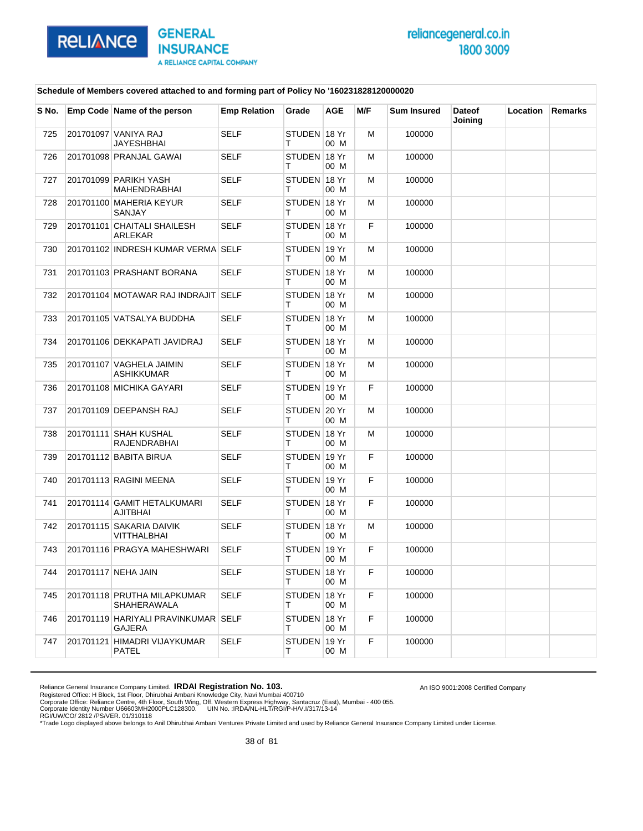

An ISO 9001:2008 Certified Company

### **Schedule of Members covered attached to and forming part of Policy No '160231828120000020**

| S No. | Emp Code Name of the person                   | <b>Emp Relation</b> | Grade              | <b>AGE</b> | M/F | <b>Sum Insured</b> | <b>Dateof</b><br>Joining | Location | Remarks |
|-------|-----------------------------------------------|---------------------|--------------------|------------|-----|--------------------|--------------------------|----------|---------|
| 725   | 201701097 VANIYA RAJ<br><b>JAYESHBHAI</b>     | <b>SELF</b>         | STUDEN 18 Yr<br>т  | 00 M       | M   | 100000             |                          |          |         |
| 726   | 201701098 PRANJAL GAWAI                       | SELF                | STUDEN 18 Yr<br>т  | 00 M       | м   | 100000             |                          |          |         |
| 727   | 201701099 PARIKH YASH<br><b>MAHENDRABHAI</b>  | <b>SELF</b>         | STUDEN 18 Yr<br>т  | 00 M       | M   | 100000             |                          |          |         |
| 728   | 201701100 MAHERIA KEYUR<br>SANJAY             | <b>SELF</b>         | STUDEN 18 Yr<br>т  | 00 M       | M   | 100000             |                          |          |         |
| 729   | 201701101 CHAITALI SHAILESH<br>ARLEKAR        | <b>SELF</b>         | STUDEN 18 Yr<br>т  | 00 M       | F   | 100000             |                          |          |         |
| 730   | 201701102 INDRESH KUMAR VERMA SELF            |                     | STUDEN 19 Yr<br>т  | 00 M       | м   | 100000             |                          |          |         |
| 731   | 201701103 PRASHANT BORANA                     | <b>SELF</b>         | STUDEN 18 Yr<br>т  | 00 M       | M   | 100000             |                          |          |         |
| 732   | 201701104 MOTAWAR RAJ INDRAJIT SELF           |                     | STUDEN 18 Yr<br>т  | 00 M       | м   | 100000             |                          |          |         |
| 733   | 201701105 VATSALYA BUDDHA                     | <b>SELF</b>         | STUDEN 18 Yr<br>т  | 00 M       | M   | 100000             |                          |          |         |
| 734   | 201701106 DEKKAPATI JAVIDRAJ                  | <b>SELF</b>         | STUDEN 18 Yr<br>т  | 00 M       | M   | 100000             |                          |          |         |
| 735   | 201701107 VAGHELA JAIMIN<br>ASHIKKUMAR        | <b>SELF</b>         | STUDEN 18 Yr<br>т  | 00 M       | M   | 100000             |                          |          |         |
| 736   | 201701108 MICHIKA GAYARI                      | <b>SELF</b>         | STUDEN 19 Yr<br>т  | 00 M       | F.  | 100000             |                          |          |         |
| 737   | 201701109 DEEPANSH RAJ                        | <b>SELF</b>         | STUDEN 20 Yr<br>т  | 00 M       | M   | 100000             |                          |          |         |
| 738   | 201701111 SHAH KUSHAL<br>RAJENDRABHAI         | SELF                | STUDEN 18 Yr<br>т  | 00 M       | м   | 100000             |                          |          |         |
| 739   | 201701112 BABITA BIRUA                        | <b>SELF</b>         | STUDEN 19 Yr<br>т  | 00 M       | F.  | 100000             |                          |          |         |
| 740   | 201701113 RAGINI MEENA                        | <b>SELF</b>         | STUDEN 19 Yr<br>т  | 00 M       | F.  | 100000             |                          |          |         |
| 741   | 201701114 GAMIT HETALKUMARI<br>AJITBHAI       | SELF                | STUDEN 18 Yr<br>т  | 00 M       | F   | 100000             |                          |          |         |
| 742   | 201701115 SAKARIA DAIVIK<br>VITTHALBHAI       | <b>SELF</b>         | STUDEN 18 Yr<br>т  | 00 M       | M   | 100000             |                          |          |         |
| 743   | 201701116 PRAGYA MAHESHWARI                   | <b>SELF</b>         | STUDEN 19 Yr<br>т  | 00 M       | F.  | 100000             |                          |          |         |
| 744   | 201701117 NEHA JAIN                           | SELF                | STUDEN ∣18 Yr<br>т | 00 M       | F   | 100000             |                          |          |         |
| 745   | 201701118 PRUTHA MILAPKUMAR<br>SHAHERAWALA    | <b>SELF</b>         | STUDEN 18 Yr<br>т  | 00 M       | F.  | 100000             |                          |          |         |
| 746   | 201701119 HARIYALI PRAVINKUMAR SELF<br>GAJERA |                     | STUDEN 18 Yr<br>т  | 00 M       | F.  | 100000             |                          |          |         |
| 747   | 201701121 HIMADRI VIJAYKUMAR<br>PATEL         | SELF                | STUDEN 19 Yr<br>т  | 00 M       | F.  | 100000             |                          |          |         |

Reliance General Insurance Company Limited. **IRDAI Registration No. 103.**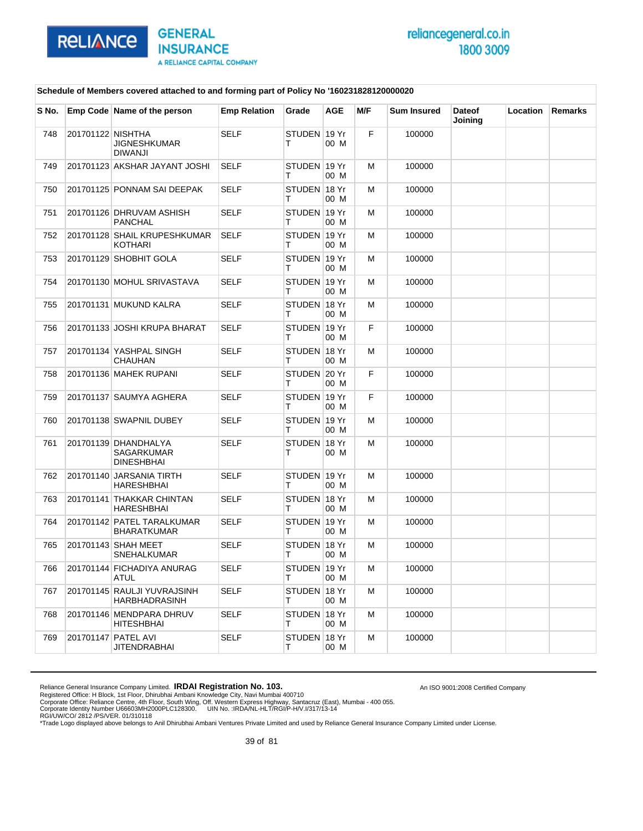

An ISO 9001:2008 Certified Company

#### **Schedule of Members covered attached to and forming part of Policy No '160231828120000020**

| S No. |                   | Emp Code Name of the person                             | <b>Emp Relation</b> | Grade             | <b>AGE</b> | M/F | <b>Sum Insured</b> | <b>Dateof</b><br>Joining | Location | <b>Remarks</b> |
|-------|-------------------|---------------------------------------------------------|---------------------|-------------------|------------|-----|--------------------|--------------------------|----------|----------------|
| 748   | 201701122 NISHTHA | JIGNESHKUMAR<br><b>DIWANJI</b>                          | <b>SELF</b>         | STUDEN 19 Yr<br>т | 00 M       | F   | 100000             |                          |          |                |
| 749   |                   | 201701123 AKSHAR JAYANT JOSHI                           | <b>SELF</b>         | STUDEN 19 Yr<br>т | 00 M       | M   | 100000             |                          |          |                |
| 750   |                   | 201701125 PONNAM SAI DEEPAK                             | <b>SELF</b>         | STUDEN 18 Yr<br>т | 00 M       | М   | 100000             |                          |          |                |
| 751   |                   | 201701126 DHRUVAM ASHISH<br>PANCHAL                     | <b>SELF</b>         | STUDEN 19 Yr<br>т | 00 M       | м   | 100000             |                          |          |                |
| 752   |                   | 201701128 SHAIL KRUPESHKUMAR<br>KOTHARI                 | <b>SELF</b>         | STUDEN 19 Yr<br>т | 00 M       | м   | 100000             |                          |          |                |
| 753   |                   | 201701129 SHOBHIT GOLA                                  | <b>SELF</b>         | STUDEN 19 Yr<br>т | 00 M       | м   | 100000             |                          |          |                |
| 754   |                   | 201701130 MOHUL SRIVASTAVA                              | <b>SELF</b>         | STUDEN 19 Yr<br>т | 00 M       | м   | 100000             |                          |          |                |
| 755   |                   | 201701131 MUKUND KALRA                                  | <b>SELF</b>         | STUDEN 18 Yr<br>т | 00 M       | м   | 100000             |                          |          |                |
| 756   |                   | 201701133 JOSHI KRUPA BHARAT                            | <b>SELF</b>         | STUDEN 19 Yr<br>т | 00 M       | F.  | 100000             |                          |          |                |
| 757   |                   | 201701134 YASHPAL SINGH<br>CHAUHAN                      | <b>SELF</b>         | STUDEN 18 Yr<br>т | 00 M       | м   | 100000             |                          |          |                |
| 758   |                   | 201701136 MAHEK RUPANI                                  | <b>SELF</b>         | STUDEN 20 Yr<br>т | 00 M       | F.  | 100000             |                          |          |                |
| 759   |                   | 201701137 SAUMYA AGHERA                                 | <b>SELF</b>         | STUDEN 19 Yr<br>т | 00 M       | F   | 100000             |                          |          |                |
| 760   |                   | 201701138 SWAPNIL DUBEY                                 | <b>SELF</b>         | STUDEN 19 Yr<br>т | 00 M       | м   | 100000             |                          |          |                |
| 761   |                   | 201701139 DHANDHALYA<br><b>SAGARKUMAR</b><br>DINESHBHAI | SELF                | STUDEN 18 Yr<br>т | 00 M       | м   | 100000             |                          |          |                |
| 762   |                   | 201701140 JARSANIA TIRTH<br>HARESHBHAI                  | <b>SELF</b>         | STUDEN 19 Yr<br>т | 00 M       | м   | 100000             |                          |          |                |
| 763   |                   | 201701141 THAKKAR CHINTAN<br>HARESHBHAI                 | <b>SELF</b>         | STUDEN 18 Yr<br>т | 00 M       | м   | 100000             |                          |          |                |
| 764   |                   | 201701142 PATEL TARALKUMAR<br>BHARATKUMAR               | <b>SELF</b>         | STUDEN 19 Yr<br>т | 00 M       | м   | 100000             |                          |          |                |
| 765   |                   | 201701143 SHAH MEET<br>SNEHALKUMAR                      | <b>SELF</b>         | STUDEN 18 Yr<br>т | 00 M       | м   | 100000             |                          |          |                |
| 766   |                   | 201701144 FICHADIYA ANURAG<br>ATUL                      | <b>SELF</b>         | STUDEN 19 Yr<br>т | 00 M       | M   | 100000             |                          |          |                |
| 767   |                   | 201701145 RAULJI YUVRAJSINH<br><b>HARBHADRASINH</b>     | <b>SELF</b>         | STUDEN 18 Yr<br>Τ | 00 M       | м   | 100000             |                          |          |                |
| 768   |                   | 201701146 MENDPARA DHRUV<br><b>HITESHBHAI</b>           | <b>SELF</b>         | STUDEN 18 Yr<br>Τ | 00 M       | м   | 100000             |                          |          |                |
| 769   |                   | 201701147 PATEL AVI<br>JITENDRABHAI                     | <b>SELF</b>         | STUDEN 18 Yr<br>Τ | 00 M       | М   | 100000             |                          |          |                |

Reliance General Insurance Company Limited. **IRDAI Registration No. 103.**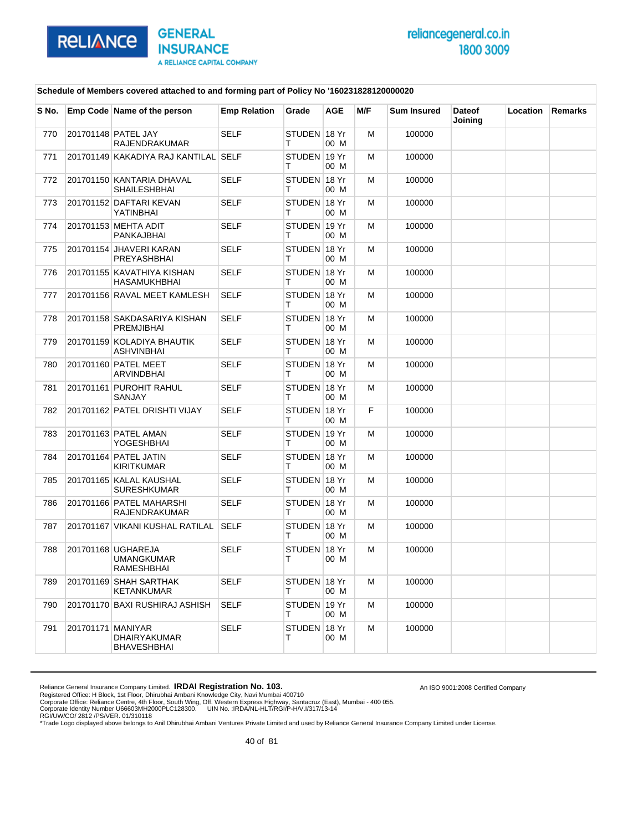

An ISO 9001:2008 Certified Company

### **Schedule of Members covered attached to and forming part of Policy No '160231828120000020**

| S No. |                   | Emp Code Name of the person                     | <b>Emp Relation</b> | Grade              | AGE  | M/F | <b>Sum Insured</b> | <b>Dateof</b><br>Joining | Location | Remarks |
|-------|-------------------|-------------------------------------------------|---------------------|--------------------|------|-----|--------------------|--------------------------|----------|---------|
| 770   |                   | 201701148 PATEL JAY<br><b>RAJENDRAKUMAR</b>     | <b>SELF</b>         | STUDEN 18 Yr<br>т  | 00 M | M   | 100000             |                          |          |         |
| 771   |                   | 201701149 KAKADIYA RAJ KANTILAL SELF            |                     | STUDEN 19 Yr<br>т  | 00 M | м   | 100000             |                          |          |         |
| 772   |                   | 201701150 KANTARIA DHAVAL<br>SHAILESHBHAI       | <b>SELF</b>         | STUDEN 18 Yr<br>т  | 00 M | м   | 100000             |                          |          |         |
| 773   |                   | 201701152 DAFTARI KEVAN<br>YATINBHAI            | <b>SELF</b>         | STUDEN 18 Yr<br>т  | 00 M | M   | 100000             |                          |          |         |
| 774   |                   | 201701153 MEHTA ADIT<br>PANKAJBHAI              | <b>SELF</b>         | STUDEN 19 Yr<br>т  | 00 M | м   | 100000             |                          |          |         |
| 775   |                   | 201701154 JHAVERI KARAN<br>PREYASHBHAI          | <b>SELF</b>         | STUDEN 18 Yr<br>т  | 00 M | M   | 100000             |                          |          |         |
| 776   |                   | 201701155 KAVATHIYA KISHAN<br>HASAMUKHBHAI      | <b>SELF</b>         | STUDEN 18 Yr<br>т  | 00 M | M   | 100000             |                          |          |         |
| 777   |                   | 201701156 RAVAL MEET KAMLESH                    | <b>SELF</b>         | STUDEN 18 Yr<br>т  | 00 M | м   | 100000             |                          |          |         |
| 778   |                   | 201701158 SAKDASARIYA KISHAN<br>PREMJIBHAI      | <b>SELF</b>         | STUDEN 18 Yr<br>т  | 00 M | M   | 100000             |                          |          |         |
| 779   |                   | 201701159 KOLADIYA BHAUTIK<br><b>ASHVINBHAI</b> | <b>SELF</b>         | STUDEN 18 Yr<br>т  | 00 M | M   | 100000             |                          |          |         |
| 780   |                   | 201701160 PATEL MEET<br>ARVINDBHAI              | <b>SELF</b>         | STUDEN 18 Yr<br>т  | 00 M | м   | 100000             |                          |          |         |
| 781   |                   | 201701161 PUROHIT RAHUL<br>SANJAY               | <b>SELF</b>         | STUDEN 18 Yr<br>т  | 00 M | м   | 100000             |                          |          |         |
| 782   |                   | 201701162 PATEL DRISHTI VIJAY                   | <b>SELF</b>         | STUDEN 18 Yr<br>т  | 00 M | F.  | 100000             |                          |          |         |
| 783   |                   | 201701163 PATEL AMAN<br>YOGESHBHAI              | <b>SELF</b>         | STUDEN 19 Yr<br>т  | 00 M | м   | 100000             |                          |          |         |
| 784   |                   | 201701164 PATEL JATIN<br>KIRITKUMAR             | <b>SELF</b>         | STUDEN 18 Yr<br>т  | 00 M | M   | 100000             |                          |          |         |
| 785   |                   | 201701165 KALAL KAUSHAL<br><b>SURESHKUMAR</b>   | <b>SELF</b>         | STUDEN 18 Yr<br>т  | 00 M | M   | 100000             |                          |          |         |
| 786   |                   | 201701166 PATEL MAHARSHI<br>RAJENDRAKUMAR       | <b>SELF</b>         | STUDEN 18 Yr<br>т  | 00 M | м   | 100000             |                          |          |         |
| 787   |                   | 201701167 VIKANI KUSHAL RATILAL                 | <b>SELF</b>         | STUDEN 18 Yr<br>т  | 00 M | м   | 100000             |                          |          |         |
| 788   |                   | 201701168 UGHAREJA<br>UMANGKUMAR<br>RAMESHBHAI  | <b>SELF</b>         | STUDEN 18 Yr<br>т  | 00 M | M   | 100000             |                          |          |         |
| 789   |                   | 201701169 SHAH SARTHAK<br>KETANKUMAR            | SELF                | STUDEN 18 Yr<br>T. | 00 M | м   | 100000             |                          |          |         |
| 790   |                   | 201701170 BAXI RUSHIRAJ ASHISH                  | SELF                | STUDEN 19 Yr<br>T. | 00 M | м   | 100000             |                          |          |         |
| 791   | 201701171 MANIYAR | <b>DHAIRYAKUMAR</b><br>BHAVESHBHAI              | <b>SELF</b>         | STUDEN 18 Yr<br>T. | 00 M | M   | 100000             |                          |          |         |

Reliance General Insurance Company Limited. **IRDAI Registration No. 103.**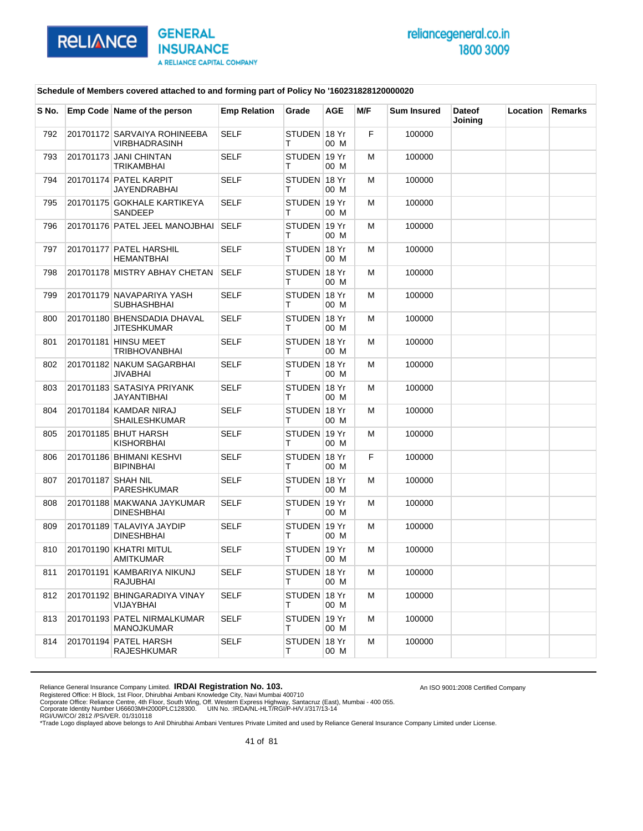

An ISO 9001:2008 Certified Company

### **Schedule of Members covered attached to and forming part of Policy No '160231828120000020**

| S No. |                    | Emp Code Name of the person                     | <b>Emp Relation</b> | Grade             | <b>AGE</b>    | M/F | <b>Sum Insured</b> | <b>Dateof</b><br>Joining | Location | <b>Remarks</b> |
|-------|--------------------|-------------------------------------------------|---------------------|-------------------|---------------|-----|--------------------|--------------------------|----------|----------------|
| 792   |                    | 201701172 SARVAIYA ROHINEEBA<br>VIRBHADRASINH   | <b>SELF</b>         | STUDEN 18 Yr<br>т | 00 M          | F.  | 100000             |                          |          |                |
| 793   |                    | 201701173 JANI CHINTAN<br>TRIKAMBHAI            | <b>SELF</b>         | STUDEN 19 Yr<br>т | 00 M          | м   | 100000             |                          |          |                |
| 794   |                    | 201701174 PATEL KARPIT<br>JAYENDRABHAI          | <b>SELF</b>         | STUDEN 18 Yr<br>т | 00 M          | м   | 100000             |                          |          |                |
| 795   |                    | 201701175 GOKHALE KARTIKEYA<br>SANDEEP          | <b>SELF</b>         | STUDEN 19 Yr<br>т | 00 M          | м   | 100000             |                          |          |                |
| 796   |                    | 201701176 PATEL JEEL MANOJBHAI                  | <b>SELF</b>         | STUDEN 19 Yr<br>т | 00 M          | м   | 100000             |                          |          |                |
| 797   |                    | 201701177 PATEL HARSHIL<br>HEMANTBHAI           | <b>SELF</b>         | STUDEN 18 Yr<br>т | 00 M          | м   | 100000             |                          |          |                |
| 798   |                    | 201701178 MISTRY ABHAY CHETAN                   | SELF                | STUDEN 18 Yr<br>т | 00 M          | м   | 100000             |                          |          |                |
| 799   |                    | 201701179 NAVAPARIYA YASH<br>SUBHASHBHAI        | <b>SELF</b>         | STUDEN 18 Yr<br>т | 00 M          | м   | 100000             |                          |          |                |
| 800   |                    | 201701180 BHENSDADIA DHAVAL<br>JITESHKUMAR      | <b>SELF</b>         | STUDEN 18 Yr<br>т | 00 M          | м   | 100000             |                          |          |                |
| 801   |                    | 201701181 HINSU MEET<br>TRIBHOVANBHAI           | <b>SELF</b>         | STUDEN 18 Yr<br>т | 00 M          | м   | 100000             |                          |          |                |
| 802   |                    | 201701182 NAKUM SAGARBHAI<br>JIVABHAI           | <b>SELF</b>         | STUDEN 18 Yr<br>т | 00 M          | м   | 100000             |                          |          |                |
| 803   |                    | 201701183 SATASIYA PRIYANK<br>JAYANTIBHAI       | <b>SELF</b>         | STUDEN 18 Yr<br>т | 00 M          | м   | 100000             |                          |          |                |
| 804   |                    | 201701184 KAMDAR NIRAJ<br>SHAILESHKUMAR         | <b>SELF</b>         | STUDEN 18 Yr<br>т | 00 M          | м   | 100000             |                          |          |                |
| 805   |                    | 201701185 BHUT HARSH<br>KISHORBHAI              | <b>SELF</b>         | STUDEN 19 Yr<br>т | 00 M          | м   | 100000             |                          |          |                |
| 806   |                    | 201701186 BHIMANI KESHVI<br><b>BIPINBHAI</b>    | <b>SELF</b>         | STUDEN 18 Yr<br>т | 00 M          | F.  | 100000             |                          |          |                |
| 807   | 201701187 SHAH NIL | PARESHKUMAR                                     | <b>SELF</b>         | STUDEN 18 Yr<br>т | 00 M          | м   | 100000             |                          |          |                |
| 808   |                    | 201701188 MAKWANA JAYKUMAR<br><b>DINESHBHAI</b> | <b>SELF</b>         | STUDEN 19 Yr<br>т | 00 M          | м   | 100000             |                          |          |                |
| 809   |                    | 201701189 TALAVIYA JAYDIP<br><b>DINESHBHAI</b>  | SELF                | STUDEN 19 Yr<br>т | 00 M          | м   | 100000             |                          |          |                |
| 810   |                    | 201701190 KHATRI MITUL<br>AMITKUMAR             | <b>SELF</b>         | STUDEN<br>т       | 19 Yr<br>00 M | м   | 100000             |                          |          |                |
| 811   |                    | 201701191 KAMBARIYA NIKUNJ<br>RAJUBHAI          | <b>SELF</b>         | STUDEN 18 Yr<br>т | 00 M          | M   | 100000             |                          |          |                |
| 812   |                    | 201701192 BHINGARADIYA VINAY<br>VIJAYBHAI       | <b>SELF</b>         | STUDEN 18 Yr<br>т | 00 M          | м   | 100000             |                          |          |                |
| 813   |                    | 201701193 PATEL NIRMALKUMAR<br>MANOJKUMAR       | <b>SELF</b>         | STUDEN 19 Yr<br>т | 00 M          | м   | 100000             |                          |          |                |
| 814   |                    | 201701194 PATEL HARSH<br><b>RAJESHKUMAR</b>     | <b>SELF</b>         | STUDEN 18 Yr<br>т | 00 M          | м   | 100000             |                          |          |                |

Reliance General Insurance Company Limited. **IRDAI Registration No. 103.**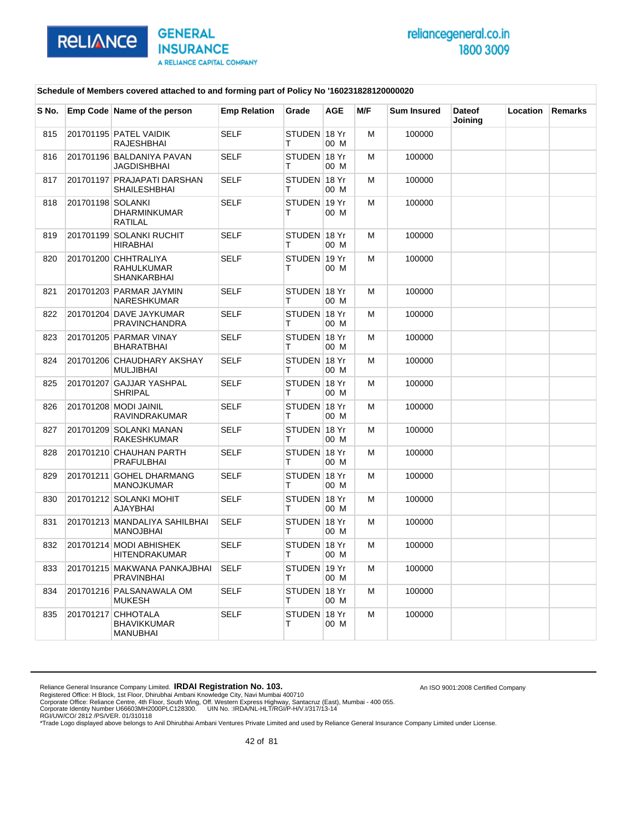

An ISO 9001:2008 Certified Company

### **Schedule of Members covered attached to and forming part of Policy No '160231828120000020**

| S No. |                   | Emp Code Name of the person                                 | <b>Emp Relation</b> | Grade             | <b>AGE</b> | M/F | <b>Sum Insured</b> | <b>Dateof</b><br>Joining | Location | <b>Remarks</b> |
|-------|-------------------|-------------------------------------------------------------|---------------------|-------------------|------------|-----|--------------------|--------------------------|----------|----------------|
| 815   |                   | 201701195 PATEL VAIDIK<br><b>RAJESHBHAI</b>                 | <b>SELF</b>         | STUDEN 18 Yr<br>т | 00 M       | M   | 100000             |                          |          |                |
| 816   |                   | 201701196 BALDANIYA PAVAN<br>JAGDISHBHAI                    | <b>SELF</b>         | STUDEN 18 Yr<br>Т | 00 M       | м   | 100000             |                          |          |                |
| 817   |                   | 201701197 PRAJAPATI DARSHAN<br>SHAILESHBHAI                 | <b>SELF</b>         | STUDEN 18 Yr<br>т | 00 M       | M   | 100000             |                          |          |                |
| 818   | 201701198 SOLANKI | <b>DHARMINKUMAR</b><br><b>RATILAL</b>                       | <b>SELF</b>         | STUDEN 19 Yr<br>т | 00 M       | M   | 100000             |                          |          |                |
| 819   |                   | 201701199 SOLANKI RUCHIT<br><b>HIRABHAI</b>                 | <b>SELF</b>         | STUDEN 18 Yr<br>т | 00 M       | M   | 100000             |                          |          |                |
| 820   |                   | 201701200 CHHTRALIYA<br>RAHULKUMAR<br><b>SHANKARBHAI</b>    | <b>SELF</b>         | STUDEN 19 Yr<br>т | 00 M       | M   | 100000             |                          |          |                |
| 821   |                   | 201701203 PARMAR JAYMIN<br>NARESHKUMAR                      | <b>SELF</b>         | STUDEN 18 Yr<br>т | 00 M       | M   | 100000             |                          |          |                |
| 822   |                   | 201701204 DAVE JAYKUMAR<br>PRAVINCHANDRA                    | <b>SELF</b>         | STUDEN 18 Yr<br>т | 00 M       | M   | 100000             |                          |          |                |
| 823   |                   | 201701205 PARMAR VINAY<br><b>BHARATBHAI</b>                 | <b>SELF</b>         | STUDEN 18 Yr<br>т | 00 M       | м   | 100000             |                          |          |                |
| 824   |                   | 201701206 CHAUDHARY AKSHAY<br><b>MULJIBHAI</b>              | <b>SELF</b>         | STUDEN 18 Yr<br>т | 00 M       | м   | 100000             |                          |          |                |
| 825   |                   | 201701207 GAJJAR YASHPAL<br><b>SHRIPAL</b>                  | <b>SELF</b>         | STUDEN 18 Yr<br>т | 00 M       | M   | 100000             |                          |          |                |
| 826   |                   | 201701208 MODI JAINIL<br>RAVINDRAKUMAR                      | <b>SELF</b>         | STUDEN 18 Yr<br>т | 00 M       | м   | 100000             |                          |          |                |
| 827   |                   | 201701209 SOLANKI MANAN<br>RAKESHKUMAR                      | <b>SELF</b>         | STUDEN 18 Yr<br>т | 00 M       | м   | 100000             |                          |          |                |
| 828   |                   | 201701210 CHAUHAN PARTH<br><b>PRAFULBHAI</b>                | <b>SELF</b>         | STUDEN 18 Yr<br>т | 00 M       | M   | 100000             |                          |          |                |
| 829   |                   | 201701211 GOHEL DHARMANG<br><b>MANOJKUMAR</b>               | <b>SELF</b>         | STUDEN 18 Yr<br>т | 00 M       | м   | 100000             |                          |          |                |
| 830   |                   | 201701212 SOLANKI MOHIT<br><b>AJAYBHAI</b>                  | <b>SELF</b>         | STUDEN 18 Yr<br>т | 00 M       | м   | 100000             |                          |          |                |
| 831   |                   | 201701213 MANDALIYA SAHILBHAI<br><b>MANOJBHAI</b>           | <b>SELF</b>         | STUDEN 18 Yr<br>т | 00 M       | м   | 100000             |                          |          |                |
| 832   |                   | 201701214 MODI ABHISHEK<br>HITENDRAKUMAR                    | <b>SELF</b>         | STUDEN 18 Yr<br>т | 00 M       | M   | 100000             |                          |          |                |
| 833   |                   | 201701215 MAKWANA PANKAJBHAI<br><b>PRAVINBHAI</b>           | <b>SELF</b>         | STUDEN 19 Yr<br>т | 00 M       | M   | 100000             |                          |          |                |
| 834   |                   | 201701216 PALSANAWALA OM<br><b>MUKESH</b>                   | <b>SELF</b>         | STUDEN 18 Yr<br>Т | 00 M       | M   | 100000             |                          |          |                |
| 835   |                   | 201701217 CHHOTALA<br><b>BHAVIKKUMAR</b><br><b>MANUBHAI</b> | <b>SELF</b>         | STUDEN 18 Yr<br>т | 00 M       | M   | 100000             |                          |          |                |

Reliance General Insurance Company Limited. **IRDAI Registration No. 103.**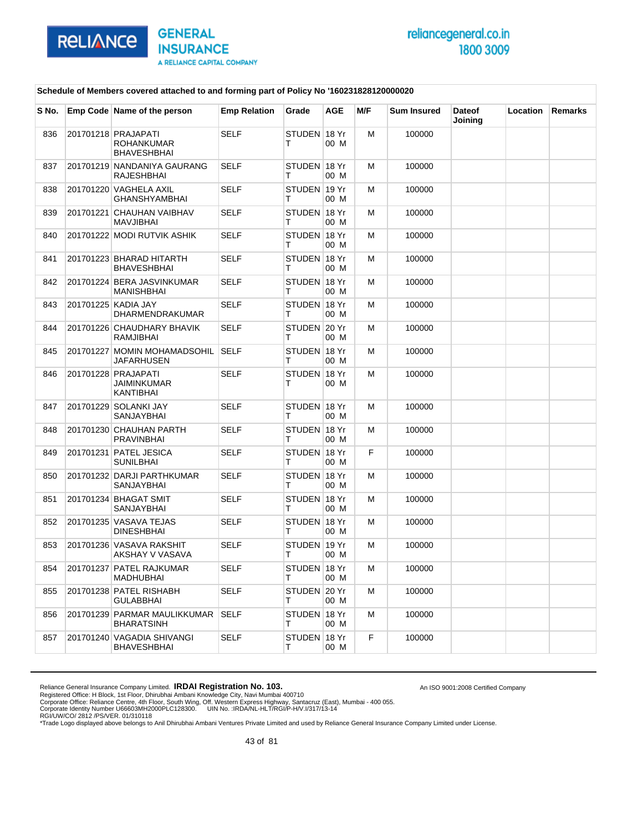

An ISO 9001:2008 Certified Company

#### **Schedule of Members covered attached to and forming part of Policy No '160231828120000020**

| S No. | Emp Code Name of the person                              | <b>Emp Relation</b> | Grade             | <b>AGE</b> | M/F | <b>Sum Insured</b> | <b>Dateof</b> | <b>Location</b> | <b>Remarks</b> |
|-------|----------------------------------------------------------|---------------------|-------------------|------------|-----|--------------------|---------------|-----------------|----------------|
| 836   | 201701218 PRAJAPATI<br>ROHANKUMAR                        | <b>SELF</b>         | STUDEN 18 Yr<br>т | 00 M       | м   | 100000             | Joining       |                 |                |
| 837   | BHAVESHBHAI<br>201701219 NANDANIYA GAURANG<br>RAJESHBHAI | <b>SELF</b>         | STUDEN 18 Yr<br>т | 00 M       | м   | 100000             |               |                 |                |
| 838   | 201701220 VAGHELA AXIL<br><b>GHANSHYAMBHAI</b>           | <b>SELF</b>         | STUDEN 19 Yr<br>т | 00 M       | м   | 100000             |               |                 |                |
| 839   | 201701221 CHAUHAN VAIBHAV<br>MAVJIBHAI                   | <b>SELF</b>         | STUDEN 18 Yr<br>т | 00 M       | м   | 100000             |               |                 |                |
| 840   | 201701222 MODI RUTVIK ASHIK                              | <b>SELF</b>         | STUDEN 18 Yr<br>т | 00 M       | м   | 100000             |               |                 |                |
| 841   | 201701223 BHARAD HITARTH<br>BHAVESHBHAI                  | <b>SELF</b>         | STUDEN 18 Yr<br>т | 00 M       | м   | 100000             |               |                 |                |
| 842   | 201701224 BERA JASVINKUMAR<br>MANISHBHAI                 | SELF                | STUDEN 18 Yr<br>т | 00 M       | м   | 100000             |               |                 |                |
| 843   | 201701225 KADIA JAY<br><b>DHARMENDRAKUMAR</b>            | <b>SELF</b>         | STUDEN 18 Yr<br>т | 00 M       | м   | 100000             |               |                 |                |
| 844   | 201701226 CHAUDHARY BHAVIK<br>RAMJIBHAI                  | <b>SELF</b>         | STUDEN 20 Yr<br>т | 00 M       | м   | 100000             |               |                 |                |
| 845   | 201701227 MOMIN MOHAMADSOHIL<br>JAFARHUSEN               | <b>SELF</b>         | STUDEN 18 Yr<br>т | 00 M       | M   | 100000             |               |                 |                |
| 846   | 201701228 PRAJAPATI<br>JAIMINKUMAR<br>KANTIBHAI          | <b>SELF</b>         | STUDEN 18 Yr<br>т | 00 M       | м   | 100000             |               |                 |                |
| 847   | 201701229 SOLANKI JAY<br>SANJAYBHAI                      | <b>SELF</b>         | STUDEN 18 Yr<br>т | 00 M       | м   | 100000             |               |                 |                |
| 848   | 201701230 CHAUHAN PARTH<br>PRAVINBHAI                    | SELF                | STUDEN 18 Yr<br>т | 00 M       | м   | 100000             |               |                 |                |
| 849   | 201701231 PATEL JESICA<br>SUNILBHAI                      | <b>SELF</b>         | STUDEN 18 Yr<br>т | 00 M       | F.  | 100000             |               |                 |                |
| 850   | 201701232 DARJI PARTHKUMAR<br>SANJAYBHAI                 | <b>SELF</b>         | STUDEN 18 Yr<br>т | 00 M       | м   | 100000             |               |                 |                |
| 851   | 201701234 BHAGAT SMIT<br>SANJAYBHAI                      | SELF                | STUDEN 18 Yr<br>т | 00 M       | м   | 100000             |               |                 |                |
| 852   | 201701235 VASAVA TEJAS<br>DINESHBHAI                     | <b>SELF</b>         | STUDEN 18 Yr<br>т | 00 M       | M   | 100000             |               |                 |                |
| 853   | 201701236 VASAVA RAKSHIT<br>AKSHAY V VASAVA              | <b>SELF</b>         | STUDEN 19 Yr<br>т | 00 M       | м   | 100000             |               |                 |                |
| 854   | 201701237 PATEL RAJKUMAR<br>MADHUBHAI                    | <b>SELF</b>         | STUDEN 18 Yr<br>т | 00 M       | M   | 100000             |               |                 |                |
| 855   | 201701238 PATEL RISHABH<br>GULABBHAI                     | <b>SELF</b>         | STUDEN 20 Yr<br>Τ | 00 M       | м   | 100000             |               |                 |                |
| 856   | 201701239 PARMAR MAULIKKUMAR<br><b>BHARATSINH</b>        | SELF                | STUDEN 18 Yr<br>Τ | 00 M       | м   | 100000             |               |                 |                |
| 857   | 201701240 VAGADIA SHIVANGI<br><b>BHAVESHBHAI</b>         | <b>SELF</b>         | STUDEN 18 Yr<br>Τ | 00 M       | F   | 100000             |               |                 |                |

Reliance General Insurance Company Limited. **IRDAI Registration No. 103.**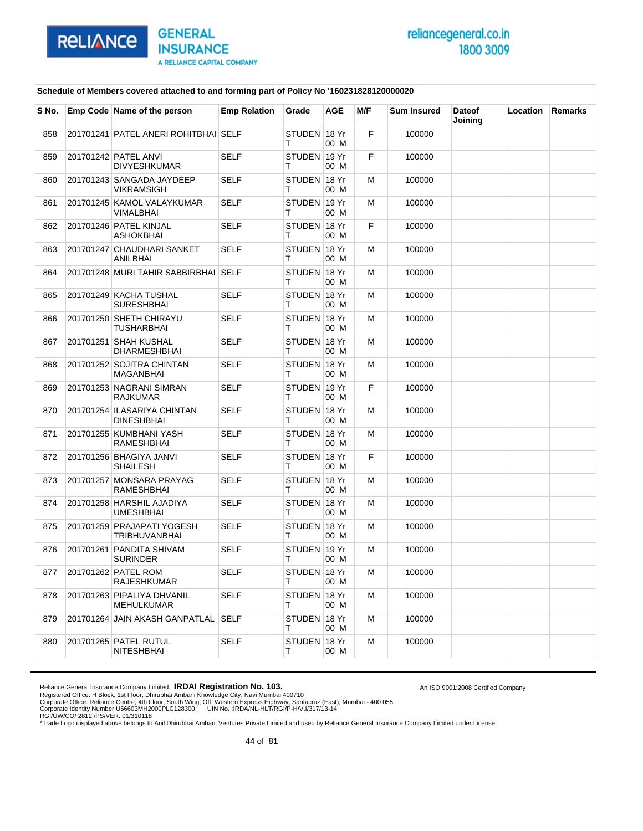

An ISO 9001:2008 Certified Company

### **Schedule of Members covered attached to and forming part of Policy No '160231828120000020**

| S No. | Emp Code Name of the person                        | <b>Emp Relation</b> | Grade             | <b>AGE</b>    | M/F | <b>Sum Insured</b> | <b>Dateof</b><br>Joining | Location | <b>Remarks</b> |
|-------|----------------------------------------------------|---------------------|-------------------|---------------|-----|--------------------|--------------------------|----------|----------------|
| 858   | 201701241 PATEL ANERI ROHITBHAI SELF               |                     | STUDEN 18 Yr<br>т | 00 M          | F.  | 100000             |                          |          |                |
| 859   | 201701242 PATEL ANVI<br>DIVYESHKUMAR               | <b>SELF</b>         | STUDEN 19 Yr<br>т | 00 M          | F   | 100000             |                          |          |                |
| 860   | 201701243 SANGADA JAYDEEP<br>VIKRAMSIGH            | SELF                | STUDEN 18 Yr<br>т | 00 M          | м   | 100000             |                          |          |                |
| 861   | 201701245 KAMOL VALAYKUMAR<br>VIMALBHAI            | <b>SELF</b>         | STUDEN 19 Yr<br>т | 00 M          | м   | 100000             |                          |          |                |
| 862   | 201701246 PATEL KINJAL<br><b>ASHOKBHAI</b>         | <b>SELF</b>         | STUDEN 18 Yr<br>т | 00 M          | F.  | 100000             |                          |          |                |
| 863   | 201701247 CHAUDHARI SANKET<br>ANILBHAI             | <b>SELF</b>         | STUDEN 18 Yr<br>т | 00 M          | м   | 100000             |                          |          |                |
| 864   | 201701248 MURI TAHIR SABBIRBHAI SELF               |                     | STUDEN 18 Yr<br>т | 00 M          | м   | 100000             |                          |          |                |
| 865   | 201701249 KACHA TUSHAL<br><b>SURESHBHAI</b>        | <b>SELF</b>         | STUDEN 18 Yr<br>т | 00 M          | м   | 100000             |                          |          |                |
| 866   | 201701250 SHETH CHIRAYU<br>TUSHARBHAI              | <b>SELF</b>         | STUDEN 18 Yr<br>т | 00 M          | м   | 100000             |                          |          |                |
| 867   | 201701251 SHAH KUSHAL<br>DHARMESHBHAI              | <b>SELF</b>         | STUDEN 18 Yr<br>т | 00 M          | м   | 100000             |                          |          |                |
| 868   | 201701252 SOJITRA CHINTAN<br>MAGANBHAI             | <b>SELF</b>         | STUDEN 18 Yr<br>т | 00 M          | м   | 100000             |                          |          |                |
| 869   | 201701253 NAGRANI SIMRAN<br><b>RAJKUMAR</b>        | <b>SELF</b>         | STUDEN 19 Yr<br>т | 00 M          | F.  | 100000             |                          |          |                |
| 870   | 201701254 ILASARIYA CHINTAN<br>DINESHBHAI          | <b>SELF</b>         | STUDEN 18 Yr<br>т | 00 M          | м   | 100000             |                          |          |                |
| 871   | 201701255 KUMBHANI YASH<br>RAMESHBHAI              | <b>SELF</b>         | STUDEN 18 Yr<br>т | 00 M          | м   | 100000             |                          |          |                |
| 872   | 201701256 BHAGIYA JANVI<br><b>SHAILESH</b>         | <b>SELF</b>         | STUDEN 18 Yr<br>т | 00 M          | F.  | 100000             |                          |          |                |
| 873   | 201701257 MONSARA PRAYAG<br>RAMESHBHAI             | <b>SELF</b>         | STUDEN 18 Yr<br>т | 00 M          | м   | 100000             |                          |          |                |
| 874   | 201701258 HARSHIL AJADIYA<br>UMESHBHAI             | <b>SELF</b>         | STUDEN 18 Yr<br>т | 00 M          | м   | 100000             |                          |          |                |
| 875   | 201701259 PRAJAPATI YOGESH<br><b>TRIBHUVANBHAI</b> | SELF                | STUDEN 18 Yr<br>т | 00 M          | м   | 100000             |                          |          |                |
| 876   | 201701261 PANDITA SHIVAM<br>SURINDER               | <b>SELF</b>         | STUDEN<br>т       | 19 Yr<br>00 M | м   | 100000             |                          |          |                |
| 877   | 201701262 PATEL ROM<br><b>RAJESHKUMAR</b>          | <b>SELF</b>         | STUDEN 18 Yr<br>т | 00 M          | M   | 100000             |                          |          |                |
| 878   | 201701263 PIPALIYA DHVANIL<br>MEHULKUMAR           | <b>SELF</b>         | STUDEN 18 Yr<br>т | 00 M          | м   | 100000             |                          |          |                |
| 879   | 201701264 JAIN AKASH GANPATLAL SELF                |                     | STUDEN 18 Yr<br>т | 00 M          | м   | 100000             |                          |          |                |
| 880   | 201701265 PATEL RUTUL<br>NITESHBHAI                | <b>SELF</b>         | STUDEN 18 Yr<br>т | 00 M          | м   | 100000             |                          |          |                |

Reliance General Insurance Company Limited. **IRDAI Registration No. 103.**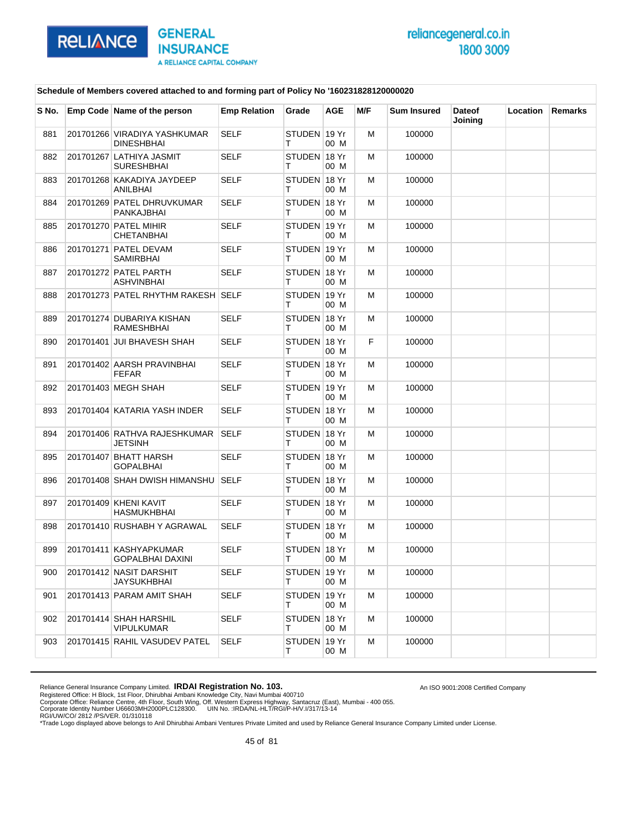

An ISO 9001:2008 Certified Company

### **Schedule of Members covered attached to and forming part of Policy No '160231828120000020**

| S No. | Emp Code Name of the person                   | <b>Emp Relation</b> | Grade              | <b>AGE</b> | M/F | <b>Sum Insured</b> | <b>Dateof</b><br>Joining | <b>Location</b> | <b>Remarks</b> |
|-------|-----------------------------------------------|---------------------|--------------------|------------|-----|--------------------|--------------------------|-----------------|----------------|
| 881   | 201701266 VIRADIYA YASHKUMAR<br>DINESHBHAI    | SELF                | STUDEN 19 Yr<br>т  | 00 M       | м   | 100000             |                          |                 |                |
| 882   | 201701267 LATHIYA JASMIT<br><b>SURESHBHAI</b> | <b>SELF</b>         | STUDEN 18 Yr<br>т  | 00 M       | м   | 100000             |                          |                 |                |
| 883   | 201701268 KAKADIYA JAYDEEP<br>ANILBHAI        | <b>SELF</b>         | STUDEN 18 Yr<br>т  | 00 M       | м   | 100000             |                          |                 |                |
| 884   | 201701269 PATEL DHRUVKUMAR<br>PANKAJBHAI      | <b>SELF</b>         | STUDEN 18 Yr<br>т  | 00 M       | м   | 100000             |                          |                 |                |
| 885   | 201701270 PATEL MIHIR<br>CHETANBHAI           | <b>SELF</b>         | STUDEN 19 Yr<br>т  | 00 M       | м   | 100000             |                          |                 |                |
| 886   | 201701271 PATEL DEVAM<br>SAMIRBHAI            | <b>SELF</b>         | STUDEN 19 Yr<br>т  | 00 M       | м   | 100000             |                          |                 |                |
| 887   | 201701272 PATEL PARTH<br>ASHVINBHAI           | <b>SELF</b>         | STUDEN 18 Yr<br>т  | 00 M       | м   | 100000             |                          |                 |                |
| 888   | 201701273 PATEL RHYTHM RAKESH SELF            |                     | STUDEN 19 Yr<br>т  | 00 M       | м   | 100000             |                          |                 |                |
| 889   | 201701274 DUBARIYA KISHAN<br>RAMESHBHAI       | <b>SELF</b>         | STUDEN 18 Yr<br>т  | 00 M       | м   | 100000             |                          |                 |                |
| 890   | 201701401 JUI BHAVESH SHAH                    | <b>SELF</b>         | STUDEN 18 Yr<br>т  | 00 M       | F.  | 100000             |                          |                 |                |
| 891   | 201701402 AARSH PRAVINBHAI<br><b>FEFAR</b>    | <b>SELF</b>         | STUDEN 18 Yr<br>т  | 00 M       | м   | 100000             |                          |                 |                |
| 892   | 201701403 MEGH SHAH                           | <b>SELF</b>         | STUDEN 19 Yr<br>т  | 00 M       | м   | 100000             |                          |                 |                |
| 893   | 201701404 KATARIA YASH INDER                  | <b>SELF</b>         | STUDEN 18 Yr<br>т  | 00 M       | м   | 100000             |                          |                 |                |
| 894   | 201701406 RATHVA RAJESHKUMAR<br>JETSINH       | <b>SELF</b>         | STUDEN 18 Yr<br>т  | 00 M       | м   | 100000             |                          |                 |                |
| 895   | 201701407 BHATT HARSH<br><b>GOPALBHAI</b>     | <b>SELF</b>         | STUDEN 18 Yr<br>т  | 00 M       | м   | 100000             |                          |                 |                |
| 896   | 201701408 SHAH DWISH HIMANSHU                 | SELF                | STUDEN 18 Yr<br>т  | 00 M       | м   | 100000             |                          |                 |                |
| 897   | 201701409 KHENI KAVIT<br><b>HASMUKHBHAI</b>   | <b>SELF</b>         | STUDEN 18 Yr<br>Т  | 00 M       | м   | 100000             |                          |                 |                |
| 898   | 201701410 RUSHABH Y AGRAWAL                   | SELF                | STUDEN 18 Yr<br>т  | 00 M       | м   | 100000             |                          |                 |                |
| 899   | 201701411 KASHYAPKUMAR<br>GOPALBHAI DAXINI    | <b>SELF</b>         | STUDEN 18 Yr<br>т  | 00 M       | м   | 100000             |                          |                 |                |
| 900   | 201701412 NASIT DARSHIT<br><b>JAYSUKHBHAI</b> | <b>SELF</b>         | STUDEN 19 Yr<br>т  | 00 M       | M   | 100000             |                          |                 |                |
| 901   | 201701413 PARAM AMIT SHAH                     | SELF                | STUDEN 19 Yr<br>т  | 00 M       | м   | 100000             |                          |                 |                |
| 902   | 201701414 SHAH HARSHIL<br>VIPULKUMAR          | <b>SELF</b>         | STUDEN 18 Yr<br>T. | 00 M       | м   | 100000             |                          |                 |                |
| 903   | 201701415 RAHIL VASUDEV PATEL                 | SELF                | STUDEN 19 Yr<br>т  | 00 M       | м   | 100000             |                          |                 |                |

Reliance General Insurance Company Limited. **IRDAI Registration No. 103.**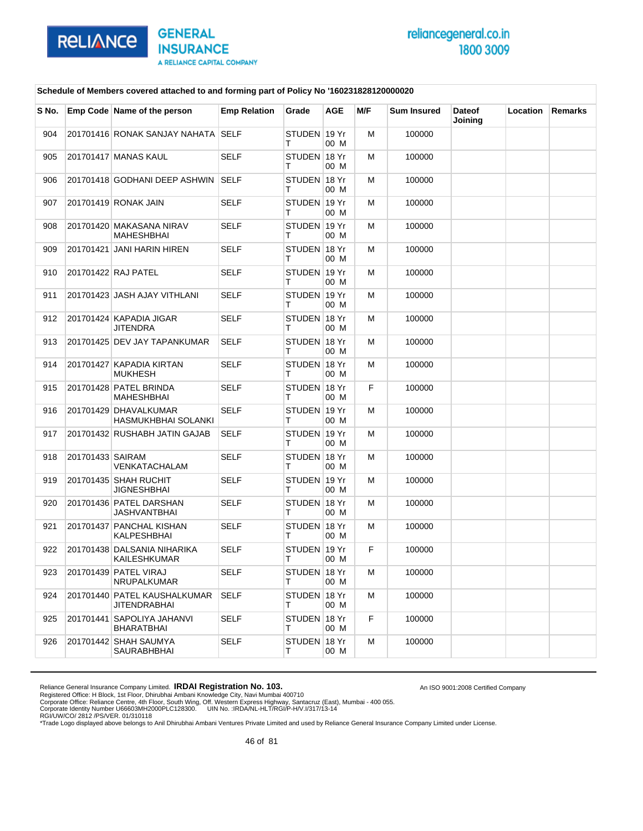

An ISO 9001:2008 Certified Company

### **Schedule of Members covered attached to and forming part of Policy No '160231828120000020**

| S No. |                  | Emp Code Name of the person                         | <b>Emp Relation</b> | Grade              | <b>AGE</b> | M/F | <b>Sum Insured</b> | <b>Dateof</b><br>Joining | Location | Remarks |
|-------|------------------|-----------------------------------------------------|---------------------|--------------------|------------|-----|--------------------|--------------------------|----------|---------|
| 904   |                  | 201701416 RONAK SANJAY NAHATA SELF                  |                     | STUDEN 19 Yr<br>т  | 00 M       | M   | 100000             |                          |          |         |
| 905   |                  | 201701417 MANAS KAUL                                | <b>SELF</b>         | STUDEN 18 Yr<br>т  | 00 M       | M   | 100000             |                          |          |         |
| 906   |                  | 201701418 GODHANI DEEP ASHWIN                       | <b>SELF</b>         | STUDEN 18 Yr<br>т  | 00 M       | M   | 100000             |                          |          |         |
| 907   |                  | 201701419 RONAK JAIN                                | <b>SELF</b>         | STUDEN 19 Yr<br>т  | 00 M       | M   | 100000             |                          |          |         |
| 908   |                  | 201701420 MAKASANA NIRAV<br><b>MAHESHBHAI</b>       | <b>SELF</b>         | STUDEN 19 Yr<br>т  | 00 M       | м   | 100000             |                          |          |         |
| 909   |                  | 201701421 JANI HARIN HIREN                          | <b>SELF</b>         | STUDEN 18 Yr<br>т  | 00 M       | м   | 100000             |                          |          |         |
| 910   |                  | 201701422 RAJ PATEL                                 | <b>SELF</b>         | STUDEN 19 Yr<br>т  | 00 M       | м   | 100000             |                          |          |         |
| 911   |                  | 201701423 JASH AJAY VITHLANI                        | SELF                | STUDEN 19 Yr<br>т  | 00 M       | м   | 100000             |                          |          |         |
| 912   |                  | 201701424 KAPADIA JIGAR<br><b>JITENDRA</b>          | <b>SELF</b>         | STUDEN 18 Yr<br>т  | 00 M       | м   | 100000             |                          |          |         |
| 913   |                  | 201701425 DEV JAY TAPANKUMAR                        | <b>SELF</b>         | STUDEN 18 Yr<br>т  | 00 M       | M   | 100000             |                          |          |         |
| 914   |                  | 201701427 KAPADIA KIRTAN<br><b>MUKHESH</b>          | <b>SELF</b>         | STUDEN 18 Yr<br>т  | 00 M       | M   | 100000             |                          |          |         |
| 915   |                  | 201701428 PATEL BRINDA<br>MAHESHBHAI                | <b>SELF</b>         | STUDEN 18 Yr<br>т  | 00 M       | F.  | 100000             |                          |          |         |
| 916   |                  | 201701429 DHAVALKUMAR<br>HASMUKHBHAI SOLANKI        | <b>SELF</b>         | STUDEN 19 Yr<br>т  | 00 M       | M   | 100000             |                          |          |         |
| 917   |                  | 201701432 RUSHABH JATIN GAJAB                       | SELF                | STUDEN 19 Yr<br>т  | 00 M       | м   | 100000             |                          |          |         |
| 918   | 201701433 SAIRAM | VENKATACHALAM                                       | <b>SELF</b>         | STUDEN 18 Yr<br>т  | 00 M       | M   | 100000             |                          |          |         |
| 919   |                  | 201701435 SHAH RUCHIT<br>JIGNESHBHAI                | <b>SELF</b>         | STUDEN 19 Yr<br>т  | 00 M       | M   | 100000             |                          |          |         |
| 920   |                  | 201701436 PATEL DARSHAN<br>JASHVANTBHAI             | SELF                | STUDEN 18 Yr<br>т  | 00 M       | м   | 100000             |                          |          |         |
| 921   |                  | 201701437 PANCHAL KISHAN<br>KALPESHBHAI             | <b>SELF</b>         | STUDEN 18 Yr<br>т  | 00 M       | M   | 100000             |                          |          |         |
| 922   |                  | 201701438 DALSANIA NIHARIKA<br>KAILESHKUMAR         | <b>SELF</b>         | STUDEN 19 Yr<br>т  | 00 M       | F   | 100000             |                          |          |         |
| 923   |                  | 201701439 PATEL VIRAJ<br><b>NRUPALKUMAR</b>         | SELF                | STUDEN ∣18 Yr<br>т | 00 M       | м   | 100000             |                          |          |         |
| 924   |                  | 201701440 PATEL KAUSHALKUMAR<br><b>JITENDRABHAI</b> | <b>SELF</b>         | STUDEN 18 Yr<br>т  | 00 M       | M   | 100000             |                          |          |         |
| 925   |                  | 201701441 SAPOLIYA JAHANVI<br>BHARATBHAI            | <b>SELF</b>         | STUDEN 18 Yr<br>т  | 00 M       | F   | 100000             |                          |          |         |
| 926   |                  | 201701442 SHAH SAUMYA<br>SAURABHBHAI                | SELF                | STUDEN 18 Yr<br>т  | 00 M       | M   | 100000             |                          |          |         |

Reliance General Insurance Company Limited. **IRDAI Registration No. 103.**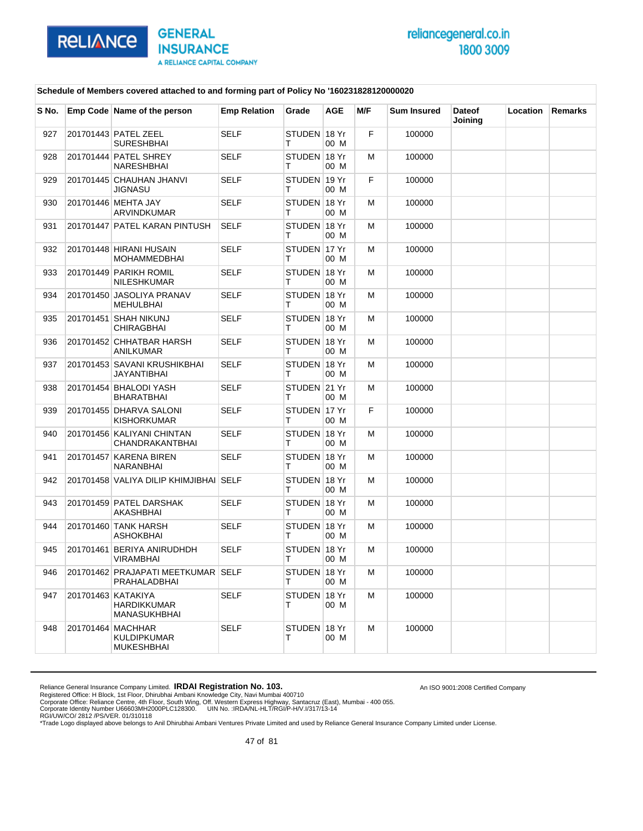

An ISO 9001:2008 Certified Company

### **Schedule of Members covered attached to and forming part of Policy No '160231828120000020**

| S No. | Emp Code Name of the person                        | <b>Emp Relation</b> | Grade              | <b>AGE</b> | M/F | <b>Sum Insured</b> | <b>Dateof</b><br>Joining | Location | Remarks |
|-------|----------------------------------------------------|---------------------|--------------------|------------|-----|--------------------|--------------------------|----------|---------|
| 927   | 201701443 PATEL ZEEL<br><b>SURESHBHAI</b>          | <b>SELF</b>         | STUDEN 18 Yr<br>т  | 00 M       | F.  | 100000             |                          |          |         |
| 928   | 201701444 PATEL SHREY<br>NARESHBHAI                | <b>SELF</b>         | STUDEN 18 Yr<br>т  | 00 M       | м   | 100000             |                          |          |         |
| 929   | 201701445 CHAUHAN JHANVI<br>JIGNASU                | SELF                | STUDEN 19 Yr<br>т  | 00 M       | F   | 100000             |                          |          |         |
| 930   | 201701446 MEHTA JAY<br><b>ARVINDKUMAR</b>          | <b>SELF</b>         | STUDEN 18 Yr<br>т  | 00 M       | М   | 100000             |                          |          |         |
| 931   | 201701447 PATEL KARAN PINTUSH                      | <b>SELF</b>         | STUDEN 18 Yr<br>т  | 00 M       | м   | 100000             |                          |          |         |
| 932   | 201701448 HIRANI HUSAIN<br>MOHAMMEDBHAI            | <b>SELF</b>         | STUDEN 17 Yr<br>т  | 00 M       | м   | 100000             |                          |          |         |
| 933   | 201701449 PARIKH ROMIL<br>NILESHKUMAR              | <b>SELF</b>         | STUDEN 18 Yr<br>т  | 00 M       | м   | 100000             |                          |          |         |
| 934   | 201701450 JASOLIYA PRANAV<br>MEHULBHAI             | SELF                | STUDEN 18 Yr<br>т  | 00 M       | м   | 100000             |                          |          |         |
| 935   | 201701451 SHAH NIKUNJ<br><b>CHIRAGBHAI</b>         | SELF                | STUDEN 18 Yr<br>т  | 00 M       | м   | 100000             |                          |          |         |
| 936   | 201701452 CHHATBAR HARSH<br>ANILKUMAR              | <b>SELF</b>         | STUDEN 18 Yr<br>т  | 00 M       | М   | 100000             |                          |          |         |
| 937   | 201701453 SAVANI KRUSHIKBHAI<br>JAYANTIBHAI        | SELF                | STUDEN 18 Yr<br>т  | 00 M       | м   | 100000             |                          |          |         |
| 938   | 201701454 BHALODI YASH<br>BHARATBHAI               | <b>SELF</b>         | STUDEN 21 Yr<br>т  | 00 M       | м   | 100000             |                          |          |         |
| 939   | 201701455 DHARVA SALONI<br>KISHORKUMAR             | <b>SELF</b>         | STUDEN 17 Yr<br>т  | 00 M       | F.  | 100000             |                          |          |         |
| 940   | 201701456 KALIYANI CHINTAN<br>CHANDRAKANTBHAI      | <b>SELF</b>         | STUDEN 18 Yr<br>т  | 00 M       | м   | 100000             |                          |          |         |
| 941   | 201701457 KARENA BIREN<br>NARANBHAI                | SELF                | STUDEN 18 Yr<br>т  | 00 M       | м   | 100000             |                          |          |         |
| 942   | 201701458 VALIYA DILIP KHIMJIBHAI SELF             |                     | STUDEN 18 Yr<br>т  | 00 M       | M   | 100000             |                          |          |         |
| 943   | 201701459 PATEL DARSHAK<br>AKASHBHAI               | <b>SELF</b>         | STUDEN 18 Yr<br>т  | 00 M       | м   | 100000             |                          |          |         |
| 944   | 201701460 TANK HARSH<br>ASHOKBHAI                  | <b>SELF</b>         | STUDEN 18 Yr<br>т  | 00 M       | м   | 100000             |                          |          |         |
| 945   | 201701461 BERIYA ANIRUDHDH<br>VIRAMBHAI            | <b>SELF</b>         | STUDEN 18 Yr<br>т  | 00 M       | М   | 100000             |                          |          |         |
| 946   | 201701462 PRAJAPATI MEETKUMAR SELF<br>PRAHALADBHAI |                     | STUDEN 18 Yr<br>т  | 00 M       | м   | 100000             |                          |          |         |
| 947   | 201701463 KATAKIYA<br>HARDIKKUMAR<br>MANASUKHBHAI  | <b>SELF</b>         | STUDEN 18 Yr<br>T. | 00 M       | м   | 100000             |                          |          |         |
| 948   | 201701464 MACHHAR<br>KULDIPKUMAR<br>MUKESHBHAI     | SELF                | STUDEN 18 Yr<br>T. | 00 M       | м   | 100000             |                          |          |         |

Reliance General Insurance Company Limited. **IRDAI Registration No. 103.**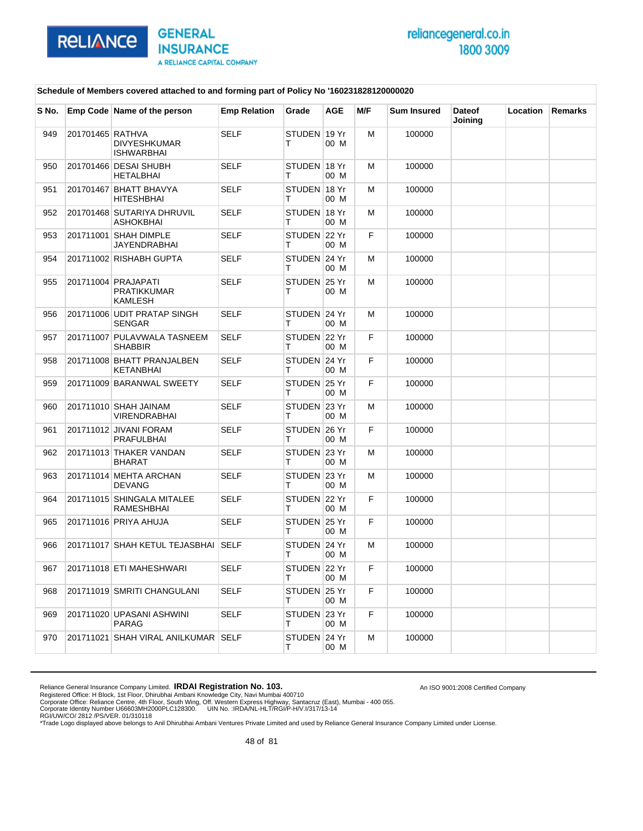

An ISO 9001:2008 Certified Company

### **Schedule of Members covered attached to and forming part of Policy No '160231828120000020**

| S No. |                  | Emp Code Name of the person                                 | <b>Emp Relation</b> | Grade              | <b>AGE</b> | M/F | <b>Sum Insured</b> | <b>Dateof</b><br>Joining | Location | <b>Remarks</b> |
|-------|------------------|-------------------------------------------------------------|---------------------|--------------------|------------|-----|--------------------|--------------------------|----------|----------------|
| 949   | 201701465 RATHVA | <b>DIVYESHKUMAR</b><br><b>ISHWARBHAI</b>                    | <b>SELF</b>         | STUDEN 19 Yr<br>т  | 00 M       | M   | 100000             |                          |          |                |
| 950   |                  | 201701466 DESAI SHUBH<br><b>HETALBHAI</b>                   | <b>SELF</b>         | STUDEN 18 Yr<br>т  | 00 M       | M   | 100000             |                          |          |                |
| 951   |                  | 201701467 BHATT BHAVYA<br><b>HITESHBHAI</b>                 | <b>SELF</b>         | STUDEN 18 Yr<br>т  | 00 M       | M   | 100000             |                          |          |                |
| 952   |                  | 201701468 SUTARIYA DHRUVIL<br>ASHOKBHAI                     | <b>SELF</b>         | STUDEN 18 Yr<br>т  | 00 M       | M   | 100000             |                          |          |                |
| 953   |                  | 201711001 SHAH DIMPLE<br>JAYENDRABHAI                       | <b>SELF</b>         | STUDEN 22 Yr<br>т  | 00 M       | F   | 100000             |                          |          |                |
| 954   |                  | 201711002 RISHABH GUPTA                                     | <b>SELF</b>         | STUDEN 24 Yr<br>т  | 00 M       | M   | 100000             |                          |          |                |
| 955   |                  | 201711004 PRAJAPATI<br><b>PRATIKKUMAR</b><br><b>KAMLESH</b> | <b>SELF</b>         | STUDEN 25 Yr<br>т  | 00 M       | M   | 100000             |                          |          |                |
| 956   |                  | 201711006 UDIT PRATAP SINGH<br><b>SENGAR</b>                | <b>SELF</b>         | STUDEN 24 Yr<br>т  | 00 M       | M   | 100000             |                          |          |                |
| 957   |                  | 201711007 PULAVWALA TASNEEM<br>SHABBIR                      | <b>SELF</b>         | STUDEN 22 Yr<br>т  | 00 M       | F   | 100000             |                          |          |                |
| 958   |                  | 201711008 BHATT PRANJALBEN<br><b>KETANBHAI</b>              | SELF                | STUDEN 24 Yr<br>т  | 00 M       | F   | 100000             |                          |          |                |
| 959   |                  | 201711009 BARANWAL SWEETY                                   | <b>SELF</b>         | STUDEN 25 Yr<br>т  | 00 M       | F   | 100000             |                          |          |                |
| 960   |                  | 201711010 SHAH JAINAM<br>VIRENDRABHAI                       | <b>SELF</b>         | STUDEN 23 Yr<br>т  | 00 M       | M   | 100000             |                          |          |                |
| 961   |                  | 201711012 JIVANI FORAM<br><b>PRAFULBHAI</b>                 | <b>SELF</b>         | STUDEN 26 Yr<br>т  | 00 M       | F   | 100000             |                          |          |                |
| 962   |                  | 201711013 THAKER VANDAN<br><b>BHARAT</b>                    | <b>SELF</b>         | STUDEN 23 Yr<br>т  | 00 M       | M   | 100000             |                          |          |                |
| 963   |                  | 201711014 MEHTA ARCHAN<br><b>DEVANG</b>                     | <b>SELF</b>         | STUDEN 23 Yr<br>т  | 00 M       | м   | 100000             |                          |          |                |
| 964   |                  | 201711015 SHINGALA MITALEE<br>RAMESHBHAI                    | <b>SELF</b>         | STUDEN 22 Yr<br>т  | 00 M       | F   | 100000             |                          |          |                |
| 965   |                  | 201711016 PRIYA AHUJA                                       | <b>SELF</b>         | STUDEN 25 Yr<br>т  | 00 M       | F   | 100000             |                          |          |                |
| 966   |                  | 201711017 SHAH KETUL TEJASBHAI SELF                         |                     | STUDEN 24 Yr<br>т  | 00 M       | M   | 100000             |                          |          |                |
| 967   |                  | 201711018 ETI MAHESHWARI                                    | <b>SELF</b>         | STUDEN 22 Yr<br>т  | 00 M       | F   | 100000             |                          |          |                |
| 968   |                  | 201711019 SMRITI CHANGULANI                                 | <b>SELF</b>         | STUDEN 25 Yr<br>T. | 00 M       | F.  | 100000             |                          |          |                |
| 969   |                  | 201711020 UPASANI ASHWINI<br>PARAG                          | <b>SELF</b>         | STUDEN 23 Yr<br>T. | 00 M       | F.  | 100000             |                          |          |                |
| 970   |                  | 201711021 SHAH VIRAL ANILKUMAR SELF                         |                     | STUDEN 24 Yr<br>T. | 00 M       | М   | 100000             |                          |          |                |

Reliance General Insurance Company Limited. **IRDAI Registration No. 103.**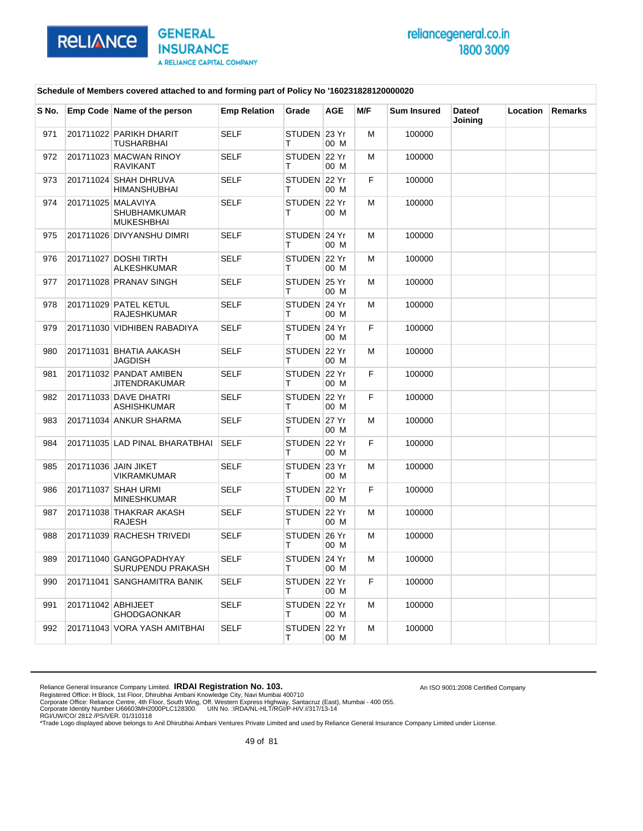

### **Schedule of Members covered attached to and forming part of Policy No '160231828120000020**

| S No. |                    | Emp Code Name of the person                             | <b>Emp Relation</b> | Grade             | <b>AGE</b> | M/F | <b>Sum Insured</b> | <b>Dateof</b><br>Joining | Location | Remarks |
|-------|--------------------|---------------------------------------------------------|---------------------|-------------------|------------|-----|--------------------|--------------------------|----------|---------|
| 971   |                    | 201711022 PARIKH DHARIT<br>TUSHARBHAI                   | <b>SELF</b>         | STUDEN 23 Yr<br>т | 00 M       | M   | 100000             |                          |          |         |
| 972   |                    | 201711023 MACWAN RINOY<br><b>RAVIKANT</b>               | <b>SELF</b>         | STUDEN 22 Yr<br>т | 00 M       | M   | 100000             |                          |          |         |
| 973   |                    | 201711024 SHAH DHRUVA<br><b>HIMANSHUBHAI</b>            | <b>SELF</b>         | STUDEN 22 Yr<br>т | 00 M       | F   | 100000             |                          |          |         |
| 974   |                    | 201711025 MALAVIYA<br>SHUBHAMKUMAR<br><b>MUKESHBHAI</b> | <b>SELF</b>         | STUDEN 22 Yr<br>т | 00 M       | M   | 100000             |                          |          |         |
| 975   |                    | 201711026 DIVYANSHU DIMRI                               | <b>SELF</b>         | STUDEN 24 Yr<br>т | 00 M       | м   | 100000             |                          |          |         |
| 976   |                    | 201711027 DOSHI TIRTH<br>ALKESHKUMAR                    | <b>SELF</b>         | STUDEN 22 Yr<br>т | 00 M       | M   | 100000             |                          |          |         |
| 977   |                    | 201711028 PRANAV SINGH                                  | <b>SELF</b>         | STUDEN 25 Yr<br>т | 00 M       | M   | 100000             |                          |          |         |
| 978   |                    | 201711029 PATEL KETUL<br>RAJESHKUMAR                    | <b>SELF</b>         | STUDEN 24 Yr<br>т | 00 M       | м   | 100000             |                          |          |         |
| 979   |                    | 201711030 VIDHIBEN RABADIYA                             | <b>SELF</b>         | STUDEN 24 Yr<br>т | 00 M       | F   | 100000             |                          |          |         |
| 980   |                    | 201711031 BHATIA AAKASH<br>JAGDISH                      | <b>SELF</b>         | STUDEN 22 Yr<br>т | 00 M       | M   | 100000             |                          |          |         |
| 981   |                    | 201711032 PANDAT AMIBEN<br>JITENDRAKUMAR                | <b>SELF</b>         | STUDEN 22 Yr<br>т | 00 M       | F   | 100000             |                          |          |         |
| 982   |                    | 201711033 DAVE DHATRI<br><b>ASHISHKUMAR</b>             | <b>SELF</b>         | STUDEN 22 Yr<br>T | 00 M       | F   | 100000             |                          |          |         |
| 983   |                    | 201711034 ANKUR SHARMA                                  | <b>SELF</b>         | STUDEN 27 Yr<br>т | 00 M       | M   | 100000             |                          |          |         |
| 984   |                    | 201711035 LAD PINAL BHARATBHAI                          | <b>SELF</b>         | STUDEN 22 Yr<br>т | 00 M       | F   | 100000             |                          |          |         |
| 985   |                    | 201711036 JAIN JIKET<br>VIKRAMKUMAR                     | <b>SELF</b>         | STUDEN 23 Yr<br>т | 00 M       | м   | 100000             |                          |          |         |
| 986   |                    | 201711037 SHAH URMI<br><b>MINESHKUMAR</b>               | <b>SELF</b>         | STUDEN 22 Yr<br>т | 00 M       | F   | 100000             |                          |          |         |
| 987   |                    | 201711038 THAKRAR AKASH<br><b>RAJESH</b>                | <b>SELF</b>         | STUDEN 22 Yr<br>т | 00 M       | м   | 100000             |                          |          |         |
| 988   |                    | 201711039 RACHESH TRIVEDI                               | <b>SELF</b>         | STUDEN 26 Yr<br>т | 00 M       | M   | 100000             |                          |          |         |
| 989   |                    | 201711040 GANGOPADHYAY<br>SURUPENDU PRAKASH             | <b>SELF</b>         | STUDEN 24 Yr<br>т | 00 M       | M   | 100000             |                          |          |         |
| 990   |                    | 201711041 SANGHAMITRA BANIK                             | <b>SELF</b>         | STUDEN 22 Yr<br>т | 00 M       | F   | 100000             |                          |          |         |
| 991   | 201711042 ABHIJEET | <b>GHODGAONKAR</b>                                      | <b>SELF</b>         | STUDEN 22 Yr<br>т | 00 M       | M   | 100000             |                          |          |         |
| 992   |                    | 201711043 VORA YASH AMITBHAI                            | <b>SELF</b>         | STUDEN 22 Yr<br>Τ | 00 M       | M   | 100000             |                          |          |         |

Reliance General Insurance Company Limited. **IRDAI Registration No. 103.** 

Registered Office: H Block, 1st Floor, Dhirubhai Ambani Knowledge City, Navi Mumbai 400710<br>Corporate Office: Reliance Centre, 4th Floor, South Wing, Off. Western Express Highway, Santacruz (East), Mumbai - 400 055.<br>Corpor

An ISO 9001:2008 Certified Company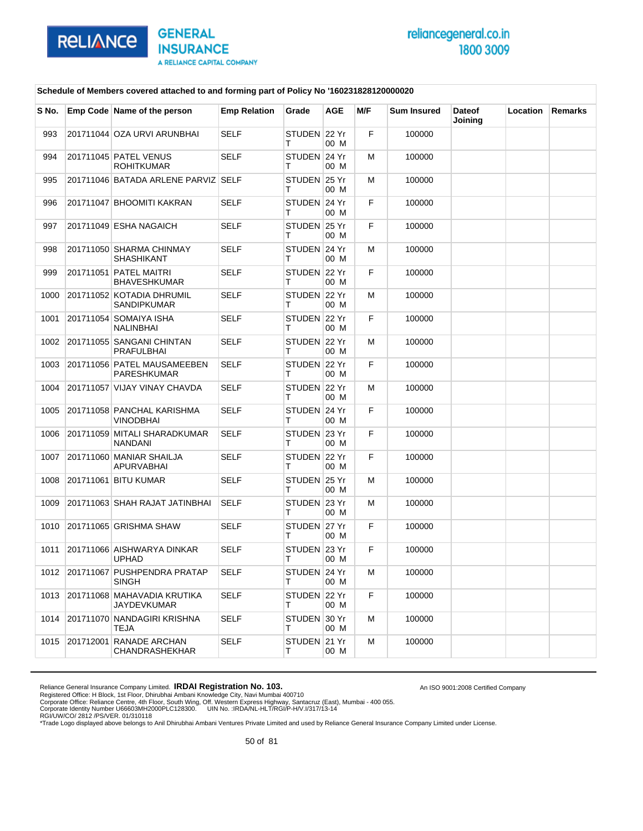

An ISO 9001:2008 Certified Company

### **Schedule of Members covered attached to and forming part of Policy No '160231828120000020**

| S No. | Emp Code Name of the person                       | <b>Emp Relation</b> | Grade              | <b>AGE</b> | M/F | <b>Sum Insured</b> | <b>Dateof</b><br>Joining | <b>Location</b> | <b>Remarks</b> |
|-------|---------------------------------------------------|---------------------|--------------------|------------|-----|--------------------|--------------------------|-----------------|----------------|
| 993   | 201711044 OZA URVI ARUNBHAI                       | <b>SELF</b>         | STUDEN 22 Yr<br>т  | 00 M       | F   | 100000             |                          |                 |                |
| 994   | 201711045 PATEL VENUS<br><b>ROHITKUMAR</b>        | <b>SELF</b>         | STUDEN 24 Yr<br>т  | 00 M       | м   | 100000             |                          |                 |                |
| 995   | 201711046 BATADA ARLENE PARVIZ SELF               |                     | STUDEN 25 Yr<br>т  | 00 M       | м   | 100000             |                          |                 |                |
| 996   | 201711047 BHOOMITI KAKRAN                         | <b>SELF</b>         | STUDEN 24 Yr<br>т  | 00 M       | F.  | 100000             |                          |                 |                |
| 997   | 201711049 ESHA NAGAICH                            | <b>SELF</b>         | STUDEN 25 Yr<br>т  | 00 M       | F   | 100000             |                          |                 |                |
| 998   | 201711050 SHARMA CHINMAY<br>SHASHIKANT            | <b>SELF</b>         | STUDEN 24 Yr<br>т  | 00 M       | м   | 100000             |                          |                 |                |
| 999   | 201711051 PATEL MAITRI<br><b>BHAVESHKUMAR</b>     | <b>SELF</b>         | STUDEN 22 Yr<br>т  | 00 M       | F   | 100000             |                          |                 |                |
| 1000  | 201711052 KOTADIA DHRUMIL<br>SANDIPKUMAR          | <b>SELF</b>         | STUDEN 22 Yr<br>т  | 00 M       | м   | 100000             |                          |                 |                |
| 1001  | 201711054 SOMAIYA ISHA<br>NALINBHAI               | <b>SELF</b>         | STUDEN 22 Yr<br>т  | 00 M       | F.  | 100000             |                          |                 |                |
| 1002  | 201711055 SANGANI CHINTAN<br>PRAFULBHAI           | <b>SELF</b>         | STUDEN 22 Yr<br>т  | 00 M       | м   | 100000             |                          |                 |                |
| 1003  | 201711056 PATEL MAUSAMEEBEN<br>PARESHKUMAR        | <b>SELF</b>         | STUDEN 22 Yr<br>т  | 00 M       | F   | 100000             |                          |                 |                |
| 1004  | 201711057 VIJAY VINAY CHAVDA                      | <b>SELF</b>         | STUDEN 22 Yr<br>т  | 00 M       | м   | 100000             |                          |                 |                |
| 1005  | 201711058 PANCHAL KARISHMA<br>VINODBHAI           | <b>SELF</b>         | STUDEN 24 Yr<br>т  | 00 M       | F.  | 100000             |                          |                 |                |
| 1006  | 201711059 MITALI SHARADKUMAR<br><b>NANDANI</b>    | <b>SELF</b>         | STUDEN 23 Yr<br>т  | 00 M       | F.  | 100000             |                          |                 |                |
| 1007  | 201711060 MANIAR SHAILJA<br>APURVABHAI            | <b>SELF</b>         | STUDEN 22 Yr<br>т  | 00 M       | F.  | 100000             |                          |                 |                |
| 1008  | 201711061 BITU KUMAR                              | <b>SELF</b>         | STUDEN 25 Yr<br>т  | 00 M       | м   | 100000             |                          |                 |                |
| 1009  | 201711063 SHAH RAJAT JATINBHAI                    | <b>SELF</b>         | STUDEN 23 Yr<br>Т  | 00 M       | м   | 100000             |                          |                 |                |
| 1010  | 201711065 GRISHMA SHAW                            | <b>SELF</b>         | STUDEN 27 Yr<br>т  | 00 M       | F.  | 100000             |                          |                 |                |
| 1011  | 201711066 AISHWARYA DINKAR<br>UPHAD               | <b>SELF</b>         | STUDEN 23 Yr<br>т  | 00 M       | F.  | 100000             |                          |                 |                |
| 1012  | 201711067 PUSHPENDRA PRATAP<br><b>SINGH</b>       | <b>SELF</b>         | STUDEN 24 Yr<br>т  | 00 M       | M   | 100000             |                          |                 |                |
| 1013  | 201711068 MAHAVADIA KRUTIKA<br><b>JAYDEVKUMAR</b> | SELF                | STUDEN 22 Yr<br>т  | 00 M       | F.  | 100000             |                          |                 |                |
| 1014  | 201711070 NANDAGIRI KRISHNA<br>TEJA               | SELF                | STUDEN 30 Yr<br>T. | 00 M       | м   | 100000             |                          |                 |                |
| 1015  | 201712001 RANADE ARCHAN<br>CHANDRASHEKHAR         | <b>SELF</b>         | STUDEN 21 Yr<br>т  | 00 M       | м   | 100000             |                          |                 |                |

Reliance General Insurance Company Limited. **IRDAI Registration No. 103.**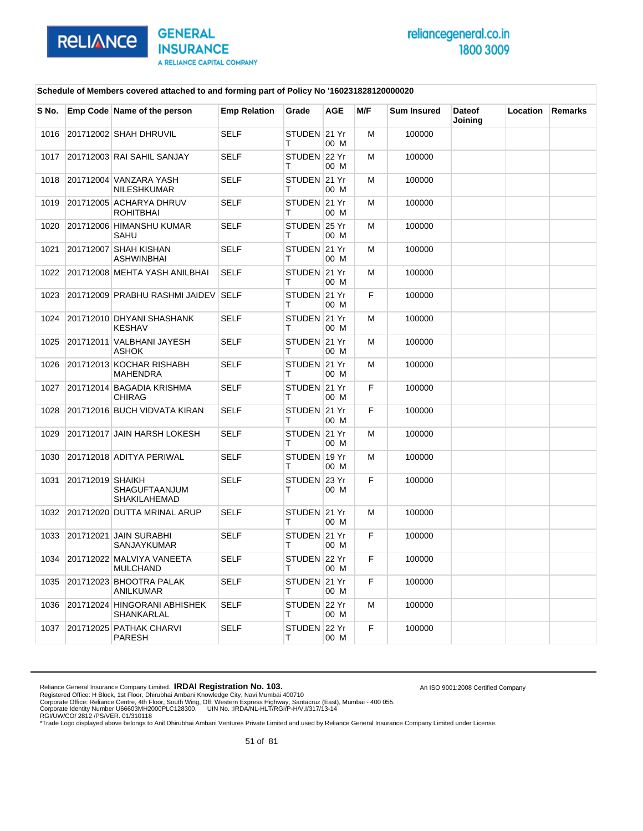

An ISO 9001:2008 Certified Company

### **Schedule of Members covered attached to and forming part of Policy No '160231828120000020**

| S No. |                  | Emp Code Name of the person                  | <b>Emp Relation</b> | Grade             | <b>AGE</b> | M/F | <b>Sum Insured</b> | <b>Dateof</b><br>Joining | <b>Location</b> | <b>Remarks</b> |
|-------|------------------|----------------------------------------------|---------------------|-------------------|------------|-----|--------------------|--------------------------|-----------------|----------------|
| 1016  |                  | 201712002 SHAH DHRUVIL                       | <b>SELF</b>         | STUDEN 21 Yr<br>т | 00 M       | M   | 100000             |                          |                 |                |
| 1017  |                  | 201712003 RAI SAHIL SANJAY                   | <b>SELF</b>         | STUDEN 22 Yr<br>т | 00 M       | м   | 100000             |                          |                 |                |
| 1018  |                  | 201712004 VANZARA YASH<br><b>NILESHKUMAR</b> | <b>SELF</b>         | STUDEN 21 Yr<br>т | 00 M       | M   | 100000             |                          |                 |                |
| 1019  |                  | 201712005 ACHARYA DHRUV<br><b>ROHITBHAI</b>  | <b>SELF</b>         | STUDEN 21 Yr<br>т | 00 M       | M   | 100000             |                          |                 |                |
| 1020  |                  | 201712006 HIMANSHU KUMAR<br><b>SAHU</b>      | <b>SELF</b>         | STUDEN 25 Yr<br>т | 00 M       | м   | 100000             |                          |                 |                |
| 1021  |                  | 201712007 SHAH KISHAN<br>ASHWINBHAI          | <b>SELF</b>         | STUDEN 21 Yr<br>т | 00 M       | M   | 100000             |                          |                 |                |
| 1022  |                  | 201712008 MEHTA YASH ANILBHAI                | <b>SELF</b>         | STUDEN 21 Yr<br>т | 00 M       | M   | 100000             |                          |                 |                |
| 1023  |                  | 201712009 PRABHU RASHMI JAIDEV SELF          |                     | STUDEN 21 Yr<br>т | 00 M       | F   | 100000             |                          |                 |                |
| 1024  |                  | 201712010 DHYANI SHASHANK<br><b>KESHAV</b>   | <b>SELF</b>         | STUDEN 21 Yr<br>т | 00 M       | м   | 100000             |                          |                 |                |
| 1025  |                  | 201712011 VALBHANI JAYESH<br><b>ASHOK</b>    | <b>SELF</b>         | STUDEN 21 Yr<br>т | 00 M       | м   | 100000             |                          |                 |                |
| 1026  |                  | 201712013 KOCHAR RISHABH<br><b>MAHENDRA</b>  | <b>SELF</b>         | STUDEN 21 Yr<br>т | 00 M       | M   | 100000             |                          |                 |                |
| 1027  |                  | 201712014 BAGADIA KRISHMA<br><b>CHIRAG</b>   | <b>SELF</b>         | STUDEN 21 Yr<br>т | 00 M       | F   | 100000             |                          |                 |                |
| 1028  |                  | 201712016 BUCH VIDVATA KIRAN                 | <b>SELF</b>         | STUDEN 21 Yr<br>т | 00 M       | F   | 100000             |                          |                 |                |
| 1029  |                  | 201712017 JAIN HARSH LOKESH                  | <b>SELF</b>         | STUDEN 21 Yr<br>т | 00 M       | M   | 100000             |                          |                 |                |
| 1030  |                  | 201712018 ADITYA PERIWAL                     | <b>SELF</b>         | STUDEN 19 Yr<br>т | 00 M       | м   | 100000             |                          |                 |                |
| 1031  | 201712019 SHAIKH | <b>SHAGUFTAANJUM</b><br><b>SHAKILAHEMAD</b>  | <b>SELF</b>         | STUDEN 23 Yr<br>т | 00 M       | F   | 100000             |                          |                 |                |
| 1032  |                  | 201712020 DUTTA MRINAL ARUP                  | <b>SELF</b>         | STUDEN 21 Yr<br>т | 00 M       | M   | 100000             |                          |                 |                |
| 1033  |                  | 201712021 JAIN SURABHI<br>SANJAYKUMAR        | <b>SELF</b>         | STUDEN 21 Yr<br>т | 00 M       | F   | 100000             |                          |                 |                |
| 1034  |                  | 201712022 MALVIYA VANEETA<br><b>MULCHAND</b> | <b>SELF</b>         | STUDEN 22 Yr<br>т | 00 M       | F   | 100000             |                          |                 |                |
| 1035  |                  | 201712023 BHOOTRA PALAK<br><b>ANILKUMAR</b>  | <b>SELF</b>         | STUDEN 21 Yr<br>т | 00 M       | F   | 100000             |                          |                 |                |
| 1036  |                  | 201712024 HINGORANI ABHISHEK<br>SHANKARLAL   | <b>SELF</b>         | STUDEN 22 Yr<br>т | 00 M       | M   | 100000             |                          |                 |                |
| 1037  |                  | 201712025 PATHAK CHARVI<br>PARESH            | <b>SELF</b>         | STUDEN 22 Yr<br>Τ | 00 M       | F   | 100000             |                          |                 |                |

Reliance General Insurance Company Limited. **IRDAI Registration No. 103.**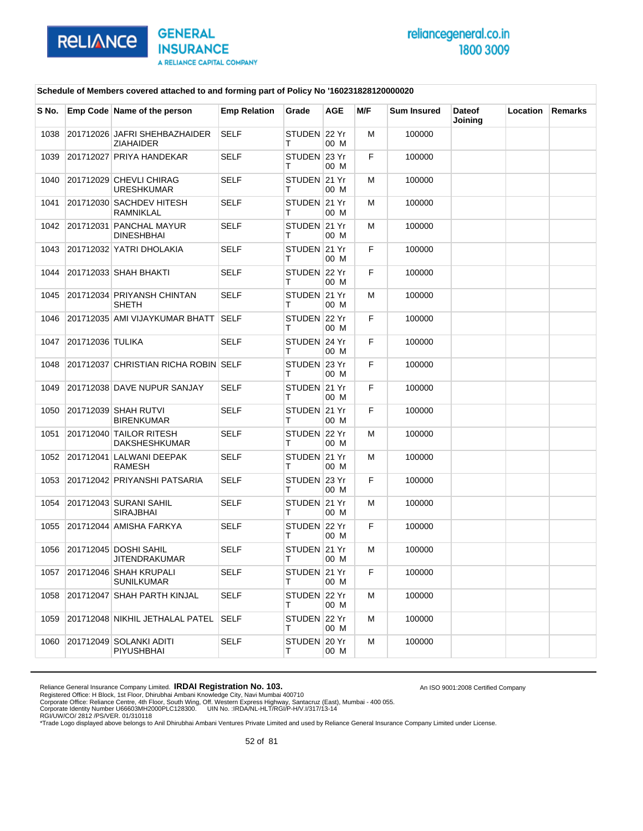

An ISO 9001:2008 Certified Company

### **Schedule of Members covered attached to and forming part of Policy No '160231828120000020**

| S No. |                  | Emp Code Name of the person                       | <b>Emp Relation</b> | Grade              | AGE  | M/F | <b>Sum Insured</b> | <b>Dateof</b><br>Joining | Location | Remarks |
|-------|------------------|---------------------------------------------------|---------------------|--------------------|------|-----|--------------------|--------------------------|----------|---------|
| 1038  |                  | 201712026 JAFRI SHEHBAZHAIDER<br><b>ZIAHAIDER</b> | <b>SELF</b>         | STUDEN 22 Yr<br>т  | 00 M | М   | 100000             |                          |          |         |
| 1039  |                  | 201712027 PRIYA HANDEKAR                          | <b>SELF</b>         | STUDEN 23 Yr<br>т  | 00 M | F   | 100000             |                          |          |         |
| 1040  |                  | 201712029 CHEVLI CHIRAG<br><b>URESHKUMAR</b>      | <b>SELF</b>         | STUDEN 21 Yr<br>т  | 00 M | м   | 100000             |                          |          |         |
| 1041  |                  | 201712030 SACHDEV HITESH<br>RAMNIKLAL             | <b>SELF</b>         | STUDEN 21 Yr<br>т  | 00 M | М   | 100000             |                          |          |         |
| 1042  |                  | 201712031 PANCHAL MAYUR<br><b>DINESHBHAI</b>      | <b>SELF</b>         | STUDEN 21 Yr<br>т  | 00 M | м   | 100000             |                          |          |         |
| 1043  |                  | 201712032 YATRI DHOLAKIA                          | <b>SELF</b>         | STUDEN 21 Yr<br>т  | 00 M | F   | 100000             |                          |          |         |
| 1044  |                  | 201712033 SHAH BHAKTI                             | <b>SELF</b>         | STUDEN 22 Yr<br>т  | 00 M | F   | 100000             |                          |          |         |
| 1045  |                  | 201712034 PRIYANSH CHINTAN<br><b>SHETH</b>        | <b>SELF</b>         | STUDEN 21 Yr<br>т  | 00 M | м   | 100000             |                          |          |         |
| 1046  |                  | 201712035 AMI VIJAYKUMAR BHATT                    | SELF                | STUDEN 22 Yr<br>т  | 00 M | F   | 100000             |                          |          |         |
| 1047  | 201712036 TULIKA |                                                   | <b>SELF</b>         | STUDEN 24 Yr<br>т  | 00 M | F   | 100000             |                          |          |         |
| 1048  |                  | 201712037 CHRISTIAN RICHA ROBIN SELF              |                     | STUDEN 23 Yr<br>т  | 00 M | F   | 100000             |                          |          |         |
| 1049  |                  | 201712038 DAVE NUPUR SANJAY                       | <b>SELF</b>         | STUDEN 21 Yr<br>т  | 00 M | F   | 100000             |                          |          |         |
| 1050  |                  | 201712039 SHAH RUTVI<br><b>BIRENKUMAR</b>         | <b>SELF</b>         | STUDEN 21 Yr<br>т  | 00 M | F   | 100000             |                          |          |         |
| 1051  |                  | 201712040 TAILOR RITESH<br><b>DAKSHESHKUMAR</b>   | <b>SELF</b>         | STUDEN 22 Yr<br>т  | 00 M | м   | 100000             |                          |          |         |
| 1052  |                  | 201712041 LALWANI DEEPAK<br><b>RAMESH</b>         | <b>SELF</b>         | STUDEN 21 Yr<br>т  | 00 M | м   | 100000             |                          |          |         |
| 1053  |                  | 201712042 PRIYANSHI PATSARIA                      | <b>SELF</b>         | STUDEN 23 Yr<br>т  | 00 M | F   | 100000             |                          |          |         |
| 1054  |                  | 201712043 SURANI SAHIL<br><b>SIRAJBHAI</b>        | SELF                | STUDEN 21 Yr<br>т  | 00 M | м   | 100000             |                          |          |         |
| 1055  |                  | 201712044 AMISHA FARKYA                           | <b>SELF</b>         | STUDEN 22 Yr<br>т  | 00 M | F   | 100000             |                          |          |         |
| 1056  |                  | 201712045 DOSHI SAHIL<br>JITENDRAKUMAR            | <b>SELF</b>         | STUDEN 21 Yr<br>т  | 00 M | м   | 100000             |                          |          |         |
| 1057  |                  | 201712046 SHAH KRUPALI<br><b>SUNILKUMAR</b>       | SELF                | STUDEN ∣21 Yr<br>т | 00 M | F   | 100000             |                          |          |         |
| 1058  |                  | 201712047 SHAH PARTH KINJAL                       | <b>SELF</b>         | STUDEN 22 Yr<br>т  | 00 M | м   | 100000             |                          |          |         |
| 1059  |                  | 201712048 NIKHIL JETHALAL PATEL                   | <b>SELF</b>         | STUDEN 22 Yr<br>т  | 00 M | м   | 100000             |                          |          |         |
| 1060  |                  | 201712049 SOLANKI ADITI<br>PIYUSHBHAI             | SELF                | STUDEN 20 Yr<br>т  | 00 M | м   | 100000             |                          |          |         |

Reliance General Insurance Company Limited. **IRDAI Registration No. 103.**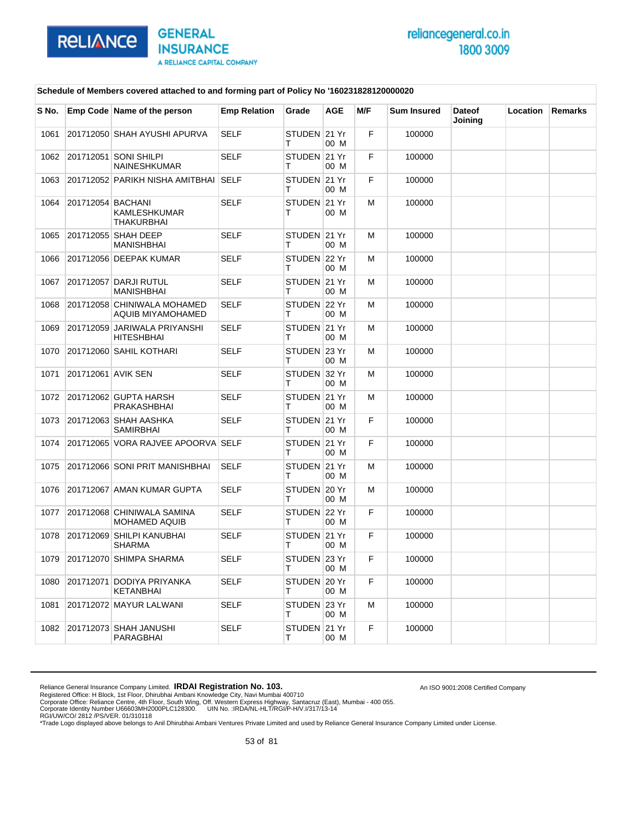

An ISO 9001:2008 Certified Company

### **Schedule of Members covered attached to and forming part of Policy No '160231828120000020**

| S No. |                    | Emp Code Name of the person                        | <b>Emp Relation</b> | Grade              | AGE  | M/F | <b>Sum Insured</b> | <b>Dateof</b><br>Joining | Location | <b>Remarks</b> |
|-------|--------------------|----------------------------------------------------|---------------------|--------------------|------|-----|--------------------|--------------------------|----------|----------------|
| 1061  |                    | 201712050 SHAH AYUSHI APURVA                       | <b>SELF</b>         | STUDEN 21 Yr<br>т  | 00 M | F   | 100000             |                          |          |                |
| 1062  |                    | 201712051 SONI SHILPI<br><b>NAINESHKUMAR</b>       | SELF                | STUDEN 21 Yr<br>т  | 00 M | F   | 100000             |                          |          |                |
| 1063  |                    | 201712052 PARIKH NISHA AMITBHAI                    | SELF                | STUDEN 21 Yr<br>т  | 00 M | F   | 100000             |                          |          |                |
| 1064  | 201712054 BACHANI  | KAMLESHKUMAR<br>THAKURBHAI                         | <b>SELF</b>         | STUDEN 21 Yr<br>т  | 00 M | м   | 100000             |                          |          |                |
| 1065  |                    | 201712055 SHAH DEEP<br><b>MANISHBHAI</b>           | <b>SELF</b>         | STUDEN 21 Yr<br>т  | 00 M | М   | 100000             |                          |          |                |
| 1066  |                    | 201712056 DEEPAK KUMAR                             | <b>SELF</b>         | STUDEN 22 Yr<br>т  | 00 M | м   | 100000             |                          |          |                |
| 1067  |                    | 201712057 DARJI RUTUL<br><b>MANISHBHAI</b>         | <b>SELF</b>         | STUDEN 21 Yr<br>т  | 00 M | м   | 100000             |                          |          |                |
| 1068  |                    | 201712058 CHINIWALA MOHAMED<br>AQUIB MIYAMOHAMED   | SELF                | STUDEN 22 Yr<br>т  | 00 M | м   | 100000             |                          |          |                |
| 1069  |                    | 201712059 JARIWALA PRIYANSHI<br><b>HITESHBHAI</b>  | <b>SELF</b>         | STUDEN 21 Yr<br>т  | 00 M | м   | 100000             |                          |          |                |
| 1070  |                    | 201712060 SAHIL KOTHARI                            | <b>SELF</b>         | STUDEN 23 Yr<br>т  | 00 M | м   | 100000             |                          |          |                |
| 1071  | 201712061 AVIK SEN |                                                    | <b>SELF</b>         | STUDEN 32 Yr<br>т  | 00 M | м   | 100000             |                          |          |                |
| 1072  |                    | 201712062 GUPTA HARSH<br>PRAKASHBHAI               | <b>SELF</b>         | STUDEN 21 Yr<br>т  | 00 M | м   | 100000             |                          |          |                |
| 1073  |                    | 201712063 SHAH AASHKA<br><b>SAMIRBHAI</b>          | <b>SELF</b>         | STUDEN 21 Yr<br>т  | 00 M | F   | 100000             |                          |          |                |
| 1074  |                    | 201712065 VORA RAJVEE APOORVA SELF                 |                     | STUDEN 21 Yr<br>т  | 00 M | F   | 100000             |                          |          |                |
| 1075  |                    | 201712066 SONI PRIT MANISHBHAI                     | <b>SELF</b>         | STUDEN 21 Yr<br>т  | 00 M | м   | 100000             |                          |          |                |
| 1076  |                    | 201712067 AMAN KUMAR GUPTA                         | <b>SELF</b>         | STUDEN 20 Yr<br>т  | 00 M | м   | 100000             |                          |          |                |
| 1077  |                    | 201712068 CHINIWALA SAMINA<br><b>MOHAMED AQUIB</b> | <b>SELF</b>         | STUDEN 22 Yr<br>т  | 00 M | F   | 100000             |                          |          |                |
| 1078  |                    | 201712069 SHILPI KANUBHAI<br>SHARMA                | <b>SELF</b>         | STUDEN 21 Yr<br>т  | 00 M | F.  | 100000             |                          |          |                |
| 1079  |                    | 201712070 SHIMPA SHARMA                            | <b>SELF</b>         | STUDEN 23 Yr       | 00 M | F   | 100000             |                          |          |                |
| 1080  |                    | 201712071 DODIYA PRIYANKA<br><b>KETANBHAI</b>      | SELF                | STUDEN 20 Yr<br>T. | 00 M | F   | 100000             |                          |          |                |
| 1081  |                    | 201712072 MAYUR LALWANI                            | <b>SELF</b>         | STUDEN 23 Yr<br>T. | 00 M | м   | 100000             |                          |          |                |
| 1082  |                    | 201712073 SHAH JANUSHI<br>PARAGBHAI                | <b>SELF</b>         | STUDEN 21 Yr<br>т  | 00 M | F.  | 100000             |                          |          |                |

Reliance General Insurance Company Limited. **IRDAI Registration No. 103.**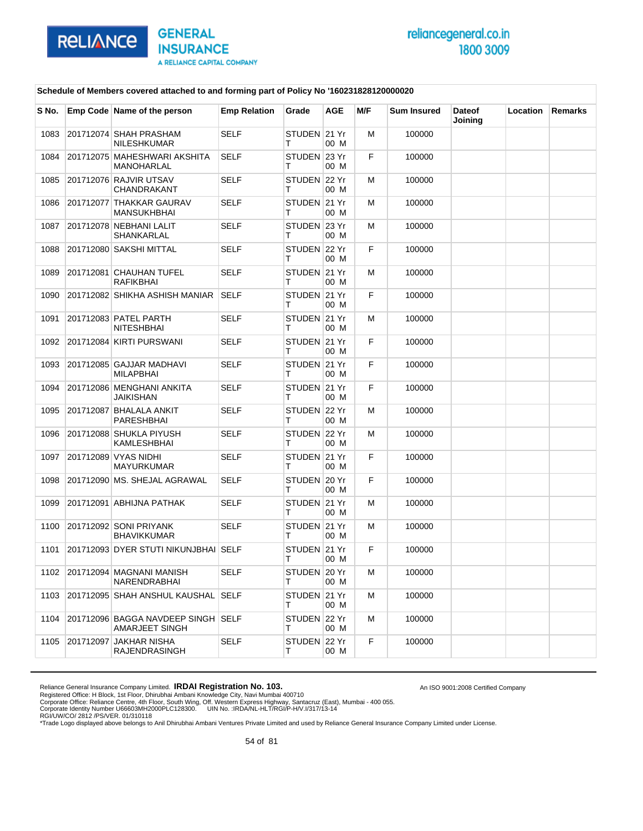

An ISO 9001:2008 Certified Company

#### **Schedule of Members covered attached to and forming part of Policy No '160231828120000020**

| S No. |           | Emp Code Name of the person                          | <b>Emp Relation</b> | Grade             | <b>AGE</b> | M/F | <b>Sum Insured</b> | <b>Dateof</b><br>Joining | Location | Remarks |
|-------|-----------|------------------------------------------------------|---------------------|-------------------|------------|-----|--------------------|--------------------------|----------|---------|
| 1083  |           | 201712074 SHAH PRASHAM<br><b>NILESHKUMAR</b>         | <b>SELF</b>         | STUDEN 21 Yr<br>т | 00 M       | м   | 100000             |                          |          |         |
| 1084  |           | 201712075 MAHESHWARI AKSHITA<br>MANOHARLAL           | <b>SELF</b>         | STUDEN 23 Yr<br>т | 00 M       | F   | 100000             |                          |          |         |
| 1085  |           | 201712076 RAJVIR UTSAV<br>CHANDRAKANT                | <b>SELF</b>         | STUDEN 22 Yr<br>т | 00 M       | M   | 100000             |                          |          |         |
| 1086  |           | 201712077 THAKKAR GAURAV<br><b>MANSUKHBHAI</b>       | <b>SELF</b>         | STUDEN 21 Yr<br>т | 00 M       | м   | 100000             |                          |          |         |
| 1087  |           | 201712078 NEBHANI LALIT<br>SHANKARLAL                | <b>SELF</b>         | STUDEN 23 Yr<br>т | 00 M       | M   | 100000             |                          |          |         |
| 1088  |           | 201712080 SAKSHI MITTAL                              | <b>SELF</b>         | STUDEN 22 Yr<br>т | 00 M       | F   | 100000             |                          |          |         |
| 1089  |           | 201712081 CHAUHAN TUFEL<br><b>RAFIKBHAI</b>          | <b>SELF</b>         | STUDEN 21 Yr<br>т | 00 M       | M   | 100000             |                          |          |         |
| 1090  |           | 201712082 SHIKHA ASHISH MANIAR                       | <b>SELF</b>         | STUDEN 21 Yr<br>т | 00 M       | F   | 100000             |                          |          |         |
| 1091  |           | 201712083 PATEL PARTH<br><b>NITESHBHAI</b>           | <b>SELF</b>         | STUDEN 21 Yr<br>т | 00 M       | M   | 100000             |                          |          |         |
| 1092  |           | 201712084 KIRTI PURSWANI                             | <b>SELF</b>         | STUDEN 21 Yr<br>т | 00 M       | F   | 100000             |                          |          |         |
| 1093  |           | 201712085 GAJJAR MADHAVI<br><b>MILAPBHAI</b>         | <b>SELF</b>         | STUDEN 21 Yr<br>т | 00 M       | F   | 100000             |                          |          |         |
| 1094  |           | 201712086 MENGHANI ANKITA<br><b>JAIKISHAN</b>        | <b>SELF</b>         | STUDEN 21 Yr<br>т | 00 M       | F   | 100000             |                          |          |         |
| 1095  |           | 201712087 BHALALA ANKIT<br>PARESHBHAI                | <b>SELF</b>         | STUDEN 22 Yr<br>т | 00 M       | м   | 100000             |                          |          |         |
| 1096  |           | 201712088 SHUKLA PIYUSH<br>KAMLESHBHAI               | <b>SELF</b>         | STUDEN 22 Yr<br>т | 00 M       | м   | 100000             |                          |          |         |
| 1097  |           | 201712089 VYAS NIDHI<br><b>MAYURKUMAR</b>            | <b>SELF</b>         | STUDEN 21 Yr<br>т | 00 M       | F   | 100000             |                          |          |         |
| 1098  |           | 201712090 MS. SHEJAL AGRAWAL                         | <b>SELF</b>         | STUDEN 20 Yr<br>т | 00 M       | F   | 100000             |                          |          |         |
| 1099  |           | 201712091 ABHIJNA PATHAK                             | <b>SELF</b>         | STUDEN 21 Yr<br>т | 00 M       | M   | 100000             |                          |          |         |
| 1100  |           | 201712092 SONI PRIYANK<br><b>BHAVIKKUMAR</b>         | <b>SELF</b>         | STUDEN 21 Yr<br>т | 00 M       | M   | 100000             |                          |          |         |
| 1101  |           | 201712093 DYER STUTI NIKUNJBHAI SELF                 |                     | STUDEN 21 Yr<br>т | 00 M       | F   | 100000             |                          |          |         |
| 1102  |           | 201712094 MAGNANI MANISH<br>NARENDRABHAI             | SELF                | STUDEN 20 Yr<br>т | 00 M       | M   | 100000             |                          |          |         |
| 1103  |           | 201712095 SHAH ANSHUL KAUSHAL SELF                   |                     | STUDEN 21 Yr<br>т | 00 M       | M   | 100000             |                          |          |         |
| 1104  |           | 201712096 BAGGA NAVDEEP SINGH SELF<br>AMARJEET SINGH |                     | STUDEN 22 Yr<br>т | 00 M       | м   | 100000             |                          |          |         |
| 1105  | 201712097 | <b>JAKHAR NISHA</b><br><b>RAJENDRASINGH</b>          | <b>SELF</b>         | STUDEN 22 Yr<br>т | 00 M       | F   | 100000             |                          |          |         |

Reliance General Insurance Company Limited. **IRDAI Registration No. 103.**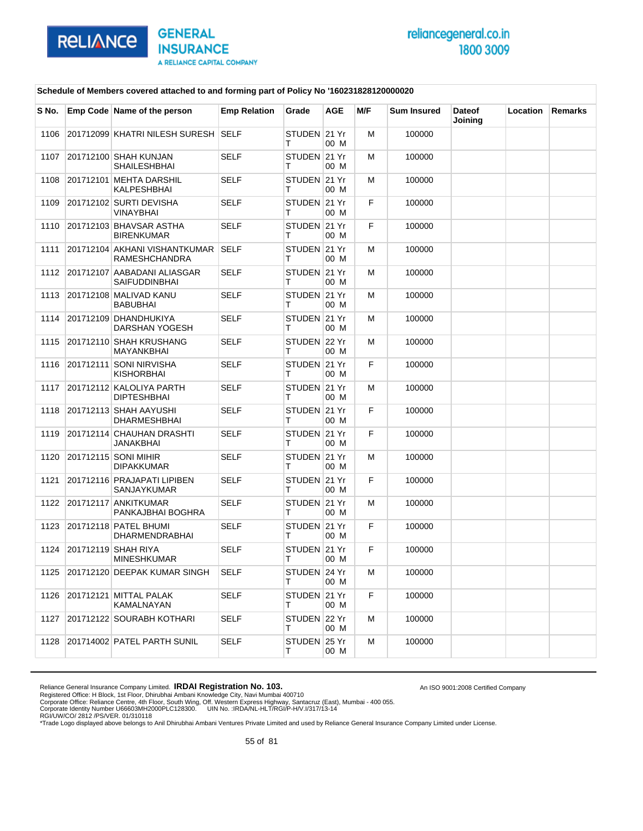

An ISO 9001:2008 Certified Company

### **Schedule of Members covered attached to and forming part of Policy No '160231828120000020**

| S No. | Emp Code Name of the person                           | <b>Emp Relation</b> | Grade             | AGE  | M/F | <b>Sum Insured</b> | <b>Dateof</b><br>Joining | Location | Remarks |
|-------|-------------------------------------------------------|---------------------|-------------------|------|-----|--------------------|--------------------------|----------|---------|
| 1106  | 201712099 KHATRI NILESH SURESH SELF                   |                     | STUDEN 21 Yr<br>т | 00 M | M   | 100000             |                          |          |         |
| 1107  | 201712100 SHAH KUNJAN<br><b>SHAILESHBHAI</b>          | <b>SELF</b>         | STUDEN 21 Yr<br>т | 00 M | М   | 100000             |                          |          |         |
| 1108  | 201712101 MEHTA DARSHIL<br>KALPESHBHAI                | SELF                | STUDEN 21 Yr<br>т | 00 M | м   | 100000             |                          |          |         |
| 1109  | 201712102 SURTI DEVISHA<br><b>VINAYBHAI</b>           | <b>SELF</b>         | STUDEN 21 Yr<br>т | 00 M | F   | 100000             |                          |          |         |
| 1110  | 201712103 BHAVSAR ASTHA<br><b>BIRENKUMAR</b>          | <b>SELF</b>         | STUDEN 21 Yr<br>т | 00 M | F.  | 100000             |                          |          |         |
| 1111  | 201712104 AKHANI VISHANTKUMAR<br><b>RAMESHCHANDRA</b> | <b>SELF</b>         | STUDEN 21 Yr<br>т | 00 M | м   | 100000             |                          |          |         |
| 1112  | 201712107 AABADANI ALIASGAR<br>SAIFUDDINBHAI          | <b>SELF</b>         | STUDEN 21 Yr<br>т | 00 M | м   | 100000             |                          |          |         |
| 1113  | 201712108 MALIVAD KANU<br><b>BABUBHAI</b>             | <b>SELF</b>         | STUDEN 21 Yr<br>т | 00 M | м   | 100000             |                          |          |         |
| 1114  | 201712109 DHANDHUKIYA<br><b>DARSHAN YOGESH</b>        | SELF                | STUDEN 21 Yr<br>т | 00 M | м   | 100000             |                          |          |         |
| 1115  | 201712110 SHAH KRUSHANG<br><b>MAYANKBHAI</b>          | <b>SELF</b>         | STUDEN 22 Yr<br>т | 00 M | м   | 100000             |                          |          |         |
| 1116  | 201712111 SONI NIRVISHA<br><b>KISHORBHAI</b>          | <b>SELF</b>         | STUDEN 21 Yr<br>т | 00 M | F   | 100000             |                          |          |         |
| 1117  | 201712112 KALOLIYA PARTH<br><b>DIPTESHBHAI</b>        | <b>SELF</b>         | STUDEN 21 Yr<br>т | 00 M | м   | 100000             |                          |          |         |
| 1118  | 201712113 SHAH AAYUSHI<br><b>DHARMESHBHAI</b>         | <b>SELF</b>         | STUDEN 21 Yr<br>т | 00 M | F   | 100000             |                          |          |         |
| 1119  | 201712114 CHAUHAN DRASHTI<br>JANAKBHAI                | <b>SELF</b>         | STUDEN 21 Yr<br>т | 00 M | F   | 100000             |                          |          |         |
| 1120  | 201712115 SONI MIHIR<br><b>DIPAKKUMAR</b>             | SELF                | STUDEN 21 Yr<br>т | 00 M | М   | 100000             |                          |          |         |
| 1121  | 201712116 PRAJAPATI LIPIBEN<br><b>SANJAYKUMAR</b>     | <b>SELF</b>         | STUDEN 21 Yr<br>т | 00 M | F   | 100000             |                          |          |         |
| 1122  | 201712117 ANKITKUMAR<br>PANKAJBHAI BOGHRA             | <b>SELF</b>         | STUDEN 21 Yr<br>т | 00 M | м   | 100000             |                          |          |         |
| 1123  | 201712118 PATEL BHUMI<br>DHARMENDRABHAI               | SELF                | STUDEN 21 Yr<br>т | 00 M | F   | 100000             |                          |          |         |
| 1124  | 201712119 SHAH RIYA<br><b>MINESHKUMAR</b>             | <b>SELF</b>         | STUDEN 21 Yr<br>т | 00 M | F   | 100000             |                          |          |         |
| 1125  | 201712120 DEEPAK KUMAR SINGH                          | SELF                | STUDEN 24 Yr<br>т | 00 M | м   | 100000             |                          |          |         |
| 1126  | 201712121 MITTAL PALAK<br>KAMALNAYAN                  | SELF                | STUDEN 21 Yr<br>т | 00 M | F   | 100000             |                          |          |         |
| 1127  | 201712122 SOURABH KOTHARI                             | <b>SELF</b>         | STUDEN 22 Yr<br>т | 00 M | м   | 100000             |                          |          |         |
| 1128  | 201714002 PATEL PARTH SUNIL                           | <b>SELF</b>         | STUDEN 25 Yr<br>т | 00 M | м   | 100000             |                          |          |         |

Reliance General Insurance Company Limited. **IRDAI Registration No. 103.**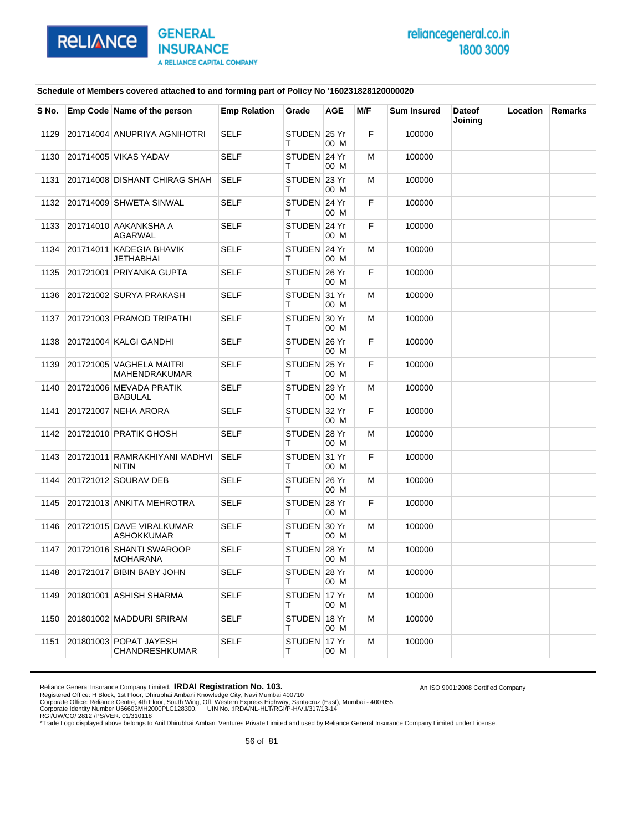

### **Schedule of Members covered attached to and forming part of Policy No '160231828120000020**

| S No. | Emp Code Name of the person                      | <b>Emp Relation</b> | Grade             | AGE  | M/F | <b>Sum Insured</b> | <b>Dateof</b><br>Joining | Location | Remarks |
|-------|--------------------------------------------------|---------------------|-------------------|------|-----|--------------------|--------------------------|----------|---------|
| 1129  | 201714004 ANUPRIYA AGNIHOTRI                     | <b>SELF</b>         | STUDEN 25 Yr<br>т | 00 M | F   | 100000             |                          |          |         |
| 1130  | 201714005 VIKAS YADAV                            | SELF                | STUDEN 24 Yr<br>т | 00 M | M   | 100000             |                          |          |         |
| 1131  | 201714008 DISHANT CHIRAG SHAH                    | SELF                | STUDEN 23 Yr<br>т | 00 M | M   | 100000             |                          |          |         |
| 1132  | 201714009 SHWETA SINWAL                          | <b>SELF</b>         | STUDEN 24 Yr<br>т | 00 M | F   | 100000             |                          |          |         |
| 1133  | 201714010 AAKANKSHA A<br><b>AGARWAL</b>          | <b>SELF</b>         | STUDEN 24 Yr<br>т | 00 M | F   | 100000             |                          |          |         |
| 1134  | 201714011 KADEGIA BHAVIK<br>JETHABHAI            | <b>SELF</b>         | STUDEN 24 Yr<br>т | 00 M | M   | 100000             |                          |          |         |
| 1135  | 201721001 PRIYANKA GUPTA                         | <b>SELF</b>         | STUDEN 26 Yr<br>т | 00 M | F   | 100000             |                          |          |         |
| 1136  | 201721002 SURYA PRAKASH                          | <b>SELF</b>         | STUDEN 31 Yr<br>т | 00 M | M   | 100000             |                          |          |         |
| 1137  | 201721003 PRAMOD TRIPATHI                        | <b>SELF</b>         | STUDEN 30 Yr<br>т | 00 M | M   | 100000             |                          |          |         |
| 1138  | 201721004 KALGI GANDHI                           | <b>SELF</b>         | STUDEN 26 Yr<br>т | 00 M | F   | 100000             |                          |          |         |
| 1139  | 201721005 VAGHELA MAITRI<br><b>MAHENDRAKUMAR</b> | SELF                | STUDEN 25 Yr<br>т | 00 M | F   | 100000             |                          |          |         |
| 1140  | 201721006 MEVADA PRATIK<br><b>BABULAL</b>        | <b>SELF</b>         | STUDEN 29 Yr<br>т | 00 M | M   | 100000             |                          |          |         |
| 1141  | 201721007 NEHA ARORA                             | <b>SELF</b>         | STUDEN 32 Yr<br>т | 00 M | F   | 100000             |                          |          |         |
| 1142  | 201721010 PRATIK GHOSH                           | <b>SELF</b>         | STUDEN 28 Yr<br>т | 00 M | м   | 100000             |                          |          |         |
| 1143  | 201721011 RAMRAKHIYANI MADHVI<br><b>NITIN</b>    | <b>SELF</b>         | STUDEN 31 Yr<br>т | 00 M | F   | 100000             |                          |          |         |
| 1144  | 201721012 SOURAV DEB                             | <b>SELF</b>         | STUDEN 26 Yr<br>т | 00 M | м   | 100000             |                          |          |         |
| 1145  | 201721013 ANKITA MEHROTRA                        | <b>SELF</b>         | STUDEN 28 Yr<br>т | 00 M | F   | 100000             |                          |          |         |
| 1146  | 201721015 DAVE VIRALKUMAR<br><b>ASHOKKUMAR</b>   | <b>SELF</b>         | STUDEN 30 Yr<br>т | 00 M | M   | 100000             |                          |          |         |
| 1147  | 201721016 SHANTI SWAROOP<br><b>MOHARANA</b>      | <b>SELF</b>         | STUDEN 28 Yr<br>т | 00 M | м   | 100000             |                          |          |         |
| 1148  | 201721017 BIBIN BABY JOHN                        | SELF                | STUDEN 28 Yr<br>Т | 00 M | Μ   | 100000             |                          |          |         |
| 1149  | 201801001 ASHISH SHARMA                          | <b>SELF</b>         | STUDEN 17 Yr<br>т | 00 M | M   | 100000             |                          |          |         |
| 1150  | 201801002 MADDURI SRIRAM                         | <b>SELF</b>         | STUDEN 18 Yr<br>Τ | 00 M | м   | 100000             |                          |          |         |
| 1151  | 201801003 POPAT JAYESH<br>CHANDRESHKUMAR         | SELF                | STUDEN 17 Yr<br>т | 00 M | м   | 100000             |                          |          |         |

Reliance General Insurance Company Limited. **IRDAI Registration No. 103.** 

Registered Office: H Block, 1st Floor, Dhirubhai Ambani Knowledge City, Navi Mumbai 400710<br>Corporate Office: Reliance Centre, 4th Floor, South Wing, Off. Western Express Highway, Santacruz (East), Mumbai - 400 055.<br>Corpor

An ISO 9001:2008 Certified Company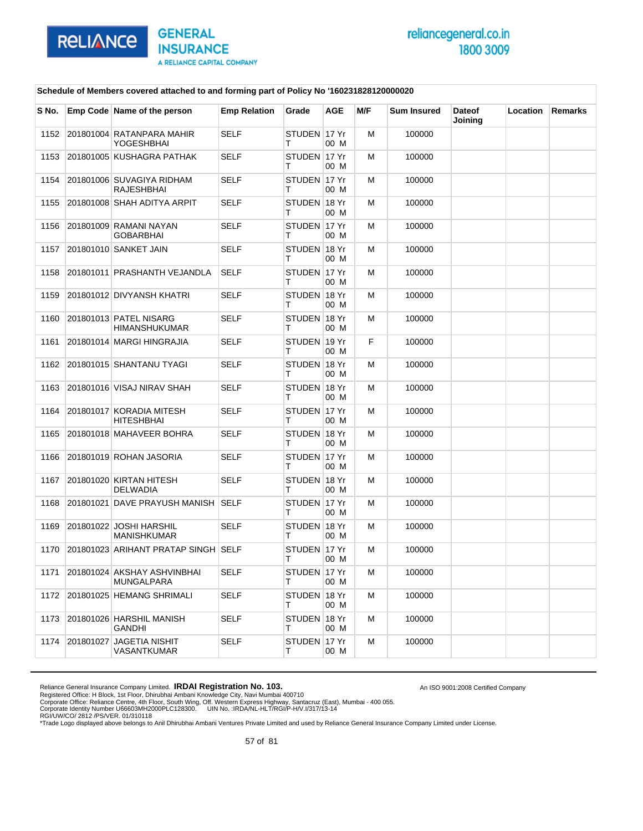

An ISO 9001:2008 Certified Company

### **Schedule of Members covered attached to and forming part of Policy No '160231828120000020**

| S No. |           | Emp Code Name of the person                    | <b>Emp Relation</b> | Grade             | <b>AGE</b> | M/F | <b>Sum Insured</b> | <b>Dateof</b><br>Joining | <b>Location</b> | <b>Remarks</b> |
|-------|-----------|------------------------------------------------|---------------------|-------------------|------------|-----|--------------------|--------------------------|-----------------|----------------|
| 1152  |           | 201801004 RATANPARA MAHIR<br>YOGESHBHAI        | <b>SELF</b>         | STUDEN 17 Yr<br>т | 00 M       | м   | 100000             |                          |                 |                |
| 1153  |           | 201801005 KUSHAGRA PATHAK                      | <b>SELF</b>         | STUDEN 17 Yr<br>т | 00 M       | м   | 100000             |                          |                 |                |
| 1154  |           | 201801006 SUVAGIYA RIDHAM<br>RAJESHBHAI        | <b>SELF</b>         | STUDEN 17 Yr<br>т | 00 M       | м   | 100000             |                          |                 |                |
| 1155  |           | 201801008 SHAH ADITYA ARPIT                    | <b>SELF</b>         | STUDEN 18 Yr<br>т | 00 M       | м   | 100000             |                          |                 |                |
| 1156  |           | 201801009 RAMANI NAYAN<br>GOBARBHAI            | <b>SELF</b>         | STUDEN 17 Yr<br>т | 00 M       | м   | 100000             |                          |                 |                |
| 1157  |           | 201801010 SANKET JAIN                          | <b>SELF</b>         | STUDEN 18 Yr<br>т | 00 M       | м   | 100000             |                          |                 |                |
| 1158  |           | 201801011 PRASHANTH VEJANDLA                   | <b>SELF</b>         | STUDEN 17 Yr<br>т | 00 M       | м   | 100000             |                          |                 |                |
| 1159  |           | 201801012 DIVYANSH KHATRI                      | <b>SELF</b>         | STUDEN 18 Yr<br>т | 00 M       | м   | 100000             |                          |                 |                |
| 1160  |           | 201801013 PATEL NISARG<br><b>HIMANSHUKUMAR</b> | <b>SELF</b>         | STUDEN 18 Yr<br>т | 00 M       | м   | 100000             |                          |                 |                |
| 1161  |           | 201801014 MARGI HINGRAJIA                      | <b>SELF</b>         | STUDEN 19 Yr<br>т | 00 M       | F.  | 100000             |                          |                 |                |
| 1162  |           | 201801015 SHANTANU TYAGI                       | <b>SELF</b>         | STUDEN 18 Yr<br>т | 00 M       | м   | 100000             |                          |                 |                |
| 1163  |           | 201801016 VISAJ NIRAV SHAH                     | <b>SELF</b>         | STUDEN 18 Yr<br>т | 00 M       | м   | 100000             |                          |                 |                |
| 1164  |           | 201801017 KORADIA MITESH<br>HITESHBHAI         | <b>SELF</b>         | STUDEN 17 Yr<br>т | 00 M       | м   | 100000             |                          |                 |                |
| 1165  |           | 201801018 MAHAVEER BOHRA                       | <b>SELF</b>         | STUDEN 18 Yr<br>т | 00 M       | м   | 100000             |                          |                 |                |
| 1166  |           | 201801019 ROHAN JASORIA                        | <b>SELF</b>         | STUDEN 17 Yr<br>т | 00 M       | м   | 100000             |                          |                 |                |
| 1167  |           | 201801020 KIRTAN HITESH<br>DELWADIA            | <b>SELF</b>         | STUDEN 18 Yr<br>т | 00 M       | м   | 100000             |                          |                 |                |
| 1168  |           | 201801021 DAVE PRAYUSH MANISH SELF             |                     | STUDEN 17 Yr<br>Т | 00 M       | м   | 100000             |                          |                 |                |
| 1169  |           | 201801022 JOSHI HARSHIL<br><b>MANISHKUMAR</b>  | <b>SELF</b>         | STUDEN 18 Yr<br>т | 00 M       | м   | 100000             |                          |                 |                |
| 1170  |           | 201801023 ARIHANT PRATAP SINGH SELF            |                     | STUDEN 17 Yr<br>т | 00 M       | м   | 100000             |                          |                 |                |
| 1171  |           | 201801024 AKSHAY ASHVINBHAI<br>MUNGALPARA      | <b>SELF</b>         | STUDEN 17 Yr<br>т | 00 M       | M   | 100000             |                          |                 |                |
| 1172  |           | 201801025 HEMANG SHRIMALI                      | SELF                | STUDEN 18 Yr<br>т | 00 M       | м   | 100000             |                          |                 |                |
| 1173  |           | 201801026 HARSHIL MANISH<br>GANDHI             | <b>SELF</b>         | STUDEN 18 Yr<br>т | 00 M       | M   | 100000             |                          |                 |                |
| 1174  | 201801027 | JAGETIA NISHIT<br>VASANTKUMAR                  | <b>SELF</b>         | STUDEN 17 Yr<br>т | 00 M       | М   | 100000             |                          |                 |                |

Reliance General Insurance Company Limited. **IRDAI Registration No. 103.**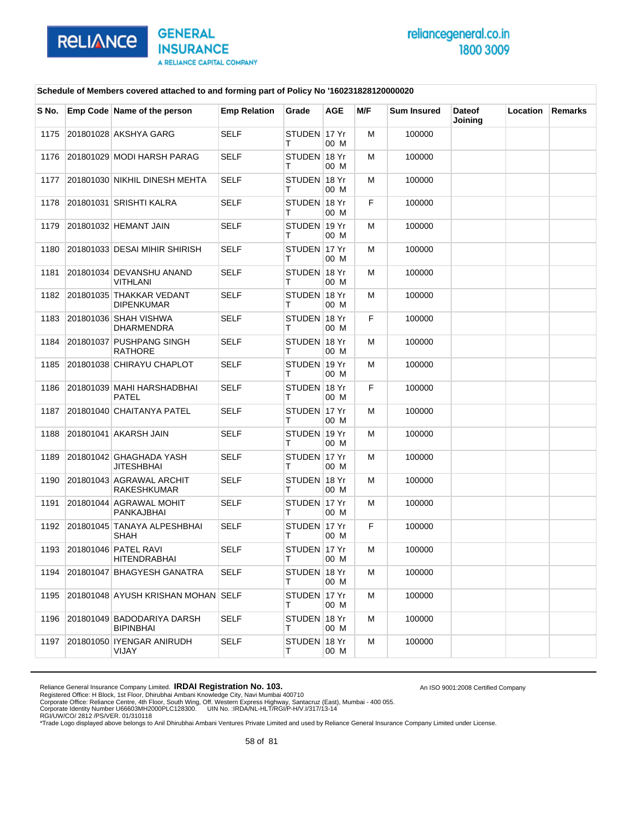

### **Schedule of Members covered attached to and forming part of Policy No '160231828120000020**

| S No. | Emp Code Name of the person                    | <b>Emp Relation</b> | Grade              | AGE  | M/F | <b>Sum Insured</b> | <b>Dateof</b><br>Joining | Location | Remarks |
|-------|------------------------------------------------|---------------------|--------------------|------|-----|--------------------|--------------------------|----------|---------|
| 1175  | 201801028 AKSHYA GARG                          | <b>SELF</b>         | STUDEN 17 Yr<br>т  | 00 M | M   | 100000             |                          |          |         |
| 1176  | 201801029 MODI HARSH PARAG                     | <b>SELF</b>         | STUDEN 18 Yr<br>т  | 00 M | м   | 100000             |                          |          |         |
| 1177  | 201801030 NIKHIL DINESH MEHTA                  | <b>SELF</b>         | STUDEN 18 Yr<br>т  | 00 M | м   | 100000             |                          |          |         |
| 1178  | 201801031 SRISHTI KALRA                        | <b>SELF</b>         | STUDEN 18 Yr<br>т  | 00 M | F.  | 100000             |                          |          |         |
| 1179  | 201801032 HEMANT JAIN                          | <b>SELF</b>         | STUDEN 19 Yr<br>т  | 00 M | м   | 100000             |                          |          |         |
| 1180  | 201801033 DESAI MIHIR SHIRISH                  | <b>SELF</b>         | STUDEN 17 Yr<br>т  | 00 M | м   | 100000             |                          |          |         |
| 1181  | 201801034 DEVANSHU ANAND<br>VITHLANI           | <b>SELF</b>         | STUDEN 18 Yr<br>т  | 00 M | м   | 100000             |                          |          |         |
| 1182  | 201801035 THAKKAR VEDANT<br><b>DIPENKUMAR</b>  | <b>SELF</b>         | STUDEN 18 Yr<br>т  | 00 M | м   | 100000             |                          |          |         |
| 1183  | 201801036 SHAH VISHWA<br>DHARMENDRA            | <b>SELF</b>         | STUDEN 18 Yr<br>т  | 00 M | F   | 100000             |                          |          |         |
| 1184  | 201801037 PUSHPANG SINGH<br><b>RATHORE</b>     | <b>SELF</b>         | STUDEN 18 Yr<br>т  | 00 M | M   | 100000             |                          |          |         |
| 1185  | 201801038 CHIRAYU CHAPLOT                      | SELF                | STUDEN 19 Yr<br>т  | 00 M | м   | 100000             |                          |          |         |
| 1186  | 201801039 MAHI HARSHADBHAI<br>PATEL            | <b>SELF</b>         | STUDEN 18 Yr<br>т  | 00 M | F   | 100000             |                          |          |         |
| 1187  | 201801040 CHAITANYA PATEL                      | <b>SELF</b>         | STUDEN 17 Yr<br>т  | 00 M | M   | 100000             |                          |          |         |
| 1188  | 201801041 AKARSH JAIN                          | <b>SELF</b>         | STUDEN 19 Yr<br>т  | 00 M | м   | 100000             |                          |          |         |
| 1189  | 201801042 GHAGHADA YASH<br>JITESHBHAI          | <b>SELF</b>         | STUDEN 17 Yr<br>т  | 00 M | м   | 100000             |                          |          |         |
| 1190  | 201801043 AGRAWAL ARCHIT<br>RAKESHKUMAR        | <b>SELF</b>         | STUDEN 18 Yr<br>т  | 00 M | M   | 100000             |                          |          |         |
| 1191  | 201801044 AGRAWAL MOHIT<br>PANKAJBHAI          | <b>SELF</b>         | STUDEN 17 Yr<br>т  | 00 M | м   | 100000             |                          |          |         |
| 1192  | 201801045 TANAYA ALPESHBHAI<br>SHAH            | <b>SELF</b>         | STUDEN 17 Yr<br>т  | 00 M | F   | 100000             |                          |          |         |
| 1193  | 201801046 PATEL RAVI<br>HITENDRABHAI           | <b>SELF</b>         | STUDEN 17 Yr<br>т  | 00 M | M   | 100000             |                          |          |         |
| 1194  | 201801047 BHAGYESH GANATRA                     | SELF                | STUDEN 18 Yr<br>т  | 00 M | M   | 100000             |                          |          |         |
| 1195  | 201801048 AYUSH KRISHAN MOHAN SELF             |                     | STUDEN 17 Yr<br>T. | 00 M | M   | 100000             |                          |          |         |
| 1196  | 201801049 BADODARIYA DARSH<br><b>BIPINBHAI</b> | <b>SELF</b>         | STUDEN 18 Yr<br>т  | 00 M | м   | 100000             |                          |          |         |
| 1197  | 201801050 IYENGAR ANIRUDH<br>VIJAY             | SELF                | STUDEN 18 Yr<br>т  | 00 M | м   | 100000             |                          |          |         |

Reliance General Insurance Company Limited. **IRDAI Registration No. 103.** 

Registered Office: H Block, 1st Floor, Dhirubhai Ambani Knowledge City, Navi Mumbai 400710<br>Corporate Office: Reliance Centre, 4th Floor, South Wing, Off. Western Express Highway, Santacruz (East), Mumbai - 400 055.<br>Corpor

An ISO 9001:2008 Certified Company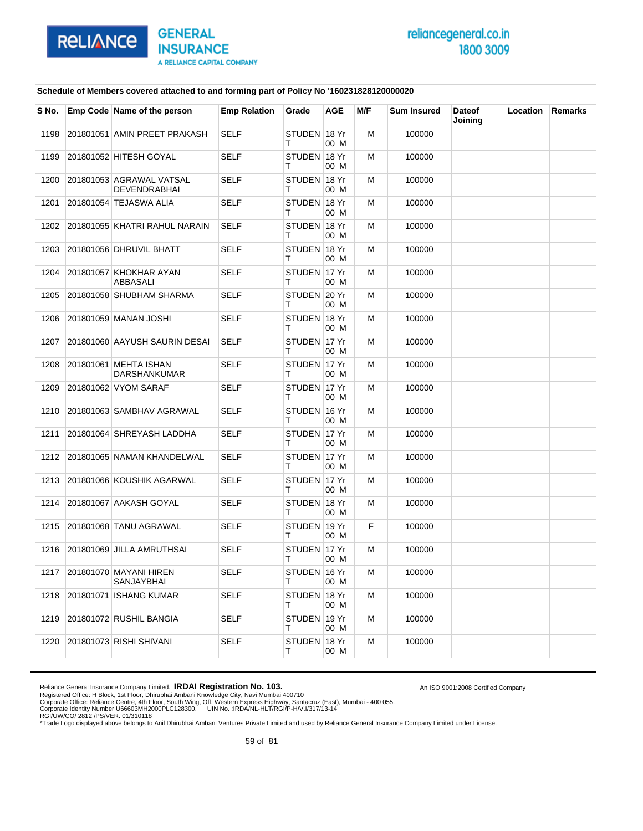

An ISO 9001:2008 Certified Company

### **Schedule of Members covered attached to and forming part of Policy No '160231828120000020**

| S No. | Emp Code Name of the person                 | <b>Emp Relation</b> | Grade               | AGE  | M/F | <b>Sum Insured</b> | <b>Dateof</b><br>Joining | Location | Remarks |
|-------|---------------------------------------------|---------------------|---------------------|------|-----|--------------------|--------------------------|----------|---------|
| 1198  | 201801051 AMIN PREET PRAKASH                | SELF                | STUDEN 18 Yr<br>т   | 00 M | M   | 100000             |                          |          |         |
| 1199  | 201801052 HITESH GOYAL                      | <b>SELF</b>         | STUDEN 18 Yr<br>т   | 00 M | м   | 100000             |                          |          |         |
| 1200  | 201801053 AGRAWAL VATSAL<br>DEVENDRABHAI    | <b>SELF</b>         | STUDEN 18 Yr<br>т   | 00 M | м   | 100000             |                          |          |         |
| 1201  | 201801054 TEJASWA ALIA                      | <b>SELF</b>         | STUDEN 18 Yr<br>т   | 00 M | M   | 100000             |                          |          |         |
| 1202  | 201801055 KHATRI RAHUL NARAIN               | <b>SELF</b>         | STUDEN 18 Yr<br>т   | 00 M | м   | 100000             |                          |          |         |
| 1203  | 201801056 DHRUVIL BHATT                     | <b>SELF</b>         | STUDEN 18 Yr<br>т   | 00 M | м   | 100000             |                          |          |         |
| 1204  | 201801057 KHOKHAR AYAN<br>ABBASALI          | <b>SELF</b>         | STUDEN 17 Yr<br>т   | 00 M | м   | 100000             |                          |          |         |
| 1205  | 201801058 SHUBHAM SHARMA                    | SELF                | STUDEN 20 Yr<br>т   | 00 M | м   | 100000             |                          |          |         |
| 1206  | 201801059 MANAN JOSHI                       | <b>SELF</b>         | STUDEN 18 Yr<br>т   | 00 M | м   | 100000             |                          |          |         |
| 1207  | 201801060 AAYUSH SAURIN DESAI               | <b>SELF</b>         | STUDEN 17 Yr<br>T.  | 00 M | M   | 100000             |                          |          |         |
| 1208  | 201801061 MEHTA ISHAN<br>DARSHANKUMAR       | SELF                | STUDEN 17 Yr<br>т   | 00 M | м   | 100000             |                          |          |         |
| 1209  | 201801062 VYOM SARAF                        | <b>SELF</b>         | STUDEN 17 Yr<br>т   | 00 M | м   | 100000             |                          |          |         |
| 1210  | 201801063 SAMBHAV AGRAWAL                   | <b>SELF</b>         | STUDEN 16 Yr<br>т   | 00 M | M   | 100000             |                          |          |         |
| 1211  | 201801064 SHREYASH LADDHA                   | <b>SELF</b>         | STUDEN 17 Yr<br>т   | 00 M | м   | 100000             |                          |          |         |
| 1212  | 201801065 NAMAN KHANDELWAL                  | <b>SELF</b>         | STUDEN 17 Yr<br>т   | 00 M | м   | 100000             |                          |          |         |
| 1213  | 201801066 KOUSHIK AGARWAL                   | <b>SELF</b>         | STUDEN 17 Yr<br>T.  | 00 M | M   | 100000             |                          |          |         |
| 1214  | 201801067 AAKASH GOYAL                      | <b>SELF</b>         | STUDEN 18 Yr<br>т   | 00 M | м   | 100000             |                          |          |         |
| 1215  | 201801068 TANU AGRAWAL                      | <b>SELF</b>         | STUDEN 19 Yr<br>т   | 00 M | F   | 100000             |                          |          |         |
| 1216  | 201801069 JILLA AMRUTHSAI                   | <b>SELF</b>         | STUDEN 17 Yr<br>т   | 00 M | M   | 100000             |                          |          |         |
| 1217  | 201801070 MAYANI HIREN<br><b>SANJAYBHAI</b> | SELF                | STUDEN   16 Yr<br>т | 00 M | M   | 100000             |                          |          |         |
| 1218  | 201801071 ISHANG KUMAR                      | SELF                | STUDEN 18 Yr<br>T.  | 00 M | M   | 100000             |                          |          |         |
| 1219  | 201801072 RUSHIL BANGIA                     | <b>SELF</b>         | STUDEN 19 Yr<br>T.  | 00 M | м   | 100000             |                          |          |         |
| 1220  | 201801073 RISHI SHIVANI                     | SELF                | STUDEN 18 Yr<br>т   | 00 M | M   | 100000             |                          |          |         |

Reliance General Insurance Company Limited. **IRDAI Registration No. 103.**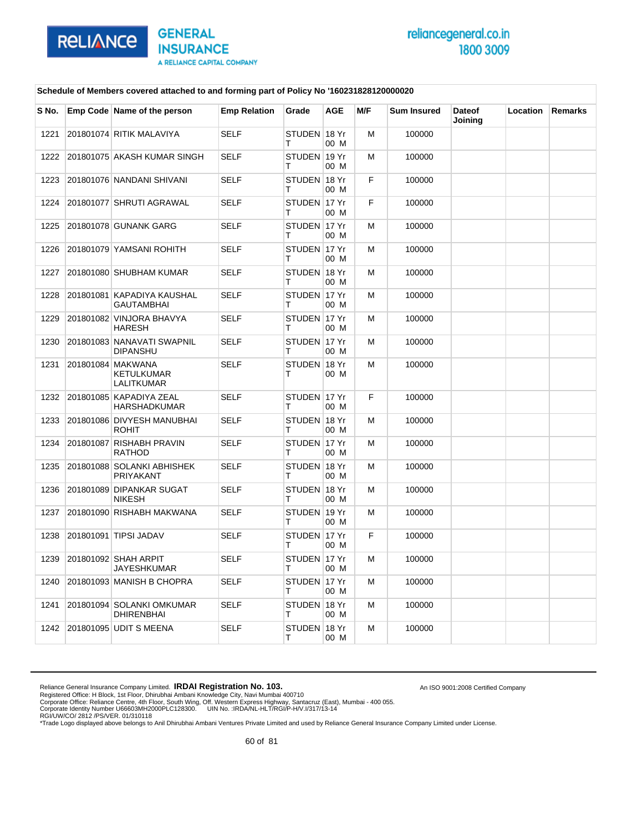

An ISO 9001:2008 Certified Company

### **Schedule of Members covered attached to and forming part of Policy No '160231828120000020**

| S No. | Emp Code Name of the person                                 | <b>Emp Relation</b> | Grade             | <b>AGE</b> | M/F | <b>Sum Insured</b> | <b>Dateof</b><br>Joining | <b>Location</b> | <b>Remarks</b> |
|-------|-------------------------------------------------------------|---------------------|-------------------|------------|-----|--------------------|--------------------------|-----------------|----------------|
| 1221  | 201801074 RITIK MALAVIYA                                    | <b>SELF</b>         | STUDEN 18 Yr<br>т | 00 M       | M   | 100000             |                          |                 |                |
| 1222  | 201801075 AKASH KUMAR SINGH                                 | <b>SELF</b>         | STUDEN 19 Yr<br>т | 00 M       | М   | 100000             |                          |                 |                |
| 1223  | 201801076 NANDANI SHIVANI                                   | <b>SELF</b>         | STUDEN 18 Yr<br>т | 00 M       | F   | 100000             |                          |                 |                |
| 1224  | 201801077 SHRUTI AGRAWAL                                    | <b>SELF</b>         | STUDEN 17 Yr<br>т | 00 M       | F   | 100000             |                          |                 |                |
| 1225  | 201801078 GUNANK GARG                                       | <b>SELF</b>         | STUDEN 17 Yr<br>т | 00 M       | м   | 100000             |                          |                 |                |
| 1226  | 201801079 YAMSANI ROHITH                                    | <b>SELF</b>         | STUDEN 17 Yr<br>т | 00 M       | M   | 100000             |                          |                 |                |
| 1227  | 201801080 SHUBHAM KUMAR                                     | <b>SELF</b>         | STUDEN 18 Yr<br>т | 00 M       | м   | 100000             |                          |                 |                |
| 1228  | 201801081 KAPADIYA KAUSHAL<br><b>GAUTAMBHAI</b>             | <b>SELF</b>         | STUDEN 17 Yr<br>т | 00 M       | м   | 100000             |                          |                 |                |
| 1229  | 201801082 VINJORA BHAVYA<br><b>HARESH</b>                   | <b>SELF</b>         | STUDEN 17 Yr<br>т | 00 M       | м   | 100000             |                          |                 |                |
| 1230  | 201801083 NANAVATI SWAPNIL<br><b>DIPANSHU</b>               | <b>SELF</b>         | STUDEN 17 Yr<br>т | 00 M       | М   | 100000             |                          |                 |                |
| 1231  | 201801084 MAKWANA<br><b>KETULKUMAR</b><br><b>LALITKUMAR</b> | <b>SELF</b>         | STUDEN 18 Yr<br>т | 00 M       | M   | 100000             |                          |                 |                |
| 1232  | 201801085 KAPADIYA ZEAL<br><b>HARSHADKUMAR</b>              | <b>SELF</b>         | STUDEN 17 Yr<br>т | 00 M       | F   | 100000             |                          |                 |                |
| 1233  | 201801086 DIVYESH MANUBHAI<br><b>ROHIT</b>                  | <b>SELF</b>         | STUDEN 18 Yr<br>т | 00 M       | м   | 100000             |                          |                 |                |
| 1234  | 201801087 RISHABH PRAVIN<br><b>RATHOD</b>                   | <b>SELF</b>         | STUDEN 17 Yr<br>т | 00 M       | М   | 100000             |                          |                 |                |
| 1235  | 201801088 SOLANKI ABHISHEK<br>PRIYAKANT                     | <b>SELF</b>         | STUDEN 18 Yr<br>т | 00 M       | м   | 100000             |                          |                 |                |
| 1236  | 201801089 DIPANKAR SUGAT<br><b>NIKESH</b>                   | <b>SELF</b>         | STUDEN 18 Yr<br>т | 00 M       | м   | 100000             |                          |                 |                |
| 1237  | 201801090 RISHABH MAKWANA                                   | <b>SELF</b>         | STUDEN 19 Yr<br>т | 00 M       | M   | 100000             |                          |                 |                |
| 1238  | 201801091 TIPSI JADAV                                       | <b>SELF</b>         | STUDEN 17 Yr<br>т | 00 M       | F   | 100000             |                          |                 |                |
| 1239  | 201801092 SHAH ARPIT<br><b>JAYESHKUMAR</b>                  | <b>SELF</b>         | STUDEN 17 Yr<br>т | 00 M       | м   | 100000             |                          |                 |                |
| 1240  | 201801093 MANISH B CHOPRA                                   | <b>SELF</b>         | STUDEN 17 Yr<br>т | 00 M       | м   | 100000             |                          |                 |                |
| 1241  | 201801094 SOLANKI OMKUMAR<br><b>DHIRENBHAI</b>              | <b>SELF</b>         | STUDEN 18 Yr<br>т | 00 M       | M   | 100000             |                          |                 |                |
| 1242  | 201801095 UDIT S MEENA                                      | <b>SELF</b>         | STUDEN 18 Yr<br>т | 00 M       | M   | 100000             |                          |                 |                |

Reliance General Insurance Company Limited. **IRDAI Registration No. 103.**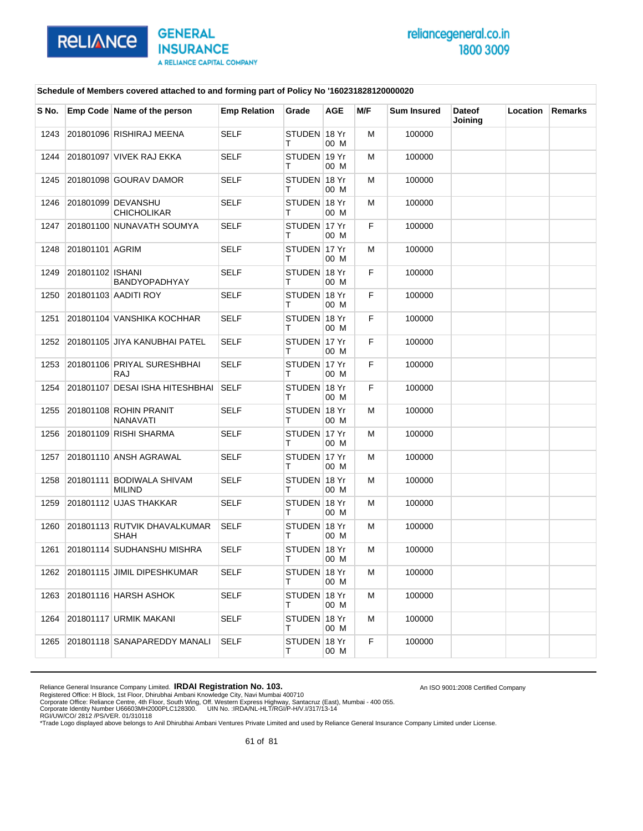

An ISO 9001:2008 Certified Company

### **Schedule of Members covered attached to and forming part of Policy No '160231828120000020**

| S No. |                  | Emp Code Name of the person                | <b>Emp Relation</b> | Grade              | AGE  | M/F | <b>Sum Insured</b> | <b>Dateof</b><br>Joining | Location | Remarks |
|-------|------------------|--------------------------------------------|---------------------|--------------------|------|-----|--------------------|--------------------------|----------|---------|
| 1243  |                  | 201801096 RISHIRAJ MEENA                   | <b>SELF</b>         | STUDEN 18 Yr<br>т  | 00 M | М   | 100000             |                          |          |         |
| 1244  |                  | 201801097 VIVEK RAJ EKKA                   | <b>SELF</b>         | STUDEN 19 Yr<br>т  | 00 M | м   | 100000             |                          |          |         |
| 1245  |                  | 201801098 GOURAV DAMOR                     | <b>SELF</b>         | STUDEN 18 Yr<br>т  | 00 M | М   | 100000             |                          |          |         |
| 1246  |                  | 201801099 DEVANSHU<br><b>CHICHOLIKAR</b>   | <b>SELF</b>         | STUDEN 18 Yr<br>т  | 00 M | М   | 100000             |                          |          |         |
| 1247  |                  | 201801100 NUNAVATH SOUMYA                  | <b>SELF</b>         | STUDEN 17 Yr<br>т  | 00 M | F   | 100000             |                          |          |         |
| 1248  | 201801101 AGRIM  |                                            | <b>SELF</b>         | STUDEN 17 Yr<br>т  | 00 M | м   | 100000             |                          |          |         |
| 1249  | 201801102 ISHANI | <b>BANDYOPADHYAY</b>                       | <b>SELF</b>         | STUDEN 18 Yr<br>т  | 00 M | F   | 100000             |                          |          |         |
| 1250  |                  | 201801103 AADITI ROY                       | <b>SELF</b>         | STUDEN 18 Yr<br>т  | 00 M | F   | 100000             |                          |          |         |
| 1251  |                  | 201801104 VANSHIKA KOCHHAR                 | <b>SELF</b>         | STUDEN 18 Yr<br>т  | 00 M | F.  | 100000             |                          |          |         |
| 1252  |                  | 201801105 JIYA KANUBHAI PATEL              | <b>SELF</b>         | STUDEN 17 Yr<br>т  | 00 M | F   | 100000             |                          |          |         |
| 1253  |                  | 201801106 PRIYAL SURESHBHAI<br><b>RAJ</b>  | <b>SELF</b>         | STUDEN 17 Yr<br>т  | 00 M | F   | 100000             |                          |          |         |
| 1254  |                  | 201801107 DESAI ISHA HITESHBHAI            | <b>SELF</b>         | STUDEN 18 Yr<br>т  | 00 M | F   | 100000             |                          |          |         |
| 1255  |                  | 201801108 ROHIN PRANIT<br><b>NANAVATI</b>  | <b>SELF</b>         | STUDEN 18 Yr<br>т  | 00 M | м   | 100000             |                          |          |         |
| 1256  |                  | 201801109 RISHI SHARMA                     | <b>SELF</b>         | STUDEN 17 Yr<br>т  | 00 M | м   | 100000             |                          |          |         |
| 1257  |                  | 201801110 ANSH AGRAWAL                     | <b>SELF</b>         | STUDEN 17 Yr<br>т  | 00 M | м   | 100000             |                          |          |         |
| 1258  |                  | 201801111 BODIWALA SHIVAM<br><b>MILIND</b> | <b>SELF</b>         | STUDEN 18 Yr<br>т  | 00 M | М   | 100000             |                          |          |         |
| 1259  |                  | 201801112 UJAS THAKKAR                     | <b>SELF</b>         | STUDEN 18 Yr<br>т  | 00 M | м   | 100000             |                          |          |         |
| 1260  |                  | 201801113 RUTVIK DHAVALKUMAR<br>SHAH       | <b>SELF</b>         | STUDEN 18 Yr<br>т  | 00 M | м   | 100000             |                          |          |         |
| 1261  |                  | 201801114 SUDHANSHU MISHRA                 | <b>SELF</b>         | STUDEN 18 Yr<br>т  | 00 M | м   | 100000             |                          |          |         |
| 1262  |                  | 201801115 JIMIL DIPESHKUMAR                | SELF                | STUDEN 18 Yr<br>т  | 00 M | м   | 100000             |                          |          |         |
| 1263  |                  | 201801116 HARSH ASHOK                      | <b>SELF</b>         | STUDEN 18 Yr<br>T. | 00 M | м   | 100000             |                          |          |         |
| 1264  |                  | 201801117 URMIK MAKANI                     | <b>SELF</b>         | STUDEN 18 Yr<br>Τ  | 00 M | м   | 100000             |                          |          |         |
| 1265  |                  | 201801118 SANAPAREDDY MANALI               | SELF                | STUDEN 18 Yr<br>т  | 00 M | F   | 100000             |                          |          |         |

Reliance General Insurance Company Limited. **IRDAI Registration No. 103.**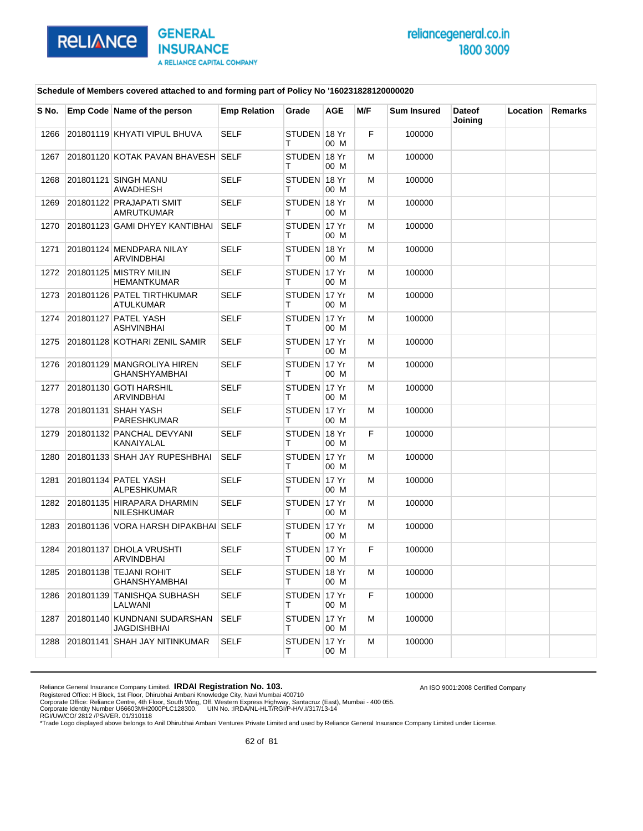

An ISO 9001:2008 Certified Company

### **Schedule of Members covered attached to and forming part of Policy No '160231828120000020**

| S No. | Emp Code Name of the person                        | <b>Emp Relation</b> | Grade             | AGE  | M/F | <b>Sum Insured</b> | <b>Dateof</b><br>Joining | Location | <b>Remarks</b> |
|-------|----------------------------------------------------|---------------------|-------------------|------|-----|--------------------|--------------------------|----------|----------------|
| 1266  | 201801119 KHYATI VIPUL BHUVA                       | SELF                | STUDEN 18 Yr<br>т | 00 M | F   | 100000             |                          |          |                |
| 1267  | 201801120 KOTAK PAVAN BHAVESH SELF                 |                     | STUDEN 18 Yr<br>т | 00 M | м   | 100000             |                          |          |                |
| 1268  | 201801121 SINGH MANU<br>AWADHESH                   | <b>SELF</b>         | STUDEN 18 Yr<br>т | 00 M | м   | 100000             |                          |          |                |
| 1269  | 201801122 PRAJAPATI SMIT<br><b>AMRUTKUMAR</b>      | SELF                | STUDEN 18 Yr<br>т | 00 M | м   | 100000             |                          |          |                |
| 1270  | 201801123 GAMI DHYEY KANTIBHAI                     | <b>SELF</b>         | STUDEN 17 Yr<br>т | 00 M | М   | 100000             |                          |          |                |
| 1271  | 201801124 MENDPARA NILAY<br>ARVINDBHAI             | SELF                | STUDEN 18 Yr<br>т | 00 M | м   | 100000             |                          |          |                |
| 1272  | 201801125 MISTRY MILIN<br><b>HEMANTKUMAR</b>       | <b>SELF</b>         | STUDEN 17 Yr<br>т | 00 M | м   | 100000             |                          |          |                |
| 1273  | 201801126 PATEL TIRTHKUMAR<br>ATULKUMAR            | <b>SELF</b>         | STUDEN 17 Yr<br>т | 00 M | м   | 100000             |                          |          |                |
| 1274  | 201801127 PATEL YASH<br><b>ASHVINBHAI</b>          | SELF                | STUDEN 17 Yr<br>т | 00 M | м   | 100000             |                          |          |                |
| 1275  | 201801128 KOTHARI ZENIL SAMIR                      | SELF                | STUDEN 17 Yr<br>т | 00 M | м   | 100000             |                          |          |                |
| 1276  | 201801129 MANGROLIYA HIREN<br><b>GHANSHYAMBHAI</b> | <b>SELF</b>         | STUDEN 17 Yr<br>т | 00 M | М   | 100000             |                          |          |                |
| 1277  | 201801130 GOTI HARSHIL<br>ARVINDBHAI               | SELF                | STUDEN 17 Yr<br>т | 00 M | м   | 100000             |                          |          |                |
| 1278  | 201801131 SHAH YASH<br>PARESHKUMAR                 | <b>SELF</b>         | STUDEN 17 Yr<br>т | 00 M | м   | 100000             |                          |          |                |
| 1279  | 201801132 PANCHAL DEVYANI<br>KANAIYALAL            | <b>SELF</b>         | STUDEN 18 Yr<br>т | 00 M | F.  | 100000             |                          |          |                |
| 1280  | 201801133 SHAH JAY RUPESHBHAI                      | <b>SELF</b>         | STUDEN 17 Yr<br>т | 00 M | м   | 100000             |                          |          |                |
| 1281  | 201801134 PATEL YASH<br><b>ALPESHKUMAR</b>         | SELF                | STUDEN 17 Yr<br>т | 00 M | м   | 100000             |                          |          |                |
| 1282  | 201801135 HIRAPARA DHARMIN<br><b>NILESHKUMAR</b>   | <b>SELF</b>         | STUDEN 17 Yr<br>т | 00 M | м   | 100000             |                          |          |                |
| 1283  | 201801136 VORA HARSH DIPAKBHAI SELF                |                     | STUDEN 17 Yr<br>т | 00 M | м   | 100000             |                          |          |                |
| 1284  | 201801137 DHOLA VRUSHTI<br>ARVINDBHAI              | SELF                | STUDEN 17 Yr<br>т | 00 M | F   | 100000             |                          |          |                |
| 1285  | 201801138 TEJANI ROHIT<br>GHANSHYAMBHAI            | SELF                | STUDEN 18 Yr<br>т | 00 M | м   | 100000             |                          |          |                |
| 1286  | 201801139 TANISHQA SUBHASH<br>LALWANI              | SELF                | STUDEN 17 Yr<br>т | 00 M | F   | 100000             |                          |          |                |
| 1287  | 201801140 KUNDNANI SUDARSHAN<br>JAGDISHBHAI        | <b>SELF</b>         | STUDEN 17 Yr<br>т | 00 M | М   | 100000             |                          |          |                |
| 1288  | 201801141 SHAH JAY NITINKUMAR                      | <b>SELF</b>         | STUDEN 17 Yr<br>Τ | 00 M | М   | 100000             |                          |          |                |

Reliance General Insurance Company Limited. **IRDAI Registration No. 103.**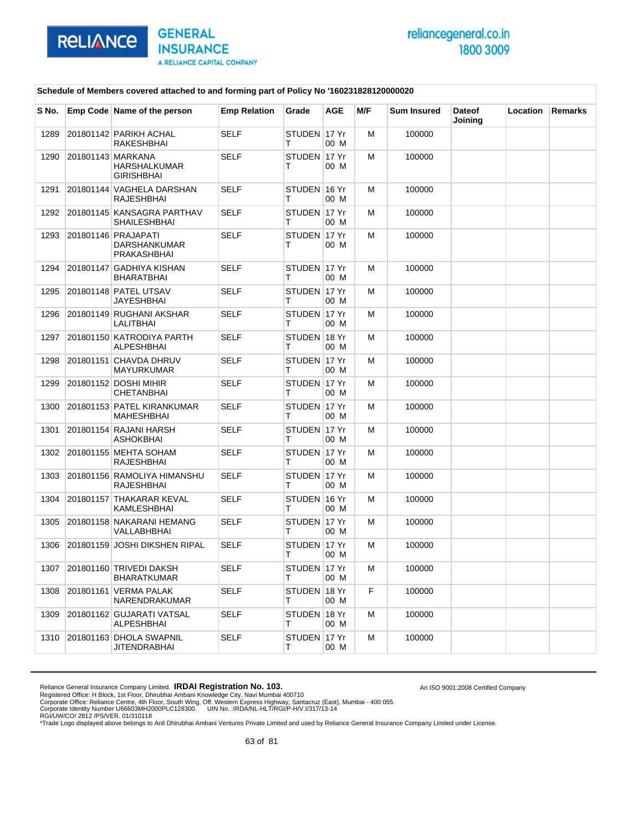

An ISO 9001:2008 Certified Company

#### **Schedule of Members covered attached to and forming part of Policy No '160231828120000020**

| S No. | Emp Code Name of the person                        | <b>Emp Relation</b> | Grade             | <b>AGE</b> | M/F | <b>Sum Insured</b> | <b>Dateof</b><br>Joining | Location | Remarks |
|-------|----------------------------------------------------|---------------------|-------------------|------------|-----|--------------------|--------------------------|----------|---------|
| 1289  | 201801142 PARIKH ACHAL<br>RAKESHBHAI               | <b>SELF</b>         | STUDEN 17 Yr<br>т | 00 M       | м   | 100000             |                          |          |         |
| 1290  | 201801143 MARKANA<br>HARSHALKUMAR<br>GIRISHBHAI    | SELF                | STUDEN 17 Yr<br>т | 00 M       | м   | 100000             |                          |          |         |
| 1291  | 201801144 VAGHELA DARSHAN<br>RAJESHBHAI            | <b>SELF</b>         | STUDEN 16 Yr<br>т | 00 M       | M   | 100000             |                          |          |         |
| 1292  | 201801145 KANSAGRA PARTHAV<br>SHAILESHBHAI         | <b>SELF</b>         | STUDEN 17 Yr<br>т | 00 M       | м   | 100000             |                          |          |         |
| 1293  | 201801146 PRAJAPATI<br>DARSHANKUMAR<br>PRAKASHBHAI | <b>SELF</b>         | STUDEN 17 Yr<br>т | 00 M       | м   | 100000             |                          |          |         |
| 1294  | 201801147 GADHIYA KISHAN<br>BHARATBHAI             | SELF                | STUDEN 17 Yr<br>т | 00 M       | м   | 100000             |                          |          |         |
| 1295  | 201801148 PATEL UTSAV<br>JAYESHBHAI                | <b>SELF</b>         | STUDEN 17 Yr<br>т | 00 M       | м   | 100000             |                          |          |         |
| 1296  | 201801149 RUGHANI AKSHAR<br>LALITBHAI              | <b>SELF</b>         | STUDEN 17 Yr<br>т | 00 M       | м   | 100000             |                          |          |         |
| 1297  | 201801150 KATRODIYA PARTH<br>ALPESHBHAI            | SELF                | STUDEN 18 Yr<br>т | 00 M       | м   | 100000             |                          |          |         |
| 1298  | 201801151 CHAVDA DHRUV<br>MAYURKUMAR               | <b>SELF</b>         | STUDEN 17 Yr<br>т | 00 M       | м   | 100000             |                          |          |         |
| 1299  | 201801152 DOSHI MIHIR<br><b>CHETANBHAI</b>         | <b>SELF</b>         | STUDEN 17 Yr<br>т | 00 M       | м   | 100000             |                          |          |         |
| 1300  | 201801153 PATEL KIRANKUMAR<br>MAHESHBHAI           | SELF                | STUDEN 17 Yr<br>т | 00 M       | м   | 100000             |                          |          |         |
| 1301  | 201801154 RAJANI HARSH<br>ASHOKBHAI                | <b>SELF</b>         | STUDEN 17 Yr<br>т | 00 M       | м   | 100000             |                          |          |         |
| 1302  | 201801155 MEHTA SOHAM<br>RAJESHBHAI                | <b>SELF</b>         | STUDEN 17 Yr<br>т | 00 M       | м   | 100000             |                          |          |         |
| 1303  | 201801156 RAMOLIYA HIMANSHU<br>RAJESHBHAI          | SELF                | STUDEN 17 Yr<br>т | 00 M       | м   | 100000             |                          |          |         |
| 1304  | 201801157 THAKARAR KEVAL<br>KAMLESHBHAI            | <b>SELF</b>         | STUDEN 16 Yr<br>т | 00 M       | м   | 100000             |                          |          |         |
| 1305  | 201801158 NAKARANI HEMANG<br>VALLABHBHAI           | SELF                | STUDEN 17 Yr<br>т | 00 M       | м   | 100000             |                          |          |         |
| 1306  | 201801159 JOSHI DIKSHEN RIPAL                      | SELF                | STUDEN 17 Yr<br>т | 00 M       | м   | 100000             |                          |          |         |
|       | 1307 201801160 TRIVEDI DAKSH<br><b>BHARATKUMAR</b> | <b>SELF</b>         | STUDEN 17 Yr<br>т | 00 M       | M   | 100000             |                          |          |         |
| 1308  | 201801161 VERMA PALAK<br>NARENDRAKUMAR             | <b>SELF</b>         | STUDEN 18 Yr<br>Τ | 00 M       | F.  | 100000             |                          |          |         |
| 1309  | 201801162 GUJARATI VATSAL<br>ALPESHBHAI            | <b>SELF</b>         | STUDEN 18 Yr<br>т | 00 M       | м   | 100000             |                          |          |         |
| 1310  | 201801163 DHOLA SWAPNIL<br>JITENDRABHAI            | <b>SELF</b>         | STUDEN 17 Yr<br>Τ | 00 M       | м   | 100000             |                          |          |         |

Reliance General Insurance Company Limited. **IRDAI Registration No. 103.**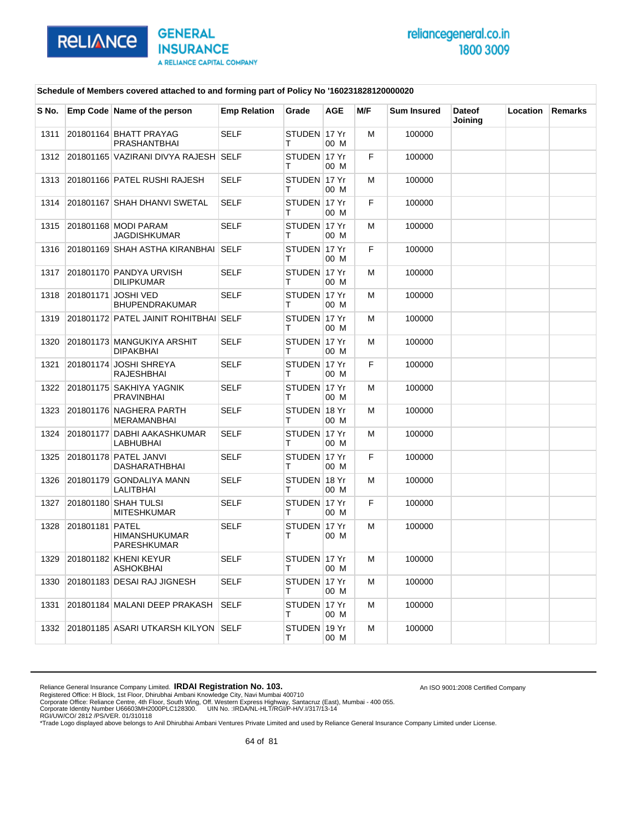

An ISO 9001:2008 Certified Company

### **Schedule of Members covered attached to and forming part of Policy No '160231828120000020**

| S No. |                 | Emp Code Name of the person                    | <b>Emp Relation</b> | Grade             | <b>AGE</b> | M/F | <b>Sum Insured</b> | <b>Dateof</b><br>Joining | Location | Remarks |
|-------|-----------------|------------------------------------------------|---------------------|-------------------|------------|-----|--------------------|--------------------------|----------|---------|
| 1311  |                 | 201801164 BHATT PRAYAG<br><b>PRASHANTBHAI</b>  | <b>SELF</b>         | STUDEN 17 Yr<br>т | 00 M       | M   | 100000             |                          |          |         |
| 1312  |                 | 201801165 VAZIRANI DIVYA RAJESH SELF           |                     | STUDEN 17 Yr<br>т | 00 M       | F   | 100000             |                          |          |         |
| 1313  |                 | 201801166 PATEL RUSHI RAJESH                   | <b>SELF</b>         | STUDEN 17 Yr<br>т | 00 M       | M   | 100000             |                          |          |         |
| 1314  |                 | 201801167 SHAH DHANVI SWETAL                   | <b>SELF</b>         | STUDEN 17 Yr<br>т | 00 M       | F   | 100000             |                          |          |         |
| 1315  |                 | 201801168 MODI PARAM<br>JAGDISHKUMAR           | <b>SELF</b>         | STUDEN 17 Yr<br>т | 00 M       | M   | 100000             |                          |          |         |
| 1316  |                 | 201801169 SHAH ASTHA KIRANBHAI                 | <b>SELF</b>         | STUDEN 17 Yr<br>т | 00 M       | F   | 100000             |                          |          |         |
| 1317  |                 | 201801170 PANDYA URVISH<br><b>DILIPKUMAR</b>   | <b>SELF</b>         | STUDEN 17 Yr<br>т | 00 M       | м   | 100000             |                          |          |         |
| 1318  |                 | 201801171 JOSHI VED<br><b>BHUPENDRAKUMAR</b>   | <b>SELF</b>         | STUDEN 17 Yr<br>т | 00 M       | M   | 100000             |                          |          |         |
| 1319  |                 | 201801172 PATEL JAINIT ROHITBHAI SELF          |                     | STUDEN 17 Yr<br>т | 00 M       | м   | 100000             |                          |          |         |
| 1320  |                 | 201801173 MANGUKIYA ARSHIT<br><b>DIPAKBHAI</b> | <b>SELF</b>         | STUDEN 17 Yr<br>т | 00 M       | м   | 100000             |                          |          |         |
| 1321  |                 | 201801174 JOSHI SHREYA<br><b>RAJESHBHAI</b>    | <b>SELF</b>         | STUDEN 17 Yr<br>т | 00 M       | F   | 100000             |                          |          |         |
| 1322  |                 | 201801175 SAKHIYA YAGNIK<br><b>PRAVINBHAI</b>  | <b>SELF</b>         | STUDEN 17 Yr<br>т | 00 M       | м   | 100000             |                          |          |         |
| 1323  |                 | 201801176 NAGHERA PARTH<br><b>MERAMANBHAI</b>  | <b>SELF</b>         | STUDEN 18 Yr<br>т | 00 M       | M   | 100000             |                          |          |         |
| 1324  |                 | 201801177 DABHI AAKASHKUMAR<br>LABHUBHAI       | <b>SELF</b>         | STUDEN 17 Yr<br>т | 00 M       | M   | 100000             |                          |          |         |
| 1325  |                 | 201801178 PATEL JANVI<br><b>DASHARATHBHAI</b>  | <b>SELF</b>         | STUDEN 17 Yr<br>т | 00 M       | F   | 100000             |                          |          |         |
| 1326  |                 | 201801179 GONDALIYA MANN<br>LALITBHAI          | <b>SELF</b>         | STUDEN 18 Yr<br>Τ | 00 M       | м   | 100000             |                          |          |         |
| 1327  |                 | 201801180 SHAH TULSI<br><b>MITESHKUMAR</b>     | <b>SELF</b>         | STUDEN 17 Yr<br>т | 00 M       | F   | 100000             |                          |          |         |
| 1328  | 201801181 PATEL | <b>HIMANSHUKUMAR</b><br><b>PARESHKUMAR</b>     | <b>SELF</b>         | STUDEN 17 Yr<br>т | 00 M       | M   | 100000             |                          |          |         |
| 1329  |                 | 201801182 KHENI KEYUR<br>ASHOKBHAI             | <b>SELF</b>         | STUDEN 17 Yr<br>Т | 00 M       | M   | 100000             |                          |          |         |
| 1330  |                 | 201801183 DESAI RAJ JIGNESH                    | <b>SELF</b>         | STUDEN 17 Yr<br>т | 00 M       | M   | 100000             |                          |          |         |
| 1331  |                 | 201801184 MALANI DEEP PRAKASH                  | <b>SELF</b>         | STUDEN 17 Yr<br>т | 00 M       | M   | 100000             |                          |          |         |
| 1332  |                 | 201801185 ASARI UTKARSH KILYON SELF            |                     | STUDEN 19 Yr<br>Τ | 00 M       | M   | 100000             |                          |          |         |

Reliance General Insurance Company Limited. **IRDAI Registration No. 103.**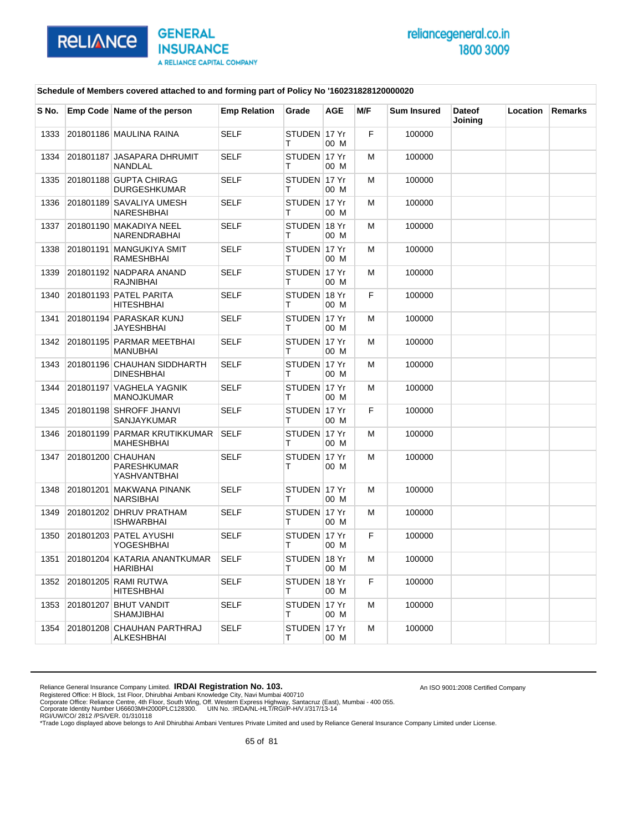

An ISO 9001:2008 Certified Company

### **Schedule of Members covered attached to and forming part of Policy No '160231828120000020**

| S No. | Emp Code Name of the person                      | <b>Emp Relation</b> | Grade              | <b>AGE</b> | M/F | <b>Sum Insured</b> | <b>Dateof</b><br>Joining | Location | <b>Remarks</b> |
|-------|--------------------------------------------------|---------------------|--------------------|------------|-----|--------------------|--------------------------|----------|----------------|
| 1333  | 201801186 MAULINA RAINA                          | <b>SELF</b>         | STUDEN 17 Yr<br>т  | 00 M       | F   | 100000             |                          |          |                |
| 1334  | 201801187 JASAPARA DHRUMIT<br>NANDLAL            | <b>SELF</b>         | STUDEN 17 Yr<br>т  | 00 M       | M   | 100000             |                          |          |                |
| 1335  | 201801188 GUPTA CHIRAG<br><b>DURGESHKUMAR</b>    | <b>SELF</b>         | STUDEN 17 Yr<br>т  | 00 M       | M   | 100000             |                          |          |                |
| 1336  | 201801189 SAVALIYA UMESH<br>NARESHBHAI           | <b>SELF</b>         | STUDEN 17 Yr<br>т  | 00 M       | м   | 100000             |                          |          |                |
| 1337  | 201801190 MAKADIYA NEEL<br>NARENDRABHAI          | <b>SELF</b>         | STUDEN 18 Yr<br>Т  | 00 M       | M   | 100000             |                          |          |                |
| 1338  | 201801191 MANGUKIYA SMIT<br>RAMESHBHAI           | <b>SELF</b>         | STUDEN 17 Yr<br>т  | 00 M       | M   | 100000             |                          |          |                |
| 1339  | 201801192 NADPARA ANAND<br>RAJNIBHAI             | <b>SELF</b>         | STUDEN 17 Yr<br>т  | 00 M       | м   | 100000             |                          |          |                |
| 1340  | 201801193 PATEL PARITA<br><b>HITESHBHAI</b>      | <b>SELF</b>         | STUDEN 18 Yr<br>т  | 00 M       | F   | 100000             |                          |          |                |
| 1341  | 201801194 PARASKAR KUNJ<br><b>JAYESHBHAI</b>     | <b>SELF</b>         | STUDEN 17 Yr<br>т  | 00 M       | M   | 100000             |                          |          |                |
| 1342  | 201801195 PARMAR MEETBHAI<br><b>MANUBHAI</b>     | <b>SELF</b>         | STUDEN 17 Yr<br>т  | 00 M       | м   | 100000             |                          |          |                |
| 1343  | 201801196 CHAUHAN SIDDHARTH<br><b>DINESHBHAI</b> | <b>SELF</b>         | STUDEN 17 Yr<br>т  | 00 M       | M   | 100000             |                          |          |                |
| 1344  | 201801197 VAGHELA YAGNIK<br><b>MANOJKUMAR</b>    | <b>SELF</b>         | STUDEN 17 Yr<br>т  | 00 M       | M   | 100000             |                          |          |                |
| 1345  | 201801198 SHROFF JHANVI<br>SANJAYKUMAR           | <b>SELF</b>         | STUDEN 17 Yr<br>т  | 00 M       | F   | 100000             |                          |          |                |
| 1346  | 201801199 PARMAR KRUTIKKUMAR<br>MAHESHBHAI       | <b>SELF</b>         | STUDEN 17 Yr<br>т  | 00 M       | M   | 100000             |                          |          |                |
| 1347  | 201801200 CHAUHAN<br>PARESHKUMAR<br>YASHVANTBHAI | <b>SELF</b>         | STUDEN 17 Yr<br>т  | 00 M       | м   | 100000             |                          |          |                |
| 1348  | 201801201 MAKWANA PINANK<br>NARSIBHAI            | <b>SELF</b>         | STUDEN 17 Yr<br>т  | 00 M       | м   | 100000             |                          |          |                |
| 1349  | 201801202 DHRUV PRATHAM<br>ISHWARBHAI            | <b>SELF</b>         | STUDEN 17 Yr<br>т  | 00 M       | м   | 100000             |                          |          |                |
| 1350  | 201801203 PATEL AYUSHI<br>YOGESHBHAI             | <b>SELF</b>         | STUDEN 17 Yr<br>т  | 00 M       | F   | 100000             |                          |          |                |
| 1351  | 201801204 KATARIA ANANTKUMAR<br><b>HARIBHAI</b>  | <b>SELF</b>         | STUDEN 18 Yr       | 00 M       | M   | 100000             |                          |          |                |
| 1352  | 201801205 RAMI RUTWA<br><b>HITESHBHAI</b>        | <b>SELF</b>         | STUDEN 18 Yr<br>T. | 00 M       | F   | 100000             |                          |          |                |
| 1353  | 201801207 BHUT VANDIT<br>SHAMJIBHAI              | <b>SELF</b>         | STUDEN 17 Yr<br>T. | 00 M       | M   | 100000             |                          |          |                |
| 1354  | 201801208 CHAUHAN PARTHRAJ<br>ALKESHBHAI         | <b>SELF</b>         | STUDEN 17 Yr<br>т  | 00 M       | м   | 100000             |                          |          |                |

Reliance General Insurance Company Limited. **IRDAI Registration No. 103.**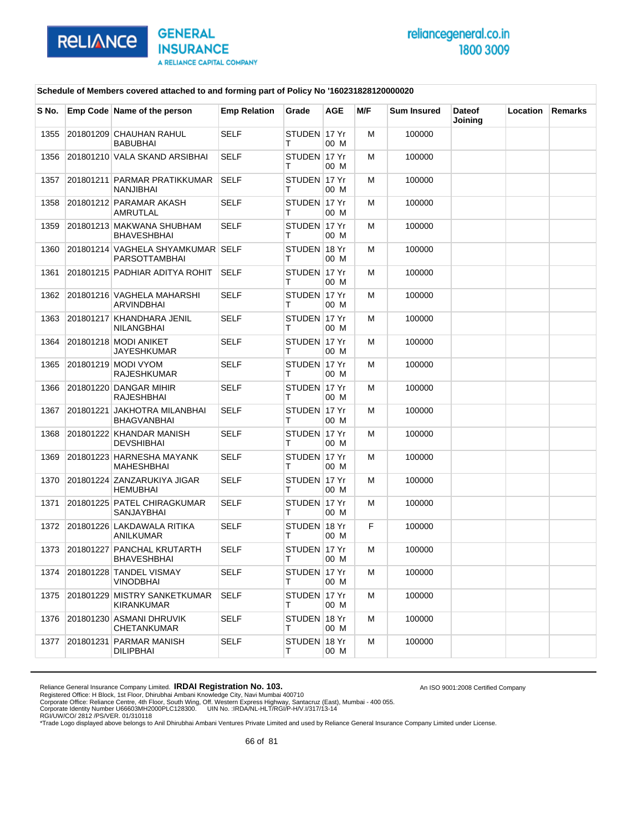

An ISO 9001:2008 Certified Company

### **Schedule of Members covered attached to and forming part of Policy No '160231828120000020**

| S No. | Emp Code Name of the person                        | <b>Emp Relation</b> | Grade              | <b>AGE</b> | M/F | Sum Insured | <b>Dateof</b><br>Joining | Location | Remarks |
|-------|----------------------------------------------------|---------------------|--------------------|------------|-----|-------------|--------------------------|----------|---------|
| 1355  | 201801209 CHAUHAN RAHUL<br><b>BABUBHAI</b>         | <b>SELF</b>         | STUDEN 17 Yr<br>т  | 00 M       | M   | 100000      |                          |          |         |
| 1356  | 201801210 VALA SKAND ARSIBHAI                      | <b>SELF</b>         | STUDEN 17 Yr<br>т  | 00 M       | M   | 100000      |                          |          |         |
| 1357  | 201801211 PARMAR PRATIKKUMAR<br>NANJIBHAI          | <b>SELF</b>         | STUDEN 17 Yr<br>т  | 00 M       | м   | 100000      |                          |          |         |
| 1358  | 201801212 PARAMAR AKASH<br><b>AMRUTLAL</b>         | <b>SELF</b>         | STUDEN 17 Yr<br>т  | 00 M       | M   | 100000      |                          |          |         |
| 1359  | 201801213 MAKWANA SHUBHAM<br><b>BHAVESHBHAI</b>    | <b>SELF</b>         | STUDEN 17 Yr<br>т  | 00 M       | M   | 100000      |                          |          |         |
| 1360  | 201801214 VAGHELA SHYAMKUMAR SELF<br>PARSOTTAMBHAI |                     | STUDEN 18 Yr<br>т  | 00 M       | M   | 100000      |                          |          |         |
| 1361  | 201801215 PADHIAR ADITYA ROHIT                     | <b>SELF</b>         | STUDEN 17 Yr<br>т  | 00 M       | M   | 100000      |                          |          |         |
| 1362  | 201801216 VAGHELA MAHARSHI<br><b>ARVINDBHAI</b>    | <b>SELF</b>         | STUDEN 17 Yr<br>т  | 00 M       | M   | 100000      |                          |          |         |
| 1363  | 201801217 KHANDHARA JENIL<br>NILANGBHAI            | <b>SELF</b>         | STUDEN 17 Yr<br>т  | 00 M       | M   | 100000      |                          |          |         |
| 1364  | 201801218 MODI ANIKET<br><b>JAYESHKUMAR</b>        | <b>SELF</b>         | STUDEN 17 Yr<br>т  | 00 M       | M   | 100000      |                          |          |         |
| 1365  | 201801219 MODI VYOM<br><b>RAJESHKUMAR</b>          | <b>SELF</b>         | STUDEN 17 Yr<br>т  | 00 M       | M   | 100000      |                          |          |         |
| 1366  | 201801220 DANGAR MIHIR<br><b>RAJESHBHAI</b>        | <b>SELF</b>         | STUDEN 17 Yr<br>т  | 00 M       | M   | 100000      |                          |          |         |
| 1367  | 201801221 JAKHOTRA MILANBHAI<br><b>BHAGVANBHAI</b> | <b>SELF</b>         | STUDEN 17 Yr<br>т  | 00 M       | M   | 100000      |                          |          |         |
| 1368  | 201801222 KHANDAR MANISH<br><b>DEVSHIBHAI</b>      | <b>SELF</b>         | STUDEN 17 Yr<br>т  | 00 M       | M   | 100000      |                          |          |         |
| 1369  | 201801223 HARNESHA MAYANK<br><b>MAHESHBHAI</b>     | <b>SELF</b>         | STUDEN 17 Yr<br>т  | 00 M       | M   | 100000      |                          |          |         |
| 1370  | 201801224 ZANZARUKIYA JIGAR<br><b>HEMUBHAI</b>     | <b>SELF</b>         | STUDEN 17 Yr<br>т  | 00 M       | M   | 100000      |                          |          |         |
| 1371  | 201801225 PATEL CHIRAGKUMAR<br><b>SANJAYBHAI</b>   | <b>SELF</b>         | STUDEN 17 Yr<br>т  | 00 M       | M   | 100000      |                          |          |         |
| 1372  | 201801226 LAKDAWALA RITIKA<br><b>ANILKUMAR</b>     | <b>SELF</b>         | STUDEN 18 Yr<br>т  | 00 M       | F   | 100000      |                          |          |         |
| 1373  | 201801227 PANCHAL KRUTARTH<br><b>BHAVESHBHAI</b>   | <b>SELF</b>         | STUDEN 17 Yr<br>т  | 00 M       | M   | 100000      |                          |          |         |
| 1374  | 201801228 TANDEL VISMAY<br><b>VINODBHAI</b>        | SELF                | STUDEN 17 Yr<br>т  | 00 M       | M   | 100000      |                          |          |         |
| 1375  | 201801229 MISTRY SANKETKUMAR<br>KIRANKUMAR         | SELF                | STUDEN ∣17 Yr<br>т | 00 M       | M   | 100000      |                          |          |         |
| 1376  | 201801230 ASMANI DHRUVIK<br>CHETANKUMAR            | <b>SELF</b>         | STUDEN 18 Yr<br>т  | 00 M       | M   | 100000      |                          |          |         |
| 1377  | 201801231 PARMAR MANISH<br><b>DILIPBHAI</b>        | <b>SELF</b>         | STUDEN 18 Yr<br>т  | 00 M       | м   | 100000      |                          |          |         |

Reliance General Insurance Company Limited. **IRDAI Registration No. 103.**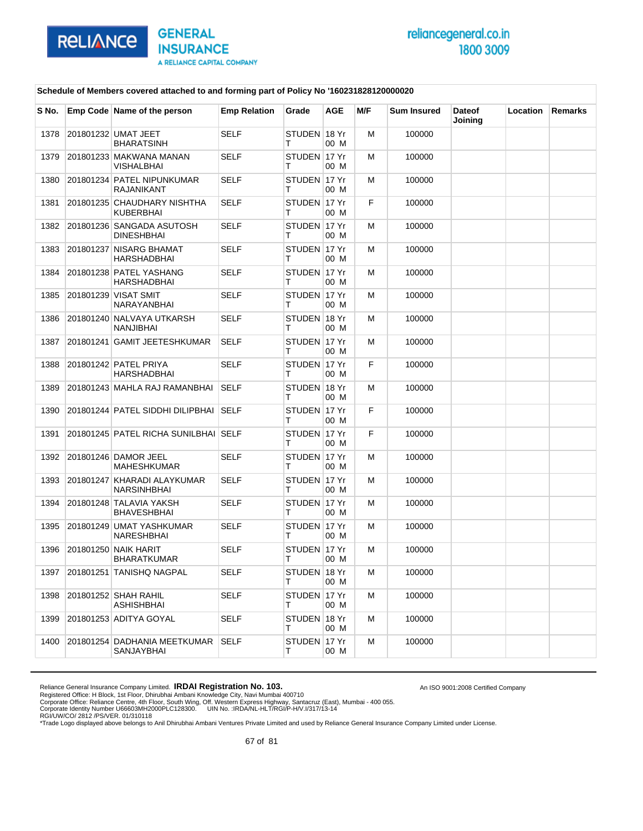

An ISO 9001:2008 Certified Company

### **Schedule of Members covered attached to and forming part of Policy No '160231828120000020**

| S No. | Emp Code Name of the person                       | <b>Emp Relation</b> | Grade              | AGE  | M/F | <b>Sum Insured</b> | <b>Dateof</b><br>Joining | Location | Remarks |
|-------|---------------------------------------------------|---------------------|--------------------|------|-----|--------------------|--------------------------|----------|---------|
| 1378  | 201801232 UMAT JEET<br><b>BHARATSINH</b>          | <b>SELF</b>         | STUDEN 18 Yr<br>т  | 00 M | м   | 100000             |                          |          |         |
| 1379  | 201801233 MAKWANA MANAN<br>VISHALBHAI             | <b>SELF</b>         | STUDEN 17 Yr<br>т  | 00 M | м   | 100000             |                          |          |         |
| 1380  | 201801234 PATEL NIPUNKUMAR<br><b>RAJANIKANT</b>   | <b>SELF</b>         | STUDEN 17 Yr<br>т  | 00 M | м   | 100000             |                          |          |         |
| 1381  | 201801235 CHAUDHARY NISHTHA<br><b>KUBERBHAI</b>   | <b>SELF</b>         | STUDEN 17 Yr<br>т  | 00 M | F   | 100000             |                          |          |         |
| 1382  | 201801236 SANGADA ASUTOSH<br><b>DINESHBHAI</b>    | <b>SELF</b>         | STUDEN 17 Yr<br>т  | 00 M | м   | 100000             |                          |          |         |
| 1383  | 201801237 NISARG BHAMAT<br>HARSHADBHAI            | <b>SELF</b>         | STUDEN 17 Yr<br>т  | 00 M | м   | 100000             |                          |          |         |
| 1384  | 201801238 PATEL YASHANG<br>HARSHADBHAI            | <b>SELF</b>         | STUDEN 17 Yr<br>т  | 00 M | м   | 100000             |                          |          |         |
| 1385  | 201801239 VISAT SMIT<br>NARAYANBHAI               | <b>SELF</b>         | STUDEN 17 Yr<br>т  | 00 M | м   | 100000             |                          |          |         |
| 1386  | 201801240 NALVAYA UTKARSH<br>NANJIBHAI            | <b>SELF</b>         | STUDEN 18 Yr<br>т  | 00 M | м   | 100000             |                          |          |         |
| 1387  | 201801241 GAMIT JEETESHKUMAR                      | <b>SELF</b>         | STUDEN 17 Yr<br>т  | 00 M | м   | 100000             |                          |          |         |
| 1388  | 201801242 PATEL PRIYA<br><b>HARSHADBHAI</b>       | <b>SELF</b>         | STUDEN 17 Yr<br>т  | 00 M | F   | 100000             |                          |          |         |
| 1389  | 201801243 MAHLA RAJ RAMANBHAI                     | <b>SELF</b>         | STUDEN 18 Yr<br>т  | 00 M | м   | 100000             |                          |          |         |
| 1390  | 201801244 PATEL SIDDHI DILIPBHAI                  | <b>SELF</b>         | STUDEN 17 Yr<br>т  | 00 M | F   | 100000             |                          |          |         |
| 1391  | 201801245 PATEL RICHA SUNILBHAI SELF              |                     | STUDEN 17 Yr<br>т  | 00 M | F   | 100000             |                          |          |         |
| 1392  | 201801246 DAMOR JEEL<br><b>MAHESHKUMAR</b>        | <b>SELF</b>         | STUDEN 17 Yr<br>т  | 00 M | м   | 100000             |                          |          |         |
| 1393  | 201801247 KHARADI ALAYKUMAR<br><b>NARSINHBHAI</b> | <b>SELF</b>         | STUDEN 17 Yr<br>т  | 00 M | м   | 100000             |                          |          |         |
| 1394  | 201801248 TALAVIA YAKSH<br><b>BHAVESHBHAI</b>     | <b>SELF</b>         | STUDEN 17 Yr<br>т  | 00 M | м   | 100000             |                          |          |         |
| 1395  | 201801249 UMAT YASHKUMAR<br>NARESHBHAI            | <b>SELF</b>         | STUDEN 17 Yr<br>т  | 00 M | м   | 100000             |                          |          |         |
| 1396  | 201801250 NAIK HARIT<br><b>BHARATKUMAR</b>        | <b>SELF</b>         | STUDEN 17 Yr<br>т  | 00 M | м   | 100000             |                          |          |         |
| 1397  | 201801251 TANISHQ NAGPAL                          | SELF                | STUDEN ∣18 Yr<br>т | 00 M | М   | 100000             |                          |          |         |
| 1398  | 201801252 SHAH RAHIL<br>ASHISHBHAI                | <b>SELF</b>         | STUDEN 17 Yr<br>т  | 00 M | М   | 100000             |                          |          |         |
| 1399  | 201801253 ADITYA GOYAL                            | <b>SELF</b>         | STUDEN 18 Yr<br>т  | 00 M | М   | 100000             |                          |          |         |
| 1400  | 201801254 DADHANIA MEETKUMAR<br>SANJAYBHAI        | <b>SELF</b>         | STUDEN 17 Yr<br>т  | 00 M | м   | 100000             |                          |          |         |

Reliance General Insurance Company Limited. **IRDAI Registration No. 103.**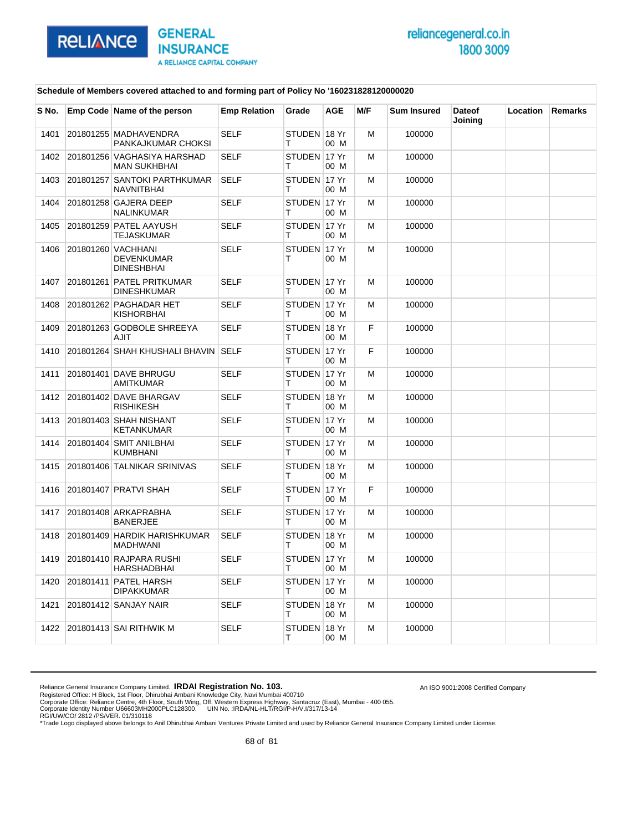

An ISO 9001:2008 Certified Company

### **Schedule of Members covered attached to and forming part of Policy No '160231828120000020**

| S No. | Emp Code Name of the person                                  | <b>Emp Relation</b> | Grade              | <b>AGE</b> | M/F | <b>Sum Insured</b> | <b>Dateof</b><br>Joining | Location | <b>Remarks</b> |
|-------|--------------------------------------------------------------|---------------------|--------------------|------------|-----|--------------------|--------------------------|----------|----------------|
| 1401  | 201801255 MADHAVENDRA<br>PANKAJKUMAR CHOKSI                  | <b>SELF</b>         | STUDEN 18 Yr<br>т  | 00 M       | м   | 100000             |                          |          |                |
| 1402  | 201801256 VAGHASIYA HARSHAD<br><b>MAN SUKHBHAI</b>           | <b>SELF</b>         | STUDEN 17 Yr<br>т  | 00 M       | M   | 100000             |                          |          |                |
| 1403  | 201801257 SANTOKI PARTHKUMAR<br><b>NAVNITBHAI</b>            | <b>SELF</b>         | STUDEN 17 Yr<br>т  | 00 M       | M   | 100000             |                          |          |                |
| 1404  | 201801258 GAJERA DEEP<br><b>NALINKUMAR</b>                   | <b>SELF</b>         | STUDEN 17 Yr<br>т  | 00 M       | м   | 100000             |                          |          |                |
| 1405  | 201801259 PATEL AAYUSH<br>TEJASKUMAR                         | <b>SELF</b>         | STUDEN 17 Yr<br>Т  | 00 M       | M   | 100000             |                          |          |                |
| 1406  | 201801260 VACHHANI<br><b>DEVENKUMAR</b><br><b>DINESHBHAI</b> | <b>SELF</b>         | STUDEN 17 Yr<br>т  | 00 M       | M   | 100000             |                          |          |                |
| 1407  | 201801261 PATEL PRITKUMAR<br><b>DINESHKUMAR</b>              | <b>SELF</b>         | STUDEN 17 Yr<br>т  | 00 M       | M   | 100000             |                          |          |                |
| 1408  | 201801262 PAGHADAR HET<br>KISHORBHAI                         | <b>SELF</b>         | STUDEN 17 Yr<br>т  | 00 M       | M   | 100000             |                          |          |                |
| 1409  | 201801263 GODBOLE SHREEYA<br>AJIT                            | <b>SELF</b>         | STUDEN 18 Yr<br>т  | 00 M       | F.  | 100000             |                          |          |                |
| 1410  | 201801264 SHAH KHUSHALI BHAVIN SELF                          |                     | STUDEN 17 Yr<br>т  | 00 M       | F   | 100000             |                          |          |                |
| 1411  | 201801401 DAVE BHRUGU<br><b>AMITKUMAR</b>                    | <b>SELF</b>         | STUDEN 17 Yr<br>т  | 00 M       | M   | 100000             |                          |          |                |
| 1412  | 201801402 DAVE BHARGAV<br>RISHIKESH                          | <b>SELF</b>         | STUDEN 18 Yr<br>т  | 00 M       | M   | 100000             |                          |          |                |
| 1413  | 201801403 SHAH NISHANT<br>KETANKUMAR                         | <b>SELF</b>         | STUDEN 17 Yr<br>т  | 00 M       | M   | 100000             |                          |          |                |
| 1414  | 201801404 SMIT ANILBHAI<br>KUMBHANI                          | <b>SELF</b>         | STUDEN 17 Yr<br>т  | 00 M       | M   | 100000             |                          |          |                |
| 1415  | 201801406 TALNIKAR SRINIVAS                                  | SELF                | STUDEN 18 Yr<br>т  | 00 M       | M   | 100000             |                          |          |                |
| 1416  | 201801407 PRATVI SHAH                                        | <b>SELF</b>         | STUDEN 17 Yr<br>т  | 00 M       | F   | 100000             |                          |          |                |
| 1417  | 201801408 ARKAPRABHA<br><b>BANERJEE</b>                      | <b>SELF</b>         | STUDEN 17 Yr<br>т  | 00 M       | м   | 100000             |                          |          |                |
| 1418  | 201801409 HARDIK HARISHKUMAR<br>MADHWANI                     | <b>SELF</b>         | STUDEN 18 Yr<br>т  | 00 M       | M   | 100000             |                          |          |                |
| 1419  | 201801410 RAJPARA RUSHI<br>HARSHADBHAI                       | <b>SELF</b>         | STUDEN 17 Yr       | 00 M       | M   | 100000             |                          |          |                |
| 1420  | 201801411 PATEL HARSH<br><b>DIPAKKUMAR</b>                   | <b>SELF</b>         | STUDEN 17 Yr<br>T. | 00 M       | м   | 100000             |                          |          |                |
| 1421  | 201801412 SANJAY NAIR                                        | <b>SELF</b>         | STUDEN 18 Yr<br>T. | 00 M       | м   | 100000             |                          |          |                |
| 1422  | 201801413 SAI RITHWIK M                                      | <b>SELF</b>         | STUDEN 18 Yr<br>T. | 00 M       | м   | 100000             |                          |          |                |

Reliance General Insurance Company Limited. **IRDAI Registration No. 103.**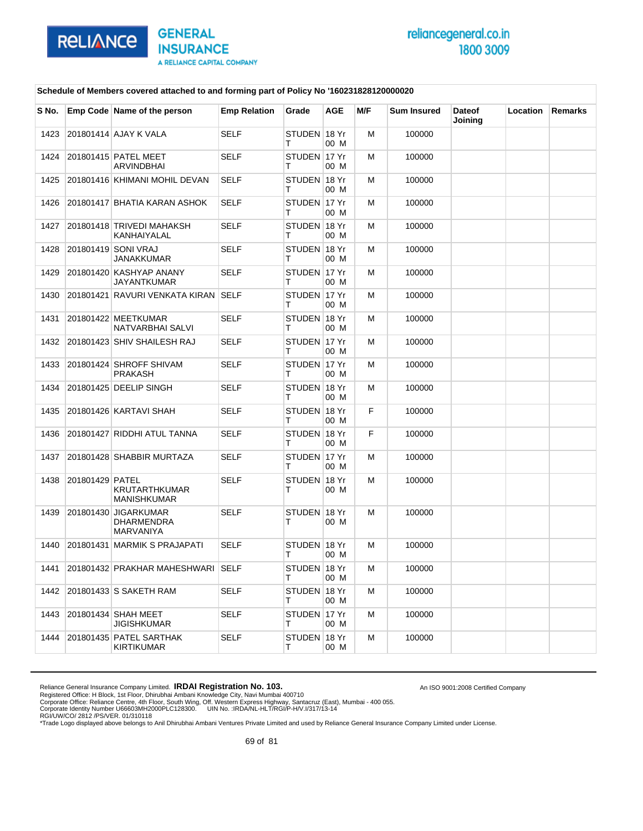

An ISO 9001:2008 Certified Company

### **Schedule of Members covered attached to and forming part of Policy No '160231828120000020**

| S No. |                 | Emp Code Name of the person                                   | <b>Emp Relation</b> | Grade              | AGE  | M/F | <b>Sum Insured</b> | <b>Dateof</b><br>Joining | Location | Remarks |
|-------|-----------------|---------------------------------------------------------------|---------------------|--------------------|------|-----|--------------------|--------------------------|----------|---------|
| 1423  |                 | 201801414 AJAY K VALA                                         | <b>SELF</b>         | STUDEN 18 Yr<br>т  | 00 M | M   | 100000             |                          |          |         |
| 1424  |                 | 201801415 PATEL MEET<br><b>ARVINDBHAI</b>                     | <b>SELF</b>         | STUDEN 17 Yr<br>т  | 00 M | м   | 100000             |                          |          |         |
| 1425  |                 | 201801416 KHIMANI MOHIL DEVAN                                 | <b>SELF</b>         | STUDEN 18 Yr<br>т  | 00 M | M   | 100000             |                          |          |         |
| 1426  |                 | 201801417 BHATIA KARAN ASHOK                                  | <b>SELF</b>         | STUDEN 17 Yr<br>т  | 00 M | M   | 100000             |                          |          |         |
| 1427  |                 | 201801418 TRIVEDI MAHAKSH<br>KANHAIYALAL                      | <b>SELF</b>         | STUDEN 18 Yr<br>т  | 00 M | M   | 100000             |                          |          |         |
| 1428  |                 | 201801419 SONI VRAJ<br>JANAKKUMAR                             | <b>SELF</b>         | STUDEN 18 Yr<br>т  | 00 M | M   | 100000             |                          |          |         |
| 1429  |                 | 201801420 KASHYAP ANANY<br>JAYANTKUMAR                        | <b>SELF</b>         | STUDEN 17 Yr<br>т  | 00 M | M   | 100000             |                          |          |         |
| 1430  |                 | 201801421 RAVURI VENKATA KIRAN SELF                           |                     | STUDEN 17 Yr<br>т  | 00 M | м   | 100000             |                          |          |         |
| 1431  |                 | 201801422 MEETKUMAR<br>NATVARBHAI SALVI                       | <b>SELF</b>         | STUDEN 18 Yr<br>т  | 00 M | M   | 100000             |                          |          |         |
| 1432  |                 | 201801423 SHIV SHAILESH RAJ                                   | <b>SELF</b>         | STUDEN 17 Yr<br>т  | 00 M | M   | 100000             |                          |          |         |
| 1433  |                 | 201801424 SHROFF SHIVAM<br><b>PRAKASH</b>                     | <b>SELF</b>         | STUDEN 117 Yr<br>т | 00 M | M   | 100000             |                          |          |         |
| 1434  |                 | 201801425 DEELIP SINGH                                        | <b>SELF</b>         | STUDEN 18 Yr<br>т  | 00 M | M   | 100000             |                          |          |         |
| 1435  |                 | 201801426 KARTAVI SHAH                                        | <b>SELF</b>         | STUDEN 18 Yr<br>т  | 00 M | F   | 100000             |                          |          |         |
| 1436  |                 | 201801427 RIDDHI ATUL TANNA                                   | <b>SELF</b>         | STUDEN 18 Yr<br>т  | 00 M | F   | 100000             |                          |          |         |
| 1437  |                 | 201801428 SHABBIR MURTAZA                                     | <b>SELF</b>         | STUDEN 17 Yr<br>т  | 00 M | M   | 100000             |                          |          |         |
| 1438  | 201801429 PATEL | KRUTARTHKUMAR<br><b>MANISHKUMAR</b>                           | <b>SELF</b>         | STUDEN 18 Yr<br>т  | 00 M | M   | 100000             |                          |          |         |
| 1439  |                 | 201801430 JIGARKUMAR<br><b>DHARMENDRA</b><br><b>MARVANIYA</b> | <b>SELF</b>         | STUDEN 18 Yr<br>т  | 00 M | M   | 100000             |                          |          |         |
| 1440  |                 | 201801431 MARMIK S PRAJAPATI                                  | <b>SELF</b>         | STUDEN 18 Yr<br>т  | 00 M | M   | 100000             |                          |          |         |
| 1441  |                 | 201801432 PRAKHAR MAHESHWARI SELF                             |                     | STUDEN 18 Yr<br>T. | 00 M | M   | 100000             |                          |          |         |
| 1442  |                 | 201801433 S SAKETH RAM                                        | SELF                | STUDEN 18 Yr<br>T. | 00 M | м   | 100000             |                          |          |         |
| 1443  |                 | 201801434 SHAH MEET<br><b>JIGISHKUMAR</b>                     | SELF                | STUDEN 17 Yr<br>T. | 00 M | м   | 100000             |                          |          |         |
| 1444  |                 | 201801435 PATEL SARTHAK<br>KIRTIKUMAR                         | <b>SELF</b>         | STUDEN 18 Yr<br>T. | 00 M | м   | 100000             |                          |          |         |

Reliance General Insurance Company Limited. **IRDAI Registration No. 103.**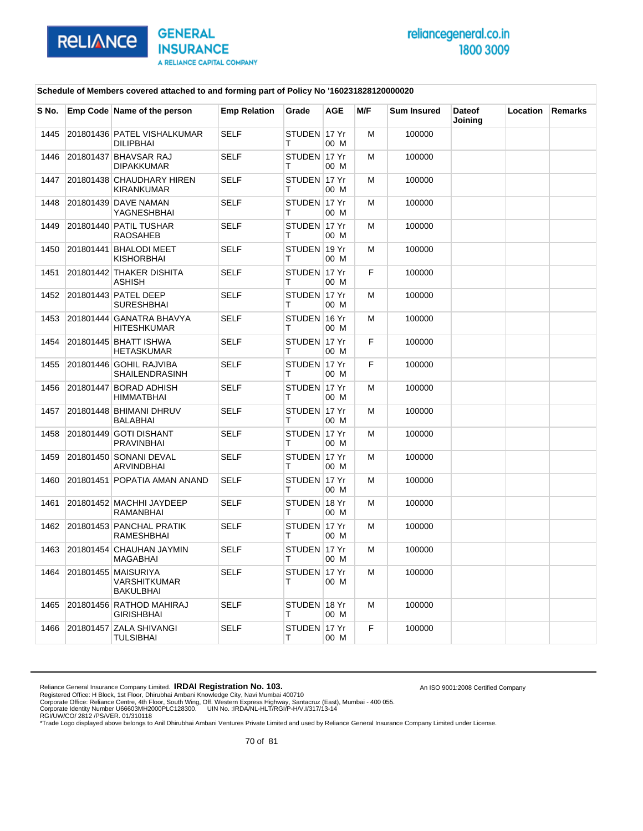

An ISO 9001:2008 Certified Company

### **Schedule of Members covered attached to and forming part of Policy No '160231828120000020**

| S No. | Emp Code Name of the person                             | <b>Emp Relation</b> | Grade             | <b>AGE</b> | M/F | <b>Sum Insured</b> | <b>Dateof</b><br>Joining | <b>Location</b> | <b>Remarks</b> |
|-------|---------------------------------------------------------|---------------------|-------------------|------------|-----|--------------------|--------------------------|-----------------|----------------|
| 1445  | 201801436 PATEL VISHALKUMAR<br><b>DILIPBHAI</b>         | <b>SELF</b>         | STUDEN 17 Yr<br>т | 00 M       | M   | 100000             |                          |                 |                |
| 1446  | 201801437 BHAVSAR RAJ<br><b>DIPAKKUMAR</b>              | <b>SELF</b>         | STUDEN 17 Yr<br>т | 00 M       | м   | 100000             |                          |                 |                |
| 1447  | 201801438 CHAUDHARY HIREN<br><b>KIRANKUMAR</b>          | <b>SELF</b>         | STUDEN 17 Yr<br>т | 00 M       | M   | 100000             |                          |                 |                |
| 1448  | 201801439 DAVE NAMAN<br>YAGNESHBHAI                     | <b>SELF</b>         | STUDEN 17 Yr<br>т | 00 M       | M   | 100000             |                          |                 |                |
| 1449  | 201801440 PATIL TUSHAR<br><b>RAOSAHEB</b>               | <b>SELF</b>         | STUDEN 17 Yr<br>т | 00 M       | м   | 100000             |                          |                 |                |
| 1450  | 201801441 BHALODI MEET<br><b>KISHORBHAI</b>             | <b>SELF</b>         | STUDEN 19 Yr<br>т | 00 M       | M   | 100000             |                          |                 |                |
| 1451  | 201801442 THAKER DISHITA<br>ASHISH                      | <b>SELF</b>         | STUDEN 17 Yr<br>Т | 00 M       | F   | 100000             |                          |                 |                |
| 1452  | 201801443 PATEL DEEP<br><b>SURESHBHAI</b>               | <b>SELF</b>         | STUDEN 17 Yr<br>т | 00 M       | м   | 100000             |                          |                 |                |
| 1453  | 201801444 GANATRA BHAVYA<br><b>HITESHKUMAR</b>          | <b>SELF</b>         | STUDEN 16 Yr<br>т | 00 M       | M   | 100000             |                          |                 |                |
| 1454  | 201801445 BHATT ISHWA<br><b>HETASKUMAR</b>              | <b>SELF</b>         | STUDEN 17 Yr<br>т | 00 M       | F   | 100000             |                          |                 |                |
| 1455  | 201801446 GOHIL RAJVIBA<br>SHAILENDRASINH               | <b>SELF</b>         | STUDEN 17 Yr<br>т | 00 M       | F   | 100000             |                          |                 |                |
| 1456  | 201801447 BORAD ADHISH<br><b>HIMMATBHAI</b>             | <b>SELF</b>         | STUDEN 17 Yr<br>т | 00 M       | м   | 100000             |                          |                 |                |
| 1457  | 201801448 BHIMANI DHRUV<br><b>BALABHAI</b>              | <b>SELF</b>         | STUDEN 17 Yr<br>т | 00 M       | M   | 100000             |                          |                 |                |
| 1458  | 201801449 GOTI DISHANT<br><b>PRAVINBHAI</b>             | <b>SELF</b>         | STUDEN 17 Yr<br>т | 00 M       | M   | 100000             |                          |                 |                |
| 1459  | 201801450 SONANI DEVAL<br><b>ARVINDBHAI</b>             | <b>SELF</b>         | STUDEN 17 Yr<br>т | 00 M       | M   | 100000             |                          |                 |                |
| 1460  | 201801451 POPATIA AMAN ANAND                            | <b>SELF</b>         | STUDEN 17 Yr<br>т | 00 M       | м   | 100000             |                          |                 |                |
| 1461  | 201801452 MACHHI JAYDEEP<br><b>RAMANBHAI</b>            | <b>SELF</b>         | STUDEN 18 Yr<br>т | 00 M       | M   | 100000             |                          |                 |                |
| 1462  | 201801453 PANCHAL PRATIK<br><b>RAMESHBHAI</b>           | <b>SELF</b>         | STUDEN 17 Yr<br>т | 00 M       | M   | 100000             |                          |                 |                |
| 1463  | 201801454 CHAUHAN JAYMIN<br><b>MAGABHAI</b>             | <b>SELF</b>         | STUDEN 17 Yr<br>т | 00 M       | M   | 100000             |                          |                 |                |
| 1464  | 201801455 MAISURIYA<br>VARSHITKUMAR<br><b>BAKULBHAI</b> | <b>SELF</b>         | STUDEN 17 Yr<br>т | 00 M       | M   | 100000             |                          |                 |                |
| 1465  | 201801456 RATHOD MAHIRAJ<br><b>GIRISHBHAI</b>           | <b>SELF</b>         | STUDEN 18 Yr<br>Τ | 00 M       | M   | 100000             |                          |                 |                |
| 1466  | 201801457 ZALA SHIVANGI<br>TULSIBHAI                    | <b>SELF</b>         | STUDEN 17 Yr<br>Т | 00 M       | F   | 100000             |                          |                 |                |

Reliance General Insurance Company Limited. **IRDAI Registration No. 103.**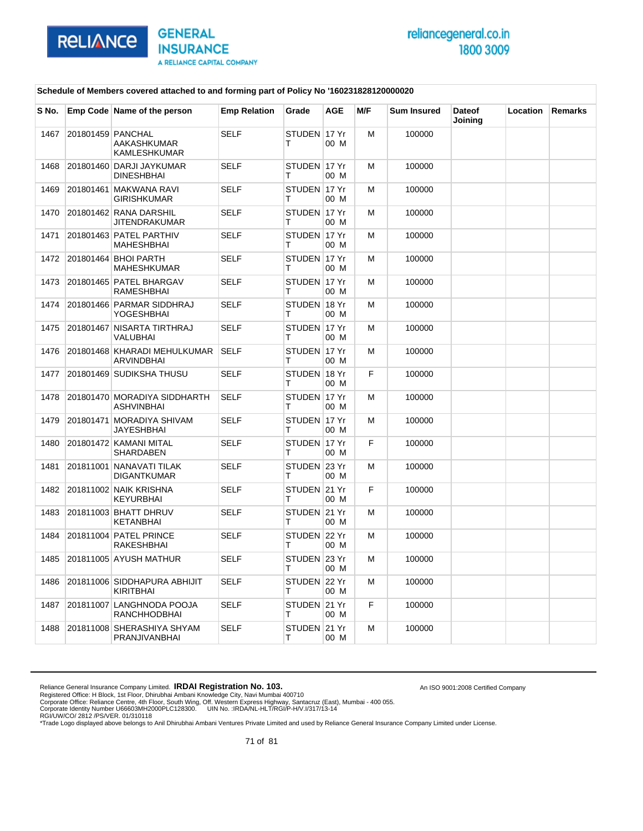

An ISO 9001:2008 Certified Company

### **Schedule of Members covered attached to and forming part of Policy No '160231828120000020**

| S No. |                   | Emp Code Name of the person                       | <b>Emp Relation</b> | Grade              | <b>AGE</b> | M/F | <b>Sum Insured</b> | <b>Dateof</b><br>Joining | Location | <b>Remarks</b> |
|-------|-------------------|---------------------------------------------------|---------------------|--------------------|------------|-----|--------------------|--------------------------|----------|----------------|
| 1467  | 201801459 PANCHAL | AAKASHKUMAR<br><b>KAMLESHKUMAR</b>                | <b>SELF</b>         | STUDEN 17 Yr<br>т  | 00 M       | M   | 100000             |                          |          |                |
| 1468  |                   | 201801460 DARJI JAYKUMAR<br><b>DINESHBHAI</b>     | <b>SELF</b>         | STUDEN 17 Yr<br>т  | 00 M       | M   | 100000             |                          |          |                |
| 1469  |                   | 201801461 MAKWANA RAVI<br>GIRISHKUMAR             | <b>SELF</b>         | STUDEN 17 Yr<br>т  | 00 M       | M   | 100000             |                          |          |                |
| 1470  |                   | 201801462 RANA DARSHIL<br>JITENDRAKUMAR           | <b>SELF</b>         | STUDEN 117 Yr<br>т | 00 M       | M   | 100000             |                          |          |                |
| 1471  |                   | 201801463 PATEL PARTHIV<br><b>MAHESHBHAI</b>      | <b>SELF</b>         | STUDEN 17 Yr<br>т  | 00 M       | M   | 100000             |                          |          |                |
| 1472  |                   | 201801464 BHOI PARTH<br><b>MAHESHKUMAR</b>        | <b>SELF</b>         | STUDEN 17 Yr<br>т  | 00 M       | M   | 100000             |                          |          |                |
| 1473  |                   | 201801465 PATEL BHARGAV<br>RAMESHBHAI             | <b>SELF</b>         | STUDEN 17 Yr<br>т  | 00 M       | м   | 100000             |                          |          |                |
| 1474  |                   | 201801466 PARMAR SIDDHRAJ<br><b>YOGESHBHAI</b>    | <b>SELF</b>         | STUDEN 18 Yr<br>т  | 00 M       | M   | 100000             |                          |          |                |
| 1475  |                   | 201801467 NISARTA TIRTHRAJ<br>VALUBHAI            | <b>SELF</b>         | STUDEN 17 Yr<br>т  | 00 M       | M   | 100000             |                          |          |                |
| 1476  |                   | 201801468 KHARADI MEHULKUMAR<br>ARVINDBHAI        | <b>SELF</b>         | STUDEN 17 Yr<br>т  | 00 M       | м   | 100000             |                          |          |                |
| 1477  |                   | 201801469 SUDIKSHA THUSU                          | <b>SELF</b>         | STUDEN 18 Yr<br>т  | 00 M       | F   | 100000             |                          |          |                |
| 1478  |                   | 201801470 MORADIYA SIDDHARTH<br><b>ASHVINBHAI</b> | <b>SELF</b>         | STUDEN 17 Yr<br>т  | 00 M       | м   | 100000             |                          |          |                |
| 1479  |                   | 201801471 MORADIYA SHIVAM<br>JAYESHBHAI           | SELF                | STUDEN 17 Yr<br>т  | 00 M       | M   | 100000             |                          |          |                |
| 1480  |                   | 201801472 KAMANI MITAL<br>SHARDABEN               | <b>SELF</b>         | STUDEN 17 Yr<br>т  | 00 M       | F   | 100000             |                          |          |                |
| 1481  |                   | 201811001 NANAVATI TILAK<br><b>DIGANTKUMAR</b>    | <b>SELF</b>         | STUDEN 23 Yr<br>т  | 00 M       | M   | 100000             |                          |          |                |
| 1482  |                   | 201811002 NAIK KRISHNA<br><b>KEYURBHAI</b>        | <b>SELF</b>         | STUDEN 21 Yr<br>т  | 00 M       | F   | 100000             |                          |          |                |
| 1483  |                   | 201811003 BHATT DHRUV<br>KETANBHAI                | <b>SELF</b>         | STUDEN 21 Yr<br>т  | 00 M       | м   | 100000             |                          |          |                |
| 1484  |                   | 201811004 PATEL PRINCE<br>RAKESHBHAI              | <b>SELF</b>         | STUDEN 22 Yr<br>т  | 00 M       | м   | 100000             |                          |          |                |
| 1485  |                   | 201811005 AYUSH MATHUR                            | <b>SELF</b>         | STUDEN 23 Yr<br>T. | 00 M       | м   | 100000             |                          |          |                |
| 1486  |                   | 201811006 SIDDHAPURA ABHIJIT<br><b>KIRITBHAI</b>  | SELF                | STUDEN 22 Yr<br>T. | 00 M       | м   | 100000             |                          |          |                |
| 1487  |                   | 201811007 LANGHNODA POOJA<br>RANCHHODBHAI         | <b>SELF</b>         | STUDEN 21 Yr<br>T. | 00 M       | F   | 100000             |                          |          |                |
| 1488  |                   | 201811008 SHERASHIYA SHYAM<br>PRANJIVANBHAI       | SELF                | STUDEN 21 Yr<br>т  | 00 M       | M   | 100000             |                          |          |                |

Reliance General Insurance Company Limited. **IRDAI Registration No. 103.**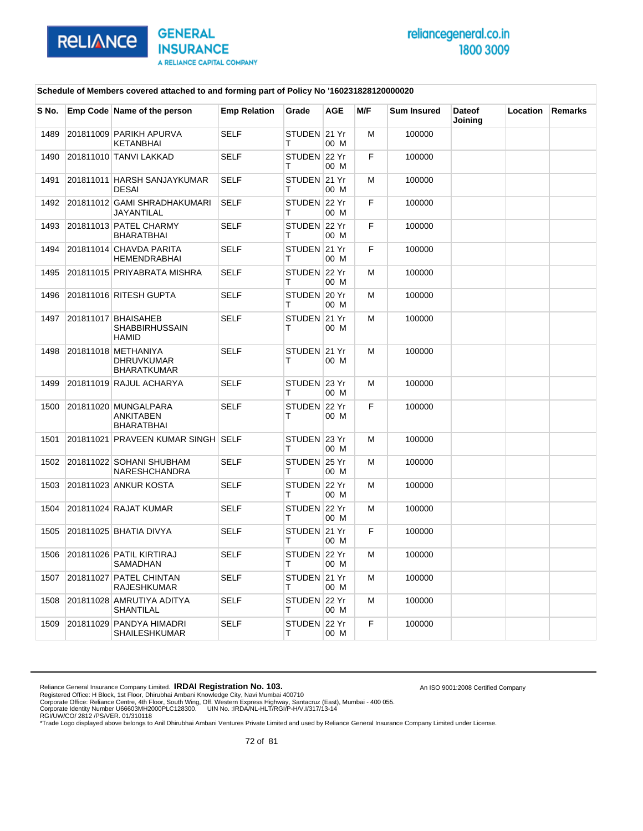

An ISO 9001:2008 Certified Company

### **Schedule of Members covered attached to and forming part of Policy No '160231828120000020**

| S No. | Emp Code Name of the person                                    | <b>Emp Relation</b> | Grade             | AGE  | M/F | <b>Sum Insured</b> | <b>Dateof</b><br>Joining | Location | Remarks |
|-------|----------------------------------------------------------------|---------------------|-------------------|------|-----|--------------------|--------------------------|----------|---------|
| 1489  | 201811009 PARIKH APURVA<br>KETANBHAI                           | <b>SELF</b>         | STUDEN 21 Yr<br>т | 00 M | М   | 100000             |                          |          |         |
| 1490  | 201811010 TANVI LAKKAD                                         | <b>SELF</b>         | STUDEN 22 Yr<br>т | 00 M | F   | 100000             |                          |          |         |
| 1491  | 201811011 HARSH SANJAYKUMAR<br><b>DESAI</b>                    | <b>SELF</b>         | STUDEN 21 Yr<br>т | 00 M | M   | 100000             |                          |          |         |
| 1492  | 201811012 GAMI SHRADHAKUMARI<br><b>JAYANTILAL</b>              | <b>SELF</b>         | STUDEN 22 Yr<br>т | 00 M | F   | 100000             |                          |          |         |
| 1493  | 201811013 PATEL CHARMY<br><b>BHARATBHAI</b>                    | <b>SELF</b>         | STUDEN 22 Yr<br>т | 00 M | F   | 100000             |                          |          |         |
| 1494  | 201811014 CHAVDA PARITA<br><b>HEMENDRABHAI</b>                 | <b>SELF</b>         | STUDEN 21 Yr<br>т | 00 M | F   | 100000             |                          |          |         |
| 1495  | 201811015 PRIYABRATA MISHRA                                    | <b>SELF</b>         | STUDEN 22 Yr<br>т | 00 M | M   | 100000             |                          |          |         |
| 1496  | 201811016 RITESH GUPTA                                         | <b>SELF</b>         | STUDEN 20 Yr<br>т | 00 M | м   | 100000             |                          |          |         |
| 1497  | 201811017 BHAISAHEB<br><b>SHABBIRHUSSAIN</b><br><b>HAMID</b>   | <b>SELF</b>         | STUDEN 21 Yr<br>т | 00 M | М   | 100000             |                          |          |         |
| 1498  | 201811018 METHANIYA<br><b>DHRUVKUMAR</b><br><b>BHARATKUMAR</b> | <b>SELF</b>         | STUDEN 21 Yr<br>т | 00 M | M   | 100000             |                          |          |         |
| 1499  | 201811019 RAJUL ACHARYA                                        | <b>SELF</b>         | STUDEN 23 Yr<br>т | 00 M | М   | 100000             |                          |          |         |
| 1500  | 201811020 MUNGALPARA<br>ANKITABEN<br><b>BHARATBHAI</b>         | <b>SELF</b>         | STUDEN 22 Yr<br>т | 00 M | F   | 100000             |                          |          |         |
| 1501  | 201811021 PRAVEEN KUMAR SINGH SELF                             |                     | STUDEN 23 Yr<br>т | 00 M | M   | 100000             |                          |          |         |
| 1502  | 201811022 SOHANI SHUBHAM<br><b>NARESHCHANDRA</b>               | <b>SELF</b>         | STUDEN 25 Yr<br>т | 00 M | м   | 100000             |                          |          |         |
| 1503  | 201811023 ANKUR KOSTA                                          | <b>SELF</b>         | STUDEN 22 Yr<br>т | 00 M | М   | 100000             |                          |          |         |
| 1504  | 201811024 RAJAT KUMAR                                          | <b>SELF</b>         | STUDEN 22 Yr<br>т | 00 M | M   | 100000             |                          |          |         |
| 1505  | 201811025 BHATIA DIVYA                                         | <b>SELF</b>         | STUDEN 21 Yr<br>т | 00 M | F   | 100000             |                          |          |         |
| 1506  | 201811026 PATIL KIRTIRAJ<br><b>SAMADHAN</b>                    | <b>SELF</b>         | STUDEN 22 Yr<br>т | 00 M | м   | 100000             |                          |          |         |
| 1507  | 201811027 PATEL CHINTAN<br><b>RAJESHKUMAR</b>                  | <b>SELF</b>         | STUDEN 21 Yr<br>т | 00 M | М   | 100000             |                          |          |         |
| 1508  | 201811028 AMRUTIYA ADITYA<br>SHANTILAL                         | <b>SELF</b>         | STUDEN 22 Yr<br>т | 00 M | М   | 100000             |                          |          |         |
| 1509  | 201811029 PANDYA HIMADRI<br><b>SHAILESHKUMAR</b>               | <b>SELF</b>         | STUDEN 22 Yr<br>т | 00 M | F   | 100000             |                          |          |         |

Reliance General Insurance Company Limited. **IRDAI Registration No. 103.**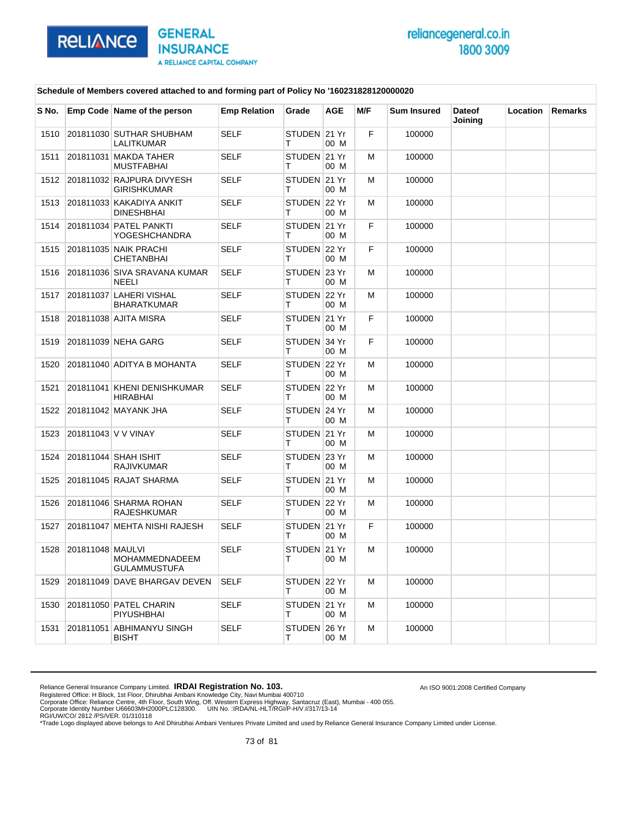

An ISO 9001:2008 Certified Company

#### **Schedule of Members covered attached to and forming part of Policy No '160231828120000020**

| S No. |                  | Emp Code Name of the person                     | <b>Emp Relation</b> | Grade             | <b>AGE</b> | M/F | <b>Sum Insured</b> | <b>Dateof</b><br>Joining | <b>Location</b> | <b>Remarks</b> |
|-------|------------------|-------------------------------------------------|---------------------|-------------------|------------|-----|--------------------|--------------------------|-----------------|----------------|
| 1510  |                  | 201811030 SUTHAR SHUBHAM<br>LALITKUMAR          | <b>SELF</b>         | STUDEN 21 Yr<br>т | 00 M       | F   | 100000             |                          |                 |                |
| 1511  |                  | 201811031 MAKDA TAHER<br><b>MUSTFABHAI</b>      | <b>SELF</b>         | STUDEN 21 Yr<br>т | 00 M       | м   | 100000             |                          |                 |                |
| 1512  |                  | 201811032 RAJPURA DIVYESH<br><b>GIRISHKUMAR</b> | <b>SELF</b>         | STUDEN 21 Yr<br>т | 00 M       | M   | 100000             |                          |                 |                |
| 1513  |                  | 201811033 KAKADIYA ANKIT<br><b>DINESHBHAI</b>   | <b>SELF</b>         | STUDEN 22 Yr<br>т | 00 M       | M   | 100000             |                          |                 |                |
| 1514  |                  | 201811034 PATEL PANKTI<br><b>YOGESHCHANDRA</b>  | <b>SELF</b>         | STUDEN 21 Yr<br>т | 00 M       | F   | 100000             |                          |                 |                |
| 1515  |                  | 201811035 NAIK PRACHI<br><b>CHETANBHAI</b>      | <b>SELF</b>         | STUDEN 22 Yr<br>т | 00 M       | F   | 100000             |                          |                 |                |
| 1516  |                  | 201811036 SIVA SRAVANA KUMAR<br><b>NEELI</b>    | <b>SELF</b>         | STUDEN 23 Yr<br>т | 00 M       | м   | 100000             |                          |                 |                |
| 1517  |                  | 201811037 LAHERI VISHAL<br><b>BHARATKUMAR</b>   | <b>SELF</b>         | STUDEN 22 Yr<br>т | 00 M       | M   | 100000             |                          |                 |                |
| 1518  |                  | 201811038 AJITA MISRA                           | <b>SELF</b>         | STUDEN 21 Yr<br>т | 00 M       | F   | 100000             |                          |                 |                |
| 1519  |                  | 201811039 NEHA GARG                             | <b>SELF</b>         | STUDEN 34 Yr<br>т | 00 M       | F   | 100000             |                          |                 |                |
| 1520  |                  | 201811040 ADITYA B MOHANTA                      | <b>SELF</b>         | STUDEN 22 Yr<br>т | 00 M       | M   | 100000             |                          |                 |                |
| 1521  |                  | 201811041 KHENI DENISHKUMAR<br><b>HIRABHAI</b>  | <b>SELF</b>         | STUDEN 22 Yr<br>т | 00 M       | м   | 100000             |                          |                 |                |
| 1522  |                  | 201811042 MAYANK JHA                            | <b>SELF</b>         | STUDEN 24 Yr<br>т | 00 M       | M   | 100000             |                          |                 |                |
| 1523  |                  | 201811043 V V VINAY                             | <b>SELF</b>         | STUDEN 21 Yr<br>т | 00 M       | M   | 100000             |                          |                 |                |
| 1524  |                  | 201811044 SHAH ISHIT<br><b>RAJIVKUMAR</b>       | <b>SELF</b>         | STUDEN 23 Yr<br>т | 00 M       | М   | 100000             |                          |                 |                |
| 1525  |                  | 201811045 RAJAT SHARMA                          | <b>SELF</b>         | STUDEN 21 Yr<br>т | 00 M       | М   | 100000             |                          |                 |                |
| 1526  |                  | 201811046 SHARMA ROHAN<br><b>RAJESHKUMAR</b>    | <b>SELF</b>         | STUDEN 22 Yr<br>т | 00 M       | М   | 100000             |                          |                 |                |
| 1527  |                  | 201811047 MEHTA NISHI RAJESH                    | <b>SELF</b>         | STUDEN 21 Yr<br>т | 00 M       | F   | 100000             |                          |                 |                |
| 1528  | 201811048 MAULVI | MOHAMMEDNADEEM<br><b>GULAMMUSTUFA</b>           | <b>SELF</b>         | STUDEN 21 Yr<br>т | 00 M       | м   | 100000             |                          |                 |                |
| 1529  |                  | 201811049 DAVE BHARGAV DEVEN                    | <b>SELF</b>         | STUDEN 22 Yr<br>т | 00 M       | M   | 100000             |                          |                 |                |
| 1530  |                  | 201811050 PATEL CHARIN<br>PIYUSHBHAI            | <b>SELF</b>         | STUDEN 21 Yr<br>т | 00 M       | М   | 100000             |                          |                 |                |
| 1531  |                  | 201811051 ABHIMANYU SINGH<br><b>BISHT</b>       | <b>SELF</b>         | STUDEN 26 Yr<br>т | 00 M       | м   | 100000             |                          |                 |                |

Reliance General Insurance Company Limited. **IRDAI Registration No. 103.**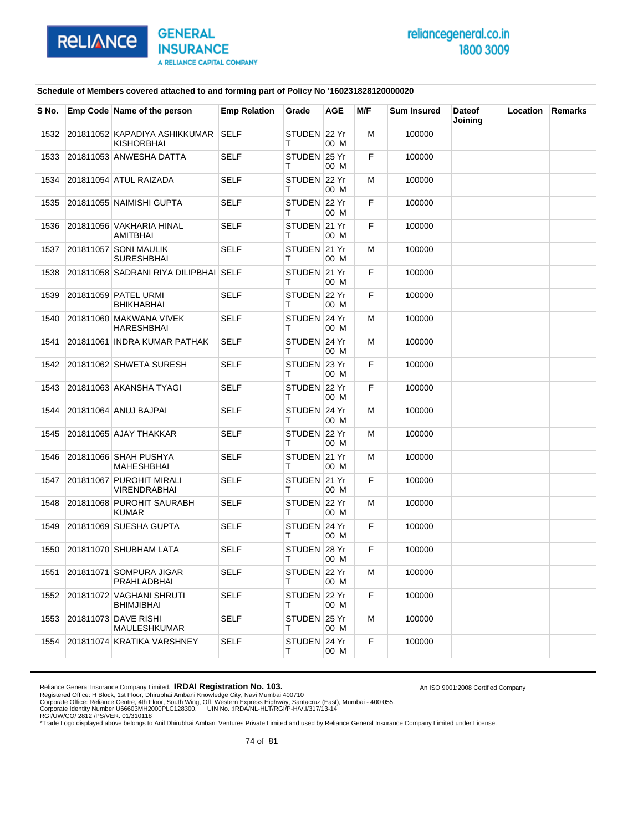

An ISO 9001:2008 Certified Company

#### **Schedule of Members covered attached to and forming part of Policy No '160231828120000020**

| S No. | Emp Code Name of the person                        | <b>Emp Relation</b> | Grade             | <b>AGE</b> | M/F | <b>Sum Insured</b> | <b>Dateof</b><br>Joining | Location | Remarks |
|-------|----------------------------------------------------|---------------------|-------------------|------------|-----|--------------------|--------------------------|----------|---------|
| 1532  | 201811052 KAPADIYA ASHIKKUMAR<br><b>KISHORBHAI</b> | <b>SELF</b>         | STUDEN 22 Yr<br>т | 00 M       | М   | 100000             |                          |          |         |
| 1533  | 201811053 ANWESHA DATTA                            | <b>SELF</b>         | STUDEN 25 Yr<br>т | 00 M       | F   | 100000             |                          |          |         |
| 1534  | 201811054 ATUL RAIZADA                             | <b>SELF</b>         | STUDEN 22 Yr<br>т | 00 M       | м   | 100000             |                          |          |         |
| 1535  | 201811055 NAIMISHI GUPTA                           | <b>SELF</b>         | STUDEN 22 Yr<br>т | 00 M       | F.  | 100000             |                          |          |         |
| 1536  | 201811056 VAKHARIA HINAL<br>AMITBHAI               | <b>SELF</b>         | STUDEN 21 Yr<br>т | 00 M       | F   | 100000             |                          |          |         |
| 1537  | 201811057 SONI MAULIK<br><b>SURESHBHAI</b>         | <b>SELF</b>         | STUDEN 21 Yr<br>т | 00 M       | м   | 100000             |                          |          |         |
| 1538  | 201811058 SADRANI RIYA DILIPBHAI SELF              |                     | STUDEN 21 Yr<br>т | 00 M       | F   | 100000             |                          |          |         |
| 1539  | 201811059 PATEL URMI<br><b>BHIKHABHAI</b>          | <b>SELF</b>         | STUDEN 22 Yr<br>т | 00 M       | F   | 100000             |                          |          |         |
| 1540  | 201811060 MAKWANA VIVEK<br><b>HARESHBHAI</b>       | <b>SELF</b>         | STUDEN 24 Yr<br>т | 00 M       | м   | 100000             |                          |          |         |
| 1541  | 201811061 INDRA KUMAR PATHAK                       | <b>SELF</b>         | STUDEN 24 Yr<br>т | 00 M       | М   | 100000             |                          |          |         |
| 1542  | 201811062 SHWETA SURESH                            | <b>SELF</b>         | STUDEN 23 Yr<br>т | 00 M       | F   | 100000             |                          |          |         |
| 1543  | 201811063 AKANSHA TYAGI                            | <b>SELF</b>         | STUDEN 22 Yr<br>т | 00 M       | F   | 100000             |                          |          |         |
| 1544  | 201811064 ANUJ BAJPAI                              | <b>SELF</b>         | STUDEN 24 Yr<br>т | 00 M       | м   | 100000             |                          |          |         |
| 1545  | 201811065 AJAY THAKKAR                             | <b>SELF</b>         | STUDEN 22 Yr<br>т | 00 M       | м   | 100000             |                          |          |         |
| 1546  | 201811066 SHAH PUSHYA<br>MAHESHBHAI                | <b>SELF</b>         | STUDEN 21 Yr<br>т | 00 M       | м   | 100000             |                          |          |         |
| 1547  | 201811067 PUROHIT MIRALI<br><b>VIRENDRABHAI</b>    | <b>SELF</b>         | STUDEN 21 Yr<br>т | 00 M       | F   | 100000             |                          |          |         |
| 1548  | 201811068 PUROHIT SAURABH<br><b>KUMAR</b>          | <b>SELF</b>         | STUDEN 22 Yr<br>т | 00 M       | м   | 100000             |                          |          |         |
| 1549  | 201811069 SUESHA GUPTA                             | <b>SELF</b>         | STUDEN 24 Yr<br>т | 00 M       | F   | 100000             |                          |          |         |
| 1550  | 201811070 SHUBHAM LATA                             | <b>SELF</b>         | STUDEN 28 Yr<br>т | 00 M       | F   | 100000             |                          |          |         |
| 1551  | 201811071 SOMPURA JIGAR<br><b>PRAHLADBHAI</b>      | SELF                | STUDEN 22 Yr<br>т | 00 M       | м   | 100000             |                          |          |         |
| 1552  | 201811072 VAGHANI SHRUTI<br><b>BHIMJIBHAI</b>      | <b>SELF</b>         | STUDEN 22 Yr<br>Τ | 00 M       | F   | 100000             |                          |          |         |
| 1553  | 201811073 DAVE RISHI<br><b>MAULESHKUMAR</b>        | <b>SELF</b>         | STUDEN 25 Yr<br>т | 00 M       | м   | 100000             |                          |          |         |
| 1554  | 201811074 KRATIKA VARSHNEY                         | <b>SELF</b>         | STUDEN 24 Yr<br>т | 00 M       | F   | 100000             |                          |          |         |

Reliance General Insurance Company Limited. **IRDAI Registration No. 103.**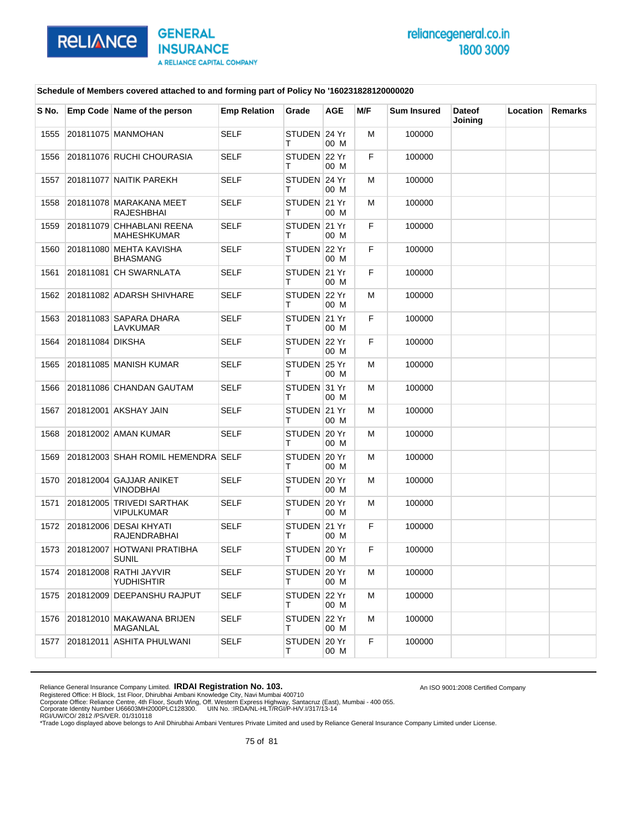

An ISO 9001:2008 Certified Company

#### **Schedule of Members covered attached to and forming part of Policy No '160231828120000020**

| S No. |                  | Emp Code Name of the person                     | <b>Emp Relation</b> | Grade              | AGE  | M/F | <b>Sum Insured</b> | <b>Dateof</b><br>Joining | Location | Remarks |
|-------|------------------|-------------------------------------------------|---------------------|--------------------|------|-----|--------------------|--------------------------|----------|---------|
| 1555  |                  | 201811075 MANMOHAN                              | <b>SELF</b>         | STUDEN 24 Yr<br>т  | 00 M | м   | 100000             |                          |          |         |
| 1556  |                  | 201811076 RUCHI CHOURASIA                       | <b>SELF</b>         | STUDEN 22 Yr<br>т  | 00 M | F   | 100000             |                          |          |         |
| 1557  |                  | 201811077 NAITIK PAREKH                         | <b>SELF</b>         | STUDEN 24 Yr<br>т  | 00 M | м   | 100000             |                          |          |         |
| 1558  |                  | 201811078 MARAKANA MEET<br><b>RAJESHBHAI</b>    | <b>SELF</b>         | STUDEN 21 Yr<br>т  | 00 M | М   | 100000             |                          |          |         |
| 1559  |                  | 201811079 CHHABLANI REENA<br><b>MAHESHKUMAR</b> | <b>SELF</b>         | STUDEN 21 Yr<br>т  | 00 M | F   | 100000             |                          |          |         |
| 1560  |                  | 201811080 MEHTA KAVISHA<br><b>BHASMANG</b>      | <b>SELF</b>         | STUDEN 22 Yr<br>т  | 00 M | F   | 100000             |                          |          |         |
| 1561  |                  | 201811081 CH SWARNLATA                          | <b>SELF</b>         | STUDEN 21 Yr<br>т  | 00 M | F   | 100000             |                          |          |         |
| 1562  |                  | 201811082 ADARSH SHIVHARE                       | <b>SELF</b>         | STUDEN 22 Yr<br>т  | 00 M | м   | 100000             |                          |          |         |
| 1563  |                  | 201811083 SAPARA DHARA<br>LAVKUMAR              | SELF                | STUDEN 21 Yr<br>т  | 00 M | F   | 100000             |                          |          |         |
| 1564  | 201811084 DIKSHA |                                                 | <b>SELF</b>         | STUDEN 22 Yr<br>т  | 00 M | F   | 100000             |                          |          |         |
| 1565  |                  | 201811085 MANISH KUMAR                          | SELF                | STUDEN 25 Yr<br>т  | 00 M | м   | 100000             |                          |          |         |
| 1566  |                  | 201811086 CHANDAN GAUTAM                        | SELF                | STUDEN 31 Yr<br>т  | 00 M | м   | 100000             |                          |          |         |
| 1567  |                  | 201812001 AKSHAY JAIN                           | <b>SELF</b>         | STUDEN 21 Yr<br>т  | 00 M | м   | 100000             |                          |          |         |
| 1568  |                  | 201812002 AMAN KUMAR                            | <b>SELF</b>         | STUDEN 20 Yr<br>т  | 00 M | м   | 100000             |                          |          |         |
| 1569  |                  | 201812003 SHAH ROMIL HEMENDRA SELF              |                     | STUDEN 20 Yr<br>т  | 00 M | м   | 100000             |                          |          |         |
| 1570  |                  | 201812004 GAJJAR ANIKET<br><b>VINODBHAI</b>     | <b>SELF</b>         | STUDEN 20 Yr<br>т  | 00 M | М   | 100000             |                          |          |         |
| 1571  |                  | 201812005 TRIVEDI SARTHAK<br><b>VIPULKUMAR</b>  | <b>SELF</b>         | STUDEN 20 Yr<br>т  | 00 M | м   | 100000             |                          |          |         |
| 1572  |                  | 201812006 DESAI KHYATI<br><b>RAJENDRABHAI</b>   | <b>SELF</b>         | STUDEN 21 Yr<br>т  | 00 M | F   | 100000             |                          |          |         |
| 1573  |                  | 201812007 HOTWANI PRATIBHA<br><b>SUNIL</b>      | <b>SELF</b>         | STUDEN 20 Yr<br>т  | 00 M | F   | 100000             |                          |          |         |
| 1574  |                  | 201812008 RATHI JAYVIR<br><b>YUDHISHTIR</b>     | SELF                | STUDEN ∣20 Yr<br>т | 00 M | м   | 100000             |                          |          |         |
| 1575  |                  | 201812009 DEEPANSHU RAJPUT                      | <b>SELF</b>         | STUDEN 22 Yr<br>T. | 00 M | М   | 100000             |                          |          |         |
| 1576  |                  | 201812010 MAKAWANA BRIJEN<br>MAGANLAL           | <b>SELF</b>         | STUDEN 22 Yr<br>т  | 00 M | м   | 100000             |                          |          |         |
| 1577  |                  | 201812011 ASHITA PHULWANI                       | <b>SELF</b>         | STUDEN 20 Yr<br>т  | 00 M | F   | 100000             |                          |          |         |

Reliance General Insurance Company Limited. **IRDAI Registration No. 103.**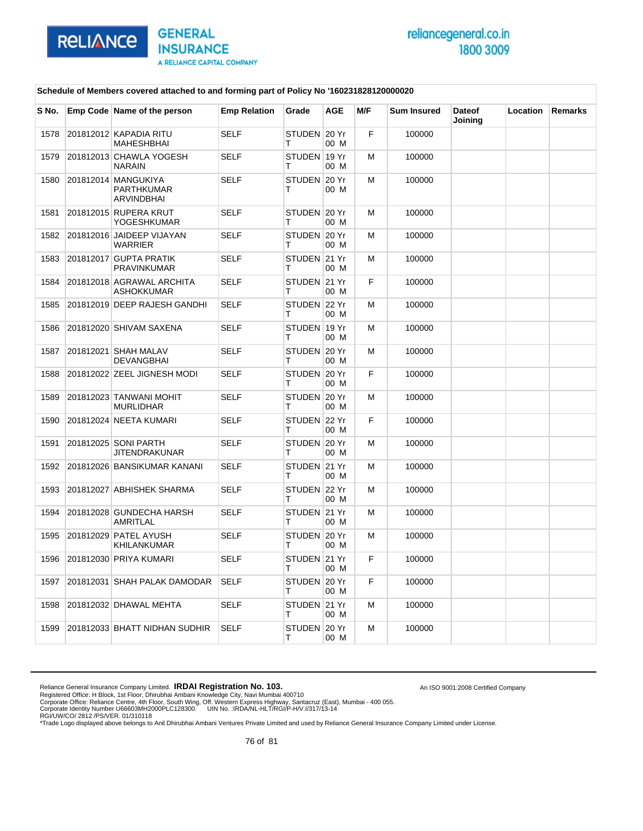

An ISO 9001:2008 Certified Company

#### **Schedule of Members covered attached to and forming part of Policy No '160231828120000020**

| S No. | Emp Code Name of the person                            | <b>Emp Relation</b> | Grade             | <b>AGE</b> | M/F | <b>Sum Insured</b> | <b>Dateof</b><br>Joining | Location | Remarks |
|-------|--------------------------------------------------------|---------------------|-------------------|------------|-----|--------------------|--------------------------|----------|---------|
| 1578  | 201812012 KAPADIA RITU<br>MAHESHBHAI                   | <b>SELF</b>         | STUDEN 20 Yr<br>т | 00 M       | F   | 100000             |                          |          |         |
| 1579  | 201812013 CHAWLA YOGESH<br><b>NARAIN</b>               | <b>SELF</b>         | STUDEN 19 Yr<br>т | 00 M       | м   | 100000             |                          |          |         |
| 1580  | 201812014 MANGUKIYA<br><b>PARTHKUMAR</b><br>ARVINDBHAI | <b>SELF</b>         | STUDEN 20 Yr<br>т | 00 M       | M   | 100000             |                          |          |         |
| 1581  | 201812015 RUPERA KRUT<br>YOGESHKUMAR                   | <b>SELF</b>         | STUDEN 20 Yr<br>т | 00 M       | M   | 100000             |                          |          |         |
| 1582  | 201812016 JAIDEEP VIJAYAN<br><b>WARRIER</b>            | <b>SELF</b>         | STUDEN 20 Yr<br>т | 00 M       | M   | 100000             |                          |          |         |
| 1583  | 201812017 GUPTA PRATIK<br><b>PRAVINKUMAR</b>           | <b>SELF</b>         | STUDEN 21 Yr<br>т | 00 M       | M   | 100000             |                          |          |         |
| 1584  | 201812018 AGRAWAL ARCHITA<br><b>ASHOKKUMAR</b>         | <b>SELF</b>         | STUDEN 21 Yr<br>Т | 00 M       | F   | 100000             |                          |          |         |
| 1585  | 201812019 DEEP RAJESH GANDHI                           | <b>SELF</b>         | STUDEN 22 Yr<br>т | 00 M       | M   | 100000             |                          |          |         |
| 1586  | 201812020 SHIVAM SAXENA                                | <b>SELF</b>         | STUDEN 19 Yr<br>т | 00 M       | M   | 100000             |                          |          |         |
| 1587  | 201812021 SHAH MALAV<br><b>DEVANGBHAI</b>              | <b>SELF</b>         | STUDEN 20 Yr<br>т | 00 M       | м   | 100000             |                          |          |         |
| 1588  | 201812022 ZEEL JIGNESH MODI                            | <b>SELF</b>         | STUDEN 20 Yr<br>т | 00 M       | F   | 100000             |                          |          |         |
| 1589  | 201812023 TANWANI MOHIT<br><b>MURLIDHAR</b>            | <b>SELF</b>         | STUDEN 20 Yr<br>Т | 00 M       | M   | 100000             |                          |          |         |
| 1590  | 201812024 NEETA KUMARI                                 | <b>SELF</b>         | STUDEN 22 Yr<br>т | 00 M       | F   | 100000             |                          |          |         |
| 1591  | 201812025 SONI PARTH<br><b>JITENDRAKUNAR</b>           | <b>SELF</b>         | STUDEN 20 Yr<br>т | 00 M       | M   | 100000             |                          |          |         |
| 1592  | 201812026 BANSIKUMAR KANANI                            | <b>SELF</b>         | STUDEN 21 Yr<br>т | 00 M       | M   | 100000             |                          |          |         |
| 1593  | 201812027 ABHISHEK SHARMA                              | <b>SELF</b>         | STUDEN 22 Yr<br>т | 00 M       | M   | 100000             |                          |          |         |
| 1594  | 201812028 GUNDECHA HARSH<br>AMRITLAL                   | <b>SELF</b>         | STUDEN 21 Yr<br>Т | 00 M       | M   | 100000             |                          |          |         |
| 1595  | 201812029 PATEL AYUSH<br>KHILANKUMAR                   | <b>SELF</b>         | STUDEN 20 Yr<br>т | 00 M       | M   | 100000             |                          |          |         |
| 1596  | 201812030 PRIYA KUMARI                                 | <b>SELF</b>         | STUDEN 21 Yr<br>т | 00 M       | F   | 100000             |                          |          |         |
| 1597  | 201812031 SHAH PALAK DAMODAR                           | <b>SELF</b>         | STUDEN 20 Yr<br>т | 00 M       | F   | 100000             |                          |          |         |
| 1598  | 201812032 DHAWAL MEHTA                                 | <b>SELF</b>         | STUDEN 21 Yr<br>Т | 00 M       | M   | 100000             |                          |          |         |
| 1599  | 201812033 BHATT NIDHAN SUDHIR                          | <b>SELF</b>         | STUDEN 20 Yr<br>Т | 00 M       | M   | 100000             |                          |          |         |

Reliance General Insurance Company Limited. **IRDAI Registration No. 103.**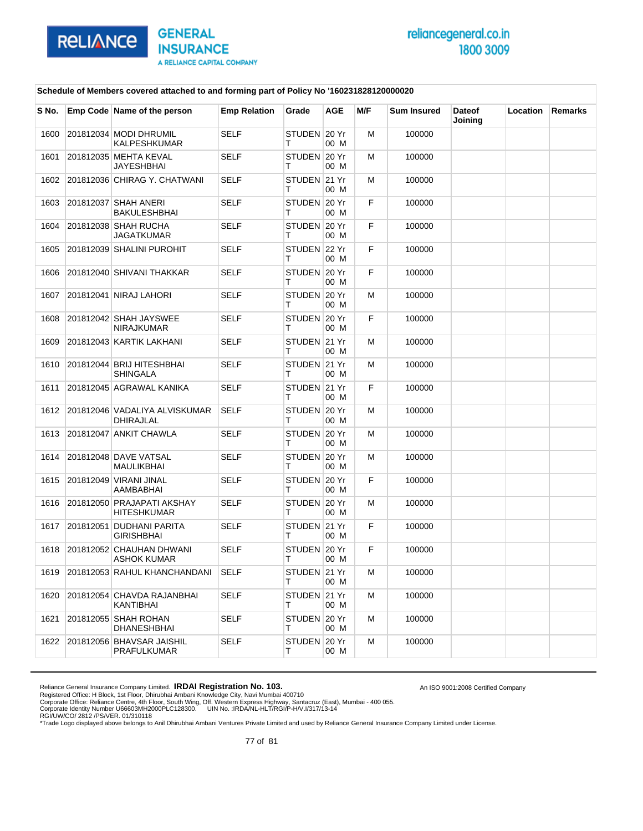

An ISO 9001:2008 Certified Company

#### **Schedule of Members covered attached to and forming part of Policy No '160231828120000020**

| S No. | Emp Code Name of the person                      | <b>Emp Relation</b> | Grade             | AGE  | M/F | <b>Sum Insured</b> | <b>Dateof</b><br>Joining | Location | Remarks |
|-------|--------------------------------------------------|---------------------|-------------------|------|-----|--------------------|--------------------------|----------|---------|
| 1600  | 201812034 MODI DHRUMIL<br>KALPESHKUMAR           | <b>SELF</b>         | STUDEN 20 Yr<br>т | 00 M | М   | 100000             |                          |          |         |
| 1601  | 201812035 MEHTA KEVAL<br><b>JAYESHBHAI</b>       | <b>SELF</b>         | STUDEN 20 Yr<br>т | 00 M | м   | 100000             |                          |          |         |
| 1602  | 201812036 CHIRAG Y. CHATWANI                     | SELF                | STUDEN 21 Yr<br>т | 00 M | м   | 100000             |                          |          |         |
| 1603  | 201812037 SHAH ANERI<br><b>BAKULESHBHAI</b>      | <b>SELF</b>         | STUDEN 20 Yr<br>т | 00 M | F   | 100000             |                          |          |         |
| 1604  | 201812038 SHAH RUCHA<br><b>JAGATKUMAR</b>        | <b>SELF</b>         | STUDEN 20 Yr<br>т | 00 M | F   | 100000             |                          |          |         |
| 1605  | 201812039 SHALINI PUROHIT                        | <b>SELF</b>         | STUDEN 22 Yr<br>т | 00 M | F   | 100000             |                          |          |         |
| 1606  | 201812040 SHIVANI THAKKAR                        | <b>SELF</b>         | STUDEN 20 Yr<br>т | 00 M | F   | 100000             |                          |          |         |
| 1607  | 201812041 NIRAJ LAHORI                           | <b>SELF</b>         | STUDEN 20 Yr<br>т | 00 M | м   | 100000             |                          |          |         |
| 1608  | 201812042 SHAH JAYSWEE<br><b>NIRAJKUMAR</b>      | SELF                | STUDEN 20 Yr<br>т | 00 M | F   | 100000             |                          |          |         |
| 1609  | 201812043 KARTIK LAKHANI                         | <b>SELF</b>         | STUDEN 21 Yr<br>т | 00 M | М   | 100000             |                          |          |         |
| 1610  | 201812044 BRIJ HITESHBHAI<br><b>SHINGALA</b>     | <b>SELF</b>         | STUDEN 21 Yr<br>т | 00 M | м   | 100000             |                          |          |         |
| 1611  | 201812045 AGRAWAL KANIKA                         | <b>SELF</b>         | STUDEN 21 Yr<br>т | 00 M | F   | 100000             |                          |          |         |
| 1612  | 201812046 VADALIYA ALVISKUMAR<br>DHIRAJLAL       | <b>SELF</b>         | STUDEN 20 Yr<br>т | 00 M | м   | 100000             |                          |          |         |
| 1613  | 201812047 ANKIT CHAWLA                           | <b>SELF</b>         | STUDEN 20 Yr<br>т | 00 M | м   | 100000             |                          |          |         |
| 1614  | 201812048 DAVE VATSAL<br>MAULIKBHAI              | <b>SELF</b>         | STUDEN 20 Yr<br>т | 00 M | м   | 100000             |                          |          |         |
| 1615  | 201812049 VIRANI JINAL<br>AAMBABHAI              | <b>SELF</b>         | STUDEN 20 Yr<br>т | 00 M | F   | 100000             |                          |          |         |
| 1616  | 201812050 PRAJAPATI AKSHAY<br><b>HITESHKUMAR</b> | <b>SELF</b>         | STUDEN 20 Yr<br>т | 00 M | м   | 100000             |                          |          |         |
| 1617  | 201812051 DUDHANI PARITA<br><b>GIRISHBHAI</b>    | <b>SELF</b>         | STUDEN 21 Yr<br>т | 00 M | F   | 100000             |                          |          |         |
| 1618  | 201812052 CHAUHAN DHWANI<br><b>ASHOK KUMAR</b>   | <b>SELF</b>         | STUDEN 20 Yr<br>т | 00 M | F   | 100000             |                          |          |         |
| 1619  | 201812053 RAHUL KHANCHANDANI                     | <b>SELF</b>         | STUDEN 21 Yr<br>т | 00 M | M   | 100000             |                          |          |         |
| 1620  | 201812054 CHAVDA RAJANBHAI<br>KANTIBHAI          | <b>SELF</b>         | STUDEN 21 Yr<br>т | 00 M | М   | 100000             |                          |          |         |
| 1621  | 201812055 SHAH ROHAN<br><b>DHANESHBHAI</b>       | <b>SELF</b>         | STUDEN 20 Yr<br>т | 00 M | М   | 100000             |                          |          |         |
| 1622  | 201812056 BHAVSAR JAISHIL<br>PRAFULKUMAR         | <b>SELF</b>         | STUDEN 20 Yr<br>т | 00 M | м   | 100000             |                          |          |         |

Reliance General Insurance Company Limited. **IRDAI Registration No. 103.**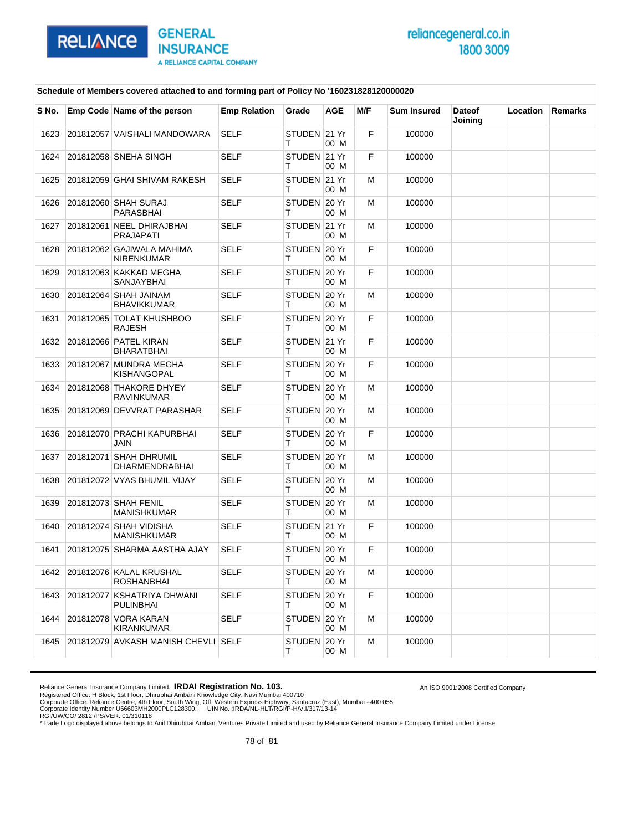

An ISO 9001:2008 Certified Company

#### **Schedule of Members covered attached to and forming part of Policy No '160231828120000020**

| S No. | Emp Code Name of the person                     | <b>Emp Relation</b> | Grade             | <b>AGE</b> | M/F | <b>Sum Insured</b> | <b>Dateof</b><br>Joining | Location | <b>Remarks</b> |
|-------|-------------------------------------------------|---------------------|-------------------|------------|-----|--------------------|--------------------------|----------|----------------|
| 1623  | 201812057 VAISHALI MANDOWARA                    | <b>SELF</b>         | STUDEN 21 Yr<br>т | 00 M       | F   | 100000             |                          |          |                |
| 1624  | 201812058 SNEHA SINGH                           | <b>SELF</b>         | STUDEN 21 Yr<br>т | 00 M       | F   | 100000             |                          |          |                |
| 1625  | 201812059 GHAI SHIVAM RAKESH                    | <b>SELF</b>         | STUDEN 21 Yr<br>т | 00 M       | M   | 100000             |                          |          |                |
| 1626  | 201812060 SHAH SURAJ<br>PARASBHAI               | <b>SELF</b>         | STUDEN 20 Yr<br>т | 00 M       | м   | 100000             |                          |          |                |
| 1627  | 201812061 NEEL DHIRAJBHAI<br><b>PRAJAPATI</b>   | <b>SELF</b>         | STUDEN 21 Yr<br>т | 00 M       | M   | 100000             |                          |          |                |
| 1628  | 201812062 GAJIWALA MAHIMA<br><b>NIRENKUMAR</b>  | <b>SELF</b>         | STUDEN 20 Yr<br>т | 00 M       | F   | 100000             |                          |          |                |
| 1629  | 201812063 KAKKAD MEGHA<br>SANJAYBHAI            | <b>SELF</b>         | STUDEN 20 Yr<br>т | 00 M       | F   | 100000             |                          |          |                |
| 1630  | 201812064 SHAH JAINAM<br><b>BHAVIKKUMAR</b>     | <b>SELF</b>         | STUDEN 20 Yr<br>т | 00 M       | м   | 100000             |                          |          |                |
| 1631  | 201812065 TOLAT KHUSHBOO<br><b>RAJESH</b>       | <b>SELF</b>         | STUDEN 20 Yr<br>т | 00 M       | F   | 100000             |                          |          |                |
| 1632  | 201812066 PATEL KIRAN<br><b>BHARATBHAI</b>      | <b>SELF</b>         | STUDEN 21 Yr<br>т | 00 M       | F.  | 100000             |                          |          |                |
| 1633  | 201812067 MUNDRA MEGHA<br>KISHANGOPAL           | <b>SELF</b>         | STUDEN 20 Yr<br>т | 00 M       | F   | 100000             |                          |          |                |
| 1634  | 201812068 THAKORE DHYEY<br><b>RAVINKUMAR</b>    | <b>SELF</b>         | STUDEN 20 Yr<br>т | 00 M       | M   | 100000             |                          |          |                |
| 1635  | 201812069 DEVVRAT PARASHAR                      | SELF                | STUDEN 20 Yr<br>т | 00 M       | м   | 100000             |                          |          |                |
| 1636  | 201812070 PRACHI KAPURBHAI<br><b>JAIN</b>       | <b>SELF</b>         | STUDEN 20 Yr<br>т | 00 M       | F   | 100000             |                          |          |                |
| 1637  | 201812071 SHAH DHRUMIL<br><b>DHARMENDRABHAI</b> | <b>SELF</b>         | STUDEN 20 Yr<br>т | 00 M       | M   | 100000             |                          |          |                |
| 1638  | 201812072 VYAS BHUMIL VIJAY                     | SELF                | STUDEN 20 Yr<br>т | 00 M       | м   | 100000             |                          |          |                |
| 1639  | 201812073 SHAH FENIL<br><b>MANISHKUMAR</b>      | <b>SELF</b>         | STUDEN 20 Yr<br>т | 00 M       | м   | 100000             |                          |          |                |
| 1640  | 201812074 SHAH VIDISHA<br><b>MANISHKUMAR</b>    | <b>SELF</b>         | STUDEN 21 Yr<br>т | 00 M       | F   | 100000             |                          |          |                |
| 1641  | 201812075 SHARMA AASTHA AJAY                    | <b>SELF</b>         | STUDEN 20 Yr<br>т | 00 M       | F.  | 100000             |                          |          |                |
| 1642  | 201812076 KALAL KRUSHAL<br><b>ROSHANBHAI</b>    | <b>SELF</b>         | STUDEN 20 Yr<br>т | 00 M       | M   | 100000             |                          |          |                |
| 1643  | 201812077 KSHATRIYA DHWANI<br><b>PULINBHAI</b>  | <b>SELF</b>         | STUDEN 20 Yr<br>т | 00 M       | F   | 100000             |                          |          |                |
| 1644  | 201812078 VORA KARAN<br><b>KIRANKUMAR</b>       | <b>SELF</b>         | STUDEN 20 Yr<br>т | 00 M       | м   | 100000             |                          |          |                |
| 1645  | 201812079 AVKASH MANISH CHEVLI SELF             |                     | STUDEN 20 Yr<br>т | 00 M       | M   | 100000             |                          |          |                |

Reliance General Insurance Company Limited. **IRDAI Registration No. 103.**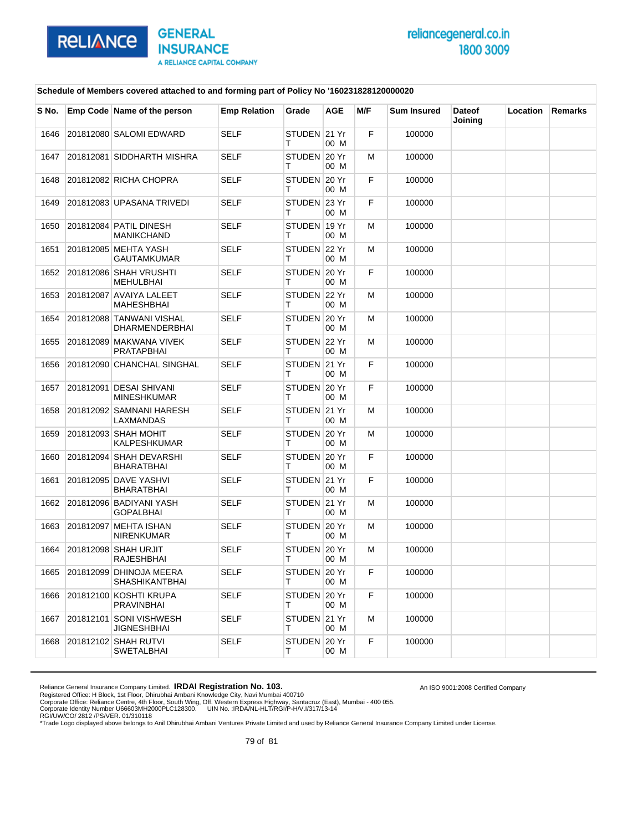

An ISO 9001:2008 Certified Company

#### **Schedule of Members covered attached to and forming part of Policy No '160231828120000020**

| S No. | Emp Code Name of the person                      | <b>Emp Relation</b> | Grade              | <b>AGE</b> | M/F | <b>Sum Insured</b> | <b>Dateof</b><br>Joining | Location | <b>Remarks</b> |
|-------|--------------------------------------------------|---------------------|--------------------|------------|-----|--------------------|--------------------------|----------|----------------|
| 1646  | 201812080 SALOMI EDWARD                          | <b>SELF</b>         | STUDEN 21 Yr<br>т  | 00 M       | F   | 100000             |                          |          |                |
| 1647  | 201812081 SIDDHARTH MISHRA                       | <b>SELF</b>         | STUDEN 20 Yr<br>т  | 00 M       | M   | 100000             |                          |          |                |
| 1648  | 201812082 RICHA CHOPRA                           | <b>SELF</b>         | STUDEN 20 Yr<br>т  | 00 M       | F   | 100000             |                          |          |                |
| 1649  | 201812083 UPASANA TRIVEDI                        | <b>SELF</b>         | STUDEN 23 Yr<br>т  | 00 M       | F   | 100000             |                          |          |                |
| 1650  | 201812084 PATIL DINESH<br><b>MANIKCHAND</b>      | <b>SELF</b>         | STUDEN 19 Yr<br>т  | 00 M       | M   | 100000             |                          |          |                |
| 1651  | 201812085 MEHTA YASH<br>GAUTAMKUMAR              | <b>SELF</b>         | STUDEN 22 Yr<br>т  | 00 M       | M   | 100000             |                          |          |                |
| 1652  | 201812086 SHAH VRUSHTI<br>MEHULBHAI              | <b>SELF</b>         | STUDEN 20 Yr<br>т  | 00 M       | F   | 100000             |                          |          |                |
| 1653  | 201812087 AVAIYA LALEET<br><b>MAHESHBHAI</b>     | <b>SELF</b>         | STUDEN 22 Yr<br>т  | 00 M       | M   | 100000             |                          |          |                |
| 1654  | 201812088 TANWANI VISHAL<br>DHARMENDERBHAI       | <b>SELF</b>         | STUDEN 20 Yr<br>т  | 00 M       | м   | 100000             |                          |          |                |
| 1655  | 201812089 MAKWANA VIVEK<br><b>PRATAPBHAI</b>     | <b>SELF</b>         | STUDEN 22 Yr<br>т  | 00 M       | м   | 100000             |                          |          |                |
| 1656  | 201812090 CHANCHAL SINGHAL                       | <b>SELF</b>         | STUDEN 21 Yr<br>т  | 00 M       | F   | 100000             |                          |          |                |
| 1657  | 201812091 DESAI SHIVANI<br><b>MINESHKUMAR</b>    | <b>SELF</b>         | STUDEN 20 Yr<br>т  | 00 M       | F   | 100000             |                          |          |                |
| 1658  | 201812092 SAMNANI HARESH<br>LAXMANDAS            | <b>SELF</b>         | STUDEN 21 Yr<br>т  | 00 M       | м   | 100000             |                          |          |                |
| 1659  | 201812093 SHAH MOHIT<br>KALPESHKUMAR             | <b>SELF</b>         | STUDEN 20 Yr<br>т  | 00 M       | M   | 100000             |                          |          |                |
| 1660  | 201812094 SHAH DEVARSHI<br>BHARATBHAI            | <b>SELF</b>         | STUDEN 20 Yr<br>т  | 00 M       | F   | 100000             |                          |          |                |
| 1661  | 201812095 DAVE YASHVI<br><b>BHARATBHAI</b>       | <b>SELF</b>         | STUDEN 21 Yr<br>т  | 00 M       | F   | 100000             |                          |          |                |
| 1662  | 201812096 BADIYANI YASH<br><b>GOPALBHAI</b>      | <b>SELF</b>         | STUDEN 21 Yr<br>т  | 00 M       | M   | 100000             |                          |          |                |
| 1663  | 201812097 MEHTA ISHAN<br><b>NIRENKUMAR</b>       | <b>SELF</b>         | STUDEN 20 Yr<br>т  | 00 M       | M   | 100000             |                          |          |                |
| 1664  | 201812098 SHAH URJIT<br>RAJESHBHAI               | <b>SELF</b>         | STUDEN 20 Yr<br>т  | 00 M       | M   | 100000             |                          |          |                |
| 1665  | 201812099 DHINOJA MEERA<br><b>SHASHIKANTBHAI</b> | SELF                | STUDEN 20 Yr<br>т  | 00 M       | F   | 100000             |                          |          |                |
| 1666  | 201812100 KOSHTI KRUPA<br>PRAVINBHAI             | <b>SELF</b>         | STUDEN 20 Yr<br>т  | 00 M       | F   | 100000             |                          |          |                |
| 1667  | 201812101 SONI VISHWESH<br><b>JIGNESHBHAI</b>    | <b>SELF</b>         | STUDEN 21 Yr<br>T. | 00 M       | м   | 100000             |                          |          |                |
| 1668  | 201812102 SHAH RUTVI<br>SWETALBHAI               | SELF                | STUDEN 20 Yr<br>T. | 00 M       | F.  | 100000             |                          |          |                |

Reliance General Insurance Company Limited. **IRDAI Registration No. 103.**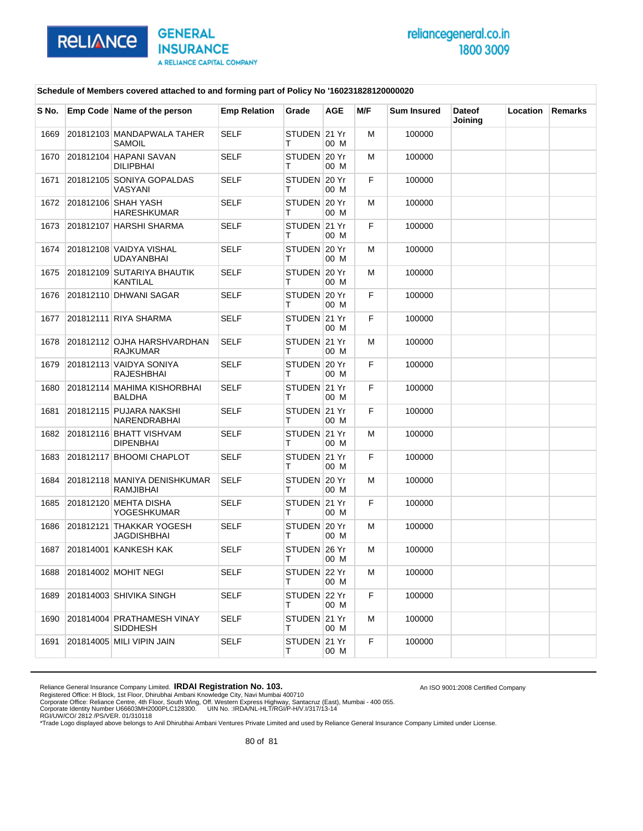

An ISO 9001:2008 Certified Company

#### **Schedule of Members covered attached to and forming part of Policy No '160231828120000020**

| S No. | Emp Code Name of the person                    | <b>Emp Relation</b> | Grade             | <b>AGE</b> | M/F | <b>Sum Insured</b> | <b>Dateof</b><br>Joining | Location | Remarks |
|-------|------------------------------------------------|---------------------|-------------------|------------|-----|--------------------|--------------------------|----------|---------|
| 1669  | 201812103 MANDAPWALA TAHER<br>SAMOIL           | <b>SELF</b>         | STUDEN 21 Yr<br>т | 00 M       | M   | 100000             |                          |          |         |
| 1670  | 201812104 HAPANI SAVAN<br><b>DILIPBHAI</b>     | <b>SELF</b>         | STUDEN 20 Yr<br>т | 00 M       | м   | 100000             |                          |          |         |
| 1671  | 201812105 SONIYA GOPALDAS<br>VASYANI           | <b>SELF</b>         | STUDEN 20 Yr<br>т | 00 M       | F   | 100000             |                          |          |         |
| 1672  | 201812106 SHAH YASH<br><b>HARESHKUMAR</b>      | <b>SELF</b>         | STUDEN 20 Yr<br>т | 00 M       | M   | 100000             |                          |          |         |
| 1673  | 201812107 HARSHI SHARMA                        | <b>SELF</b>         | STUDEN 21 Yr<br>т | 00 M       | F   | 100000             |                          |          |         |
| 1674  | 201812108 VAIDYA VISHAL<br><b>UDAYANBHAI</b>   | <b>SELF</b>         | STUDEN 20 Yr<br>т | 00 M       | M   | 100000             |                          |          |         |
| 1675  | 201812109 SUTARIYA BHAUTIK<br><b>KANTILAL</b>  | <b>SELF</b>         | STUDEN 20 Yr<br>т | 00 M       | м   | 100000             |                          |          |         |
| 1676  | 201812110 DHWANI SAGAR                         | <b>SELF</b>         | STUDEN 20 Yr<br>т | 00 M       | F   | 100000             |                          |          |         |
| 1677  | 201812111 RIYA SHARMA                          | <b>SELF</b>         | STUDEN 21 Yr<br>т | 00 M       | F   | 100000             |                          |          |         |
| 1678  | 201812112 OJHA HARSHVARDHAN<br><b>RAJKUMAR</b> | <b>SELF</b>         | STUDEN 21 Yr<br>т | 00 M       | M   | 100000             |                          |          |         |
| 1679  | 201812113 VAIDYA SONIYA<br>RAJESHBHAI          | <b>SELF</b>         | STUDEN 20 Yr<br>т | 00 M       | F   | 100000             |                          |          |         |
| 1680  | 201812114 MAHIMA KISHORBHAI<br><b>BALDHA</b>   | <b>SELF</b>         | STUDEN 21 Yr<br>т | 00 M       | F   | 100000             |                          |          |         |
| 1681  | 201812115 PUJARA NAKSHI<br>NARENDRABHAI        | <b>SELF</b>         | STUDEN 21 Yr<br>т | 00 M       | F   | 100000             |                          |          |         |
| 1682  | 201812116 BHATT VISHVAM<br><b>DIPENBHAI</b>    | <b>SELF</b>         | STUDEN 21 Yr<br>т | 00 M       | м   | 100000             |                          |          |         |
| 1683  | 201812117 BHOOMI CHAPLOT                       | <b>SELF</b>         | STUDEN 21 Yr<br>т | 00 M       | F   | 100000             |                          |          |         |
| 1684  | 201812118 MANIYA DENISHKUMAR<br>RAMJIBHAI      | <b>SELF</b>         | STUDEN 20 Yr<br>т | 00 M       | M   | 100000             |                          |          |         |
| 1685  | 201812120 MEHTA DISHA<br>YOGESHKUMAR           | <b>SELF</b>         | STUDEN 21 Yr<br>т | 00 M       | F   | 100000             |                          |          |         |
| 1686  | 201812121 THAKKAR YOGESH<br>JAGDISHBHAI        | <b>SELF</b>         | STUDEN 20 Yr<br>т | 00 M       | м   | 100000             |                          |          |         |
| 1687  | 201814001 KANKESH KAK                          | <b>SELF</b>         | STUDEN 26 Yr<br>т | 00 M       | M   | 100000             |                          |          |         |
| 1688  | 201814002 MOHIT NEGI                           | <b>SELF</b>         | STUDEN 22 Yr<br>т | 00 M       | M   | 100000             |                          |          |         |
| 1689  | 201814003 SHIVIKA SINGH                        | <b>SELF</b>         | STUDEN 22 Yr<br>т | 00 M       | F   | 100000             |                          |          |         |
| 1690  | 201814004 PRATHAMESH VINAY<br><b>SIDDHESH</b>  | <b>SELF</b>         | STUDEN 21 Yr<br>т | 00 M       | M   | 100000             |                          |          |         |
| 1691  | 201814005 MILI VIPIN JAIN                      | SELF                | STUDEN 21 Yr<br>т | 00 M       | F   | 100000             |                          |          |         |

Reliance General Insurance Company Limited. **IRDAI Registration No. 103.**